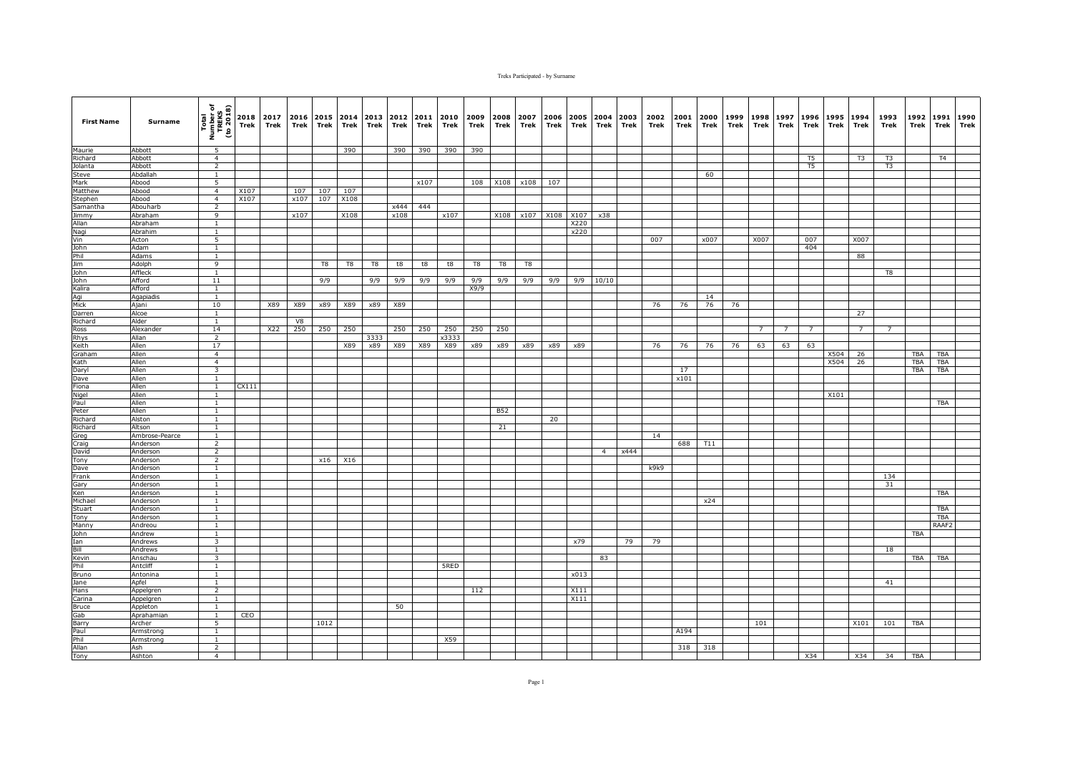| <b>First Name</b>    | Surname              | Total<br>Number of<br>TREKS<br>(to 2018) | Trek  | 2018 2017<br>Trek | 2016<br>Trek | Trek | 2015 2014<br>Trek | 2013<br>Trek | 2012<br>Trek | 2011<br>Trek | 2010<br>Trek | 2009<br>Trek | 2008<br>Trek | 2007<br>Trek | 2006<br>Trek | 2005<br>Trek | 2004<br>Trek   | 2003<br>Trek | 2002<br>Trek | 2001<br>Trek | 2000<br>Trek | 1999<br>Trek | 1998<br>Trek | 1997<br>Trek | 1996<br>Trek | 1995<br>Trek | 1994<br>Trek | 1993<br>Trek   | 1992<br>Trek | 1991<br>Trek | 1990<br>Trek |
|----------------------|----------------------|------------------------------------------|-------|-------------------|--------------|------|-------------------|--------------|--------------|--------------|--------------|--------------|--------------|--------------|--------------|--------------|----------------|--------------|--------------|--------------|--------------|--------------|--------------|--------------|--------------|--------------|--------------|----------------|--------------|--------------|--------------|
| Maurie               | Abbott               | 5                                        |       |                   |              |      | 390               |              | 390          | 390          | 390          | 390          |              |              |              |              |                |              |              |              |              |              |              |              |              |              |              |                |              |              |              |
| Richard              | Abbott               | $\overline{4}$                           |       |                   |              |      |                   |              |              |              |              |              |              |              |              |              |                |              |              |              |              |              |              |              | T5           |              | T3           | T3             |              | T4           |              |
| Jolanta              | Abbott               | $\overline{2}$                           |       |                   |              |      |                   |              |              |              |              |              |              |              |              |              |                |              |              |              |              |              |              |              | T5           |              |              | T <sub>3</sub> |              |              |              |
| Steve<br>Mark        | Abdallah<br>Abood    | $\mathbf{1}$<br>5                        |       |                   |              |      |                   |              |              | x107         |              | 108          | X108         | x108         | 107          |              |                |              |              |              | 60           |              |              |              |              |              |              |                |              |              |              |
| Matthew              | Abood                | $\overline{4}$                           | X107  |                   | 107          | 107  | 107               |              |              |              |              |              |              |              |              |              |                |              |              |              |              |              |              |              |              |              |              |                |              |              |              |
| Stephen              | Abood                | $\overline{4}$                           | X107  |                   | x107         | 107  | X108              |              |              |              |              |              |              |              |              |              |                |              |              |              |              |              |              |              |              |              |              |                |              |              |              |
| Samantha             | Abouharb             | $\overline{2}$                           |       |                   |              |      |                   |              | x444         | 444          |              |              |              |              |              |              |                |              |              |              |              |              |              |              |              |              |              |                |              |              |              |
| Jimmy                | Abraham              | 9                                        |       |                   | x107         |      | X108              |              | x108         |              | x107         |              | X108         | x107         | X108         | X107         | x38            |              |              |              |              |              |              |              |              |              |              |                |              |              |              |
| Allan                | Abraham              | $\mathbf{1}$                             |       |                   |              |      |                   |              |              |              |              |              |              |              |              | X220         |                |              |              |              |              |              |              |              |              |              |              |                |              |              |              |
| Nagi                 | Abrahim              | $\mathbf{1}$                             |       |                   |              |      |                   |              |              |              |              |              |              |              |              | x220         |                |              |              |              |              |              |              |              |              |              |              |                |              |              |              |
| Vin                  | Acton                | 5                                        |       |                   |              |      |                   |              |              |              |              |              |              |              |              |              |                |              | 007          |              | x007         |              | X007         |              | 007          |              | X007         |                |              |              |              |
| John<br>Phil         | Adam                 | <sup>1</sup><br>$\overline{1}$           |       |                   |              |      |                   |              |              |              |              |              |              |              |              |              |                |              |              |              |              |              |              |              | 404          |              | 88           |                |              |              |              |
| Jim                  | Adams<br>Adolph      | 9                                        |       |                   |              | T8   | T8                | T8           | t8           | t8           | t8           | T8           | T8           | T8           |              |              |                |              |              |              |              |              |              |              |              |              |              |                |              |              |              |
| John                 | Affleck              | 1                                        |       |                   |              |      |                   |              |              |              |              |              |              |              |              |              |                |              |              |              |              |              |              |              |              |              |              | T <sub>8</sub> |              |              |              |
| John                 | Afford               | 11                                       |       |                   |              | 9/9  |                   | 9/9          | 9/9          | 9/9          | 9/9          | 9/9          | 9/9          | 9/9          | 9/9          |              | $9/9$ 10/10    |              |              |              |              |              |              |              |              |              |              |                |              |              |              |
| Kalira               | Afford               | <sup>1</sup>                             |       |                   |              |      |                   |              |              |              |              | X9/9         |              |              |              |              |                |              |              |              |              |              |              |              |              |              |              |                |              |              |              |
| Agi                  | Agapiadis            | <sup>1</sup>                             |       |                   |              |      |                   |              |              |              |              |              |              |              |              |              |                |              |              |              | 14           |              |              |              |              |              |              |                |              |              |              |
| Mick                 | Ajani                | 10                                       |       | X89               | X89          | x89  | X89               | x89          | X89          |              |              |              |              |              |              |              |                |              | 76           | 76           | 76           | 76           |              |              |              |              |              |                |              |              |              |
| Darren               | Alcoe                | $\mathbf{1}$                             |       |                   |              |      |                   |              |              |              |              |              |              |              |              |              |                |              |              |              |              |              |              |              |              |              | 27           |                |              |              |              |
| Richard              | Alder                | $\overline{1}$                           |       |                   | V8           |      |                   |              |              |              |              |              |              |              |              |              |                |              |              |              |              |              |              |              |              |              |              |                |              |              |              |
| Ross                 | Alexander<br>Allan   | 14<br>$\overline{2}$                     |       | X22               | 250          | 250  | 250               | 3333         | 250          | 250          | 250<br>x3333 | 250          | 250          |              |              |              |                |              |              |              |              |              | -7           |              |              |              | 7            |                |              |              |              |
| <b>Rhys</b><br>Keith | Allen                | 17                                       |       |                   |              |      | X89               | x89          | X89          | X89          | X89          | x89          | x89          | x89          | x89          | x89          |                |              | 76           | 76           | 76           | 76           | 63           | 63           | 63           |              |              |                |              |              |              |
| Graham               | Allen                | $\overline{4}$                           |       |                   |              |      |                   |              |              |              |              |              |              |              |              |              |                |              |              |              |              |              |              |              |              | X504         | 26           |                | TBA          | TBA          |              |
| Kath                 | Allen                | $\overline{4}$                           |       |                   |              |      |                   |              |              |              |              |              |              |              |              |              |                |              |              |              |              |              |              |              |              | X504         | 26           |                | <b>TBA</b>   | <b>TBA</b>   |              |
| Daryl                | Allen                | $\overline{\mathbf{3}}$                  |       |                   |              |      |                   |              |              |              |              |              |              |              |              |              |                |              |              | 17           |              |              |              |              |              |              |              |                | <b>TBA</b>   | <b>TBA</b>   |              |
| Dave                 | Allen                | $\mathbf{1}$                             |       |                   |              |      |                   |              |              |              |              |              |              |              |              |              |                |              |              | x101         |              |              |              |              |              |              |              |                |              |              |              |
| Fiona                | Allen                | <sup>1</sup>                             | CX111 |                   |              |      |                   |              |              |              |              |              |              |              |              |              |                |              |              |              |              |              |              |              |              |              |              |                |              |              |              |
| Nigel                | Allen                | <sup>1</sup>                             |       |                   |              |      |                   |              |              |              |              |              |              |              |              |              |                |              |              |              |              |              |              |              |              | X101         |              |                |              |              |              |
| Paul<br>Peter        | Allen<br>Allen       | $\overline{1}$<br>$\mathbf{1}$           |       |                   |              |      |                   |              |              |              |              |              |              |              |              |              |                |              |              |              |              |              |              |              |              |              |              |                |              | <b>TBA</b>   |              |
| Richard              | Alston               | <sup>1</sup>                             |       |                   |              |      |                   |              |              |              |              |              | <b>B52</b>   |              | 20           |              |                |              |              |              |              |              |              |              |              |              |              |                |              |              |              |
| Richard              | Altson               | $\overline{1}$                           |       |                   |              |      |                   |              |              |              |              |              | 21           |              |              |              |                |              |              |              |              |              |              |              |              |              |              |                |              |              |              |
| Greg                 | Ambrose-Pearce       | $\mathbf{1}$                             |       |                   |              |      |                   |              |              |              |              |              |              |              |              |              |                |              | 14           |              |              |              |              |              |              |              |              |                |              |              |              |
| Craig                | Anderson             | $\overline{2}$                           |       |                   |              |      |                   |              |              |              |              |              |              |              |              |              |                |              |              | 688          | T11          |              |              |              |              |              |              |                |              |              |              |
| David                | Anderson             | $\overline{2}$                           |       |                   |              |      |                   |              |              |              |              |              |              |              |              |              | $\overline{4}$ | x444         |              |              |              |              |              |              |              |              |              |                |              |              |              |
| Tony                 | Anderson             | $\overline{2}$                           |       |                   |              | x16  | X16               |              |              |              |              |              |              |              |              |              |                |              |              |              |              |              |              |              |              |              |              |                |              |              |              |
| Dave                 | Anderson             | $\mathbf{1}$                             |       |                   |              |      |                   |              |              |              |              |              |              |              |              |              |                |              | k9k9         |              |              |              |              |              |              |              |              |                |              |              |              |
| Frank                | Anderson<br>Anderson | $\mathbf{1}$<br><sup>1</sup>             |       |                   |              |      |                   |              |              |              |              |              |              |              |              |              |                |              |              |              |              |              |              |              |              |              |              | 134<br>31      |              |              |              |
| Gary<br>Ken          | Anderson             | $\overline{1}$                           |       |                   |              |      |                   |              |              |              |              |              |              |              |              |              |                |              |              |              |              |              |              |              |              |              |              |                |              | <b>TBA</b>   |              |
| Michael              | Anderson             | $\mathbf{1}$                             |       |                   |              |      |                   |              |              |              |              |              |              |              |              |              |                |              |              |              | x24          |              |              |              |              |              |              |                |              |              |              |
| Stuart               | Anderson             | $\mathbf{1}$                             |       |                   |              |      |                   |              |              |              |              |              |              |              |              |              |                |              |              |              |              |              |              |              |              |              |              |                |              | <b>TBA</b>   |              |
| Tony                 | Anderson             | $\mathbf{1}$                             |       |                   |              |      |                   |              |              |              |              |              |              |              |              |              |                |              |              |              |              |              |              |              |              |              |              |                |              | <b>TBA</b>   |              |
| Manny                | Andreou              | $\mathbf{1}$                             |       |                   |              |      |                   |              |              |              |              |              |              |              |              |              |                |              |              |              |              |              |              |              |              |              |              |                |              | RAAF2        |              |
| John                 | Andrew               | $\mathbf{1}$                             |       |                   |              |      |                   |              |              |              |              |              |              |              |              |              |                |              |              |              |              |              |              |              |              |              |              |                | <b>TBA</b>   |              |              |
| Ian                  | Andrews              | $\overline{3}$                           |       |                   |              |      |                   |              |              |              |              |              |              |              |              | x79          |                | 79           | 79           |              |              |              |              |              |              |              |              |                |              |              |              |
| Bill                 | Andrews              | $\mathbf{1}$                             |       |                   |              |      |                   |              |              |              |              |              |              |              |              |              |                |              |              |              |              |              |              |              |              |              |              | 18             |              |              |              |
| Kevin                | Anschau              | $\overline{\mathbf{3}}$                  |       |                   |              |      |                   |              |              |              |              |              |              |              |              |              | 83             |              |              |              |              |              |              |              |              |              |              |                | TBA          | <b>TBA</b>   |              |
| Phil<br>Bruno        | Antcliff<br>Antonina | $\mathbf{1}$<br><sup>1</sup>             |       |                   |              |      |                   |              |              |              | 5RED         |              |              |              |              | x013         |                |              |              |              |              |              |              |              |              |              |              |                |              |              |              |
| Jane                 | Apfel                | <sup>1</sup>                             |       |                   |              |      |                   |              |              |              |              |              |              |              |              |              |                |              |              |              |              |              |              |              |              |              |              | 41             |              |              |              |
| Hans                 | Appelgren            | $\overline{2}$                           |       |                   |              |      |                   |              |              |              |              | 112          |              |              |              | X111         |                |              |              |              |              |              |              |              |              |              |              |                |              |              |              |
| Carina               | Appelgren            | <sup>1</sup>                             |       |                   |              |      |                   |              |              |              |              |              |              |              |              | X111         |                |              |              |              |              |              |              |              |              |              |              |                |              |              |              |
| Bruce                | Appleton             | $\mathbf{1}$                             |       |                   |              |      |                   |              | 50           |              |              |              |              |              |              |              |                |              |              |              |              |              |              |              |              |              |              |                |              |              |              |
| Gab                  | Aprahamian           | $\mathbf{1}$                             | CEO   |                   |              |      |                   |              |              |              |              |              |              |              |              |              |                |              |              |              |              |              |              |              |              |              |              |                |              |              |              |
| Barry                | Archer               | 5                                        |       |                   |              | 1012 |                   |              |              |              |              |              |              |              |              |              |                |              |              |              |              |              | 101          |              |              |              | X101         | 101            | TBA          |              |              |
| Paul<br>Phil         | Armstrong            | $\mathbf{1}$<br>$\mathbf{1}$             |       |                   |              |      |                   |              |              |              | X59          |              |              |              |              |              |                |              |              | A194         |              |              |              |              |              |              |              |                |              |              |              |
| Allan                | Armstrong<br>Ash     | $\overline{2}$                           |       |                   |              |      |                   |              |              |              |              |              |              |              |              |              |                |              |              | 318          | 318          |              |              |              |              |              |              |                |              |              |              |
| Tony                 | Ashton               | $\overline{4}$                           |       |                   |              |      |                   |              |              |              |              |              |              |              |              |              |                |              |              |              |              |              |              |              | X34          |              | X34          | 34             | TBA          |              |              |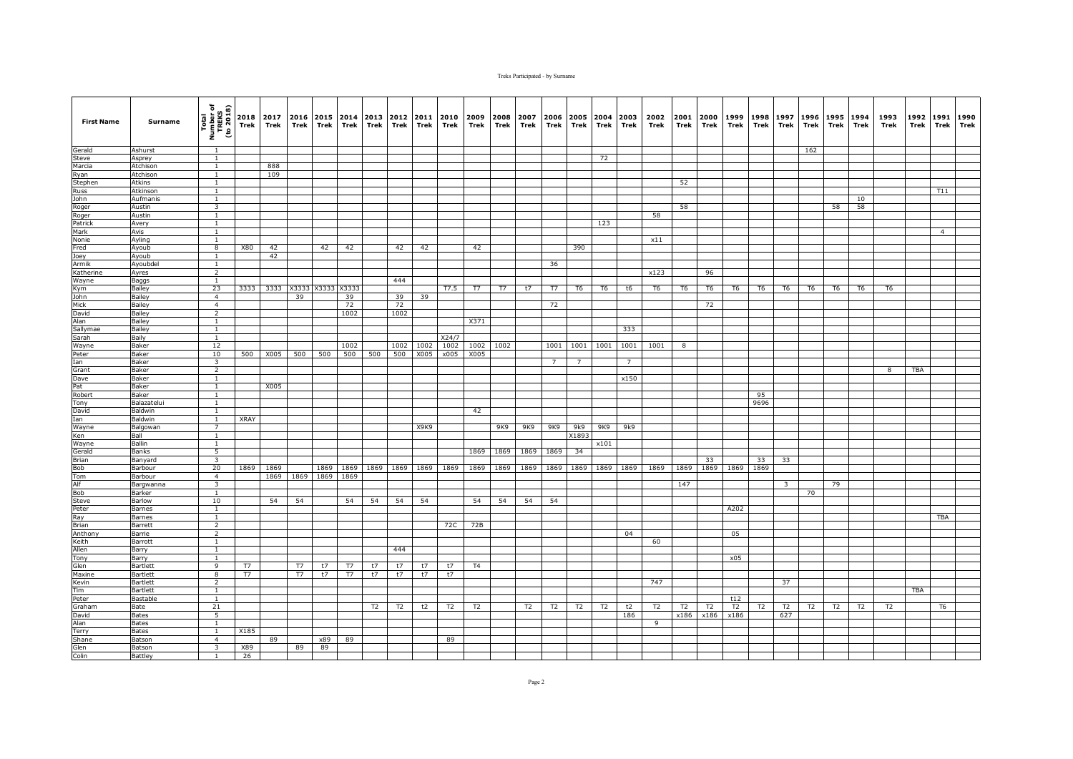| <b>First Name</b> | Surname                  | Total<br>Number of<br>TREKS<br>(to 2018) | 2018<br>Trek | 2017<br>Trek | 2016<br>Trek | Trek      | 2015 2014<br>Trek | 2013<br>Trek | 2012<br>Trek | 2011<br>Trek | 2010<br>Trek | 2009<br>Trek   | 2008<br>Trek | 2007<br>Trek | 2006<br>Trek        | 2005<br>Trek   | 2004<br>Trek   | 2003<br>Trek   | 2002<br>Trek   | 2001<br>Trek   | 2000<br>Trek   | 1999<br>Trek   | 1998<br>Trek   | 1997<br>Trek   | 1996<br>Trek | 1995<br>Trek   | 1994<br>Trek   | 1993<br>Trek   | 1992<br>Trek | 1991<br><b>Trek</b> | 1990<br>Trek |
|-------------------|--------------------------|------------------------------------------|--------------|--------------|--------------|-----------|-------------------|--------------|--------------|--------------|--------------|----------------|--------------|--------------|---------------------|----------------|----------------|----------------|----------------|----------------|----------------|----------------|----------------|----------------|--------------|----------------|----------------|----------------|--------------|---------------------|--------------|
| Gerald            | Ashurst                  | $\overline{1}$                           |              |              |              |           |                   |              |              |              |              |                |              |              |                     |                |                |                |                |                |                |                |                |                | 162          |                |                |                |              |                     |              |
| Steve             | Asprey                   | $\overline{1}$                           |              |              |              |           |                   |              |              |              |              |                |              |              |                     |                | 72             |                |                |                |                |                |                |                |              |                |                |                |              |                     |              |
| Marcia            | Atchison                 | $\mathbf{1}$                             |              | 888          |              |           |                   |              |              |              |              |                |              |              |                     |                |                |                |                |                |                |                |                |                |              |                |                |                |              |                     |              |
| Ryan              | Atchison                 | $\mathbf{1}$                             |              | 109          |              |           |                   |              |              |              |              |                |              |              |                     |                |                |                |                |                |                |                |                |                |              |                |                |                |              |                     |              |
| Stephen           | Atkins                   | $\mathbf{1}$                             |              |              |              |           |                   |              |              |              |              |                |              |              |                     |                |                |                |                | 52             |                |                |                |                |              |                |                |                |              |                     |              |
| Russ              | Atkinson                 | $\mathbf{1}$                             |              |              |              |           |                   |              |              |              |              |                |              |              |                     |                |                |                |                |                |                |                |                |                |              |                |                |                |              | T11                 |              |
| John              | Aufmanis                 | $\mathbf{1}$                             |              |              |              |           |                   |              |              |              |              |                |              |              |                     |                |                |                |                |                |                |                |                |                |              |                | 10             |                |              |                     |              |
| Roger             | Austin                   | $\overline{\mathbf{3}}$<br>$\mathbf{1}$  |              |              |              |           |                   |              |              |              |              |                |              |              |                     |                |                |                | 58             | 58             |                |                |                |                |              | 58             | 58             |                |              |                     |              |
| Roger<br>Patrick  | Austin<br>Avery          | $\mathbf{1}$                             |              |              |              |           |                   |              |              |              |              |                |              |              |                     |                | 123            |                |                |                |                |                |                |                |              |                |                |                |              |                     |              |
| Mark              | Avis                     | $\mathbf{1}$                             |              |              |              |           |                   |              |              |              |              |                |              |              |                     |                |                |                |                |                |                |                |                |                |              |                |                |                |              | $\overline{4}$      |              |
| Nonie             | Ayling                   | <sup>1</sup>                             |              |              |              |           |                   |              |              |              |              |                |              |              |                     |                |                |                | x11            |                |                |                |                |                |              |                |                |                |              |                     |              |
| Fred              | Ayoub                    | $\overline{8}$                           | <b>X80</b>   | 42           |              | 42        | 42                |              | 42           | 42           |              | 42             |              |              |                     | 390            |                |                |                |                |                |                |                |                |              |                |                |                |              |                     |              |
| Joey              | Ayoub                    | $\overline{1}$                           |              | 42           |              |           |                   |              |              |              |              |                |              |              |                     |                |                |                |                |                |                |                |                |                |              |                |                |                |              |                     |              |
| Armik             | Ayoubdel                 | $\mathbf{1}$                             |              |              |              |           |                   |              |              |              |              |                |              |              | 36                  |                |                |                |                |                |                |                |                |                |              |                |                |                |              |                     |              |
| Katherine         | Ayres                    | $\overline{2}$                           |              |              |              |           |                   |              |              |              |              |                |              |              |                     |                |                |                | x123           |                | 96             |                |                |                |              |                |                |                |              |                     |              |
| Wayne             | Baggs                    | $\mathbf{1}$                             |              |              |              |           |                   |              | 444          |              |              |                |              |              |                     |                |                |                |                |                |                |                |                |                |              |                |                |                |              |                     |              |
| Kym               | <b>Bailey</b>            | 23                                       | 3333         |              | 3333 X3333   |           | X3333 X3333       |              |              |              | T7.5         | T7             | T7           | t7           | T7                  | T <sub>6</sub> | T <sub>6</sub> | t6             | T <sub>6</sub> | T <sub>6</sub> | T <sub>6</sub> | T <sub>6</sub> | T6             | T6             | T6           | T6             | T <sub>6</sub> | T <sub>6</sub> |              |                     |              |
| John              | Bailey                   | $\overline{4}$                           |              |              | 39           |           | 39                |              | 39           | 39           |              |                |              |              |                     |                |                |                |                |                |                |                |                |                |              |                |                |                |              |                     |              |
| Mick              | Bailey                   | $\overline{4}$                           |              |              |              |           | 72                |              | 72           |              |              |                |              |              | 72                  |                |                |                |                |                | 72             |                |                |                |              |                |                |                |              |                     |              |
| David<br>Alan     | Bailey<br>Bailey         | $\overline{2}$<br>$\mathbf{1}$           |              |              |              |           | 1002              |              | 1002         |              |              | X371           |              |              |                     |                |                |                |                |                |                |                |                |                |              |                |                |                |              |                     |              |
| Sallymae          | Bailey                   | 1                                        |              |              |              |           |                   |              |              |              |              |                |              |              |                     |                |                | 333            |                |                |                |                |                |                |              |                |                |                |              |                     |              |
| Sarah             | Baily                    | $\overline{1}$                           |              |              |              |           |                   |              |              |              | X24/7        |                |              |              |                     |                |                |                |                |                |                |                |                |                |              |                |                |                |              |                     |              |
| Wayne             | Baker                    | 12                                       |              |              |              |           | 1002              |              | 1002         | 1002         | 1002         | 1002           | 1002         |              | 1001                | 1001           | 1001           | 1001           | 1001           | 8              |                |                |                |                |              |                |                |                |              |                     |              |
| Peter             | Baker                    | 10                                       | 500          | X005         | 500          | 500       | 500               | 500          | 500          | X005         | x005         | X005           |              |              |                     |                |                |                |                |                |                |                |                |                |              |                |                |                |              |                     |              |
| Ian               | Baker                    | 3                                        |              |              |              |           |                   |              |              |              |              |                |              |              | $\overline{7}$      | $\overline{7}$ |                | $\overline{7}$ |                |                |                |                |                |                |              |                |                |                |              |                     |              |
| Grant             | Baker                    | $\overline{2}$                           |              |              |              |           |                   |              |              |              |              |                |              |              |                     |                |                |                |                |                |                |                |                |                |              |                |                | 8              | <b>TBA</b>   |                     |              |
| Dave              | Baker                    | $\mathbf{1}$                             |              |              |              |           |                   |              |              |              |              |                |              |              |                     |                |                | x150           |                |                |                |                |                |                |              |                |                |                |              |                     |              |
| Pat               | Baker                    | $\mathbf{1}$                             |              | X005         |              |           |                   |              |              |              |              |                |              |              |                     |                |                |                |                |                |                |                |                |                |              |                |                |                |              |                     |              |
| Robert            | Baker                    | <sup>1</sup>                             |              |              |              |           |                   |              |              |              |              |                |              |              |                     |                |                |                |                |                |                |                | 95             |                |              |                |                |                |              |                     |              |
| Tony              | Balazatelui              | $\overline{1}$                           |              |              |              |           |                   |              |              |              |              |                |              |              |                     |                |                |                |                |                |                |                | 9696           |                |              |                |                |                |              |                     |              |
| David             | Baldwin                  | $\mathbf{1}$                             |              |              |              |           |                   |              |              |              |              | 42             |              |              |                     |                |                |                |                |                |                |                |                |                |              |                |                |                |              |                     |              |
| Ian               | Baldwin                  | 1<br>$\overline{7}$                      | XRAY         |              |              |           |                   |              |              | X9K9         |              |                | 9K9          | 9K9          | 9K9                 | 9k9            | 9K9            | 9k9            |                |                |                |                |                |                |              |                |                |                |              |                     |              |
| Wayne<br>Ken      | Balgowan<br>Ball         | $\overline{1}$                           |              |              |              |           |                   |              |              |              |              |                |              |              |                     | X1893          |                |                |                |                |                |                |                |                |              |                |                |                |              |                     |              |
| Wayne             | Ballin                   | <sup>1</sup>                             |              |              |              |           |                   |              |              |              |              |                |              |              |                     |                | x101           |                |                |                |                |                |                |                |              |                |                |                |              |                     |              |
| Gerald            | Banks                    | $\overline{5}$                           |              |              |              |           |                   |              |              |              |              | 1869           | 1869         | 1869         | 1869                | 34             |                |                |                |                |                |                |                |                |              |                |                |                |              |                     |              |
| Brian             | Banyard                  | $\overline{3}$                           |              |              |              |           |                   |              |              |              |              |                |              |              |                     |                |                |                |                |                | 33             |                | 33             | 33             |              |                |                |                |              |                     |              |
| Bob               | Barbour                  | 20                                       | 1869         | 1869         |              | 1869      | 1869              | 1869         | 1869         | 1869         | 1869         | 1869           | 1869         |              | 1869 1869 1869 1869 |                |                | 1869           | 1869           | 1869           | 1869           | 1869 1869      |                |                |              |                |                |                |              |                     |              |
| Tom               | Barbour                  | $\overline{4}$                           |              | 1869         | 1869         | 1869      | 1869              |              |              |              |              |                |              |              |                     |                |                |                |                |                |                |                |                |                |              |                |                |                |              |                     |              |
| Alf               | Bargwanna                | $\overline{\mathbf{3}}$                  |              |              |              |           |                   |              |              |              |              |                |              |              |                     |                |                |                |                | 147            |                |                |                | $\overline{3}$ |              | 79             |                |                |              |                     |              |
| Bob               | <b>Barker</b>            | $\overline{1}$                           |              |              |              |           |                   |              |              |              |              |                |              |              |                     |                |                |                |                |                |                |                |                |                | 70           |                |                |                |              |                     |              |
| Steve             | Barlow                   | 10                                       |              | 54           | 54           |           | 54                | 54           | 54           | 54           |              | 54             | 54           | 54           | 54                  |                |                |                |                |                |                |                |                |                |              |                |                |                |              |                     |              |
| Peter             | Barnes                   | $\mathbf{1}$                             |              |              |              |           |                   |              |              |              |              |                |              |              |                     |                |                |                |                |                |                | A202           |                |                |              |                |                |                |              |                     |              |
| Ray               | <b>Barnes</b>            | <sup>1</sup>                             |              |              |              |           |                   |              |              |              |              |                |              |              |                     |                |                |                |                |                |                |                |                |                |              |                |                |                |              | <b>TBA</b>          |              |
| Brian<br>Anthony  | Barrett<br>Barrie        | $\overline{2}$<br>$\overline{2}$         |              |              |              |           |                   |              |              |              | 72C          | 72B            |              |              |                     |                |                | 04             |                |                |                | 05             |                |                |              |                |                |                |              |                     |              |
| Keith             | Barrott                  | $\mathbf{1}$                             |              |              |              |           |                   |              |              |              |              |                |              |              |                     |                |                |                | 60             |                |                |                |                |                |              |                |                |                |              |                     |              |
| Allen             | Barry                    | $\overline{1}$                           |              |              |              |           |                   |              | 444          |              |              |                |              |              |                     |                |                |                |                |                |                |                |                |                |              |                |                |                |              |                     |              |
| Tony              | Barry                    | $\mathbf{1}$                             |              |              |              |           |                   |              |              |              |              |                |              |              |                     |                |                |                |                |                |                | x05            |                |                |              |                |                |                |              |                     |              |
| Glen              | Bartlett                 | 9                                        | T7           |              | T7           | t7        | T7                | t7           | t7           | t7           | t7           | T <sub>4</sub> |              |              |                     |                |                |                |                |                |                |                |                |                |              |                |                |                |              |                     |              |
| Maxine            | <b>Bartlett</b>          | 8                                        | T7           |              | T7           | t7        | T7                | t7           | t7           | t7           | t7           |                |              |              |                     |                |                |                |                |                |                |                |                |                |              |                |                |                |              |                     |              |
| Kevin             | <b>Bartlett</b>          | $\overline{2}$                           |              |              |              |           |                   |              |              |              |              |                |              |              |                     |                |                |                | 747            |                |                |                |                | 37             |              |                |                |                |              |                     |              |
| Tim               | Bartlett                 | $\overline{1}$                           |              |              |              |           |                   |              |              |              |              |                |              |              |                     |                |                |                |                |                |                |                |                |                |              |                |                |                | <b>TBA</b>   |                     |              |
| Peter             | Bastable                 | 1                                        |              |              |              |           |                   |              |              |              |              |                |              |              |                     |                |                |                |                |                |                | t12            |                |                |              |                |                |                |              |                     |              |
| Graham            | Bate                     | 21                                       |              |              |              |           |                   | T2           | T2           | t2           | T2           | T2             |              | T2           | T2                  | T2             | T <sub>2</sub> | t2             | T2             | T <sub>2</sub> | T <sub>2</sub> | T2             | T <sub>2</sub> | T2             | T2           | T <sub>2</sub> | T2             | T <sub>2</sub> |              | T <sub>6</sub>      |              |
| David             | <b>Bates</b>             | 5                                        |              |              |              |           |                   |              |              |              |              |                |              |              |                     |                |                | 186            |                | x186           | x186           | x186           |                | 627            |              |                |                |                |              |                     |              |
| Alan              | <b>Bates</b>             | 1                                        |              |              |              |           |                   |              |              |              |              |                |              |              |                     |                |                |                | 9              |                |                |                |                |                |              |                |                |                |              |                     |              |
| Terry             | <b>Bates</b>             | 1<br>$\overline{4}$                      | X185         |              |              |           |                   |              |              |              |              |                |              |              |                     |                |                |                |                |                |                |                |                |                |              |                |                |                |              |                     |              |
| Shane             | Batson                   | $\overline{\mathbf{3}}$                  | X89          | 89           | 89           | x89<br>89 | 89                |              |              |              | 89           |                |              |              |                     |                |                |                |                |                |                |                |                |                |              |                |                |                |              |                     |              |
| Glen<br>Colin     | Batson<br><b>Battley</b> | 1                                        | 26           |              |              |           |                   |              |              |              |              |                |              |              |                     |                |                |                |                |                |                |                |                |                |              |                |                |                |              |                     |              |
|                   |                          |                                          |              |              |              |           |                   |              |              |              |              |                |              |              |                     |                |                |                |                |                |                |                |                |                |              |                |                |                |              |                     |              |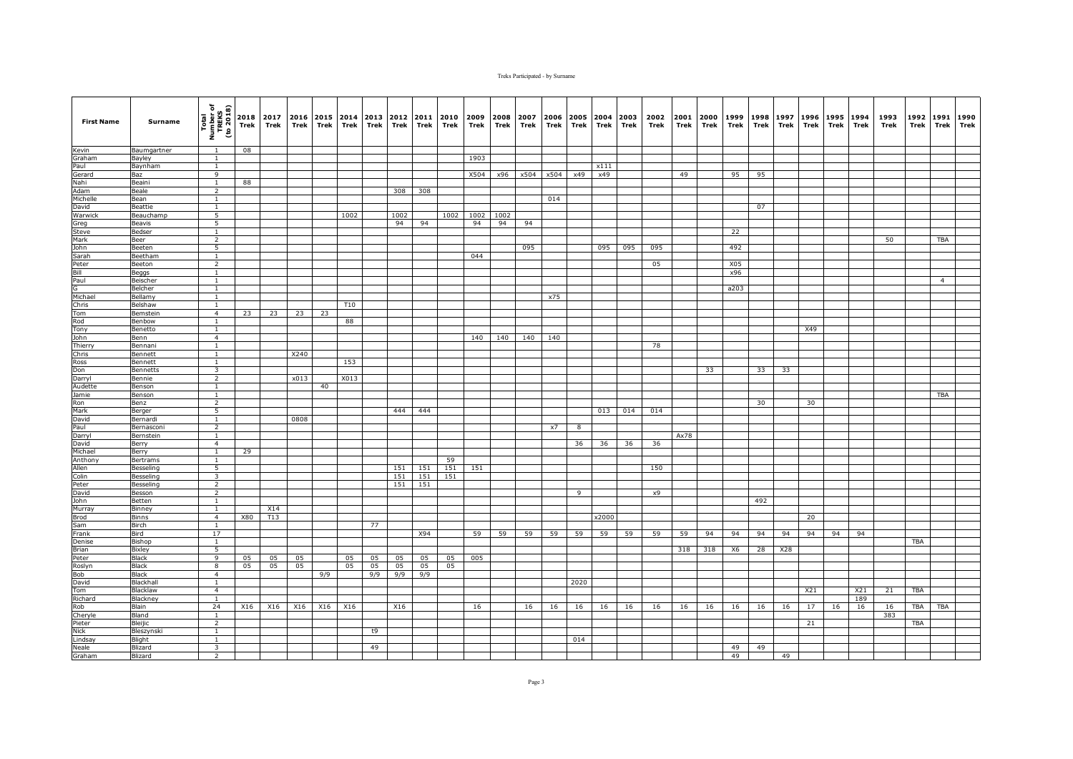| <b>First Name</b>  | Surname                    | Total<br>Number of<br>TREKS<br>(to 2018) | Trek | 2018 2017<br>Trek | 2016<br>Trek | Trek | 2015 2014<br>Trek | 2013<br>Trek | 2012<br>Trek | 2011<br>Trek | 2010<br>Trek | 2009<br>Trek | 2008<br>Trek | 2007<br>Trek | 2006<br>Trek | Trek | 2005 2004 2003<br>Trek | Trek | 2002<br>Trek | 2001<br>Trek | 2000<br>Trek | 1999<br>Trek | 1998<br>Trek | 1997<br>Trek | 1996<br>Trek | 1995<br>Trek | 1994<br>Trek | 1993<br>Trek | 1992<br>Trek | 1991<br><b>Trek</b> | 1990<br>Trek |
|--------------------|----------------------------|------------------------------------------|------|-------------------|--------------|------|-------------------|--------------|--------------|--------------|--------------|--------------|--------------|--------------|--------------|------|------------------------|------|--------------|--------------|--------------|--------------|--------------|--------------|--------------|--------------|--------------|--------------|--------------|---------------------|--------------|
| Kevin              | Baumgartner                | $\mathbf{1}$                             | 08   |                   |              |      |                   |              |              |              |              |              |              |              |              |      |                        |      |              |              |              |              |              |              |              |              |              |              |              |                     |              |
| Graham             | Bayley                     | $\mathbf{1}$                             |      |                   |              |      |                   |              |              |              |              | 1903         |              |              |              |      |                        |      |              |              |              |              |              |              |              |              |              |              |              |                     |              |
| Paul               | Baynham                    | $\mathbf{1}$                             |      |                   |              |      |                   |              |              |              |              |              |              |              |              |      | x111                   |      |              |              |              |              |              |              |              |              |              |              |              |                     |              |
| Gerard             | Baz                        | 9                                        |      |                   |              |      |                   |              |              |              |              | X504         | x96          |              | x504 x504    | x49  | x49                    |      |              | 49           |              | 95           | 95           |              |              |              |              |              |              |                     |              |
| Nahi<br>Adam       | Beaini<br>Beale            | $\mathbf{1}$<br>2                        | 88   |                   |              |      |                   |              | 308          | 308          |              |              |              |              |              |      |                        |      |              |              |              |              |              |              |              |              |              |              |              |                     |              |
| Michelle           | Bean                       | $\overline{1}$                           |      |                   |              |      |                   |              |              |              |              |              |              |              | 014          |      |                        |      |              |              |              |              |              |              |              |              |              |              |              |                     |              |
| David              | Beattie                    | $\mathbf{1}$                             |      |                   |              |      |                   |              |              |              |              |              |              |              |              |      |                        |      |              |              |              |              | 07           |              |              |              |              |              |              |                     |              |
| Warwick            | Beauchamp                  | 5                                        |      |                   |              |      | 1002              |              | 1002         |              | 1002         | 1002         | 1002         |              |              |      |                        |      |              |              |              |              |              |              |              |              |              |              |              |                     |              |
| Greg               | Beavis                     | 5                                        |      |                   |              |      |                   |              | 94           | 94           |              | 94           | 94           | 94           |              |      |                        |      |              |              |              |              |              |              |              |              |              |              |              |                     |              |
| Steve              | Bedser                     | $\mathbf{1}$                             |      |                   |              |      |                   |              |              |              |              |              |              |              |              |      |                        |      |              |              |              | 22           |              |              |              |              |              |              |              |                     |              |
| Mark               | Beer                       | $\overline{2}$                           |      |                   |              |      |                   |              |              |              |              |              |              |              |              |      |                        |      |              |              |              |              |              |              |              |              |              | 50           |              | <b>TBA</b>          |              |
| John               | Beeten                     | 5                                        |      |                   |              |      |                   |              |              |              |              |              |              | 095          |              |      | 095                    | 095  | 095          |              |              | 492          |              |              |              |              |              |              |              |                     |              |
| Sarah              | Beetham                    | $\mathbf{1}$                             |      |                   |              |      |                   |              |              |              |              | 044          |              |              |              |      |                        |      |              |              |              |              |              |              |              |              |              |              |              |                     |              |
| Peter<br>Bill      | Beeton                     | $\overline{2}$<br>$\mathbf{1}$           |      |                   |              |      |                   |              |              |              |              |              |              |              |              |      |                        |      | 05           |              |              | X05<br>x96   |              |              |              |              |              |              |              |                     |              |
| Paul               | Beggs<br>Beischer          | $\mathbf{1}$                             |      |                   |              |      |                   |              |              |              |              |              |              |              |              |      |                        |      |              |              |              |              |              |              |              |              |              |              |              | $\overline{4}$      |              |
| G                  | Belcher                    | $\overline{1}$                           |      |                   |              |      |                   |              |              |              |              |              |              |              |              |      |                        |      |              |              |              | a203         |              |              |              |              |              |              |              |                     |              |
| Michael            | Bellamy                    | $\overline{1}$                           |      |                   |              |      |                   |              |              |              |              |              |              |              | x75          |      |                        |      |              |              |              |              |              |              |              |              |              |              |              |                     |              |
| Chris              | Belshaw                    | $\mathbf{1}$                             |      |                   |              |      | <b>T10</b>        |              |              |              |              |              |              |              |              |      |                        |      |              |              |              |              |              |              |              |              |              |              |              |                     |              |
| Tom                | Bemstein                   | $\overline{4}$                           | 23   | 23                | 23           | 23   |                   |              |              |              |              |              |              |              |              |      |                        |      |              |              |              |              |              |              |              |              |              |              |              |                     |              |
| Rod                | Benbow                     | $\mathbf{1}$                             |      |                   |              |      | 88                |              |              |              |              |              |              |              |              |      |                        |      |              |              |              |              |              |              |              |              |              |              |              |                     |              |
| Tony               | Benetto                    | $\mathbf{1}$                             |      |                   |              |      |                   |              |              |              |              |              |              |              |              |      |                        |      |              |              |              |              |              |              | X49          |              |              |              |              |                     |              |
| John               | Benn                       | $\overline{4}$                           |      |                   |              |      |                   |              |              |              |              | 140          | 140          | 140          | 140          |      |                        |      |              |              |              |              |              |              |              |              |              |              |              |                     |              |
| Thierry            | Bennani                    | <sup>1</sup>                             |      |                   |              |      |                   |              |              |              |              |              |              |              |              |      |                        |      | 78           |              |              |              |              |              |              |              |              |              |              |                     |              |
| Chris              | Bennett                    | $\mathbf{1}$                             |      |                   | X240         |      |                   |              |              |              |              |              |              |              |              |      |                        |      |              |              |              |              |              |              |              |              |              |              |              |                     |              |
| Ross<br>Don        | Bennett<br><b>Bennetts</b> | $\mathbf{1}$<br>$\overline{\mathbf{3}}$  |      |                   |              |      | 153               |              |              |              |              |              |              |              |              |      |                        |      |              |              | 33           |              | 33           | 33           |              |              |              |              |              |                     |              |
| Darryl             | Bennie                     | $\overline{2}$                           |      |                   | x013         |      | X013              |              |              |              |              |              |              |              |              |      |                        |      |              |              |              |              |              |              |              |              |              |              |              |                     |              |
| Audette            | Benson                     | $\overline{1}$                           |      |                   |              | 40   |                   |              |              |              |              |              |              |              |              |      |                        |      |              |              |              |              |              |              |              |              |              |              |              |                     |              |
| Jamie              | Benson                     | $\overline{1}$                           |      |                   |              |      |                   |              |              |              |              |              |              |              |              |      |                        |      |              |              |              |              |              |              |              |              |              |              |              | <b>TBA</b>          |              |
| Ron                | Benz                       | $\overline{2}$                           |      |                   |              |      |                   |              |              |              |              |              |              |              |              |      |                        |      |              |              |              |              | 30           |              | 30           |              |              |              |              |                     |              |
| Mark               | Berger                     | 5                                        |      |                   |              |      |                   |              | 444          | 444          |              |              |              |              |              |      | 013                    | 014  | 014          |              |              |              |              |              |              |              |              |              |              |                     |              |
| David              | Bernardi                   | $\mathbf{1}$                             |      |                   | 0808         |      |                   |              |              |              |              |              |              |              |              |      |                        |      |              |              |              |              |              |              |              |              |              |              |              |                     |              |
| Paul               | Bernasconi                 | 2                                        |      |                   |              |      |                   |              |              |              |              |              |              |              | x7           | 8    |                        |      |              |              |              |              |              |              |              |              |              |              |              |                     |              |
| Darryl             | Bernstein                  | $\mathbf{1}$                             |      |                   |              |      |                   |              |              |              |              |              |              |              |              |      |                        |      |              | Ax78         |              |              |              |              |              |              |              |              |              |                     |              |
| David              | Berry                      | $\overline{4}$<br><sup>1</sup>           | 29   |                   |              |      |                   |              |              |              |              |              |              |              |              | 36   | 36                     | 36   | 36           |              |              |              |              |              |              |              |              |              |              |                     |              |
| Michael<br>Anthony | Berry<br>Bertrams          | $\mathbf{1}$                             |      |                   |              |      |                   |              |              |              | 59           |              |              |              |              |      |                        |      |              |              |              |              |              |              |              |              |              |              |              |                     |              |
| Allen              | Besseling                  | 5                                        |      |                   |              |      |                   |              | 151          | 151          | 151          | 151          |              |              |              |      |                        |      | 150          |              |              |              |              |              |              |              |              |              |              |                     |              |
| Colin              | Besseling                  | $\overline{\mathbf{3}}$                  |      |                   |              |      |                   |              | 151          | 151          | 151          |              |              |              |              |      |                        |      |              |              |              |              |              |              |              |              |              |              |              |                     |              |
| Peter              | Besseling                  | $\overline{2}$                           |      |                   |              |      |                   |              | 151          | 151          |              |              |              |              |              |      |                        |      |              |              |              |              |              |              |              |              |              |              |              |                     |              |
| David              | Besson                     | $\overline{2}$                           |      |                   |              |      |                   |              |              |              |              |              |              |              |              | 9    |                        |      | x9           |              |              |              |              |              |              |              |              |              |              |                     |              |
| John               | Betten                     | 1                                        |      |                   |              |      |                   |              |              |              |              |              |              |              |              |      |                        |      |              |              |              |              | 492          |              |              |              |              |              |              |                     |              |
| Murray             | Binnev                     | <sup>1</sup>                             |      | X14               |              |      |                   |              |              |              |              |              |              |              |              |      |                        |      |              |              |              |              |              |              |              |              |              |              |              |                     |              |
| <b>Brod</b>        | <b>Binns</b>               | $\overline{4}$                           | X80  | T <sub>13</sub>   |              |      |                   |              |              |              |              |              |              |              |              |      | x2000                  |      |              |              |              |              |              |              | 20           |              |              |              |              |                     |              |
| Sam                | Birch                      | 1                                        |      |                   |              |      |                   | 77           |              |              |              |              |              |              |              |      |                        |      |              |              |              |              |              |              |              |              |              |              |              |                     |              |
| Frank              | Bird                       | 17                                       |      |                   |              |      |                   |              |              | X94          |              | 59           | 59           | 59           | 59           | 59   | 59                     | 59   | 59           | 59           | 94           | 94           | 94           | 94           | 94           | 94           | 94           |              |              |                     |              |
| Denise<br>Brian    | Bishop<br>Bixley           | $\mathbf{1}$<br>$\overline{5}$           |      |                   |              |      |                   |              |              |              |              |              |              |              |              |      |                        |      |              | 318          | 318          | <b>X6</b>    | 28           | X28          |              |              |              |              | <b>TBA</b>   |                     |              |
| Peter              | Black                      | 9                                        | 05   | 05                | 05           |      | 05                | 05           | 05           | 05           | 05           | 005          |              |              |              |      |                        |      |              |              |              |              |              |              |              |              |              |              |              |                     |              |
| Roslyn             | <b>Black</b>               | 8                                        | 05   | 05                | 05           |      | 05                | 05           | 05           | 05           | 05           |              |              |              |              |      |                        |      |              |              |              |              |              |              |              |              |              |              |              |                     |              |
| Bob                | <b>Black</b>               | $\overline{4}$                           |      |                   |              | 9/9  |                   | 9/9          | 9/9          | 9/9          |              |              |              |              |              |      |                        |      |              |              |              |              |              |              |              |              |              |              |              |                     |              |
| David              | Blackhall                  | $\mathbf{1}$                             |      |                   |              |      |                   |              |              |              |              |              |              |              |              | 2020 |                        |      |              |              |              |              |              |              |              |              |              |              |              |                     |              |
| Tom                | Blacklaw                   | $\overline{4}$                           |      |                   |              |      |                   |              |              |              |              |              |              |              |              |      |                        |      |              |              |              |              |              |              | X21          |              | X21          | 21           | <b>TBA</b>   |                     |              |
| Richard            | Blackney                   | 1                                        |      |                   |              |      |                   |              |              |              |              |              |              |              |              |      |                        |      |              |              |              |              |              |              |              |              | 189          |              |              |                     |              |
| Rob                | <b>Blain</b>               | 24                                       | X16  | X16               | X16          | X16  | X16               |              | X16          |              |              | 16           |              | 16           | 16           | 16   | 16                     | 16   | 16           | 16           | 16           | 16           | 16           | 16           | 17           | 16           | 16           | 16           | <b>TBA</b>   | <b>TBA</b>          |              |
| Cheryle            | Bland                      | $\mathbf{1}$                             |      |                   |              |      |                   |              |              |              |              |              |              |              |              |      |                        |      |              |              |              |              |              |              |              |              |              | 383          |              |                     |              |
| Pieter             | Bleijic                    | $\overline{2}$                           |      |                   |              |      |                   |              |              |              |              |              |              |              |              |      |                        |      |              |              |              |              |              |              | 21           |              |              |              | TBA          |                     |              |
| Nick               | Bleszynski<br>Blight       | $\mathbf{1}$<br>$\overline{1}$           |      |                   |              |      |                   | t9           |              |              |              |              |              |              |              | 014  |                        |      |              |              |              |              |              |              |              |              |              |              |              |                     |              |
| Lindsay<br>Neale   | Blizard                    | $\overline{\mathbf{3}}$                  |      |                   |              |      |                   | 49           |              |              |              |              |              |              |              |      |                        |      |              |              |              | 49           | 49           |              |              |              |              |              |              |                     |              |
| Graham             | Blizard                    | $\overline{2}$                           |      |                   |              |      |                   |              |              |              |              |              |              |              |              |      |                        |      |              |              |              | 49           |              | 49           |              |              |              |              |              |                     |              |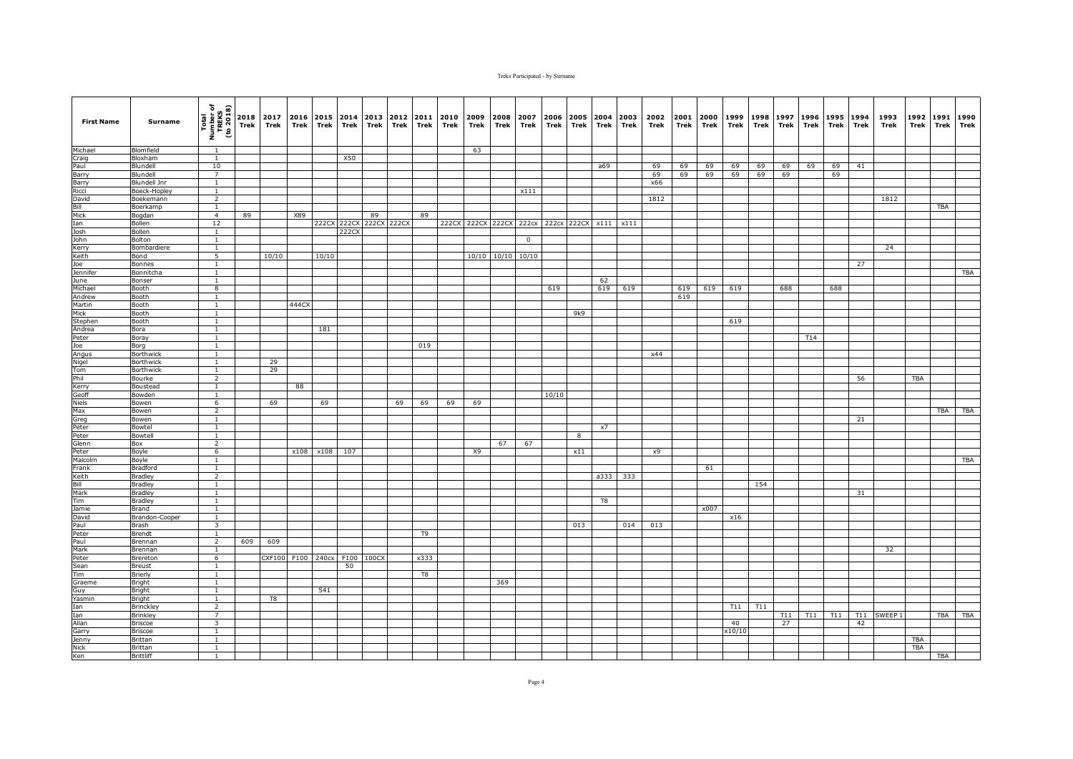| <b>First Name</b> | Surname                              | Total<br>Number of<br>TREKS<br>(to 2018) | Trek | 2018 2017<br>Trek | 2016<br>Trek | Trek              | 2015 2014<br>Trek | 2013<br>Trek | 2012 2011<br>Trek | Trek           | 2010<br>Trek | 2009<br>Trek | 2008<br>Trek      | 2007<br>Trek                        | 2006<br>Trek | Trek | 2005 2004 2003<br>Trek | Trek              | 2002<br>Trek | 2001<br>Trek | 2000<br>Trek | 1999<br>Trek | 1998<br>Trek | 1997<br>Trek | 1996<br>Trek | 1995<br>Trek | 1994<br>Trek | 1993<br>Trek       | 1992<br>Trek | 1991<br>Trek | 1990<br>Trek |
|-------------------|--------------------------------------|------------------------------------------|------|-------------------|--------------|-------------------|-------------------|--------------|-------------------|----------------|--------------|--------------|-------------------|-------------------------------------|--------------|------|------------------------|-------------------|--------------|--------------|--------------|--------------|--------------|--------------|--------------|--------------|--------------|--------------------|--------------|--------------|--------------|
| Michael           | Blomfield                            | 1                                        |      |                   |              |                   |                   |              |                   |                |              | 63           |                   |                                     |              |      |                        |                   |              |              |              |              |              |              |              |              |              |                    |              |              |              |
| Craig             | Bloxham                              | $\mathbf{1}$                             |      |                   |              |                   | X50               |              |                   |                |              |              |                   |                                     |              |      |                        |                   |              |              |              |              |              |              |              |              |              |                    |              |              |              |
| Paul              | Blundell                             | 10                                       |      |                   |              |                   |                   |              |                   |                |              |              |                   |                                     |              |      | a69                    |                   | 69           | 69           | 69           | 69           | 69           | 69           | 69           | 69           | 41           |                    |              |              |              |
| Barry             | Blundell                             | $\overline{7}$                           |      |                   |              |                   |                   |              |                   |                |              |              |                   |                                     |              |      |                        |                   | 69           | 69           | 69           | 69           | 69           | 69           |              | 69           |              |                    |              |              |              |
| Barry<br>Ricci    | <b>Blundell Jnr</b><br>Boeck-Hopley  | $\mathbf{1}$<br><sup>1</sup>             |      |                   |              |                   |                   |              |                   |                |              |              |                   | x111                                |              |      |                        |                   | x66          |              |              |              |              |              |              |              |              |                    |              |              |              |
| David             | Boekemann                            | $\overline{2}$                           |      |                   |              |                   |                   |              |                   |                |              |              |                   |                                     |              |      |                        |                   | 1812         |              |              |              |              |              |              |              |              | 1812               |              |              |              |
| Bill              | Boerkamp                             | $\mathbf{1}$                             |      |                   |              |                   |                   |              |                   |                |              |              |                   |                                     |              |      |                        |                   |              |              |              |              |              |              |              |              |              |                    |              | <b>TBA</b>   |              |
| Mick              | Bogdan                               | $\overline{4}$                           | 89   |                   | X89          |                   |                   | 89           |                   | 89             |              |              |                   |                                     |              |      |                        |                   |              |              |              |              |              |              |              |              |              |                    |              |              |              |
| Ian               | Bollen                               | 12                                       |      |                   |              |                   | 222CX 222CX       |              | 222CX 222CX       |                |              |              |                   | 222CX 222CX 222CX 222cx 222cx 222CX |              |      |                        | $x111 \quad x111$ |              |              |              |              |              |              |              |              |              |                    |              |              |              |
| Josh              | Bollen                               | $\mathbf{1}$                             |      |                   |              |                   | 222CX             |              |                   |                |              |              |                   |                                     |              |      |                        |                   |              |              |              |              |              |              |              |              |              |                    |              |              |              |
| John              | Bolton                               | $\mathbf{1}$                             |      |                   |              |                   |                   |              |                   |                |              |              |                   | $\mathbf 0$                         |              |      |                        |                   |              |              |              |              |              |              |              |              |              |                    |              |              |              |
| Kerry             | Bombardiere                          | $\overline{1}$                           |      |                   |              |                   |                   |              |                   |                |              |              |                   |                                     |              |      |                        |                   |              |              |              |              |              |              |              |              |              | 24                 |              |              |              |
| Keith             | Bond                                 | 5                                        |      | 10/10             |              | 10/10             |                   |              |                   |                |              |              | 10/10 10/10 10/10 |                                     |              |      |                        |                   |              |              |              |              |              |              |              |              |              |                    |              |              |              |
| Joe<br>Jennifer   | Bonnes                               | $\mathbf{1}$<br>$\mathbf{1}$             |      |                   |              |                   |                   |              |                   |                |              |              |                   |                                     |              |      |                        |                   |              |              |              |              |              |              |              |              | 27           |                    |              |              | <b>TBA</b>   |
| June              | Bonnitcha<br>Bonser                  | 1                                        |      |                   |              |                   |                   |              |                   |                |              |              |                   |                                     |              |      | 62                     |                   |              |              |              |              |              |              |              |              |              |                    |              |              |              |
| Michael           | <b>Booth</b>                         | $\overline{8}$                           |      |                   |              |                   |                   |              |                   |                |              |              |                   |                                     | 619          |      | 619                    | 619               |              | 619          | 619          | 619          |              | 688          |              | 688          |              |                    |              |              |              |
| Andrew            | Booth                                | $\overline{1}$                           |      |                   |              |                   |                   |              |                   |                |              |              |                   |                                     |              |      |                        |                   |              | 619          |              |              |              |              |              |              |              |                    |              |              |              |
| Martin            | Booth                                | $\mathbf{1}$                             |      |                   | 444CX        |                   |                   |              |                   |                |              |              |                   |                                     |              |      |                        |                   |              |              |              |              |              |              |              |              |              |                    |              |              |              |
| Mick              | Booth                                | <sup>1</sup>                             |      |                   |              |                   |                   |              |                   |                |              |              |                   |                                     |              | 9k9  |                        |                   |              |              |              |              |              |              |              |              |              |                    |              |              |              |
| Stephen           | Booth                                | $\mathbf{1}$                             |      |                   |              |                   |                   |              |                   |                |              |              |                   |                                     |              |      |                        |                   |              |              |              | 619          |              |              |              |              |              |                    |              |              |              |
| Andrea            | Bora                                 | $\mathbf{1}$                             |      |                   |              | 181               |                   |              |                   |                |              |              |                   |                                     |              |      |                        |                   |              |              |              |              |              |              |              |              |              |                    |              |              |              |
| Peter             | Boray                                | $\overline{1}$                           |      |                   |              |                   |                   |              |                   |                |              |              |                   |                                     |              |      |                        |                   |              |              |              |              |              |              | T14          |              |              |                    |              |              |              |
| Joe               | Borg                                 | $\mathbf{1}$                             |      |                   |              |                   |                   |              |                   | 019            |              |              |                   |                                     |              |      |                        |                   |              |              |              |              |              |              |              |              |              |                    |              |              |              |
| Angus<br>Nigel    | <b>Borthwick</b><br><b>Borthwick</b> | $\mathbf{1}$<br>$\mathbf{1}$             |      | 29                |              |                   |                   |              |                   |                |              |              |                   |                                     |              |      |                        |                   | x44          |              |              |              |              |              |              |              |              |                    |              |              |              |
| Tom               | <b>Borthwick</b>                     | $\mathbf{1}$                             |      | 29                |              |                   |                   |              |                   |                |              |              |                   |                                     |              |      |                        |                   |              |              |              |              |              |              |              |              |              |                    |              |              |              |
| Phil              | Bourke                               | $\overline{2}$                           |      |                   |              |                   |                   |              |                   |                |              |              |                   |                                     |              |      |                        |                   |              |              |              |              |              |              |              |              | 56           |                    | TBA          |              |              |
| Kerry             | Boustead                             | $\mathbf{1}$                             |      |                   | 88           |                   |                   |              |                   |                |              |              |                   |                                     |              |      |                        |                   |              |              |              |              |              |              |              |              |              |                    |              |              |              |
| Geoff             | Bowden                               | $\overline{1}$                           |      |                   |              |                   |                   |              |                   |                |              |              |                   |                                     | 10/10        |      |                        |                   |              |              |              |              |              |              |              |              |              |                    |              |              |              |
| Niels             | Bowen                                | 6                                        |      | 69                |              | 69                |                   |              | 69                | 69             | 69           | 69           |                   |                                     |              |      |                        |                   |              |              |              |              |              |              |              |              |              |                    |              |              |              |
| Max               | Bowen                                | $\overline{2}$                           |      |                   |              |                   |                   |              |                   |                |              |              |                   |                                     |              |      |                        |                   |              |              |              |              |              |              |              |              |              |                    |              | TBA          | TBA          |
| Greg              | Bowen                                | <sup>1</sup>                             |      |                   |              |                   |                   |              |                   |                |              |              |                   |                                     |              |      |                        |                   |              |              |              |              |              |              |              |              | 21           |                    |              |              |              |
| Peter             | Bowtel                               | $\mathbf{1}$                             |      |                   |              |                   |                   |              |                   |                |              |              |                   |                                     |              |      | x7                     |                   |              |              |              |              |              |              |              |              |              |                    |              |              |              |
| Peter<br>Glenn    | Bowtell<br>Box                       | $\mathbf{1}$<br>$\overline{2}$           |      |                   |              |                   |                   |              |                   |                |              |              | 67                | 67                                  |              | 8    |                        |                   |              |              |              |              |              |              |              |              |              |                    |              |              |              |
| Peter             | Boyle                                | 6                                        |      |                   | x108         | x108              | 107               |              |                   |                |              | X9           |                   |                                     |              | x11  |                        |                   | x9           |              |              |              |              |              |              |              |              |                    |              |              |              |
| Malcolm           | Boyle                                | $\mathbf{1}$                             |      |                   |              |                   |                   |              |                   |                |              |              |                   |                                     |              |      |                        |                   |              |              |              |              |              |              |              |              |              |                    |              |              | TBA          |
| Frank             | <b>Bradford</b>                      | $\mathbf{1}$                             |      |                   |              |                   |                   |              |                   |                |              |              |                   |                                     |              |      |                        |                   |              |              | 61           |              |              |              |              |              |              |                    |              |              |              |
| Keith             | <b>Bradley</b>                       | $\overline{2}$                           |      |                   |              |                   |                   |              |                   |                |              |              |                   |                                     |              |      | a333                   | 333               |              |              |              |              |              |              |              |              |              |                    |              |              |              |
| Bill              | <b>Bradley</b>                       | <sup>1</sup>                             |      |                   |              |                   |                   |              |                   |                |              |              |                   |                                     |              |      |                        |                   |              |              |              |              | 154          |              |              |              |              |                    |              |              |              |
| Mark              | <b>Bradley</b>                       | $\overline{1}$                           |      |                   |              |                   |                   |              |                   |                |              |              |                   |                                     |              |      |                        |                   |              |              |              |              |              |              |              |              | 31           |                    |              |              |              |
| Tim               | <b>Bradley</b>                       | $\mathbf{1}$                             |      |                   |              |                   |                   |              |                   |                |              |              |                   |                                     |              |      | T8                     |                   |              |              |              |              |              |              |              |              |              |                    |              |              |              |
| Jamie             | Brand                                | $\mathbf{1}$                             |      |                   |              |                   |                   |              |                   |                |              |              |                   |                                     |              |      |                        |                   |              |              | x007         |              |              |              |              |              |              |                    |              |              |              |
| David<br>Paul     | Brandon-Cooper                       | $\mathbf{1}$<br>3                        |      |                   |              |                   |                   |              |                   |                |              |              |                   |                                     |              | 013  |                        |                   | 013          |              |              | x16          |              |              |              |              |              |                    |              |              |              |
| Peter             | Brash<br>Brendt                      | $\mathbf{1}$                             |      |                   |              |                   |                   |              |                   | T <sub>9</sub> |              |              |                   |                                     |              |      |                        | 014               |              |              |              |              |              |              |              |              |              |                    |              |              |              |
| Paul              | Brennan                              | $\overline{2}$                           | 609  | 609               |              |                   |                   |              |                   |                |              |              |                   |                                     |              |      |                        |                   |              |              |              |              |              |              |              |              |              |                    |              |              |              |
| Mark              | Brennan                              | $\mathbf{1}$                             |      |                   |              |                   |                   |              |                   |                |              |              |                   |                                     |              |      |                        |                   |              |              |              |              |              |              |              |              |              | 32                 |              |              |              |
| Peter             | Brereton                             | 6                                        |      |                   |              | CXF100 F100 240cx |                   | F100 100CX   |                   | x333           |              |              |                   |                                     |              |      |                        |                   |              |              |              |              |              |              |              |              |              |                    |              |              |              |
| Sean              | <b>Breust</b>                        | $\mathbf{1}$                             |      |                   |              |                   | 50                |              |                   |                |              |              |                   |                                     |              |      |                        |                   |              |              |              |              |              |              |              |              |              |                    |              |              |              |
| Tim               | Brierly                              | $\mathbf{1}$                             |      |                   |              |                   |                   |              |                   | T8             |              |              |                   |                                     |              |      |                        |                   |              |              |              |              |              |              |              |              |              |                    |              |              |              |
| Graeme            | Bright                               | $\mathbf{1}$                             |      |                   |              |                   |                   |              |                   |                |              |              | 369               |                                     |              |      |                        |                   |              |              |              |              |              |              |              |              |              |                    |              |              |              |
| Guy               | Bright                               | $\overline{1}$                           |      |                   |              | 541               |                   |              |                   |                |              |              |                   |                                     |              |      |                        |                   |              |              |              |              |              |              |              |              |              |                    |              |              |              |
| Yasmin            | Bright                               | $\mathbf{1}$                             |      | T8                |              |                   |                   |              |                   |                |              |              |                   |                                     |              |      |                        |                   |              |              |              |              |              |              |              |              |              |                    |              |              |              |
| Ian<br>Ian        | <b>Brinckley</b><br><b>Brinkley</b>  | $\overline{2}$<br>$\overline{7}$         |      |                   |              |                   |                   |              |                   |                |              |              |                   |                                     |              |      |                        |                   |              |              |              | T11          | T11          | T11          | T11          | T11          | T11          | SWEEP <sub>1</sub> |              | <b>TBA</b>   | <b>TBA</b>   |
| Allan             | <b>Briscoe</b>                       | 3                                        |      |                   |              |                   |                   |              |                   |                |              |              |                   |                                     |              |      |                        |                   |              |              |              | 40           |              | 27           |              |              | 42           |                    |              |              |              |
| Garry             | <b>Briscoe</b>                       | $\mathbf{1}$                             |      |                   |              |                   |                   |              |                   |                |              |              |                   |                                     |              |      |                        |                   |              |              |              | x10/10       |              |              |              |              |              |                    |              |              |              |
| Jenny             | Brittan                              | $\mathbf{1}$                             |      |                   |              |                   |                   |              |                   |                |              |              |                   |                                     |              |      |                        |                   |              |              |              |              |              |              |              |              |              |                    | <b>TBA</b>   |              |              |
| <b>Nick</b>       | Brittan                              | $\mathbf{1}$                             |      |                   |              |                   |                   |              |                   |                |              |              |                   |                                     |              |      |                        |                   |              |              |              |              |              |              |              |              |              |                    | <b>TBA</b>   |              |              |
| Ken               | <b>Brittliff</b>                     | 1                                        |      |                   |              |                   |                   |              |                   |                |              |              |                   |                                     |              |      |                        |                   |              |              |              |              |              |              |              |              |              |                    |              | TBA          |              |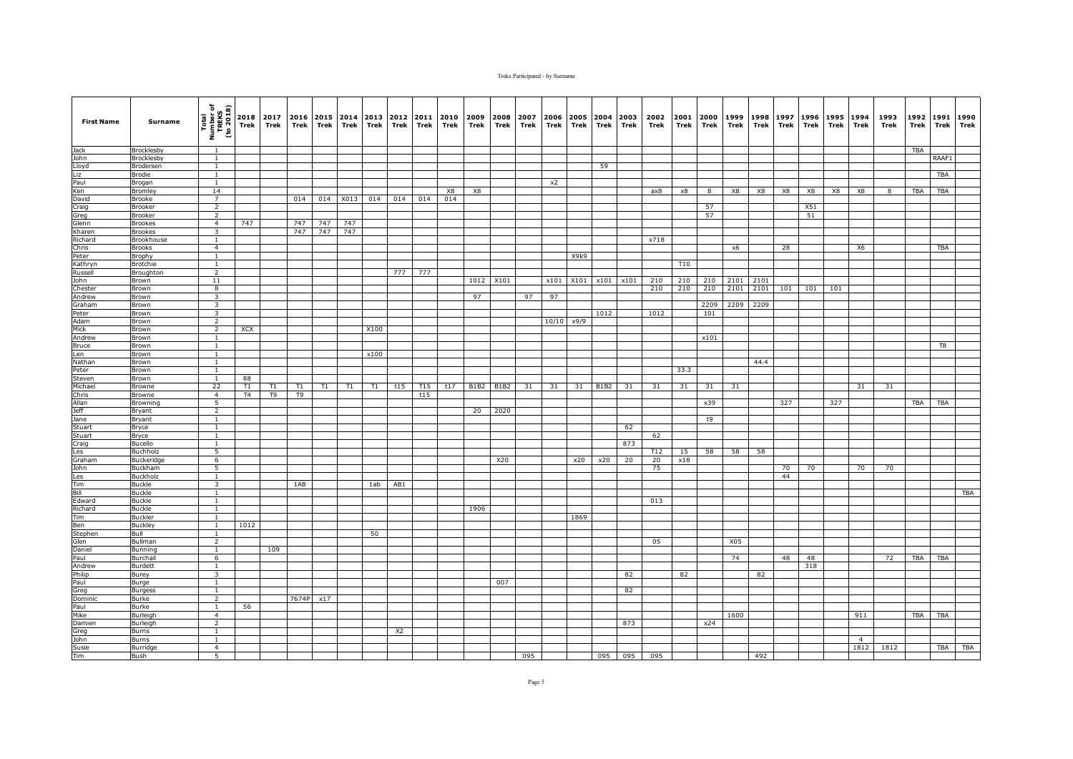| <b>First Name</b>      | Surname                        | Total<br>Number of<br>TREKS<br>(to 2018)  | Trek       | 2018 2017<br>Trek | 2016<br>Trek | Trek | 2015 2014<br>Trek | 2013<br>Trek | 2012<br>Trek   | 2011<br>Trek | 2010<br>Trek | 2009<br>Trek | 2008<br>Trek | 2007<br>Trek | 2006<br>Trek | Trek       | 2005 2004<br>Trek | 2003<br>Trek | 2002<br>Trek | 2001<br>Trek    | 2000<br>Trek | 1999<br>Trek | 1998<br>Trek | 1997<br>Trek | 1996<br>Trek | 1995<br>Trek | 1994<br>Trek   | 1993<br>Trek | 1992<br>Trek | 1991<br><b>Trek</b> | 1990<br>Trek |
|------------------------|--------------------------------|-------------------------------------------|------------|-------------------|--------------|------|-------------------|--------------|----------------|--------------|--------------|--------------|--------------|--------------|--------------|------------|-------------------|--------------|--------------|-----------------|--------------|--------------|--------------|--------------|--------------|--------------|----------------|--------------|--------------|---------------------|--------------|
| Jack                   | <b>Brocklesby</b>              | 1                                         |            |                   |              |      |                   |              |                |              |              |              |              |              |              |            |                   |              |              |                 |              |              |              |              |              |              |                |              | <b>TBA</b>   |                     |              |
| John                   | Brocklesby                     | $\mathbf{1}$                              |            |                   |              |      |                   |              |                |              |              |              |              |              |              |            |                   |              |              |                 |              |              |              |              |              |              |                |              |              | RAAF1               |              |
| Lloyd                  | Brodersen                      | $\mathbf{1}$                              |            |                   |              |      |                   |              |                |              |              |              |              |              |              |            | 59                |              |              |                 |              |              |              |              |              |              |                |              |              |                     |              |
| Liz                    | <b>Brodie</b>                  | $\mathbf{1}$                              |            |                   |              |      |                   |              |                |              |              |              |              |              |              |            |                   |              |              |                 |              |              |              |              |              |              |                |              |              | <b>TBA</b>          |              |
| Paul<br>Ken            | Brogan<br>Bromley              | $\mathbf{1}$<br>14                        |            |                   |              |      |                   |              |                |              | X8           | X8           |              |              | x2           |            |                   |              | ax8          | x8              | 8            | X8           | X8           | X8           | X8           | X8           | X8             | $\mathbf{R}$ | <b>TBA</b>   | <b>TBA</b>          |              |
| David                  | <b>Brooke</b>                  | $\overline{7}$                            |            |                   | 014          | 014  | X013              | 014          | 014            | 014          | 014          |              |              |              |              |            |                   |              |              |                 |              |              |              |              |              |              |                |              |              |                     |              |
| Craig                  | Brooker                        | $\overline{2}$                            |            |                   |              |      |                   |              |                |              |              |              |              |              |              |            |                   |              |              |                 | 57           |              |              |              | X51          |              |                |              |              |                     |              |
| Greg                   | Brooker                        | $\overline{2}$                            |            |                   |              |      |                   |              |                |              |              |              |              |              |              |            |                   |              |              |                 | 57           |              |              |              | 51           |              |                |              |              |                     |              |
| Glenn                  | <b>Brookes</b>                 | $\overline{4}$                            | 747        |                   | 747          | 747  | 747               |              |                |              |              |              |              |              |              |            |                   |              |              |                 |              |              |              |              |              |              |                |              |              |                     |              |
| Kharen                 | <b>Brookes</b>                 | 3                                         |            |                   | 747          | 747  | 747               |              |                |              |              |              |              |              |              |            |                   |              |              |                 |              |              |              |              |              |              |                |              |              |                     |              |
| Richard                | Brookhouse                     | <sup>1</sup>                              |            |                   |              |      |                   |              |                |              |              |              |              |              |              |            |                   |              | x718         |                 |              |              |              |              |              |              |                |              |              |                     |              |
| Chris                  | <b>Brooks</b>                  | $\overline{4}$                            |            |                   |              |      |                   |              |                |              |              |              |              |              |              | X9k9       |                   |              |              |                 |              | x6           |              | 28           |              |              | X6             |              |              | <b>TBA</b>          |              |
| Peter<br>Kathryn       | Brophy<br><b>Brotchie</b>      | $\mathbf{1}$<br>$\mathbf{1}$              |            |                   |              |      |                   |              |                |              |              |              |              |              |              |            |                   |              |              | T <sub>10</sub> |              |              |              |              |              |              |                |              |              |                     |              |
| Russell                | Broughton                      | $\overline{2}$                            |            |                   |              |      |                   |              | 777            | 777          |              |              |              |              |              |            |                   |              |              |                 |              |              |              |              |              |              |                |              |              |                     |              |
| John                   | Brown                          | 11                                        |            |                   |              |      |                   |              |                |              |              | 1012         | X101         |              | x101         |            | X101 x101         | x101         | 210          | 210             | 210          | 2101         | 2101         |              |              |              |                |              |              |                     |              |
| Chester                | Brown                          | $\overline{8}$                            |            |                   |              |      |                   |              |                |              |              |              |              |              |              |            |                   |              | 210          | 210             | 210          | 2101         | 2101         | 101          | 101          | 101          |                |              |              |                     |              |
| Andrew                 | Brown                          | $\overline{\mathbf{3}}$                   |            |                   |              |      |                   |              |                |              |              | 97           |              | 97           | 97           |            |                   |              |              |                 |              |              |              |              |              |              |                |              |              |                     |              |
| Graham                 | Brown                          | $\overline{\mathbf{3}}$                   |            |                   |              |      |                   |              |                |              |              |              |              |              |              |            |                   |              |              |                 | 2209         | 2209         | 2209         |              |              |              |                |              |              |                     |              |
| Peter                  | Brown                          | 3                                         |            |                   |              |      |                   |              |                |              |              |              |              |              |              |            | 1012              |              | 1012         |                 | 101          |              |              |              |              |              |                |              |              |                     |              |
| Adam                   | Brown                          | $\overline{2}$                            |            |                   |              |      |                   |              |                |              |              |              |              |              |              | 10/10 x9/9 |                   |              |              |                 |              |              |              |              |              |              |                |              |              |                     |              |
| Mick                   | Brown                          | $\overline{2}$<br>$\mathbf{1}$            | <b>XCX</b> |                   |              |      |                   | X100         |                |              |              |              |              |              |              |            |                   |              |              |                 | x101         |              |              |              |              |              |                |              |              |                     |              |
| Andrew<br><b>Bruce</b> | Brown<br>Brown                 | <sup>1</sup>                              |            |                   |              |      |                   |              |                |              |              |              |              |              |              |            |                   |              |              |                 |              |              |              |              |              |              |                |              |              | T8                  |              |
| Len                    | Brown                          | $\mathbf{1}$                              |            |                   |              |      |                   | x100         |                |              |              |              |              |              |              |            |                   |              |              |                 |              |              |              |              |              |              |                |              |              |                     |              |
| Nathan                 | Brown                          | $\mathbf{1}$                              |            |                   |              |      |                   |              |                |              |              |              |              |              |              |            |                   |              |              |                 |              |              | 44.4         |              |              |              |                |              |              |                     |              |
| Peter                  | Brown                          | $\mathbf{1}$                              |            |                   |              |      |                   |              |                |              |              |              |              |              |              |            |                   |              |              | 33.3            |              |              |              |              |              |              |                |              |              |                     |              |
| Steven                 | Brown                          | 1                                         | 88         |                   |              |      |                   |              |                |              |              |              |              |              |              |            |                   |              |              |                 |              |              |              |              |              |              |                |              |              |                     |              |
| Michael                | Browne                         | 22                                        | T1         | T1                | T1           | T1   | T1                | T1           | t15            | T15          | t17          | <b>B1B2</b>  | <b>B1B2</b>  | 31           | 31           | 31         | <b>B1B2</b>       | 31           | 31           | 31              | 31           | 31           |              |              |              |              | 31             | 31           |              |                     |              |
| Chris                  | Browne                         | $\overline{4}$                            | T4         | T9                | T9           |      |                   |              |                | t15          |              |              |              |              |              |            |                   |              |              |                 |              |              |              |              |              |              |                |              |              |                     |              |
| Allan<br>Jeff          | Browning                       | 5<br>$\overline{2}$                       |            |                   |              |      |                   |              |                |              |              |              |              |              |              |            |                   |              |              |                 | x39          |              |              | 327          |              | 327          |                |              | TBA          | TBA                 |              |
| Jane                   | Bryant<br><b>Bryant</b>        | <sup>1</sup>                              |            |                   |              |      |                   |              |                |              |              | 20           | 2020         |              |              |            |                   |              |              |                 | t9           |              |              |              |              |              |                |              |              |                     |              |
| Stuart                 | Bryce                          | $\mathbf{1}$                              |            |                   |              |      |                   |              |                |              |              |              |              |              |              |            |                   | 62           |              |                 |              |              |              |              |              |              |                |              |              |                     |              |
| Stuart                 | <b>Bryce</b>                   | $\mathbf{1}$                              |            |                   |              |      |                   |              |                |              |              |              |              |              |              |            |                   |              | 62           |                 |              |              |              |              |              |              |                |              |              |                     |              |
| Craig                  | Bucello                        | $\mathbf{1}$                              |            |                   |              |      |                   |              |                |              |              |              |              |              |              |            |                   | 873          |              |                 |              |              |              |              |              |              |                |              |              |                     |              |
| Les                    | Buchholz                       | $\overline{5}$                            |            |                   |              |      |                   |              |                |              |              |              |              |              |              |            |                   |              | T12          | 15              | 58           | 58           | 58           |              |              |              |                |              |              |                     |              |
| Graham                 | <b>Buckeridge</b>              | 6                                         |            |                   |              |      |                   |              |                |              |              |              | X20          |              |              | x20        | x20               | 20           | 20           | x18             |              |              |              |              |              |              |                |              |              |                     |              |
| John                   | <b>Buckham</b>                 | 5                                         |            |                   |              |      |                   |              |                |              |              |              |              |              |              |            |                   |              | 75           |                 |              |              |              | 70           | 70           |              | 70             | 70           |              |                     |              |
| Les                    | Buckholz                       | $\mathbf{1}$                              |            |                   |              |      |                   |              |                |              |              |              |              |              |              |            |                   |              |              |                 |              |              |              | 44           |              |              |                |              |              |                     |              |
| Tim<br>Bill            | <b>Buckle</b><br><b>Buckle</b> | $\overline{\mathbf{3}}$<br>$\overline{1}$ |            |                   | 1AB          |      |                   | 1ab          | AB1            |              |              |              |              |              |              |            |                   |              |              |                 |              |              |              |              |              |              |                |              |              |                     | <b>TBA</b>   |
| Edward                 | <b>Buckle</b>                  | 1                                         |            |                   |              |      |                   |              |                |              |              |              |              |              |              |            |                   |              | 013          |                 |              |              |              |              |              |              |                |              |              |                     |              |
| Richard                | <b>Buckle</b>                  | <sup>1</sup>                              |            |                   |              |      |                   |              |                |              |              | 1906         |              |              |              |            |                   |              |              |                 |              |              |              |              |              |              |                |              |              |                     |              |
| Tim                    | <b>Buckler</b>                 | $\mathbf{1}$                              |            |                   |              |      |                   |              |                |              |              |              |              |              |              | 1869       |                   |              |              |                 |              |              |              |              |              |              |                |              |              |                     |              |
| Ben                    | <b>Buckley</b>                 | $\mathbf{1}$                              | 1012       |                   |              |      |                   |              |                |              |              |              |              |              |              |            |                   |              |              |                 |              |              |              |              |              |              |                |              |              |                     |              |
| Stephen                | Bull                           | $\mathbf{1}$                              |            |                   |              |      |                   | 50           |                |              |              |              |              |              |              |            |                   |              |              |                 |              |              |              |              |              |              |                |              |              |                     |              |
| Glen                   | Bullman                        | $\overline{2}$                            |            |                   |              |      |                   |              |                |              |              |              |              |              |              |            |                   |              | 05           |                 |              | X05          |              |              |              |              |                |              |              |                     |              |
| Daniel                 | <b>Bunning</b>                 | <sup>1</sup>                              |            | 109               |              |      |                   |              |                |              |              |              |              |              |              |            |                   |              |              |                 |              |              |              |              |              |              |                |              |              |                     |              |
| Paul                   | Burchall                       | 6                                         |            |                   |              |      |                   |              |                |              |              |              |              |              |              |            |                   |              |              |                 |              | 74           |              | 48           | 48           |              |                | 72           | TBA          | TBA                 |              |
| Andrew<br>Philip       | Burdett<br>Burey               | $\mathbf{1}$<br>$\overline{\mathbf{3}}$   |            |                   |              |      |                   |              |                |              |              |              |              |              |              |            |                   | 82           |              | 82              |              |              | 82           |              | 318          |              |                |              |              |                     |              |
| Paul                   | Burge                          | $\mathbf{1}$                              |            |                   |              |      |                   |              |                |              |              |              | 007          |              |              |            |                   |              |              |                 |              |              |              |              |              |              |                |              |              |                     |              |
| Greg                   | <b>Burgess</b>                 | $\overline{1}$                            |            |                   |              |      |                   |              |                |              |              |              |              |              |              |            |                   | 82           |              |                 |              |              |              |              |              |              |                |              |              |                     |              |
| Dominic                | Burke                          | $\overline{2}$                            |            |                   | 7674P        | x17  |                   |              |                |              |              |              |              |              |              |            |                   |              |              |                 |              |              |              |              |              |              |                |              |              |                     |              |
| Paul                   | Burke                          | $\mathbf{1}$                              | 56         |                   |              |      |                   |              |                |              |              |              |              |              |              |            |                   |              |              |                 |              |              |              |              |              |              |                |              |              |                     |              |
| Mike                   | <b>Burleigh</b>                | $\overline{4}$                            |            |                   |              |      |                   |              |                |              |              |              |              |              |              |            |                   |              |              |                 |              | 1600         |              |              |              |              | 911            |              | <b>TBA</b>   | <b>TBA</b>          |              |
| Damien                 | Burleigh                       | $\overline{2}$                            |            |                   |              |      |                   |              |                |              |              |              |              |              |              |            |                   | 873          |              |                 | x24          |              |              |              |              |              |                |              |              |                     |              |
| Greg                   | Burns                          | $\mathbf{1}$                              |            |                   |              |      |                   |              | X <sub>2</sub> |              |              |              |              |              |              |            |                   |              |              |                 |              |              |              |              |              |              |                |              |              |                     |              |
| John                   | Burns                          | $\overline{1}$                            |            |                   |              |      |                   |              |                |              |              |              |              |              |              |            |                   |              |              |                 |              |              |              |              |              |              | $\overline{4}$ |              |              |                     |              |
| Susie<br>Tim           | <b>Burridge</b><br>Bush        | $\overline{4}$<br>5                       |            |                   |              |      |                   |              |                |              |              |              |              | 095          |              |            |                   | 095 095      | 095          |                 |              |              | 492          |              |              |              | 1812           | 1812         |              | TBA                 | <b>TBA</b>   |
|                        |                                |                                           |            |                   |              |      |                   |              |                |              |              |              |              |              |              |            |                   |              |              |                 |              |              |              |              |              |              |                |              |              |                     |              |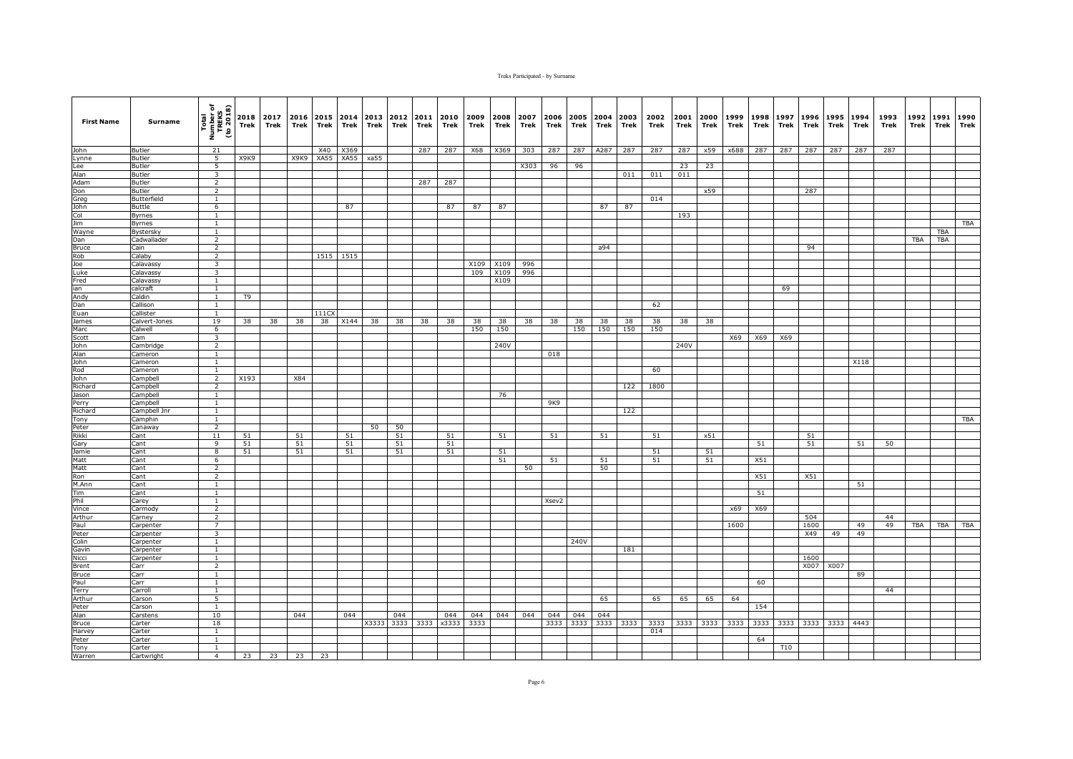| <b>First Name</b> | Surname                      | Total<br>Number of<br>TREKS<br>(to 2018)  | Trek                          | 2018 2017<br>Trek | 2016 2015 2014<br>Trek | Trek      | Trek      | Trek  | 2013 2012<br>Trek | 2011<br>Trek | Trek         | 2010 2009<br>Trek | 2008<br>Trek | 2007<br>Trek | Trek        | Trek | Trek             | 2006 2005 2004 2003<br>Trek | 2002<br>Trek | 2001<br>Trek | 2000<br>Trek | 1999<br>Trek | 1998<br>Trek | 1997<br>Trek | Trek        | 1996 1995<br>Trek | 1994<br>Trek | 1993<br>Trek | 1992<br>Trek | 1991<br>Trek | 1990<br>Trek |
|-------------------|------------------------------|-------------------------------------------|-------------------------------|-------------------|------------------------|-----------|-----------|-------|-------------------|--------------|--------------|-------------------|--------------|--------------|-------------|------|------------------|-----------------------------|--------------|--------------|--------------|--------------|--------------|--------------|-------------|-------------------|--------------|--------------|--------------|--------------|--------------|
| <b>John</b>       | Butler                       | 21                                        |                               |                   |                        | X40       | X369      |       |                   | 287          | 287          | X68               | X369         | 303          | 287         | 287  | A287             | 287                         | 287          | 287          | x59          | x688         | 287          | 287          | 287         | 287               | 287          | 287          |              |              |              |
| Lynne             | <b>Butler</b>                | $\overline{5}$                            | X <sub>9</sub> K <sub>9</sub> |                   |                        | X9K9 XA55 | XA55 xa55 |       |                   |              |              |                   |              |              |             |      |                  |                             |              |              |              |              |              |              |             |                   |              |              |              |              |              |
| Lee               | Butler                       | 5                                         |                               |                   |                        |           |           |       |                   |              |              |                   |              | X303         | 96          | 96   |                  |                             |              | 23           | 23           |              |              |              |             |                   |              |              |              |              |              |
| Alan              | Butler                       | 3                                         |                               |                   |                        |           |           |       |                   |              |              |                   |              |              |             |      |                  | 011                         | 011          | 011          |              |              |              |              |             |                   |              |              |              |              |              |
| Adam              | Butler                       | $\overline{2}$                            |                               |                   |                        |           |           |       |                   | 287          | 287          |                   |              |              |             |      |                  |                             |              |              |              |              |              |              |             |                   |              |              |              |              |              |
| Don<br>Greg       | <b>Butler</b><br>Butterfield | $\overline{2}$<br>$\mathbf{1}$            |                               |                   |                        |           |           |       |                   |              |              |                   |              |              |             |      |                  |                             | 014          |              | x59          |              |              |              | 287         |                   |              |              |              |              |              |
| John              | Buttle                       | 6                                         |                               |                   |                        |           | 87        |       |                   |              | 87           | 87                | 87           |              |             |      | 87               | 87                          |              |              |              |              |              |              |             |                   |              |              |              |              |              |
| Col               | <b>Byrnes</b>                | $\mathbf{1}$                              |                               |                   |                        |           |           |       |                   |              |              |                   |              |              |             |      |                  |                             |              | 193          |              |              |              |              |             |                   |              |              |              |              |              |
| <b>Jim</b>        | Byrnes                       | $\mathbf{1}$                              |                               |                   |                        |           |           |       |                   |              |              |                   |              |              |             |      |                  |                             |              |              |              |              |              |              |             |                   |              |              |              |              | TBA          |
| Wayne             | Bystersky                    | $\mathbf{1}$                              |                               |                   |                        |           |           |       |                   |              |              |                   |              |              |             |      |                  |                             |              |              |              |              |              |              |             |                   |              |              |              | TBA          |              |
| Dan               | Cadwallader                  | $\overline{2}$                            |                               |                   |                        |           |           |       |                   |              |              |                   |              |              |             |      |                  |                             |              |              |              |              |              |              |             |                   |              |              | <b>TBA</b>   | <b>TBA</b>   |              |
| <b>Bruce</b>      | Cain                         | $\overline{2}$                            |                               |                   |                        |           |           |       |                   |              |              |                   |              |              |             |      | a94              |                             |              |              |              |              |              |              | 94          |                   |              |              |              |              |              |
| Rob               | Calaby                       | $\overline{2}$                            |                               |                   |                        |           | 1515 1515 |       |                   |              |              |                   |              |              |             |      |                  |                             |              |              |              |              |              |              |             |                   |              |              |              |              |              |
| Joe               | Calavassy                    | 3                                         |                               |                   |                        |           |           |       |                   |              |              | X109              | X109         | 996          |             |      |                  |                             |              |              |              |              |              |              |             |                   |              |              |              |              |              |
| Luke<br>Fred      | Calavassy<br>Calavassy       | 3<br>$\mathbf{1}$                         |                               |                   |                        |           |           |       |                   |              |              | 109               | X109<br>X109 | 996          |             |      |                  |                             |              |              |              |              |              |              |             |                   |              |              |              |              |              |
| ian               | calcraft                     | $\mathbf{1}$                              |                               |                   |                        |           |           |       |                   |              |              |                   |              |              |             |      |                  |                             |              |              |              |              |              | 69           |             |                   |              |              |              |              |              |
| Andy              | Caldin                       | $\mathbf{1}$                              | T9                            |                   |                        |           |           |       |                   |              |              |                   |              |              |             |      |                  |                             |              |              |              |              |              |              |             |                   |              |              |              |              |              |
| Dan               | Callison                     | <sup>1</sup>                              |                               |                   |                        |           |           |       |                   |              |              |                   |              |              |             |      |                  |                             | 62           |              |              |              |              |              |             |                   |              |              |              |              |              |
| Euan              | Callister                    | $\mathbf{1}$                              |                               |                   |                        | 111C      |           |       |                   |              |              |                   |              |              |             |      |                  |                             |              |              |              |              |              |              |             |                   |              |              |              |              |              |
| James             | Calvert-Jones                | 19                                        | 38                            | 38                | 38                     | 38        | X144      | 38    | 38                | 38           | 38           | 38                | 38           | 38           | 38          | 38   | 38               | 38                          | 38           | 38           | 38           |              |              |              |             |                   |              |              |              |              |              |
| Marc              | Calwell                      | 6                                         |                               |                   |                        |           |           |       |                   |              |              | 150               | 150          |              |             | 150  | 150              | 150                         | 150          |              |              |              |              |              |             |                   |              |              |              |              |              |
| Scott             | Cam                          | 3                                         |                               |                   |                        |           |           |       |                   |              |              |                   |              |              |             |      |                  |                             |              |              |              | X69          | X69          | X69          |             |                   |              |              |              |              |              |
| John              | Cambridge                    | $\overline{2}$                            |                               |                   |                        |           |           |       |                   |              |              |                   | 240V         |              |             |      |                  |                             |              | 240V         |              |              |              |              |             |                   |              |              |              |              |              |
| Alan              | Cameron                      | $\overline{1}$                            |                               |                   |                        |           |           |       |                   |              |              |                   |              |              | 018         |      |                  |                             |              |              |              |              |              |              |             |                   |              |              |              |              |              |
| John<br>Rod       | Cameron<br>Cameron           | $\mathbf{1}$<br>$\mathbf{1}$              |                               |                   |                        |           |           |       |                   |              |              |                   |              |              |             |      |                  |                             | 60           |              |              |              |              |              |             |                   | X118         |              |              |              |              |
| John              | Campbell                     | $\overline{2}$                            | X193                          |                   | X84                    |           |           |       |                   |              |              |                   |              |              |             |      |                  |                             |              |              |              |              |              |              |             |                   |              |              |              |              |              |
| Richard           | Campbell                     | $\overline{2}$                            |                               |                   |                        |           |           |       |                   |              |              |                   |              |              |             |      |                  | 122                         | 1800         |              |              |              |              |              |             |                   |              |              |              |              |              |
| Jason             | Campbell                     | <sup>1</sup>                              |                               |                   |                        |           |           |       |                   |              |              |                   | 76           |              |             |      |                  |                             |              |              |              |              |              |              |             |                   |              |              |              |              |              |
| Perry             | Campbell                     | $\overline{1}$                            |                               |                   |                        |           |           |       |                   |              |              |                   |              |              | 9K9         |      |                  |                             |              |              |              |              |              |              |             |                   |              |              |              |              |              |
| Richard           | Campbell Jnr                 | $\mathbf{1}$                              |                               |                   |                        |           |           |       |                   |              |              |                   |              |              |             |      |                  | 122                         |              |              |              |              |              |              |             |                   |              |              |              |              |              |
| Tony              | Camphin                      | <sup>1</sup>                              |                               |                   |                        |           |           |       |                   |              |              |                   |              |              |             |      |                  |                             |              |              |              |              |              |              |             |                   |              |              |              |              | <b>TBA</b>   |
| Peter             | Canaway                      | 2                                         |                               |                   |                        |           |           | 50    | 50                |              |              |                   |              |              |             |      |                  |                             |              |              |              |              |              |              |             |                   |              |              |              |              |              |
| Rikki             | Cant                         | 11<br>$\overline{9}$                      | 51<br>51                      |                   | 51                     |           | 51        |       | 51                |              | 51<br>51     |                   | 51           |              | 51          |      | 51               |                             | 51           |              | x51          |              | 51           |              | 51          |                   | 51           | 50           |              |              |              |
| Gary<br>Jamie     | Cant<br>Cant                 | $\boldsymbol{8}$                          | 51                            |                   | 51<br>51               |           | 51<br>51  |       | 51<br>51          |              | 51           |                   | 51           |              |             |      |                  |                             | 51           |              | 51           |              |              |              | 51          |                   |              |              |              |              |              |
| Matt              | Cant                         | 6                                         |                               |                   |                        |           |           |       |                   |              |              |                   | 51           |              | 51          |      | 51               |                             | 51           |              | 51           |              | X51          |              |             |                   |              |              |              |              |              |
| Matt              | Cant                         | $\overline{2}$                            |                               |                   |                        |           |           |       |                   |              |              |                   |              | 50           |             |      | 50               |                             |              |              |              |              |              |              |             |                   |              |              |              |              |              |
| Ron               | Cant                         | $\overline{2}$                            |                               |                   |                        |           |           |       |                   |              |              |                   |              |              |             |      |                  |                             |              |              |              |              | X51          |              | X51         |                   |              |              |              |              |              |
| M.Ann             | Cant                         | $\mathbf{1}$                              |                               |                   |                        |           |           |       |                   |              |              |                   |              |              |             |      |                  |                             |              |              |              |              |              |              |             |                   | 51           |              |              |              |              |
| Tim               | Cant                         | <sup>1</sup>                              |                               |                   |                        |           |           |       |                   |              |              |                   |              |              |             |      |                  |                             |              |              |              |              | 51           |              |             |                   |              |              |              |              |              |
| Phil              | Carey                        | $\overline{1}$                            |                               |                   |                        |           |           |       |                   |              |              |                   |              |              | Xsev2       |      |                  |                             |              |              |              |              |              |              |             |                   |              |              |              |              |              |
| Vince             | Carmody                      | 2                                         |                               |                   |                        |           |           |       |                   |              |              |                   |              |              |             |      |                  |                             |              |              |              | x69          | X69          |              |             |                   |              |              |              |              |              |
| Arthur            | Carney                       | $\overline{2}$                            |                               |                   |                        |           |           |       |                   |              |              |                   |              |              |             |      |                  |                             |              |              |              |              |              |              | 504<br>1600 |                   |              | 44           |              |              |              |
| Paul<br>Peter     | Carpenter<br>Carpenter       | $\overline{7}$<br>$\overline{\mathbf{3}}$ |                               |                   |                        |           |           |       |                   |              |              |                   |              |              |             |      |                  |                             |              |              |              | 1600         |              |              | X49         | 49                | 49<br>49     | 49           | <b>TBA</b>   | <b>TBA</b>   | <b>TBA</b>   |
| Colin             | Carpenter                    | $\mathbf{1}$                              |                               |                   |                        |           |           |       |                   |              |              |                   |              |              |             | 240V |                  |                             |              |              |              |              |              |              |             |                   |              |              |              |              |              |
| Gavin             | Carpenter                    | <sup>1</sup>                              |                               |                   |                        |           |           |       |                   |              |              |                   |              |              |             |      |                  | 181                         |              |              |              |              |              |              |             |                   |              |              |              |              |              |
| Nicci             | Carpenter                    | $\mathbf{1}$                              |                               |                   |                        |           |           |       |                   |              |              |                   |              |              |             |      |                  |                             |              |              |              |              |              |              | 1600        |                   |              |              |              |              |              |
| Brent             | Carr                         | $\overline{2}$                            |                               |                   |                        |           |           |       |                   |              |              |                   |              |              |             |      |                  |                             |              |              |              |              |              |              | X007        | X007              |              |              |              |              |              |
| <b>Bruce</b>      | Carr                         | 1                                         |                               |                   |                        |           |           |       |                   |              |              |                   |              |              |             |      |                  |                             |              |              |              |              |              |              |             |                   | 89           |              |              |              |              |
| Paul              | Carr                         | $\overline{1}$                            |                               |                   |                        |           |           |       |                   |              |              |                   |              |              |             |      |                  |                             |              |              |              |              | 60           |              |             |                   |              |              |              |              |              |
| Terry             | Carroll                      | $\overline{1}$                            |                               |                   |                        |           |           |       |                   |              |              |                   |              |              |             |      |                  |                             |              |              |              |              |              |              |             |                   |              | 44           |              |              |              |
| Arthur            | Carson                       | 5                                         |                               |                   |                        |           |           |       |                   |              |              |                   |              |              |             |      | 65               |                             | 65           | 65           | 65           | 64           |              |              |             |                   |              |              |              |              |              |
| Peter             | Carson                       | $\mathbf{1}$                              |                               |                   |                        |           |           |       |                   |              |              |                   |              |              |             |      |                  |                             |              |              |              |              | 154          |              |             |                   |              |              |              |              |              |
| Alan              | Carstens                     | 10<br>18                                  |                               |                   | 044                    |           | 044       |       | 044<br>3333       | 3333         | 044<br>x3333 | 044<br>3333       | 044          | 044          | 044<br>3333 | 044  | 044<br>3333 3333 |                             |              |              |              |              |              | 3333 3333    | 3333        |                   | 3333 4443    |              |              |              |              |
| Bruce<br>Harvey   | Carter<br>Carter             | $\mathbf{1}$                              |                               |                   |                        |           |           | X3333 |                   |              |              |                   |              |              |             |      |                  | 3333                        | 3333<br>014  |              | 3333 3333    | 3333         |              |              |             |                   |              |              |              |              |              |
| Peter             | Carter                       | $\overline{1}$                            |                               |                   |                        |           |           |       |                   |              |              |                   |              |              |             |      |                  |                             |              |              |              |              | 64           |              |             |                   |              |              |              |              |              |
| Tony              | Carter                       | $\mathbf{1}$                              |                               |                   |                        |           |           |       |                   |              |              |                   |              |              |             |      |                  |                             |              |              |              |              |              | <b>T10</b>   |             |                   |              |              |              |              |              |
| Warren            | Cartwright                   | 4                                         | 23                            | 23                | 23                     | 23        |           |       |                   |              |              |                   |              |              |             |      |                  |                             |              |              |              |              |              |              |             |                   |              |              |              |              |              |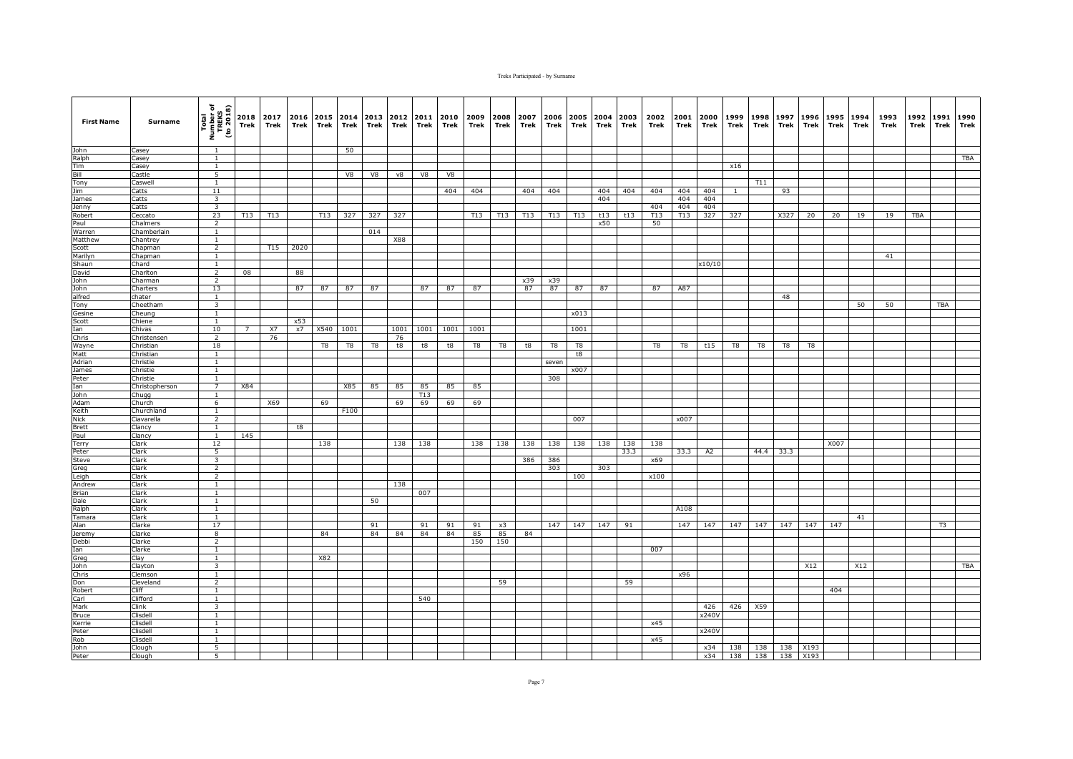| <b>First Name</b> | Surname               | Total<br>Number of<br>TREKS<br>(to 2018) | 2018<br>Trek | 2017<br>Trek | 2016<br>Trek | Trek | 2015 2014<br>Trek | 2013<br>Trek | 2012<br>Trek | 2011<br>Trek | 2010<br>Trek | 2009<br>Trek | 2008<br>Trek | 2007<br>Trek | 2006<br>Trek | 2005<br>Trek | 2004<br>Trek | 2003<br>Trek | 2002<br>Trek | 2001<br>Trek | 2000<br>Trek | 1999<br>Trek   | 1998<br>Trek | 1997<br>Trek | 1996<br>Trek | 1995<br>Trek | 1994<br>Trek | 1993<br>Trek | 1992<br>Trek | 1991<br><b>Trek</b> | 1990<br>Trek |
|-------------------|-----------------------|------------------------------------------|--------------|--------------|--------------|------|-------------------|--------------|--------------|--------------|--------------|--------------|--------------|--------------|--------------|--------------|--------------|--------------|--------------|--------------|--------------|----------------|--------------|--------------|--------------|--------------|--------------|--------------|--------------|---------------------|--------------|
| John              | Casey                 | <sup>1</sup>                             |              |              |              |      | 50                |              |              |              |              |              |              |              |              |              |              |              |              |              |              |                |              |              |              |              |              |              |              |                     |              |
| Ralph             | Casey                 | $\mathbf{1}$                             |              |              |              |      |                   |              |              |              |              |              |              |              |              |              |              |              |              |              |              |                |              |              |              |              |              |              |              |                     | TBA          |
| Tim               | Casey                 | $\mathbf{1}$                             |              |              |              |      |                   |              |              |              |              |              |              |              |              |              |              |              |              |              |              | x16            |              |              |              |              |              |              |              |                     |              |
| Bill              | Castle                | 5                                        |              |              |              |      | V8                | V8           | v8           | V8           | V8           |              |              |              |              |              |              |              |              |              |              |                |              |              |              |              |              |              |              |                     |              |
| Tony              | Caswell               | $\mathbf{1}$                             |              |              |              |      |                   |              |              |              |              |              |              |              |              |              |              |              |              |              |              |                | T11          |              |              |              |              |              |              |                     |              |
| Jim<br>James      | Catts<br>Catts        | 11<br>$\overline{\mathbf{3}}$            |              |              |              |      |                   |              |              |              | 404          | 404          |              | 404          | 404          |              | 404<br>404   | 404          | 404          | 404<br>404   | 404<br>404   | $\overline{1}$ |              | 93           |              |              |              |              |              |                     |              |
| Jenny             | Catts                 | $\overline{\mathbf{3}}$                  |              |              |              |      |                   |              |              |              |              |              |              |              |              |              |              |              | 404          | 404          | 404          |                |              |              |              |              |              |              |              |                     |              |
| Robert            | Ceccato               | 23                                       | T13          | <b>T13</b>   |              | T13  | 327               | 327          | 327          |              |              | T13          | T13          | T13          | T13          | T13          | t13          | t13          | T13          | T13          | 327          | 327            |              | X327         | 20           | 20           | 19           | 19           | <b>TBA</b>   |                     |              |
| Paul              | Chalmers              | $\overline{2}$                           |              |              |              |      |                   |              |              |              |              |              |              |              |              |              | x50          |              | 50           |              |              |                |              |              |              |              |              |              |              |                     |              |
| Warren            | Chamberlain           | 1                                        |              |              |              |      |                   | 014          |              |              |              |              |              |              |              |              |              |              |              |              |              |                |              |              |              |              |              |              |              |                     |              |
| Matthew           | Chantrey              | <sup>1</sup>                             |              |              |              |      |                   |              | X88          |              |              |              |              |              |              |              |              |              |              |              |              |                |              |              |              |              |              |              |              |                     |              |
| Scott             | Chapman               | $\overline{2}$                           |              | T15          | 2020         |      |                   |              |              |              |              |              |              |              |              |              |              |              |              |              |              |                |              |              |              |              |              |              |              |                     |              |
| Marilyn           | Chapman               | $\overline{1}$                           |              |              |              |      |                   |              |              |              |              |              |              |              |              |              |              |              |              |              |              |                |              |              |              |              |              | 41           |              |                     |              |
| Shaun             | Chard                 | $\mathbf{1}$                             |              |              |              |      |                   |              |              |              |              |              |              |              |              |              |              |              |              |              | x10/10       |                |              |              |              |              |              |              |              |                     |              |
| David<br>John     | Charlton<br>Charman   | $\overline{2}$<br>$\overline{2}$         | 08           |              | 88           |      |                   |              |              |              |              |              |              | x39          | x39          |              |              |              |              |              |              |                |              |              |              |              |              |              |              |                     |              |
| John              | Charters              | 13                                       |              |              | 87           | 87   | 87                | 87           |              | 87           | 87           | 87           |              | 87           | 87           | 87           | 87           |              | 87           | A87          |              |                |              |              |              |              |              |              |              |                     |              |
| alfred            | chater                | <sup>1</sup>                             |              |              |              |      |                   |              |              |              |              |              |              |              |              |              |              |              |              |              |              |                |              | 48           |              |              |              |              |              |                     |              |
| Tony              | Cheetham              | $\overline{\mathbf{3}}$                  |              |              |              |      |                   |              |              |              |              |              |              |              |              |              |              |              |              |              |              |                |              |              |              |              | 50           | 50           |              | <b>TBA</b>          |              |
| Gesine            | Cheung                | <sup>1</sup>                             |              |              |              |      |                   |              |              |              |              |              |              |              |              | x013         |              |              |              |              |              |                |              |              |              |              |              |              |              |                     |              |
| Scott             | Chiene                | $\overline{1}$                           |              |              | x53          |      |                   |              |              |              |              |              |              |              |              |              |              |              |              |              |              |                |              |              |              |              |              |              |              |                     |              |
| Ian               | Chivas                | 10                                       |              | X7           | x7           | X540 | 1001              |              | 1001         | 1001         | 1001         | 1001         |              |              |              | 1001         |              |              |              |              |              |                |              |              |              |              |              |              |              |                     |              |
| Chris             | Christensen           | $\overline{2}$                           |              | 76           |              |      |                   |              | 76           |              |              |              |              |              |              |              |              |              |              |              |              |                |              |              |              |              |              |              |              |                     |              |
| Wayne             | Christian             | 18                                       |              |              |              | T8   | T8                | T8           | t8           | $^{\rm t8}$  | t8           | T8           | T8           | t8           | T8           | T8           |              |              | T8           | T8           | t15          | T8             | T8           | T8           | T8           |              |              |              |              |                     |              |
| Matt<br>Adrian    | Christian<br>Christie | $\mathbf{1}$                             |              |              |              |      |                   |              |              |              |              |              |              |              |              | t8           |              |              |              |              |              |                |              |              |              |              |              |              |              |                     |              |
| James             | Christie              | $\mathbf{1}$<br>$\mathbf{1}$             |              |              |              |      |                   |              |              |              |              |              |              |              | seven        | x007         |              |              |              |              |              |                |              |              |              |              |              |              |              |                     |              |
| Peter             | Christie              | 1                                        |              |              |              |      |                   |              |              |              |              |              |              |              | 308          |              |              |              |              |              |              |                |              |              |              |              |              |              |              |                     |              |
| Ian               | Christopherson        | 7                                        | X84          |              |              |      | X85               | 85           | 85           | 85           | 85           | 85           |              |              |              |              |              |              |              |              |              |                |              |              |              |              |              |              |              |                     |              |
| John              | Chugg                 | <sup>1</sup>                             |              |              |              |      |                   |              |              | T13          |              |              |              |              |              |              |              |              |              |              |              |                |              |              |              |              |              |              |              |                     |              |
| Adam              | Church                | 6                                        |              | X69          |              | 69   |                   |              | 69           | 69           | 69           | 69           |              |              |              |              |              |              |              |              |              |                |              |              |              |              |              |              |              |                     |              |
| Keith             | Churchland            | $\mathbf{1}$                             |              |              |              |      | F100              |              |              |              |              |              |              |              |              |              |              |              |              |              |              |                |              |              |              |              |              |              |              |                     |              |
| <b>Nick</b>       | Ciavarella            | $\overline{2}$                           |              |              |              |      |                   |              |              |              |              |              |              |              |              | 007          |              |              |              | x007         |              |                |              |              |              |              |              |              |              |                     |              |
| <b>Brett</b>      | Clancy                | $\overline{1}$<br>$\mathbf{1}$           |              |              | t8           |      |                   |              |              |              |              |              |              |              |              |              |              |              |              |              |              |                |              |              |              |              |              |              |              |                     |              |
| Paul              | Clancy<br>Clark       | 12                                       | 145          |              |              | 138  |                   |              | 138          | 138          |              | 138          | 138          | 138          | 138          | 138          | 138          | 138          | 138          |              |              |                |              |              |              | X007         |              |              |              |                     |              |
| Terry<br>Peter    | Clark                 | $\overline{5}$                           |              |              |              |      |                   |              |              |              |              |              |              |              |              |              |              | 33.3         |              | 33.3         | A2           |                | 44.4         | 33.3         |              |              |              |              |              |                     |              |
| Steve             | Clark                 | $\overline{3}$                           |              |              |              |      |                   |              |              |              |              |              |              | 386          | 386          |              |              |              | x69          |              |              |                |              |              |              |              |              |              |              |                     |              |
| Greg              | Clark                 | $\overline{2}$                           |              |              |              |      |                   |              |              |              |              |              |              |              | 303          |              | 303          |              |              |              |              |                |              |              |              |              |              |              |              |                     |              |
| Leigh             | Clark                 | $\overline{2}$                           |              |              |              |      |                   |              |              |              |              |              |              |              |              | 100          |              |              | x100         |              |              |                |              |              |              |              |              |              |              |                     |              |
| Andrew            | Clark                 | $\overline{1}$                           |              |              |              |      |                   |              | 138          |              |              |              |              |              |              |              |              |              |              |              |              |                |              |              |              |              |              |              |              |                     |              |
| Brian             | Clark                 | $\overline{1}$                           |              |              |              |      |                   |              |              | 007          |              |              |              |              |              |              |              |              |              |              |              |                |              |              |              |              |              |              |              |                     |              |
| Dale              | Clark                 | $\mathbf{1}$                             |              |              |              |      |                   | 50           |              |              |              |              |              |              |              |              |              |              |              |              |              |                |              |              |              |              |              |              |              |                     |              |
| Ralph<br>Tamara   | Clark<br>Clark        | $\mathbf{1}$<br>$\overline{1}$           |              |              |              |      |                   |              |              |              |              |              |              |              |              |              |              |              |              | A108         |              |                |              |              |              |              | 41           |              |              |                     |              |
| Alan              | Clarke                | 17                                       |              |              |              |      |                   | 91           |              | 91           | 91           | 91           | x3           |              | 147          | 147          | 147          | 91           |              | 147          | 147          | 147            | 147          | 147          | 147          | 147          |              |              |              | T <sub>3</sub>      |              |
| Jeremy            | Clarke                | 8                                        |              |              |              | 84   |                   | 84           | 84           | 84           | 84           | 85           | 85           | 84           |              |              |              |              |              |              |              |                |              |              |              |              |              |              |              |                     |              |
| Debbi             | Clarke                | $\overline{2}$                           |              |              |              |      |                   |              |              |              |              | 150          | 150          |              |              |              |              |              |              |              |              |                |              |              |              |              |              |              |              |                     |              |
| Ian               | Clarke                | $\overline{1}$                           |              |              |              |      |                   |              |              |              |              |              |              |              |              |              |              |              | 007          |              |              |                |              |              |              |              |              |              |              |                     |              |
| Greg              | Clay                  | <sup>1</sup>                             |              |              |              | X82  |                   |              |              |              |              |              |              |              |              |              |              |              |              |              |              |                |              |              |              |              |              |              |              |                     |              |
| John              | Clayton               | 3                                        |              |              |              |      |                   |              |              |              |              |              |              |              |              |              |              |              |              |              |              |                |              |              | X12          |              | X12          |              |              |                     | TBA          |
| Chris             | Clemson               | $\mathbf{1}$                             |              |              |              |      |                   |              |              |              |              |              |              |              |              |              |              |              |              | x96          |              |                |              |              |              |              |              |              |              |                     |              |
| Don               | Cleveland             | $\overline{2}$                           |              |              |              |      |                   |              |              |              |              |              | 59           |              |              |              |              | 59           |              |              |              |                |              |              |              |              |              |              |              |                     |              |
| Robert            | Cliff<br>Clifford     | $\overline{1}$<br>1                      |              |              |              |      |                   |              |              | 540          |              |              |              |              |              |              |              |              |              |              |              |                |              |              |              | 404          |              |              |              |                     |              |
| Carl<br>Mark      | Clink                 | 3                                        |              |              |              |      |                   |              |              |              |              |              |              |              |              |              |              |              |              |              | 426          | 426            | X59          |              |              |              |              |              |              |                     |              |
| <b>Bruce</b>      | Clisdell              | $\mathbf{1}$                             |              |              |              |      |                   |              |              |              |              |              |              |              |              |              |              |              |              |              | x240V        |                |              |              |              |              |              |              |              |                     |              |
| Kerrie            | Clisdell              | 1                                        |              |              |              |      |                   |              |              |              |              |              |              |              |              |              |              |              | x45          |              |              |                |              |              |              |              |              |              |              |                     |              |
| Peter             | Clisdell              | $\mathbf{1}$                             |              |              |              |      |                   |              |              |              |              |              |              |              |              |              |              |              |              |              | x240V        |                |              |              |              |              |              |              |              |                     |              |
| Rob               | Clisdell              | $\overline{1}$                           |              |              |              |      |                   |              |              |              |              |              |              |              |              |              |              |              | x45          |              |              |                |              |              |              |              |              |              |              |                     |              |
| John              | Clough                | 5                                        |              |              |              |      |                   |              |              |              |              |              |              |              |              |              |              |              |              |              | x34          | 138            | 138          |              | 138 X193     |              |              |              |              |                     |              |
| Peter             | Clough                | 5                                        |              |              |              |      |                   |              |              |              |              |              |              |              |              |              |              |              |              |              | x34          | 138            | 138          | 138          | X193         |              |              |              |              |                     |              |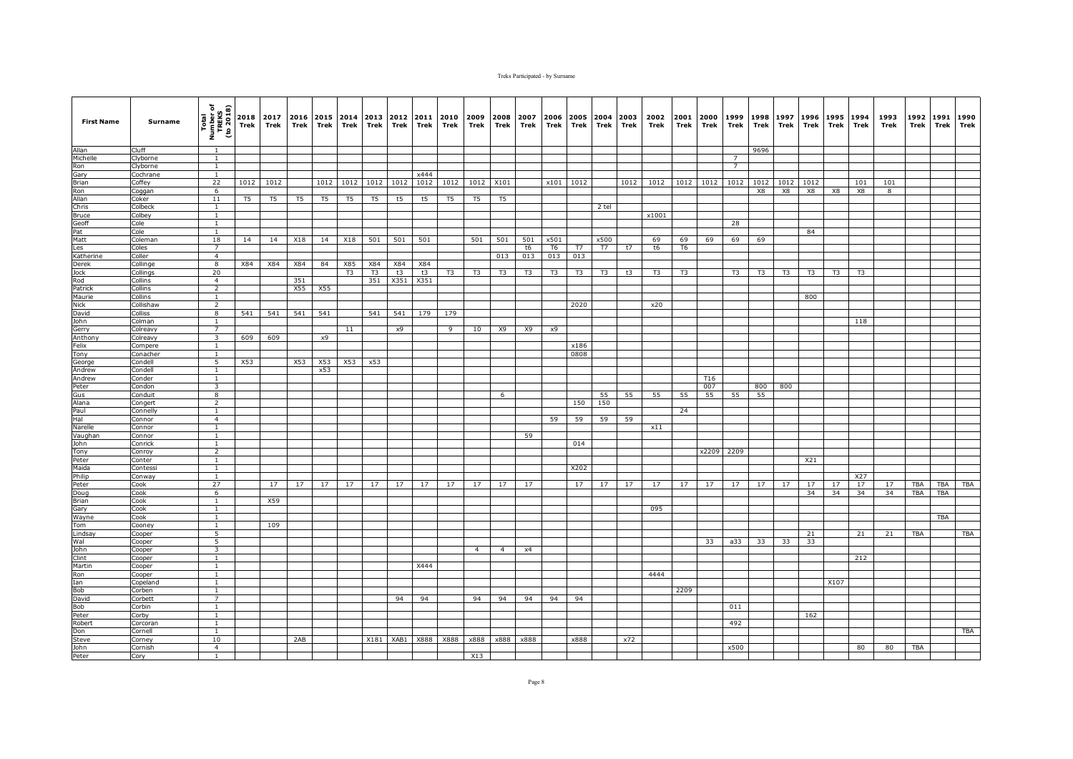| <b>First Name</b>   | Surname             | Total<br>Number of<br>TREKS<br>(to 2018) | 2018<br>Trek   | 2017<br>Trek | 2016<br>Trek   | 2015<br>Trek | 2014<br>Trek   | 2013<br>Trek   | 2012<br>Trek | 2011<br>Trek | 2010<br>Trek   | 2009<br>Trek   | 2008<br>Trek   | 2007<br>Trek   | 2006<br>Trek   | 2005<br>Trek | 2004<br>Trek | 2003<br>Trek | 2002<br>Trek   | 2001<br><b>Trek</b> | 2000<br>Trek | 1999<br>Trek   | 1998<br>Trek   | 1997<br>Trek   | 1996<br>Trek   | 1995<br>Trek   | 1994<br>Trek   | 1993<br>Trek | 1992<br>Trek | 1991<br>Trek | 1990<br>Trek |
|---------------------|---------------------|------------------------------------------|----------------|--------------|----------------|--------------|----------------|----------------|--------------|--------------|----------------|----------------|----------------|----------------|----------------|--------------|--------------|--------------|----------------|---------------------|--------------|----------------|----------------|----------------|----------------|----------------|----------------|--------------|--------------|--------------|--------------|
| Allan               | Cluff               | $\overline{1}$                           |                |              |                |              |                |                |              |              |                |                |                |                |                |              |              |              |                |                     |              |                | 9696           |                |                |                |                |              |              |              |              |
| Michelle            | Clyborne            | $\mathbf{1}$                             |                |              |                |              |                |                |              |              |                |                |                |                |                |              |              |              |                |                     |              | $\overline{7}$ |                |                |                |                |                |              |              |              |              |
| Ron                 | Clyborne            | $\mathbf{1}$                             |                |              |                |              |                |                |              |              |                |                |                |                |                |              |              |              |                |                     |              | $\overline{7}$ |                |                |                |                |                |              |              |              |              |
| Gary                | Cochrane            | $\mathbf{1}$                             |                |              |                | 1012         |                |                |              | x444         |                |                |                |                |                |              |              | 1012         |                |                     |              |                |                |                |                |                |                |              |              |              |              |
| <b>Brian</b><br>Ron | Coffey              | 22<br>6                                  | 1012           | 1012         |                |              | 1012           | 1012           | 1012         | 1012         | 1012           | 1012           | X101           |                |                | x101 1012    |              |              | 1012           | 1012                | 1012         | 1012           | 1012<br>X8     | 1012<br>X8     | 1012<br>X8     | X8             | 101<br>X8      | 101<br>8     |              |              |              |
| Allan               | Coggan<br>Coker     | 11                                       | T <sub>5</sub> | T5           | T <sub>5</sub> | T5           | T5             | T <sub>5</sub> | t5           | t5           | T <sub>5</sub> | T <sub>5</sub> | T5             |                |                |              |              |              |                |                     |              |                |                |                |                |                |                |              |              |              |              |
| Chris               | Colbeck             | $\overline{1}$                           |                |              |                |              |                |                |              |              |                |                |                |                |                |              | 2 tel        |              |                |                     |              |                |                |                |                |                |                |              |              |              |              |
| <b>Bruce</b>        | Colbey              | $\mathbf{1}$                             |                |              |                |              |                |                |              |              |                |                |                |                |                |              |              |              | x1001          |                     |              |                |                |                |                |                |                |              |              |              |              |
| Geoff               | Cole                | $\mathbf{1}$                             |                |              |                |              |                |                |              |              |                |                |                |                |                |              |              |              |                |                     |              | 28             |                |                |                |                |                |              |              |              |              |
| Pat                 | Cole                | 1                                        |                |              |                |              |                |                |              |              |                |                |                |                |                |              |              |              |                |                     |              |                |                |                | 84             |                |                |              |              |              |              |
| Matt                | Coleman             | 18                                       | 14             | 14           | X18            | 14           | X18            | 501            | 501          | 501          |                | 501            | 501            | 501            | x501           |              | x500         |              | 69             | 69                  | 69           | 69             | 69             |                |                |                |                |              |              |              |              |
| Les                 | Coles               | $\overline{7}$                           |                |              |                |              |                |                |              |              |                |                |                | t6             | T <sub>6</sub> | T7           | T7           | t7           | t6             | T <sub>6</sub>      |              |                |                |                |                |                |                |              |              |              |              |
| Katherine           | Coller              | $\overline{4}$                           |                |              |                |              |                |                |              |              |                |                | 013            | 013            | 013            | 013          |              |              |                |                     |              |                |                |                |                |                |                |              |              |              |              |
| Derek               | Collinge            | 8                                        | X84            | X84          | X84            | 84           | X85            | X84            | X84          | X84          |                |                |                |                |                |              |              |              |                |                     |              |                |                |                |                |                |                |              |              |              |              |
| Jock                | Collings            | 20                                       |                |              |                |              | T <sub>3</sub> | T <sub>3</sub> | t3           | t3           | T <sub>3</sub> | T <sub>3</sub> | T <sub>3</sub> | T <sub>3</sub> | T3             | T3           | T3           | t3           | T <sub>3</sub> | T <sub>3</sub>      |              | T <sub>3</sub> | T <sub>3</sub> | T <sub>3</sub> | T <sub>3</sub> | T <sub>3</sub> | T <sub>3</sub> |              |              |              |              |
| Rod                 | Collins             | $\overline{4}$                           |                |              | 351            |              |                | 351            | X351         | X351         |                |                |                |                |                |              |              |              |                |                     |              |                |                |                |                |                |                |              |              |              |              |
| Patrick             | Collins<br>Collins  | 2<br><sup>1</sup>                        |                |              | X55            | X55          |                |                |              |              |                |                |                |                |                |              |              |              |                |                     |              |                |                |                |                |                |                |              |              |              |              |
| Maurie<br>Nick      | Collishaw           | $\overline{2}$                           |                |              |                |              |                |                |              |              |                |                |                |                |                | 2020         |              |              | x20            |                     |              |                |                |                | 800            |                |                |              |              |              |              |
| David               | Colliss             | 8                                        | 541            | 541          | 541            | 541          |                | 541            | 541          | 179          | 179            |                |                |                |                |              |              |              |                |                     |              |                |                |                |                |                |                |              |              |              |              |
| John                | Colman              | 1                                        |                |              |                |              |                |                |              |              |                |                |                |                |                |              |              |              |                |                     |              |                |                |                |                |                | 118            |              |              |              |              |
| Gerry               | Colreavy            | $\overline{7}$                           |                |              |                |              | 11             |                | x9           |              | 9              | 10             | <b>X9</b>      | X9             | x9             |              |              |              |                |                     |              |                |                |                |                |                |                |              |              |              |              |
| Anthony             | Colreavy            | $\overline{3}$                           | 609            | 609          |                | x9           |                |                |              |              |                |                |                |                |                |              |              |              |                |                     |              |                |                |                |                |                |                |              |              |              |              |
| Felix               | Compere             | $\mathbf{1}$                             |                |              |                |              |                |                |              |              |                |                |                |                |                | x186         |              |              |                |                     |              |                |                |                |                |                |                |              |              |              |              |
| Tony                | Conacher            | $\mathbf{1}$                             |                |              |                |              |                |                |              |              |                |                |                |                |                | 0808         |              |              |                |                     |              |                |                |                |                |                |                |              |              |              |              |
| George              | Condell             | 5                                        | X53            |              | X53            | X53          | X53            | x53            |              |              |                |                |                |                |                |              |              |              |                |                     |              |                |                |                |                |                |                |              |              |              |              |
| Andrew              | Condell             | <sup>1</sup>                             |                |              |                | x53          |                |                |              |              |                |                |                |                |                |              |              |              |                |                     |              |                |                |                |                |                |                |              |              |              |              |
| Andrew              | Conder              | $\mathbf{1}$                             |                |              |                |              |                |                |              |              |                |                |                |                |                |              |              |              |                |                     | T16          |                |                |                |                |                |                |              |              |              |              |
| Peter               | Condon              | 3                                        |                |              |                |              |                |                |              |              |                |                |                |                |                |              |              |              |                |                     | 007          |                | 800            | 800            |                |                |                |              |              |              |              |
| Gus<br>Alana        | Conduit             | $\overline{8}$<br>$\overline{2}$         |                |              |                |              |                |                |              |              |                |                | 6              |                |                | 150          | 55<br>150    | 55           | 55             | 55                  | 55           | 55             | 55             |                |                |                |                |              |              |              |              |
| Paul                | Congert<br>Connelly | $\mathbf{1}$                             |                |              |                |              |                |                |              |              |                |                |                |                |                |              |              |              |                | 24                  |              |                |                |                |                |                |                |              |              |              |              |
| Hal                 | Connor              | $\overline{4}$                           |                |              |                |              |                |                |              |              |                |                |                |                | 59             | 59           | 59           | 59           |                |                     |              |                |                |                |                |                |                |              |              |              |              |
| Narelle             | Connor              | $\mathbf{1}$                             |                |              |                |              |                |                |              |              |                |                |                |                |                |              |              |              | x11            |                     |              |                |                |                |                |                |                |              |              |              |              |
| Vaughan             | Connor              |                                          |                |              |                |              |                |                |              |              |                |                |                | 59             |                |              |              |              |                |                     |              |                |                |                |                |                |                |              |              |              |              |
| John                | Conrick             | $\mathbf{1}$                             |                |              |                |              |                |                |              |              |                |                |                |                |                | 014          |              |              |                |                     |              |                |                |                |                |                |                |              |              |              |              |
| Tony                | Conroy              | $\overline{2}$                           |                |              |                |              |                |                |              |              |                |                |                |                |                |              |              |              |                |                     |              | x2209 2209     |                |                |                |                |                |              |              |              |              |
| Peter               | Conter              | $\mathbf{1}$                             |                |              |                |              |                |                |              |              |                |                |                |                |                |              |              |              |                |                     |              |                |                |                | X21            |                |                |              |              |              |              |
| Maida               | Contessi            | $\mathbf{1}$                             |                |              |                |              |                |                |              |              |                |                |                |                |                | X202         |              |              |                |                     |              |                |                |                |                |                |                |              |              |              |              |
| Philip              | Conway              | $\mathbf{1}$                             |                |              |                |              |                |                |              |              |                |                |                |                |                |              |              |              |                |                     |              |                |                |                |                |                | X27            |              |              |              |              |
| Peter               | Cook                | 27                                       |                | 17           | 17             | 17           | 17             | 17             | 17           | 17           | 17             | 17             | 17             | 17             |                | 17           | 17           | 17           | 17             | 17                  | 17           | 17             | 17             | 17             | 17             | 17             | 17             | 17           | <b>TBA</b>   | <b>TBA</b>   | <b>TBA</b>   |
| Doug                | Cook                | 6                                        |                |              |                |              |                |                |              |              |                |                |                |                |                |              |              |              |                |                     |              |                |                |                | 34             | 34             | 34             | 34           | <b>TBA</b>   | <b>TBA</b>   |              |
| Brian<br>Gary       | Cook<br>Cook        | $\mathbf{1}$<br>$\mathbf{1}$             |                | X59          |                |              |                |                |              |              |                |                |                |                |                |              |              |              | 095            |                     |              |                |                |                |                |                |                |              |              |              |              |
| Wayne               | Cook                | $\overline{1}$                           |                |              |                |              |                |                |              |              |                |                |                |                |                |              |              |              |                |                     |              |                |                |                |                |                |                |              |              | <b>TBA</b>   |              |
| Tom                 | Cooney              | $\mathbf{1}$                             |                | 109          |                |              |                |                |              |              |                |                |                |                |                |              |              |              |                |                     |              |                |                |                |                |                |                |              |              |              |              |
| Lindsay             | Cooper              | 5                                        |                |              |                |              |                |                |              |              |                |                |                |                |                |              |              |              |                |                     |              |                |                |                | 21             |                | 21             | 21           | <b>TBA</b>   |              | TBA          |
| Wal                 | Cooper              | 5                                        |                |              |                |              |                |                |              |              |                |                |                |                |                |              |              |              |                |                     | 33           | a33            | 33             | 33             | 33             |                |                |              |              |              |              |
| John                | Cooper              | $\overline{\mathbf{3}}$                  |                |              |                |              |                |                |              |              |                | $\overline{4}$ | $\overline{4}$ | x4             |                |              |              |              |                |                     |              |                |                |                |                |                |                |              |              |              |              |
| Clint               | Cooper              | $\mathbf{1}$                             |                |              |                |              |                |                |              |              |                |                |                |                |                |              |              |              |                |                     |              |                |                |                |                |                | 212            |              |              |              |              |
| Martin              | Cooper              | $\mathbf{1}$                             |                |              |                |              |                |                |              | X444         |                |                |                |                |                |              |              |              |                |                     |              |                |                |                |                |                |                |              |              |              |              |
| Ron                 | Cooper              | $\mathbf{1}$                             |                |              |                |              |                |                |              |              |                |                |                |                |                |              |              |              | 4444           |                     |              |                |                |                |                |                |                |              |              |              |              |
| Ian                 | Copeland            | <sup>1</sup>                             |                |              |                |              |                |                |              |              |                |                |                |                |                |              |              |              |                |                     |              |                |                |                |                | X107           |                |              |              |              |              |
| Bob                 | Corben              | <sup>1</sup>                             |                |              |                |              |                |                |              |              |                |                |                |                |                |              |              |              |                | 2209                |              |                |                |                |                |                |                |              |              |              |              |
| David<br><b>Bob</b> | Corbett<br>Corbin   | $\overline{7}$<br><sup>1</sup>           |                |              |                |              |                |                | 94           | 94           |                | 94             | 94             | 94             | 94             | 94           |              |              |                |                     |              | 011            |                |                |                |                |                |              |              |              |              |
| Peter               | Corby               | $\mathbf{1}$                             |                |              |                |              |                |                |              |              |                |                |                |                |                |              |              |              |                |                     |              |                |                |                | 162            |                |                |              |              |              |              |
| Robert              | Corcoran            | $\mathbf{1}$                             |                |              |                |              |                |                |              |              |                |                |                |                |                |              |              |              |                |                     |              | 492            |                |                |                |                |                |              |              |              |              |
| Don                 | Cornell             | 1                                        |                |              |                |              |                |                |              |              |                |                |                |                |                |              |              |              |                |                     |              |                |                |                |                |                |                |              |              |              | TBA          |
| Steve               | Corney              | 10                                       |                |              | 2AB            |              |                | X181           | XAB1         | X888         | X888           | x888           | x888           | x888           |                | x888         |              | x72          |                |                     |              |                |                |                |                |                |                |              |              |              |              |
| John                | Cornish             | $\overline{4}$                           |                |              |                |              |                |                |              |              |                |                |                |                |                |              |              |              |                |                     |              | x500           |                |                |                |                | 80             | 80           | <b>TBA</b>   |              |              |
| Peter               | Cory                | 1                                        |                |              |                |              |                |                |              |              |                | X13            |                |                |                |              |              |              |                |                     |              |                |                |                |                |                |                |              |              |              |              |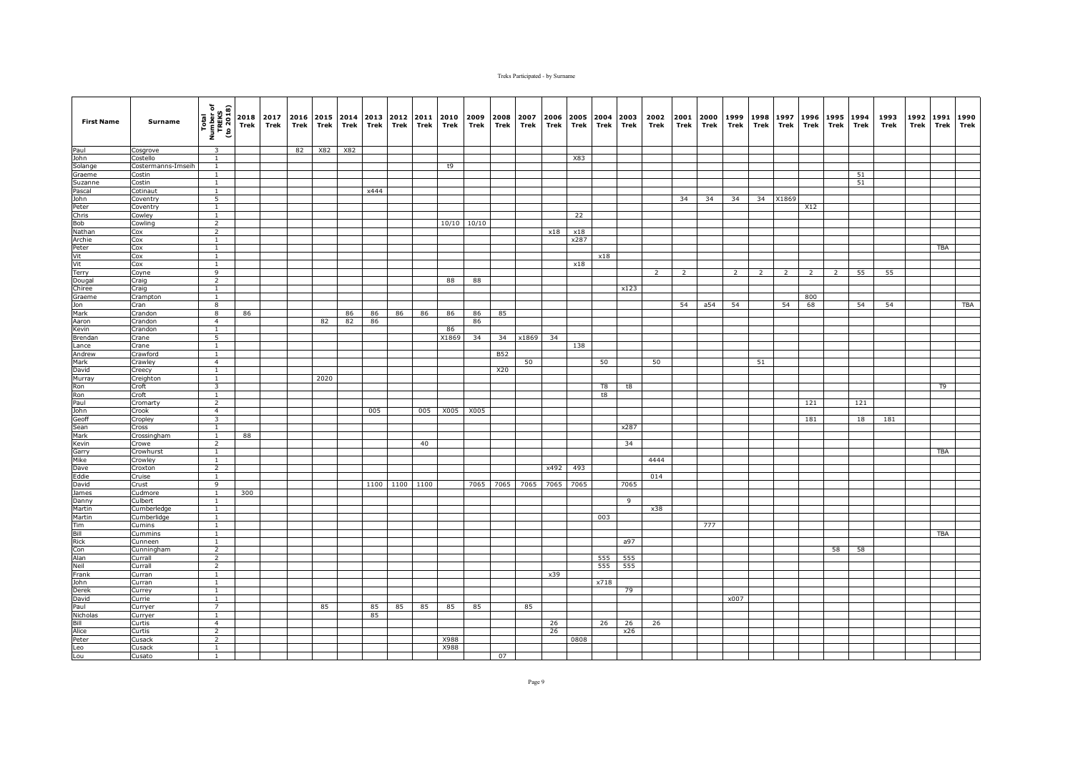| <b>First Name</b> | Surname               | Total<br>Number of<br>TREKS<br>(to 2018) | Trek | 2018 2017<br>Trek | Trek | 2016 2015 2014<br>Trek | Trek | 2013<br>Trek | 2012<br>Trek | 2011<br>Trek | 2010<br>Trek | 2009<br>Trek | 2008<br>Trek | 2007<br>Trek | 2006<br>Trek | Trek | Trek | 2005 2004 2003<br>Trek | 2002<br>Trek   | 2001<br>Trek   | 2000<br>Trek | 1999<br>Trek   | 1998<br>Trek   | 1997<br>Trek   | 1996<br>Trek   | 1995<br>Trek   | 1994<br>Trek | 1993<br>Trek | 1992<br>Trek | 1991<br>Trek   | 1990<br>Trek |
|-------------------|-----------------------|------------------------------------------|------|-------------------|------|------------------------|------|--------------|--------------|--------------|--------------|--------------|--------------|--------------|--------------|------|------|------------------------|----------------|----------------|--------------|----------------|----------------|----------------|----------------|----------------|--------------|--------------|--------------|----------------|--------------|
| Paul              | Cosgrove              | $\overline{\mathbf{3}}$                  |      |                   | 82   | X82                    | X82  |              |              |              |              |              |              |              |              |      |      |                        |                |                |              |                |                |                |                |                |              |              |              |                |              |
| John              | Costello              | $\overline{1}$                           |      |                   |      |                        |      |              |              |              |              |              |              |              |              | X83  |      |                        |                |                |              |                |                |                |                |                |              |              |              |                |              |
| Solange           | Costermanns-Imseih    | $\mathbf{1}$                             |      |                   |      |                        |      |              |              |              | t9           |              |              |              |              |      |      |                        |                |                |              |                |                |                |                |                |              |              |              |                |              |
| Graeme            | Costin                | $\mathbf{1}$                             |      |                   |      |                        |      |              |              |              |              |              |              |              |              |      |      |                        |                |                |              |                |                |                |                |                | 51           |              |              |                |              |
| Suzanne<br>Pascal | Costin<br>Cotinaut    | 1<br>$\mathbf{1}$                        |      |                   |      |                        |      | x444         |              |              |              |              |              |              |              |      |      |                        |                |                |              |                |                |                |                |                | 51           |              |              |                |              |
| John              | Coventry              | 5                                        |      |                   |      |                        |      |              |              |              |              |              |              |              |              |      |      |                        |                | 34             | 34           | 34             | 34             | X1869          |                |                |              |              |              |                |              |
| Peter             | Coventry              | $\mathbf{1}$                             |      |                   |      |                        |      |              |              |              |              |              |              |              |              |      |      |                        |                |                |              |                |                |                | X12            |                |              |              |              |                |              |
| Chris             | Cowley                | <sup>1</sup>                             |      |                   |      |                        |      |              |              |              |              |              |              |              |              | 22   |      |                        |                |                |              |                |                |                |                |                |              |              |              |                |              |
| Bob               | Cowling               | $\overline{2}$                           |      |                   |      |                        |      |              |              |              |              | 10/10 10/10  |              |              |              |      |      |                        |                |                |              |                |                |                |                |                |              |              |              |                |              |
| Nathan            | Cox                   | $\overline{2}$                           |      |                   |      |                        |      |              |              |              |              |              |              |              | x18          | x18  |      |                        |                |                |              |                |                |                |                |                |              |              |              |                |              |
| Archie            | Cox                   | <sup>1</sup>                             |      |                   |      |                        |      |              |              |              |              |              |              |              |              | x287 |      |                        |                |                |              |                |                |                |                |                |              |              |              |                |              |
| Peter             | Cox                   | $\overline{1}$                           |      |                   |      |                        |      |              |              |              |              |              |              |              |              |      |      |                        |                |                |              |                |                |                |                |                |              |              |              | <b>TBA</b>     |              |
| Vit               | Cox                   | $\overline{1}$                           |      |                   |      |                        |      |              |              |              |              |              |              |              |              |      | x18  |                        |                |                |              |                |                |                |                |                |              |              |              |                |              |
| Vit<br>Terry      | Cox<br>Coyne          | $\mathbf{1}$<br>9                        |      |                   |      |                        |      |              |              |              |              |              |              |              |              | x18  |      |                        | $\overline{2}$ | $\overline{2}$ |              | $\overline{2}$ | $\overline{2}$ | $\overline{2}$ | $\overline{2}$ | $\overline{2}$ | 55           | 55           |              |                |              |
| Dougal            | Craig                 | $\overline{2}$                           |      |                   |      |                        |      |              |              |              | 88           | 88           |              |              |              |      |      |                        |                |                |              |                |                |                |                |                |              |              |              |                |              |
| Chiree            | Craig                 | $\mathbf{1}$                             |      |                   |      |                        |      |              |              |              |              |              |              |              |              |      |      | x123                   |                |                |              |                |                |                |                |                |              |              |              |                |              |
| Graeme            | Crampton              | $\overline{1}$                           |      |                   |      |                        |      |              |              |              |              |              |              |              |              |      |      |                        |                |                |              |                |                |                | 800            |                |              |              |              |                |              |
| Jon               | Cran                  | $\overline{\mathbf{8}}$                  |      |                   |      |                        |      |              |              |              |              |              |              |              |              |      |      |                        |                | 54             | a54          | 54             |                | 54             | 68             |                | 54           | 54           |              |                | <b>TBA</b>   |
| Mark              | Crandon               | 8                                        | 86   |                   |      |                        | 86   | 86           | 86           | 86           | 86           | 86           | 85           |              |              |      |      |                        |                |                |              |                |                |                |                |                |              |              |              |                |              |
| Aaron             | Crandon               | $\overline{4}$                           |      |                   |      | 82                     | 82   | 86           |              |              |              | 86           |              |              |              |      |      |                        |                |                |              |                |                |                |                |                |              |              |              |                |              |
| Kevin             | Crandon               | $\mathbf{1}$                             |      |                   |      |                        |      |              |              |              | 86           |              |              |              |              |      |      |                        |                |                |              |                |                |                |                |                |              |              |              |                |              |
| Brendan           | Crane                 | 5                                        |      |                   |      |                        |      |              |              |              | X1869        | 34           | 34           | x1869        | 34           |      |      |                        |                |                |              |                |                |                |                |                |              |              |              |                |              |
| Lance             | Crane                 | <sup>1</sup>                             |      |                   |      |                        |      |              |              |              |              |              |              |              |              | 138  |      |                        |                |                |              |                |                |                |                |                |              |              |              |                |              |
| Andrew<br>Mark    | Crawford<br>Crawley   | $\overline{1}$<br>$\overline{4}$         |      |                   |      |                        |      |              |              |              |              |              | <b>B52</b>   | 50           |              |      | 50   |                        | 50             |                |              |                | 51             |                |                |                |              |              |              |                |              |
| David             | Creecy                | $\mathbf{1}$                             |      |                   |      |                        |      |              |              |              |              |              | X20          |              |              |      |      |                        |                |                |              |                |                |                |                |                |              |              |              |                |              |
| Murray            | Creighton             | $\mathbf{1}$                             |      |                   |      | 2020                   |      |              |              |              |              |              |              |              |              |      |      |                        |                |                |              |                |                |                |                |                |              |              |              |                |              |
| Ron               | Croft                 | $\overline{\mathbf{3}}$                  |      |                   |      |                        |      |              |              |              |              |              |              |              |              |      | T8   | t8                     |                |                |              |                |                |                |                |                |              |              |              | T <sub>9</sub> |              |
| Ron               | Croft                 | <sup>1</sup>                             |      |                   |      |                        |      |              |              |              |              |              |              |              |              |      | t8   |                        |                |                |              |                |                |                |                |                |              |              |              |                |              |
| Paul              | Cromarty              | $\overline{2}$                           |      |                   |      |                        |      |              |              |              |              |              |              |              |              |      |      |                        |                |                |              |                |                |                | 121            |                | 121          |              |              |                |              |
| John              | Crook                 | $\overline{4}$                           |      |                   |      |                        |      | 005          |              | 005          | X005         | X005         |              |              |              |      |      |                        |                |                |              |                |                |                |                |                |              |              |              |                |              |
| Geoff             | Cropley               | $\overline{\mathbf{3}}$                  |      |                   |      |                        |      |              |              |              |              |              |              |              |              |      |      |                        |                |                |              |                |                |                | 181            |                | 18           | 181          |              |                |              |
| Sean              | Cross                 | $\overline{1}$                           |      |                   |      |                        |      |              |              |              |              |              |              |              |              |      |      | x287                   |                |                |              |                |                |                |                |                |              |              |              |                |              |
| Mark<br>Kevin     | Crossingham           | $\mathbf{1}$<br>$\overline{2}$           | 88   |                   |      |                        |      |              |              | 40           |              |              |              |              |              |      |      | 34                     |                |                |              |                |                |                |                |                |              |              |              |                |              |
| Garry             | Crowe<br>Crowhurst    | $\mathbf{1}$                             |      |                   |      |                        |      |              |              |              |              |              |              |              |              |      |      |                        |                |                |              |                |                |                |                |                |              |              |              | <b>TBA</b>     |              |
| Mike              | Crowley               | $\mathbf{1}$                             |      |                   |      |                        |      |              |              |              |              |              |              |              |              |      |      |                        | 4444           |                |              |                |                |                |                |                |              |              |              |                |              |
| Dave              | Croxton               | $\overline{2}$                           |      |                   |      |                        |      |              |              |              |              |              |              |              | x492         | 493  |      |                        |                |                |              |                |                |                |                |                |              |              |              |                |              |
| Eddie             | Cruise                | $\mathbf{1}$                             |      |                   |      |                        |      |              |              |              |              |              |              |              |              |      |      |                        | 014            |                |              |                |                |                |                |                |              |              |              |                |              |
| David             | Crust                 | 9                                        |      |                   |      |                        |      | 1100         | 1100         | 1100         |              | 7065         | 7065         | 7065         | 7065         | 7065 |      | 7065                   |                |                |              |                |                |                |                |                |              |              |              |                |              |
| James             | Cudmore               | <sup>1</sup>                             | 300  |                   |      |                        |      |              |              |              |              |              |              |              |              |      |      |                        |                |                |              |                |                |                |                |                |              |              |              |                |              |
| Danny             | Culbert               | $\overline{1}$                           |      |                   |      |                        |      |              |              |              |              |              |              |              |              |      |      | -9                     |                |                |              |                |                |                |                |                |              |              |              |                |              |
| Martin            | Cumberledge           | $\mathbf{1}$                             |      |                   |      |                        |      |              |              |              |              |              |              |              |              |      |      |                        | x38            |                |              |                |                |                |                |                |              |              |              |                |              |
| Martin<br>Tim     | Cumberlidge<br>Cumins | 1<br>$\mathbf{1}$                        |      |                   |      |                        |      |              |              |              |              |              |              |              |              |      | 003  |                        |                |                | 777          |                |                |                |                |                |              |              |              |                |              |
| Bill              | Cummins               | $\mathbf{1}$                             |      |                   |      |                        |      |              |              |              |              |              |              |              |              |      |      |                        |                |                |              |                |                |                |                |                |              |              |              | TBA            |              |
| <b>Rick</b>       | Cunneen               | $\mathbf{1}$                             |      |                   |      |                        |      |              |              |              |              |              |              |              |              |      |      | a97                    |                |                |              |                |                |                |                |                |              |              |              |                |              |
| Con               | Cunningham            | $\overline{2}$                           |      |                   |      |                        |      |              |              |              |              |              |              |              |              |      |      |                        |                |                |              |                |                |                |                | 58             | 58           |              |              |                |              |
| Alan              | Currall               | 2                                        |      |                   |      |                        |      |              |              |              |              |              |              |              |              |      | 555  | 555                    |                |                |              |                |                |                |                |                |              |              |              |                |              |
| Neil              | Currall               | $\overline{2}$                           |      |                   |      |                        |      |              |              |              |              |              |              |              |              |      | 555  | 555                    |                |                |              |                |                |                |                |                |              |              |              |                |              |
| Frank             | Curran                | $\mathbf{1}$                             |      |                   |      |                        |      |              |              |              |              |              |              |              | x39          |      |      |                        |                |                |              |                |                |                |                |                |              |              |              |                |              |
| John              | Curran                | $\overline{1}$                           |      |                   |      |                        |      |              |              |              |              |              |              |              |              |      | x718 |                        |                |                |              |                |                |                |                |                |              |              |              |                |              |
| Derek             | Currey                | $\overline{1}$                           |      |                   |      |                        |      |              |              |              |              |              |              |              |              |      |      | 79                     |                |                |              |                |                |                |                |                |              |              |              |                |              |
| David             | Currie                | $\mathbf{1}$                             |      |                   |      |                        |      |              |              |              |              |              |              |              |              |      |      |                        |                |                |              | x007           |                |                |                |                |              |              |              |                |              |
| Paul<br>Nicholas  | Curryer               | $\overline{7}$<br><sup>1</sup>           |      |                   |      | 85                     |      | 85<br>85     | 85           | 85           | 85           | 85           |              | 85           |              |      |      |                        |                |                |              |                |                |                |                |                |              |              |              |                |              |
| Bill              | Curryer<br>Curtis     | $\overline{4}$                           |      |                   |      |                        |      |              |              |              |              |              |              |              | 26           |      | 26   | 26                     | 26             |                |              |                |                |                |                |                |              |              |              |                |              |
| Alice             | Curtis                | $\overline{2}$                           |      |                   |      |                        |      |              |              |              |              |              |              |              | 26           |      |      | x26                    |                |                |              |                |                |                |                |                |              |              |              |                |              |
| Peter             | Cusack                | $\overline{2}$                           |      |                   |      |                        |      |              |              |              | X988         |              |              |              |              | 0808 |      |                        |                |                |              |                |                |                |                |                |              |              |              |                |              |
| Leo               | Cusack                | $\mathbf{1}$                             |      |                   |      |                        |      |              |              |              | X988         |              |              |              |              |      |      |                        |                |                |              |                |                |                |                |                |              |              |              |                |              |
| Lou               | Cusato                | 1                                        |      |                   |      |                        |      |              |              |              |              |              | 07           |              |              |      |      |                        |                |                |              |                |                |                |                |                |              |              |              |                |              |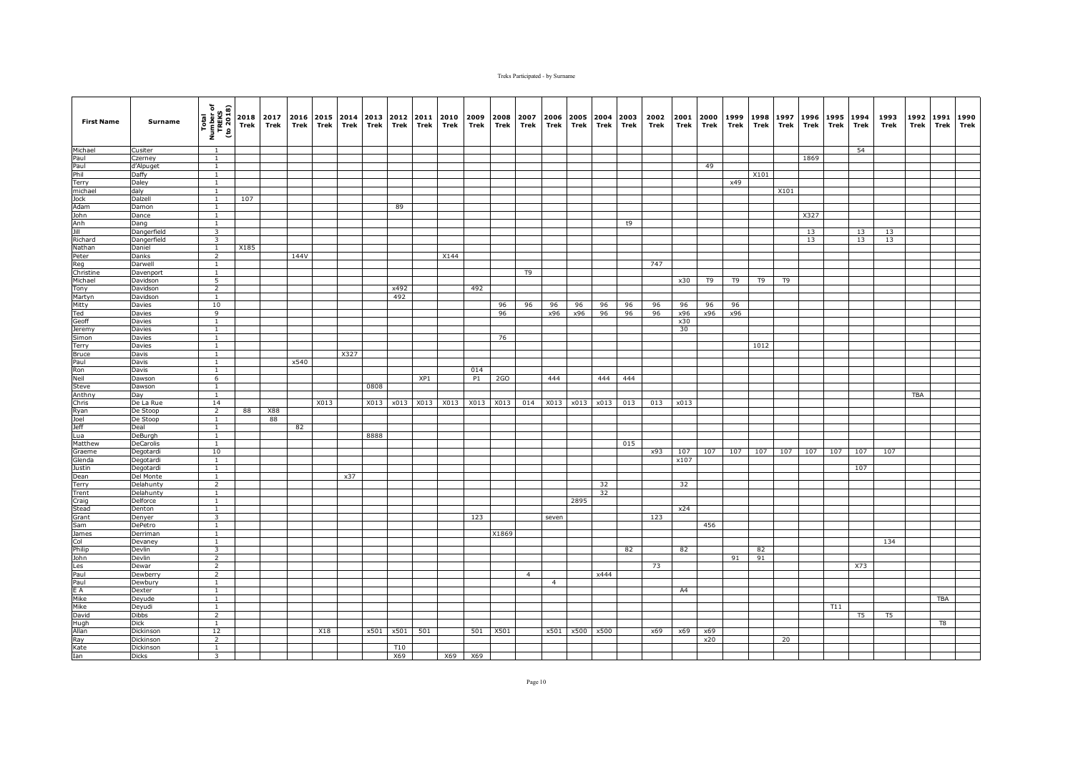| <b>First Name</b> | Surname                   | Total<br>Number of<br>TREKS<br>(to 2018)  | Trek | 2018 2017<br>Trek | 2016<br>Trek | Trek | 2015 2014<br>Trek | 2013<br>Trek | 2012<br>Trek | 2011<br>Trek | 2010<br>Trek | 2009<br>Trek | 2008<br>Trek | 2007<br>Trek   | 2006<br>Trek   | 2005<br>Trek | 2004<br>Trek | 2003<br>Trek | 2002<br>Trek | 2001<br>Trek | 2000<br>Trek   | 1999<br>Trek   | 1998<br>Trek | 1997<br>Trek | 1996<br>Trek | 1995<br>Trek | 1994<br>Trek | 1993<br>Trek | 1992<br>Trek | 1991<br>Trek | 1990<br>Trek |
|-------------------|---------------------------|-------------------------------------------|------|-------------------|--------------|------|-------------------|--------------|--------------|--------------|--------------|--------------|--------------|----------------|----------------|--------------|--------------|--------------|--------------|--------------|----------------|----------------|--------------|--------------|--------------|--------------|--------------|--------------|--------------|--------------|--------------|
| Michael           | Cusiter                   | 1                                         |      |                   |              |      |                   |              |              |              |              |              |              |                |                |              |              |              |              |              |                |                |              |              |              |              | 54           |              |              |              |              |
| Paul              | Czerney                   | $\overline{1}$                            |      |                   |              |      |                   |              |              |              |              |              |              |                |                |              |              |              |              |              |                |                |              |              | 1869         |              |              |              |              |              |              |
| Paul              | d'Alpuget                 | $\mathbf{1}$                              |      |                   |              |      |                   |              |              |              |              |              |              |                |                |              |              |              |              |              | 49             |                |              |              |              |              |              |              |              |              |              |
| Phil<br>Terry     | Daffy                     | $\mathbf{1}$<br>$\mathbf{1}$              |      |                   |              |      |                   |              |              |              |              |              |              |                |                |              |              |              |              |              |                | x49            | X101         |              |              |              |              |              |              |              |              |
| michael           | Daley<br>daly             | $\mathbf{1}$                              |      |                   |              |      |                   |              |              |              |              |              |              |                |                |              |              |              |              |              |                |                |              | X101         |              |              |              |              |              |              |              |
| Jock              | Dalzell                   | <sup>1</sup>                              | 107  |                   |              |      |                   |              |              |              |              |              |              |                |                |              |              |              |              |              |                |                |              |              |              |              |              |              |              |              |              |
| Adam              | Damon                     | <sup>1</sup>                              |      |                   |              |      |                   |              | 89           |              |              |              |              |                |                |              |              |              |              |              |                |                |              |              |              |              |              |              |              |              |              |
| John              | Dance                     | $\mathbf{1}$                              |      |                   |              |      |                   |              |              |              |              |              |              |                |                |              |              |              |              |              |                |                |              |              | X327         |              |              |              |              |              |              |
| Anh               | Dang                      | $\mathbf{1}$                              |      |                   |              |      |                   |              |              |              |              |              |              |                |                |              |              | t9           |              |              |                |                |              |              |              |              |              |              |              |              |              |
| Jill              | Dangerfield               | 3                                         |      |                   |              |      |                   |              |              |              |              |              |              |                |                |              |              |              |              |              |                |                |              |              | 13           |              | 13           | 13           |              |              |              |
| Richard<br>Nathan | Dangerfield<br>Daniel     | $\overline{\mathbf{3}}$<br>$\overline{1}$ | X185 |                   |              |      |                   |              |              |              |              |              |              |                |                |              |              |              |              |              |                |                |              |              | 13           |              | 13           | 13           |              |              |              |
| Peter             | Danks                     | $\overline{2}$                            |      |                   | 144V         |      |                   |              |              |              | X144         |              |              |                |                |              |              |              |              |              |                |                |              |              |              |              |              |              |              |              |              |
| Reg               | Darwell                   | $\mathbf{1}$                              |      |                   |              |      |                   |              |              |              |              |              |              |                |                |              |              |              | 747          |              |                |                |              |              |              |              |              |              |              |              |              |
| Christine         | Davenport                 | 1                                         |      |                   |              |      |                   |              |              |              |              |              |              | T <sub>9</sub> |                |              |              |              |              |              |                |                |              |              |              |              |              |              |              |              |              |
| Michael           | Davidson                  | 5                                         |      |                   |              |      |                   |              |              |              |              |              |              |                |                |              |              |              |              | x30          | T <sub>9</sub> | T <sub>9</sub> | T9           | T9           |              |              |              |              |              |              |              |
| Tony              | Davidson                  | $\overline{2}$                            |      |                   |              |      |                   |              | x492         |              |              | 492          |              |                |                |              |              |              |              |              |                |                |              |              |              |              |              |              |              |              |              |
| Martyn            | Davidson                  | <sup>1</sup>                              |      |                   |              |      |                   |              | 492          |              |              |              |              |                |                |              |              |              |              |              |                |                |              |              |              |              |              |              |              |              |              |
| Mitty             | Davies                    | 10                                        |      |                   |              |      |                   |              |              |              |              |              | 96           | 96             | 96             | 96           | 96           | 96           | 96           | 96           | 96             | 96             |              |              |              |              |              |              |              |              |              |
| Ted               | Davies                    | 9                                         |      |                   |              |      |                   |              |              |              |              |              | 96           |                | x96            | x96          | 96           | 96           | 96           | x96          | x96            | x96            |              |              |              |              |              |              |              |              |              |
| Geoff<br>Jeremy   | Davies<br>Davies          | $\mathbf{1}$<br>1                         |      |                   |              |      |                   |              |              |              |              |              |              |                |                |              |              |              |              | x30<br>30    |                |                |              |              |              |              |              |              |              |              |              |
| Simon             | Davies                    | $\mathbf{1}$                              |      |                   |              |      |                   |              |              |              |              |              | 76           |                |                |              |              |              |              |              |                |                |              |              |              |              |              |              |              |              |              |
| Terry             | Davies                    | $\mathbf{1}$                              |      |                   |              |      |                   |              |              |              |              |              |              |                |                |              |              |              |              |              |                |                | 1012         |              |              |              |              |              |              |              |              |
| <b>Bruce</b>      | Davis                     | $\mathbf{1}$                              |      |                   |              |      | X327              |              |              |              |              |              |              |                |                |              |              |              |              |              |                |                |              |              |              |              |              |              |              |              |              |
| Paul              | Davis                     | $\mathbf{1}$                              |      |                   | x540         |      |                   |              |              |              |              |              |              |                |                |              |              |              |              |              |                |                |              |              |              |              |              |              |              |              |              |
| Ron               | Davis                     | $\mathbf{1}$                              |      |                   |              |      |                   |              |              |              |              | 014          |              |                |                |              |              |              |              |              |                |                |              |              |              |              |              |              |              |              |              |
| Neil              | Dawson                    | 6                                         |      |                   |              |      |                   |              |              | XP1          |              | P1           | 2GO          |                | 444            |              | 444          | 444          |              |              |                |                |              |              |              |              |              |              |              |              |              |
| Steve             | Dawson                    | $\mathbf{1}$                              |      |                   |              |      |                   | 0808         |              |              |              |              |              |                |                |              |              |              |              |              |                |                |              |              |              |              |              |              |              |              |              |
| Anthny            | Day                       | <sup>1</sup>                              |      |                   |              |      |                   |              |              |              |              |              |              |                |                |              |              |              |              |              |                |                |              |              |              |              |              |              | <b>TBA</b>   |              |              |
| Chris<br>Ryan     | De La Rue<br>De Stoop     | 14<br>$\overline{2}$                      | 88   | X88               |              | X013 |                   | X013         | x013         | X013         | X013         | X013         | X013         | 014            | X013           |              | x013 x013    | 013          | 013          | x013         |                |                |              |              |              |              |              |              |              |              |              |
| Joel              | De Stoop                  | 1                                         |      | 88                |              |      |                   |              |              |              |              |              |              |                |                |              |              |              |              |              |                |                |              |              |              |              |              |              |              |              |              |
| <b>Jeff</b>       | Deal                      | $\mathbf{1}$                              |      |                   | 82           |      |                   |              |              |              |              |              |              |                |                |              |              |              |              |              |                |                |              |              |              |              |              |              |              |              |              |
| Lua               | DeBurgh                   | $\mathbf{1}$                              |      |                   |              |      |                   | 8888         |              |              |              |              |              |                |                |              |              |              |              |              |                |                |              |              |              |              |              |              |              |              |              |
| Matthew           | DeCarolis                 | $\mathbf{1}$                              |      |                   |              |      |                   |              |              |              |              |              |              |                |                |              |              | 015          |              |              |                |                |              |              |              |              |              |              |              |              |              |
| Graeme            | Degotardi                 | 10                                        |      |                   |              |      |                   |              |              |              |              |              |              |                |                |              |              |              | x93          | 107          | 107            | 107            | 107          | 107          | 107          | 107          | 107          | 107          |              |              |              |
| Glenda            | Degotardi                 | $\mathbf{1}$                              |      |                   |              |      |                   |              |              |              |              |              |              |                |                |              |              |              |              | x107         |                |                |              |              |              |              |              |              |              |              |              |
| Justin            | Degotardi                 | $\mathbf{1}$                              |      |                   |              |      |                   |              |              |              |              |              |              |                |                |              |              |              |              |              |                |                |              |              |              |              | 107          |              |              |              |              |
| Dean              | Del Monte                 | $\mathbf{1}$                              |      |                   |              |      | x37               |              |              |              |              |              |              |                |                |              |              |              |              |              |                |                |              |              |              |              |              |              |              |              |              |
| Terry<br>Trent    | Delahunty<br>Delahunty    | $\overline{2}$<br>$\overline{1}$          |      |                   |              |      |                   |              |              |              |              |              |              |                |                |              | 32<br>32     |              |              | 32           |                |                |              |              |              |              |              |              |              |              |              |
| Craig             | Delforce                  | $\mathbf{1}$                              |      |                   |              |      |                   |              |              |              |              |              |              |                |                | 2895         |              |              |              |              |                |                |              |              |              |              |              |              |              |              |              |
| Stead             | Denton                    | $\mathbf{1}$                              |      |                   |              |      |                   |              |              |              |              |              |              |                |                |              |              |              |              | x24          |                |                |              |              |              |              |              |              |              |              |              |
| Grant             | Denyer                    | $\overline{3}$                            |      |                   |              |      |                   |              |              |              |              | 123          |              |                | seven          |              |              |              | 123          |              |                |                |              |              |              |              |              |              |              |              |              |
| Sam               | DePetro                   | $\mathbf{1}$                              |      |                   |              |      |                   |              |              |              |              |              |              |                |                |              |              |              |              |              | 456            |                |              |              |              |              |              |              |              |              |              |
| James             | Derriman                  | <sup>1</sup>                              |      |                   |              |      |                   |              |              |              |              |              | X1869        |                |                |              |              |              |              |              |                |                |              |              |              |              |              |              |              |              |              |
| Col               | Jevaney                   | $\mathbf{1}$                              |      |                   |              |      |                   |              |              |              |              |              |              |                |                |              |              |              |              |              |                |                |              |              |              |              |              | 134          |              |              |              |
| Philip            | Devlin                    | $\overline{\mathbf{3}}$                   |      |                   |              |      |                   |              |              |              |              |              |              |                |                |              |              | 82           |              | 82           |                |                | 82           |              |              |              |              |              |              |              |              |
| John              | Devlin                    | $\overline{2}$                            |      |                   |              |      |                   |              |              |              |              |              |              |                |                |              |              |              |              |              |                | 91             | 91           |              |              |              | X73          |              |              |              |              |
| Les<br>Paul       | Dewar<br>Dewberry         | $\overline{2}$<br>$\overline{2}$          |      |                   |              |      |                   |              |              |              |              |              |              | $\overline{4}$ |                |              | x444         |              | 73           |              |                |                |              |              |              |              |              |              |              |              |              |
| Paul              | Dewbury                   | $\overline{1}$                            |      |                   |              |      |                   |              |              |              |              |              |              |                | $\overline{4}$ |              |              |              |              |              |                |                |              |              |              |              |              |              |              |              |              |
| E A               | Dexter                    | $\overline{1}$                            |      |                   |              |      |                   |              |              |              |              |              |              |                |                |              |              |              |              | A4           |                |                |              |              |              |              |              |              |              |              |              |
| Mike              | Deyude                    | $\mathbf{1}$                              |      |                   |              |      |                   |              |              |              |              |              |              |                |                |              |              |              |              |              |                |                |              |              |              |              |              |              |              | TBA          |              |
| Mike              | Deyudi                    | $\mathbf{1}$                              |      |                   |              |      |                   |              |              |              |              |              |              |                |                |              |              |              |              |              |                |                |              |              |              | T11          |              |              |              |              |              |
| David             | <b>Dibbs</b>              | $\overline{2}$                            |      |                   |              |      |                   |              |              |              |              |              |              |                |                |              |              |              |              |              |                |                |              |              |              |              | T5           | T5           |              |              |              |
| Hugh              | Dick                      | 1                                         |      |                   |              |      |                   |              |              |              |              |              |              |                |                |              |              |              |              |              |                |                |              |              |              |              |              |              |              | T8           |              |
| Allan             | Dickinson                 | 12                                        |      |                   |              | X18  |                   | x501         | x501         | 501          |              | 501          | X501         |                | x501           |              | x500 x500    |              | x69          | x69          | x69            |                |              |              |              |              |              |              |              |              |              |
| Ray               | Dickinson                 | $\overline{2}$                            |      |                   |              |      |                   |              |              |              |              |              |              |                |                |              |              |              |              |              | x20            |                |              | 20           |              |              |              |              |              |              |              |
| Kate<br>Ian       | Dickinson<br><b>Dicks</b> | <sup>1</sup><br>$\overline{\mathbf{3}}$   |      |                   |              |      |                   |              | T10<br>X69   |              | X69          | X69          |              |                |                |              |              |              |              |              |                |                |              |              |              |              |              |              |              |              |              |
|                   |                           |                                           |      |                   |              |      |                   |              |              |              |              |              |              |                |                |              |              |              |              |              |                |                |              |              |              |              |              |              |              |              |              |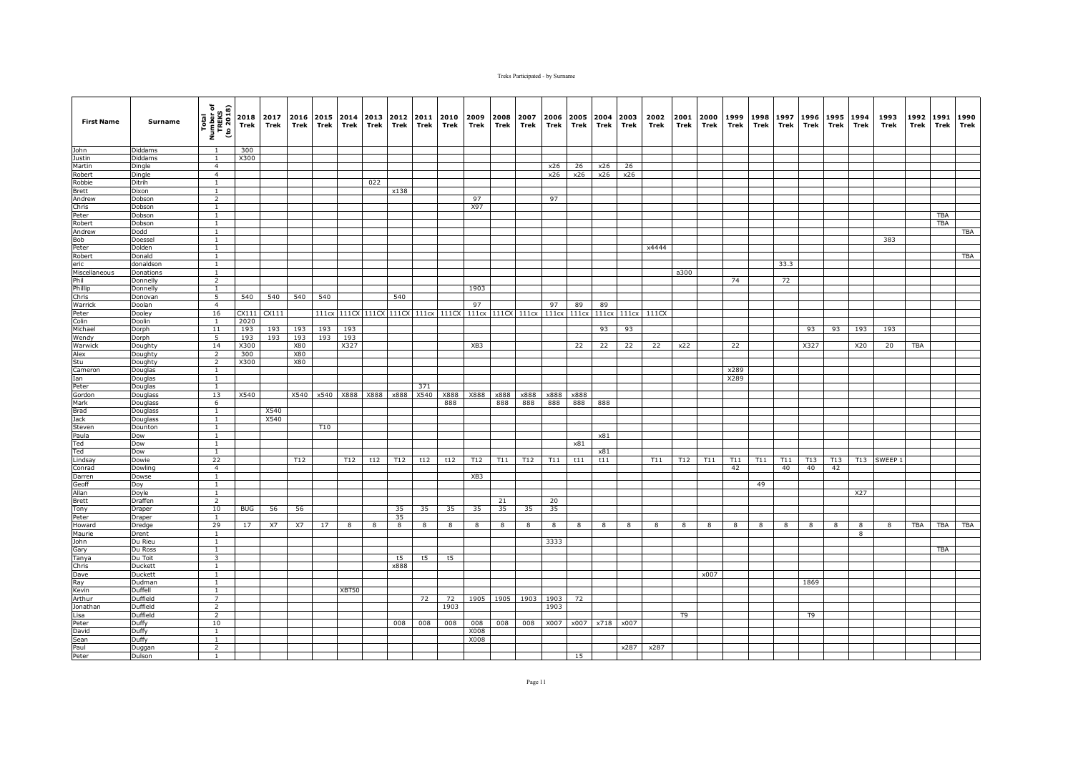| <b>First Name</b>      | Surname             | Total<br>Number of<br>TREKS<br>(to 2018) | Trek        | 2018 2017<br>Trek | 2016<br>Trek | Trek  | 2015 2014<br>Trek | 2013<br>Trek      | 2012<br>Trek | 2011<br>Trek | 2010<br>Trek | 2009<br>Trek      | 2008<br>Trek | 2007<br>Trek | 2006<br>Trek            | Trek | 2005 2004 2003<br>Trek | Trek  | 2002<br>Trek | 2001<br>Trek | 2000<br>Trek | 1999<br>Trek | 1998<br>Trek | 1997<br>Trek | 1996<br>Trek | 1995<br>Trek | 1994<br>Trek | 1993<br>Trek | 1992<br>Trek | 1991<br><b>Trek</b> | 1990<br>Trek |
|------------------------|---------------------|------------------------------------------|-------------|-------------------|--------------|-------|-------------------|-------------------|--------------|--------------|--------------|-------------------|--------------|--------------|-------------------------|------|------------------------|-------|--------------|--------------|--------------|--------------|--------------|--------------|--------------|--------------|--------------|--------------|--------------|---------------------|--------------|
| John                   | Diddams             | $\overline{1}$                           | 300         |                   |              |       |                   |                   |              |              |              |                   |              |              |                         |      |                        |       |              |              |              |              |              |              |              |              |              |              |              |                     |              |
| Justin                 | Diddams             | $\mathbf{1}$                             | X300        |                   |              |       |                   |                   |              |              |              |                   |              |              |                         |      |                        |       |              |              |              |              |              |              |              |              |              |              |              |                     |              |
| Martin                 | Dingle              | $\overline{4}$                           |             |                   |              |       |                   |                   |              |              |              |                   |              |              | x26                     | 26   | x26                    | 26    |              |              |              |              |              |              |              |              |              |              |              |                     |              |
| Robert                 | Dingle              | $\overline{4}$                           |             |                   |              |       |                   |                   |              |              |              |                   |              |              | x26                     | x26  | x26                    | x26   |              |              |              |              |              |              |              |              |              |              |              |                     |              |
| Robbie                 | Ditrih              | $\mathbf{1}$                             |             |                   |              |       |                   | 022               | x138         |              |              |                   |              |              |                         |      |                        |       |              |              |              |              |              |              |              |              |              |              |              |                     |              |
| <b>Brett</b><br>Andrew | Dixon<br>Dobson     | 1<br>$\overline{2}$                      |             |                   |              |       |                   |                   |              |              |              | 97                |              |              | 97                      |      |                        |       |              |              |              |              |              |              |              |              |              |              |              |                     |              |
| Chris                  | Dobson              | $\mathbf{1}$                             |             |                   |              |       |                   |                   |              |              |              | X97               |              |              |                         |      |                        |       |              |              |              |              |              |              |              |              |              |              |              |                     |              |
| Peter                  | Dobson              | $\mathbf{1}$                             |             |                   |              |       |                   |                   |              |              |              |                   |              |              |                         |      |                        |       |              |              |              |              |              |              |              |              |              |              |              | <b>TBA</b>          |              |
| Robert                 | Dobson              | $\mathbf{1}$                             |             |                   |              |       |                   |                   |              |              |              |                   |              |              |                         |      |                        |       |              |              |              |              |              |              |              |              |              |              |              | <b>TBA</b>          |              |
| Andrew                 | Dodd                | $\mathbf{1}$                             |             |                   |              |       |                   |                   |              |              |              |                   |              |              |                         |      |                        |       |              |              |              |              |              |              |              |              |              |              |              |                     | TBA          |
| Bob                    | Doessel             | <sup>1</sup>                             |             |                   |              |       |                   |                   |              |              |              |                   |              |              |                         |      |                        |       |              |              |              |              |              |              |              |              |              | 383          |              |                     |              |
| Peter                  | Dolden              | $\overline{1}$                           |             |                   |              |       |                   |                   |              |              |              |                   |              |              |                         |      |                        |       | x4444        |              |              |              |              |              |              |              |              |              |              |                     |              |
| Robert                 | Donald<br>donaldson | $\mathbf{1}$                             |             |                   |              |       |                   |                   |              |              |              |                   |              |              |                         |      |                        |       |              |              |              |              |              |              |              |              |              |              |              |                     | TBA          |
| eric<br>Miscellaneous  | Donations           | $\mathbf{1}$<br>$\mathbf{1}$             |             |                   |              |       |                   |                   |              |              |              |                   |              |              |                         |      |                        |       |              | a300         |              |              |              | 33.3         |              |              |              |              |              |                     |              |
| Phil                   | Donnelly            | $\overline{2}$                           |             |                   |              |       |                   |                   |              |              |              |                   |              |              |                         |      |                        |       |              |              |              | 74           |              | 72           |              |              |              |              |              |                     |              |
| Phillip                | Donnelly            | <sup>1</sup>                             |             |                   |              |       |                   |                   |              |              |              | 1903              |              |              |                         |      |                        |       |              |              |              |              |              |              |              |              |              |              |              |                     |              |
| Chris                  | Donovan             | 5                                        | 540         | 540               | 540          | 540   |                   |                   | 540          |              |              |                   |              |              |                         |      |                        |       |              |              |              |              |              |              |              |              |              |              |              |                     |              |
| Warrick                | Doolan              | $\overline{4}$                           |             |                   |              |       |                   |                   |              |              |              | 97                |              |              | 97                      | 89   | 89                     |       |              |              |              |              |              |              |              |              |              |              |              |                     |              |
| Peter                  | Dooley              | 16                                       | CX111       | CX111             |              | 111cx |                   | 111CX 111CX 111CX |              | 111cx        |              | 111CX 111cx 111CX |              |              | 111cx 111cx 111cx 111cx |      |                        | 111cx | 111CX        |              |              |              |              |              |              |              |              |              |              |                     |              |
| Colin                  | Doolin              | $\overline{1}$                           | 2020        |                   |              |       |                   |                   |              |              |              |                   |              |              |                         |      |                        |       |              |              |              |              |              |              |              |              |              |              |              |                     |              |
| Michael                | Dorph               | $1\,1$                                   | 193         | 193               | 193          | 193   | 193               |                   |              |              |              |                   |              |              |                         |      | 93                     | 93    |              |              |              |              |              |              | 93           | 93           | 193          | 193          |              |                     |              |
| Wendy                  | Dorph               | 5                                        | 193         | 193               | 193          | 193   | 193               |                   |              |              |              |                   |              |              |                         |      |                        |       |              |              |              |              |              |              |              |              |              |              |              |                     |              |
| Warwick<br>Alex        | Doughty             | 14<br>$\overline{2}$                     | X300<br>300 |                   | X80<br>X80   |       | X327              |                   |              |              |              | XB3               |              |              |                         | 22   | 22                     | 22    | 22           | x22          |              | 22           |              |              | X327         |              | X20          | 20           | TBA          |                     |              |
| Stu                    | Doughty<br>Doughty  | $\overline{2}$                           | X300        |                   | <b>X80</b>   |       |                   |                   |              |              |              |                   |              |              |                         |      |                        |       |              |              |              |              |              |              |              |              |              |              |              |                     |              |
| Cameron                | Douglas             | $\mathbf{1}$                             |             |                   |              |       |                   |                   |              |              |              |                   |              |              |                         |      |                        |       |              |              |              | x289         |              |              |              |              |              |              |              |                     |              |
| Ian                    | Douglas             | 1                                        |             |                   |              |       |                   |                   |              |              |              |                   |              |              |                         |      |                        |       |              |              |              | X289         |              |              |              |              |              |              |              |                     |              |
| Peter                  | Douglas             | 1                                        |             |                   |              |       |                   |                   |              | 371          |              |                   |              |              |                         |      |                        |       |              |              |              |              |              |              |              |              |              |              |              |                     |              |
| Gordon                 | Douglass            | 13                                       | X540        |                   | X540         | x540  | X888              | X888              | x888         | X540         | X888         | X888              | x888         | x888         | x888                    | x888 |                        |       |              |              |              |              |              |              |              |              |              |              |              |                     |              |
| Mark                   | Douglass            | 6                                        |             |                   |              |       |                   |                   |              |              | 888          |                   | 888          | 888          | 888                     | 888  | 888                    |       |              |              |              |              |              |              |              |              |              |              |              |                     |              |
| Brad                   | Douglass            | $\mathbf{1}$                             |             | X540              |              |       |                   |                   |              |              |              |                   |              |              |                         |      |                        |       |              |              |              |              |              |              |              |              |              |              |              |                     |              |
| Jack                   | Douglass            | $\mathbf{1}$                             |             | X540              |              |       |                   |                   |              |              |              |                   |              |              |                         |      |                        |       |              |              |              |              |              |              |              |              |              |              |              |                     |              |
| Steven<br>Paula        | Dounton<br>Dow      | $\mathbf{1}$<br>$\mathbf{1}$             |             |                   |              | T10   |                   |                   |              |              |              |                   |              |              |                         |      | x81                    |       |              |              |              |              |              |              |              |              |              |              |              |                     |              |
| Ted                    | Dow                 | $1\,$                                    |             |                   |              |       |                   |                   |              |              |              |                   |              |              |                         | x81  |                        |       |              |              |              |              |              |              |              |              |              |              |              |                     |              |
| Ted                    | Dow                 | $\overline{1}$                           |             |                   |              |       |                   |                   |              |              |              |                   |              |              |                         |      | x81                    |       |              |              |              |              |              |              |              |              |              |              |              |                     |              |
| Lindsay                | Dowie               | 22                                       |             |                   | T12          |       | <b>T12</b>        | t12               | T12          | t12          | t12          | T12               | T11          | T12          | T11                     | t11  | t11                    |       | T11          | T12          | T11          | T11          | T11          | T11          | T13          | T13          |              | T13 SWEEP 1  |              |                     |              |
| Conrad                 | Dowling             | $\overline{4}$                           |             |                   |              |       |                   |                   |              |              |              |                   |              |              |                         |      |                        |       |              |              |              | 42           |              | 40           | 40           | 42           |              |              |              |                     |              |
| Darren                 | Dowse               | $\mathbf{1}$                             |             |                   |              |       |                   |                   |              |              |              | XB3               |              |              |                         |      |                        |       |              |              |              |              |              |              |              |              |              |              |              |                     |              |
| Geoff                  | Doy                 | <sup>1</sup>                             |             |                   |              |       |                   |                   |              |              |              |                   |              |              |                         |      |                        |       |              |              |              |              | 49           |              |              |              |              |              |              |                     |              |
| Allan                  | Doyle               | $\overline{1}$                           |             |                   |              |       |                   |                   |              |              |              |                   |              |              |                         |      |                        |       |              |              |              |              |              |              |              |              | X27          |              |              |                     |              |
| Brett<br>Tony          | Draffen<br>Draper   | 2<br>10                                  | <b>BUG</b>  | 56                | 56           |       |                   |                   | 35           | 35           | 35           | 35                | 21<br>35     | 35           | 20<br>35                |      |                        |       |              |              |              |              |              |              |              |              |              |              |              |                     |              |
| Peter                  | Draper              | $\mathbf{1}$                             |             |                   |              |       |                   |                   | 35           |              |              |                   |              |              |                         |      |                        |       |              |              |              |              |              |              |              |              |              |              |              |                     |              |
| Howard                 | Dredge              | 29                                       | 17          | X7                | X7           | 17    | 8                 | 8                 | 8            | 8            | 8            | 8                 | 8            | 8            | 8                       | 8    | 8                      | 8     | 8            | 8            | 8            | 8            | 8            |              | 8            | 8            | 8            | 8            | TBA          | TBA                 | TBA          |
| Maurie                 | Drent               | $\mathbf{1}$                             |             |                   |              |       |                   |                   |              |              |              |                   |              |              |                         |      |                        |       |              |              |              |              |              |              |              |              | 8            |              |              |                     |              |
| John                   | Du Rieu             | $\mathbf{1}$                             |             |                   |              |       |                   |                   |              |              |              |                   |              |              | 3333                    |      |                        |       |              |              |              |              |              |              |              |              |              |              |              |                     |              |
| Gary                   | Du Ross             | <sup>1</sup>                             |             |                   |              |       |                   |                   |              |              |              |                   |              |              |                         |      |                        |       |              |              |              |              |              |              |              |              |              |              |              | TBA                 |              |
| Tanya                  | Du Toit             | 3                                        |             |                   |              |       |                   |                   | t5           | t5           | t5           |                   |              |              |                         |      |                        |       |              |              |              |              |              |              |              |              |              |              |              |                     |              |
| Chris                  | Duckett             | $\mathbf{1}$                             |             |                   |              |       |                   |                   | x888         |              |              |                   |              |              |                         |      |                        |       |              |              |              |              |              |              |              |              |              |              |              |                     |              |
| Dave                   | Duckett             | $\mathbf{1}$                             |             |                   |              |       |                   |                   |              |              |              |                   |              |              |                         |      |                        |       |              |              | x007         |              |              |              |              |              |              |              |              |                     |              |
| Ray                    | Dudman              | 1<br>$\overline{1}$                      |             |                   |              |       |                   |                   |              |              |              |                   |              |              |                         |      |                        |       |              |              |              |              |              |              | 1869         |              |              |              |              |                     |              |
| Kevin<br>Arthur        | Duffell<br>Duffield | $\overline{7}$                           |             |                   |              |       | XBT50             |                   |              | 72           | 72           | 1905              | 1905         | 1903         | 1903                    | 72   |                        |       |              |              |              |              |              |              |              |              |              |              |              |                     |              |
| Jonathan               | Duffield            | 2                                        |             |                   |              |       |                   |                   |              |              | 1903         |                   |              |              | 1903                    |      |                        |       |              |              |              |              |              |              |              |              |              |              |              |                     |              |
| Lisa                   | Duffield            | $\overline{2}$                           |             |                   |              |       |                   |                   |              |              |              |                   |              |              |                         |      |                        |       |              | T9           |              |              |              |              | T9           |              |              |              |              |                     |              |
| Peter                  | Duffy               | 10                                       |             |                   |              |       |                   |                   | 008          | 008          | 008          | 008               | 008          | 008          | X007                    |      | x007 x718              | x007  |              |              |              |              |              |              |              |              |              |              |              |                     |              |
| David                  | Duffy               | $\mathbf{1}$                             |             |                   |              |       |                   |                   |              |              |              | X008              |              |              |                         |      |                        |       |              |              |              |              |              |              |              |              |              |              |              |                     |              |
| Sean                   | Duffy               | $\overline{1}$                           |             |                   |              |       |                   |                   |              |              |              | X008              |              |              |                         |      |                        |       |              |              |              |              |              |              |              |              |              |              |              |                     |              |
| Paul                   | Duggan              | $\overline{2}$                           |             |                   |              |       |                   |                   |              |              |              |                   |              |              |                         |      |                        | x287  | x287         |              |              |              |              |              |              |              |              |              |              |                     |              |
| Peter                  | Dulson              | $\mathbf{1}$                             |             |                   |              |       |                   |                   |              |              |              |                   |              |              |                         | 15   |                        |       |              |              |              |              |              |              |              |              |              |              |              |                     |              |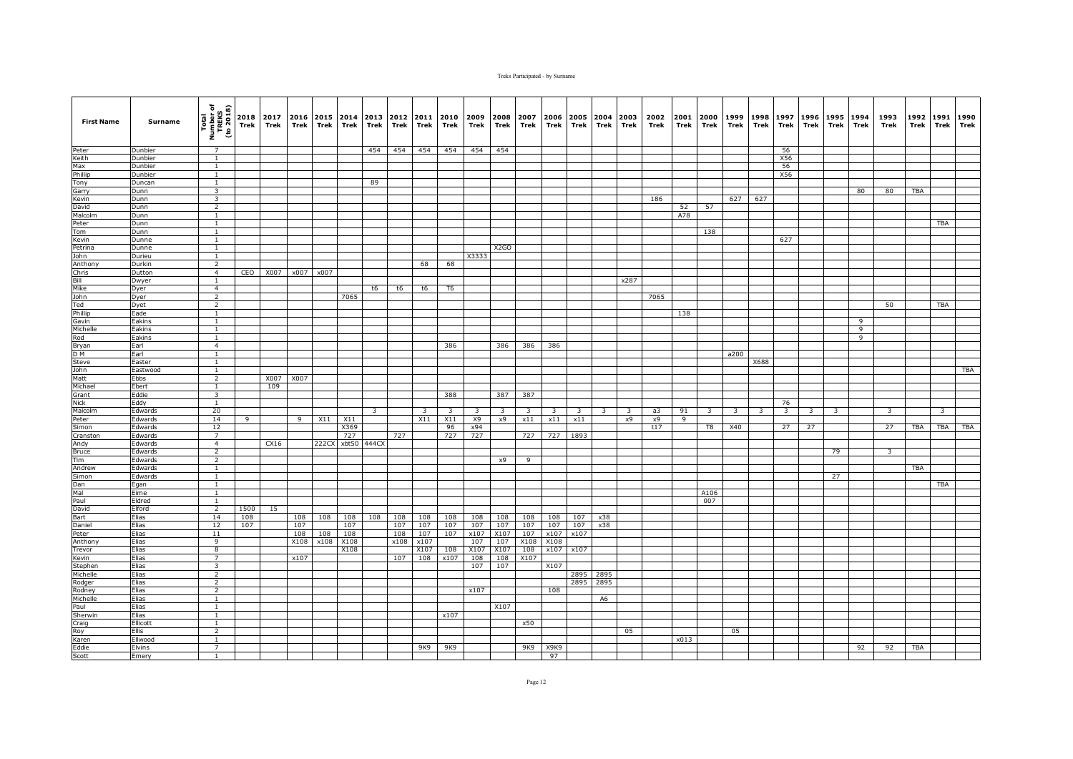| <b>First Name</b> | Surname           | Total<br>Number of<br>TREKS<br>(to 2018) | Trek | 2018 2017<br>Trek  | 2016<br>Trek | Trek  | 2015 2014<br>Trek | 2013<br>Trek            | 2012 2011<br>Trek | Trek                    | 2010<br>Trek            | 2009<br>Trek            | 2008<br>Trek            | 2007<br>Trek | 2006<br>Trek            | 2005<br>Trek            | 2004<br>Trek | 2003<br>Trek | 2002<br>Trek | 2001<br>Trek | 2000<br>Trek            | 1999<br>Trek            | 1998<br>Trek            | 1997<br>Trek            | 1996<br>Trek            | 1995<br>Trek            | 1994<br>Trek | 1993<br>Trek            | 1992<br>Trek | 1991<br>Trek            | 1990<br>Trek |
|-------------------|-------------------|------------------------------------------|------|--------------------|--------------|-------|-------------------|-------------------------|-------------------|-------------------------|-------------------------|-------------------------|-------------------------|--------------|-------------------------|-------------------------|--------------|--------------|--------------|--------------|-------------------------|-------------------------|-------------------------|-------------------------|-------------------------|-------------------------|--------------|-------------------------|--------------|-------------------------|--------------|
| Peter             | Dunbier           | $\overline{7}$                           |      |                    |              |       |                   | 454                     | 454               | 454                     | 454                     | 454                     | 454                     |              |                         |                         |              |              |              |              |                         |                         |                         | 56                      |                         |                         |              |                         |              |                         |              |
| Keith             | Dunbier           | $\mathbf{1}$                             |      |                    |              |       |                   |                         |                   |                         |                         |                         |                         |              |                         |                         |              |              |              |              |                         |                         |                         | X56                     |                         |                         |              |                         |              |                         |              |
| Max               | Dunbier           | $\mathbf{1}$                             |      |                    |              |       |                   |                         |                   |                         |                         |                         |                         |              |                         |                         |              |              |              |              |                         |                         |                         | 56                      |                         |                         |              |                         |              |                         |              |
| Phillip           | Dunbier           | $\mathbf{1}$                             |      |                    |              |       |                   |                         |                   |                         |                         |                         |                         |              |                         |                         |              |              |              |              |                         |                         |                         | X56                     |                         |                         |              |                         |              |                         |              |
| Tony              | Duncan            | $\mathbf{1}$                             |      |                    |              |       |                   | 89                      |                   |                         |                         |                         |                         |              |                         |                         |              |              |              |              |                         |                         |                         |                         |                         |                         |              |                         |              |                         |              |
| Garry             | Dunn              | $\overline{\mathbf{3}}$                  |      |                    |              |       |                   |                         |                   |                         |                         |                         |                         |              |                         |                         |              |              |              |              |                         |                         |                         |                         |                         |                         | 80           | 80                      | <b>TBA</b>   |                         |              |
| Kevin             | Dunn              | $\overline{\mathbf{3}}$                  |      |                    |              |       |                   |                         |                   |                         |                         |                         |                         |              |                         |                         |              |              | 186          |              |                         | 627                     | 627                     |                         |                         |                         |              |                         |              |                         |              |
| David             | Dunn              | $\overline{2}$                           |      |                    |              |       |                   |                         |                   |                         |                         |                         |                         |              |                         |                         |              |              |              | 52<br>A78    | 57                      |                         |                         |                         |                         |                         |              |                         |              |                         |              |
| Malcolm<br>Peter  | Dunn<br>Dunn      | $\mathbf{1}$<br>$\mathbf{1}$             |      |                    |              |       |                   |                         |                   |                         |                         |                         |                         |              |                         |                         |              |              |              |              |                         |                         |                         |                         |                         |                         |              |                         |              | <b>TBA</b>              |              |
| Tom               | Dunn              | $\mathbf{1}$                             |      |                    |              |       |                   |                         |                   |                         |                         |                         |                         |              |                         |                         |              |              |              |              | 138                     |                         |                         |                         |                         |                         |              |                         |              |                         |              |
| Kevin             | Dunne             | $\mathbf{1}$                             |      |                    |              |       |                   |                         |                   |                         |                         |                         |                         |              |                         |                         |              |              |              |              |                         |                         |                         | 627                     |                         |                         |              |                         |              |                         |              |
| Petrina           | Dunne             | <sup>1</sup>                             |      |                    |              |       |                   |                         |                   |                         |                         |                         | X <sub>2</sub> GO       |              |                         |                         |              |              |              |              |                         |                         |                         |                         |                         |                         |              |                         |              |                         |              |
| John              | Durieu            | $\overline{1}$                           |      |                    |              |       |                   |                         |                   |                         |                         | X3333                   |                         |              |                         |                         |              |              |              |              |                         |                         |                         |                         |                         |                         |              |                         |              |                         |              |
| Anthony           | Durkin            | $\overline{2}$                           |      |                    |              |       |                   |                         |                   | 68                      | 68                      |                         |                         |              |                         |                         |              |              |              |              |                         |                         |                         |                         |                         |                         |              |                         |              |                         |              |
| Chris             | Dutton            | $\overline{4}$                           |      | CEO X007 x007 x007 |              |       |                   |                         |                   |                         |                         |                         |                         |              |                         |                         |              |              |              |              |                         |                         |                         |                         |                         |                         |              |                         |              |                         |              |
| Bill              | Dwyer             | $\mathbf{1}$                             |      |                    |              |       |                   |                         |                   |                         |                         |                         |                         |              |                         |                         |              | x287         |              |              |                         |                         |                         |                         |                         |                         |              |                         |              |                         |              |
| Mike              | Dyer              | $\overline{4}$                           |      |                    |              |       |                   | t6                      | t6                | t6                      | T <sub>6</sub>          |                         |                         |              |                         |                         |              |              |              |              |                         |                         |                         |                         |                         |                         |              |                         |              |                         |              |
| John              | Dyer              | $\overline{2}$                           |      |                    |              |       | 7065              |                         |                   |                         |                         |                         |                         |              |                         |                         |              |              | 7065         |              |                         |                         |                         |                         |                         |                         |              |                         |              |                         |              |
| Ted               | Dyet              | $\overline{2}$                           |      |                    |              |       |                   |                         |                   |                         |                         |                         |                         |              |                         |                         |              |              |              |              |                         |                         |                         |                         |                         |                         |              | 50                      |              | <b>TBA</b>              |              |
| Phillip           | Eade              | $\mathbf{1}$                             |      |                    |              |       |                   |                         |                   |                         |                         |                         |                         |              |                         |                         |              |              |              | 138          |                         |                         |                         |                         |                         |                         |              |                         |              |                         |              |
| Gavin             | Eakins            | <sup>1</sup>                             |      |                    |              |       |                   |                         |                   |                         |                         |                         |                         |              |                         |                         |              |              |              |              |                         |                         |                         |                         |                         |                         | 9            |                         |              |                         |              |
| Michelle          | Eakins            | $\mathbf{1}$                             |      |                    |              |       |                   |                         |                   |                         |                         |                         |                         |              |                         |                         |              |              |              |              |                         |                         |                         |                         |                         |                         | 9            |                         |              |                         |              |
| Rod               | Eakins            | $\overline{1}$                           |      |                    |              |       |                   |                         |                   |                         |                         |                         |                         |              |                         |                         |              |              |              |              |                         |                         |                         |                         |                         |                         | 9            |                         |              |                         |              |
| Bryan             | Earl              | $\overline{4}$                           |      |                    |              |       |                   |                         |                   |                         | 386                     |                         | 386                     | 386          | 386                     |                         |              |              |              |              |                         |                         |                         |                         |                         |                         |              |                         |              |                         |              |
| D M               | Earl              | $\mathbf{1}$                             |      |                    |              |       |                   |                         |                   |                         |                         |                         |                         |              |                         |                         |              |              |              |              |                         | a200                    |                         |                         |                         |                         |              |                         |              |                         |              |
| Steve             | Easter            | $\mathbf{1}$                             |      |                    |              |       |                   |                         |                   |                         |                         |                         |                         |              |                         |                         |              |              |              |              |                         |                         | X688                    |                         |                         |                         |              |                         |              |                         |              |
| John<br>Matt      | Eastwood<br>Ebbs  | $\mathbf{1}$<br>$\overline{2}$           |      | X007 X007          |              |       |                   |                         |                   |                         |                         |                         |                         |              |                         |                         |              |              |              |              |                         |                         |                         |                         |                         |                         |              |                         |              |                         | <b>TBA</b>   |
| Michael           | Ebert             | $\mathbf{1}$                             |      | 109                |              |       |                   |                         |                   |                         |                         |                         |                         |              |                         |                         |              |              |              |              |                         |                         |                         |                         |                         |                         |              |                         |              |                         |              |
| Grant             | Eddie             | $\overline{\mathbf{3}}$                  |      |                    |              |       |                   |                         |                   |                         | 388                     |                         | 387                     | 387          |                         |                         |              |              |              |              |                         |                         |                         |                         |                         |                         |              |                         |              |                         |              |
| Nick              | Eddy              | $\overline{1}$                           |      |                    |              |       |                   |                         |                   |                         |                         |                         |                         |              |                         |                         |              |              |              |              |                         |                         |                         | 76                      |                         |                         |              |                         |              |                         |              |
| Malcolm           | Edwards           | 20                                       |      |                    |              |       |                   | $\overline{\mathbf{3}}$ |                   | $\overline{\mathbf{3}}$ | $\overline{\mathbf{3}}$ | $\overline{\mathbf{3}}$ | $\overline{\mathbf{3}}$ | 3            | $\overline{\mathbf{3}}$ | $\overline{\mathbf{3}}$ | 3            | 3            | a3           | 91           | $\overline{\mathbf{3}}$ | $\overline{\mathbf{3}}$ | $\overline{\mathbf{3}}$ | $\overline{\mathbf{3}}$ | $\overline{\mathbf{3}}$ | $\overline{\mathbf{3}}$ |              | $\overline{\mathbf{3}}$ |              | $\overline{\mathbf{3}}$ |              |
| Peter             | Edwards           | 14                                       | 9    |                    | 9            | X11   | X11               |                         |                   | X11                     | X11                     | X9                      | x9                      | x11          | x11                     | x11                     |              | x9           | x9           | -9           |                         |                         |                         |                         |                         |                         |              |                         |              |                         |              |
| Simon             | Edwards           | 12                                       |      |                    |              |       | X369              |                         |                   |                         | 96                      | x94                     |                         |              |                         |                         |              |              | t17          |              | T8                      | X40                     |                         | 27                      | 27                      |                         |              | 27                      | <b>TBA</b>   | TBA                     | <b>TBA</b>   |
| Cranston          | Edwards           | $\overline{7}$                           |      |                    |              |       | 727               |                         | 727               |                         | 727                     | 727                     |                         | 727          | 727                     | 1893                    |              |              |              |              |                         |                         |                         |                         |                         |                         |              |                         |              |                         |              |
| Andy              | Edwards           | $\overline{4}$                           |      | CX16               |              | 222CX | xbt50             | 444CX                   |                   |                         |                         |                         |                         |              |                         |                         |              |              |              |              |                         |                         |                         |                         |                         |                         |              |                         |              |                         |              |
| <b>Bruce</b>      | Edwards           | $\overline{2}$                           |      |                    |              |       |                   |                         |                   |                         |                         |                         |                         |              |                         |                         |              |              |              |              |                         |                         |                         |                         |                         | 79                      |              | $\mathbf{3}$            |              |                         |              |
| Tim               | Edwards           | $\overline{2}$                           |      |                    |              |       |                   |                         |                   |                         |                         |                         | x9                      | 9            |                         |                         |              |              |              |              |                         |                         |                         |                         |                         |                         |              |                         |              |                         |              |
| Andrew            | Edwards           | $\mathbf{1}$                             |      |                    |              |       |                   |                         |                   |                         |                         |                         |                         |              |                         |                         |              |              |              |              |                         |                         |                         |                         |                         |                         |              |                         | <b>TBA</b>   |                         |              |
| Simon             | Edwards           | <sup>1</sup>                             |      |                    |              |       |                   |                         |                   |                         |                         |                         |                         |              |                         |                         |              |              |              |              |                         |                         |                         |                         |                         | 27                      |              |                         |              |                         |              |
| Dan               | Egan              | <sup>1</sup>                             |      |                    |              |       |                   |                         |                   |                         |                         |                         |                         |              |                         |                         |              |              |              |              |                         |                         |                         |                         |                         |                         |              |                         |              | <b>TBA</b>              |              |
| Mal               | Eime              | $\overline{1}$<br>$\mathbf{1}$           |      |                    |              |       |                   |                         |                   |                         |                         |                         |                         |              |                         |                         |              |              |              |              | A106<br>007             |                         |                         |                         |                         |                         |              |                         |              |                         |              |
| Paul<br>David     | Eldred<br>Elford  | $\overline{2}$                           | 1500 | 15                 |              |       |                   |                         |                   |                         |                         |                         |                         |              |                         |                         |              |              |              |              |                         |                         |                         |                         |                         |                         |              |                         |              |                         |              |
| Bart              | Elias             | 14                                       | 108  |                    | 108          | 108   | 108               | 108                     | 108               | 108                     | 108                     | 108                     | 108                     | 108          | 108                     | 107                     | x38          |              |              |              |                         |                         |                         |                         |                         |                         |              |                         |              |                         |              |
| Daniel            | Elias             | 12                                       | 107  |                    | 107          |       | 107               |                         | 107               | 107                     | 107                     | 107                     | 107                     | 107          | 107                     | 107                     | x38          |              |              |              |                         |                         |                         |                         |                         |                         |              |                         |              |                         |              |
| Peter             | Elias             | 11                                       |      |                    | 108          | 108   | 108               |                         | 108               | 107                     | 107                     | x107                    | X107                    | 107          | x107                    | x107                    |              |              |              |              |                         |                         |                         |                         |                         |                         |              |                         |              |                         |              |
| Anthony           | Elias             | 9                                        |      |                    | X108         | x108  | X108              |                         | x108              | x107                    |                         | 107                     | 107                     | X108         | X108                    |                         |              |              |              |              |                         |                         |                         |                         |                         |                         |              |                         |              |                         |              |
| Trevor            | Elias             | $\overline{8}$                           |      |                    |              |       | X108              |                         |                   | X107                    | 108                     | X107                    | X107                    | 108          | x107                    | x107                    |              |              |              |              |                         |                         |                         |                         |                         |                         |              |                         |              |                         |              |
| Kevin             | Elias             | $\overline{7}$                           |      |                    | x107         |       |                   |                         | 107               | 108                     | x107                    | 108                     | 108                     | X107         |                         |                         |              |              |              |              |                         |                         |                         |                         |                         |                         |              |                         |              |                         |              |
| Stephen           | Elias             | $\overline{\mathbf{3}}$                  |      |                    |              |       |                   |                         |                   |                         |                         | 107                     | 107                     |              | X107                    |                         |              |              |              |              |                         |                         |                         |                         |                         |                         |              |                         |              |                         |              |
| Michelle          | Elias             | $\overline{2}$                           |      |                    |              |       |                   |                         |                   |                         |                         |                         |                         |              |                         |                         | 2895 2895    |              |              |              |                         |                         |                         |                         |                         |                         |              |                         |              |                         |              |
| Rodger            | Elias             | $\overline{2}$                           |      |                    |              |       |                   |                         |                   |                         |                         |                         |                         |              |                         | 2895                    | 2895         |              |              |              |                         |                         |                         |                         |                         |                         |              |                         |              |                         |              |
| Rodney            | Elias             | $\overline{2}$                           |      |                    |              |       |                   |                         |                   |                         |                         | x107                    |                         |              | 108                     |                         |              |              |              |              |                         |                         |                         |                         |                         |                         |              |                         |              |                         |              |
| Michelle          | Elias             | <sup>1</sup>                             |      |                    |              |       |                   |                         |                   |                         |                         |                         |                         |              |                         |                         | A6           |              |              |              |                         |                         |                         |                         |                         |                         |              |                         |              |                         |              |
| Paul              | Elias             | $\mathbf{1}$                             |      |                    |              |       |                   |                         |                   |                         |                         |                         | X107                    |              |                         |                         |              |              |              |              |                         |                         |                         |                         |                         |                         |              |                         |              |                         |              |
| Sherwin           | Elias             | $\mathbf{1}$                             |      |                    |              |       |                   |                         |                   |                         | x107                    |                         |                         |              |                         |                         |              |              |              |              |                         |                         |                         |                         |                         |                         |              |                         |              |                         |              |
| Craig             | Ellicott          | $\mathbf{1}$                             |      |                    |              |       |                   |                         |                   |                         |                         |                         |                         | x50          |                         |                         |              |              |              |              |                         |                         |                         |                         |                         |                         |              |                         |              |                         |              |
| Roy               | <b>Ellis</b>      | 2<br>$\overline{1}$                      |      |                    |              |       |                   |                         |                   |                         |                         |                         |                         |              |                         |                         |              | 05           |              |              |                         | 05                      |                         |                         |                         |                         |              |                         |              |                         |              |
| Karen<br>Eddie    | Ellwood<br>Elvins | $\overline{7}$                           |      |                    |              |       |                   |                         |                   | 9K9                     | 9K9                     |                         |                         | 9K9          | X9K9                    |                         |              |              |              | x013         |                         |                         |                         |                         |                         |                         | 92           | 92                      | TBA          |                         |              |
| Scott             | Emery             | 1                                        |      |                    |              |       |                   |                         |                   |                         |                         |                         |                         |              | 97                      |                         |              |              |              |              |                         |                         |                         |                         |                         |                         |              |                         |              |                         |              |
|                   |                   |                                          |      |                    |              |       |                   |                         |                   |                         |                         |                         |                         |              |                         |                         |              |              |              |              |                         |                         |                         |                         |                         |                         |              |                         |              |                         |              |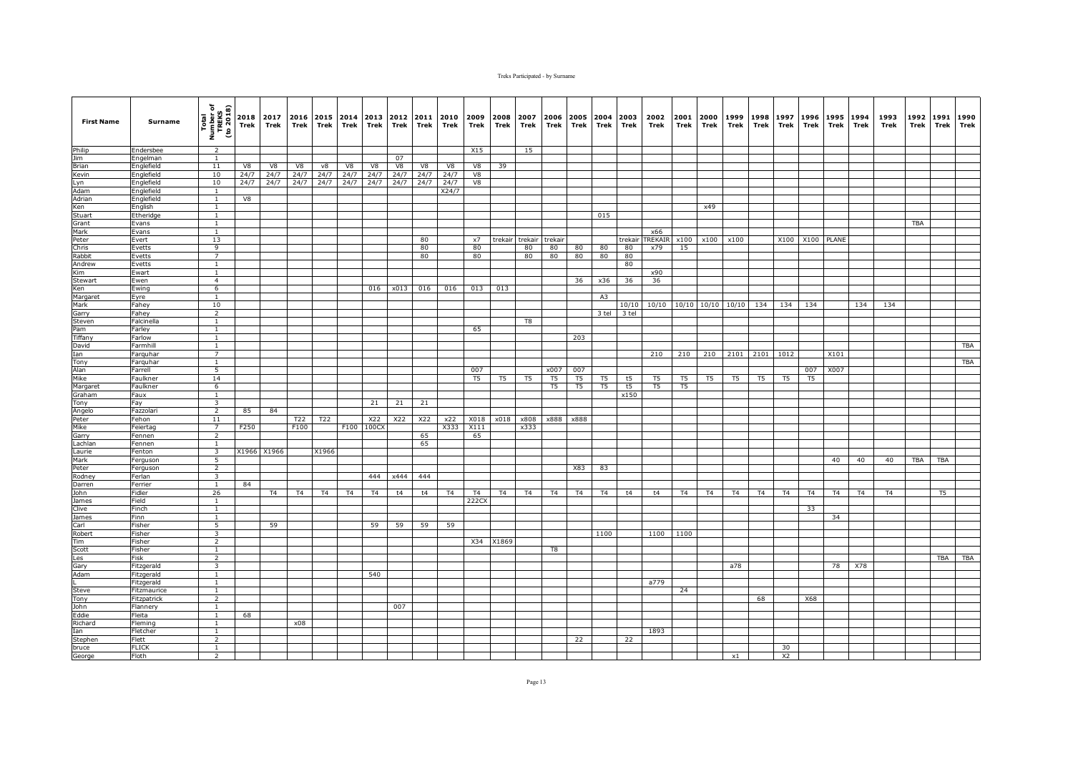| <b>First Name</b> | Surname                   | Total<br>Number of<br>TREKS<br>(to 2018) | 2018<br>Trek | 2017<br>Trek   | 2016 2015 2014<br>Trek | Trek  | Trek | 2013<br>Trek | 2012<br>Trek | 2011<br>Trek | 2010<br>Trek   | 2009<br>Trek   | 2008<br>Trek   | 2007<br>Trek   | 2006<br>Trek   | Trek           | 2005 2004 2003<br>Trek | Trek     | 2002<br>Trek   | 2001<br>Trek   | 2000<br>Trek   | 1999<br>Trek | 1998<br>Trek   | 1997<br>Trek   | 1996<br>Trek   | 1995<br>Trek   | 1994<br>Trek   | 1993<br>Trek   | 1992<br>Trek | 1991<br>Trek   | 1990<br>Trek |
|-------------------|---------------------------|------------------------------------------|--------------|----------------|------------------------|-------|------|--------------|--------------|--------------|----------------|----------------|----------------|----------------|----------------|----------------|------------------------|----------|----------------|----------------|----------------|--------------|----------------|----------------|----------------|----------------|----------------|----------------|--------------|----------------|--------------|
| Philip            | Endersbee                 | 2                                        |              |                |                        |       |      |              |              |              |                | X15            |                | 15             |                |                |                        |          |                |                |                |              |                |                |                |                |                |                |              |                |              |
| Jim               | Engelman                  | $\overline{1}$                           |              |                |                        |       |      |              | 07           |              |                |                |                |                |                |                |                        |          |                |                |                |              |                |                |                |                |                |                |              |                |              |
| Brian             | Englefield                | 11                                       | V8           | V8             | V8                     | ν8    | V8   | V8           | V8           | V8           | V8             | V8             | 39             |                |                |                |                        |          |                |                |                |              |                |                |                |                |                |                |              |                |              |
| Kevin             | Englefield                | 10                                       | 24/7         | 24/7           | 24/7                   | 24/7  | 24/7 | 24/7         | 24/7         | 24/7         | 24/7           | V8             |                |                |                |                |                        |          |                |                |                |              |                |                |                |                |                |                |              |                |              |
| Lyn<br>Adam       | Englefield<br>Englefield  | 10<br>$\mathbf{1}$                       | 24/7         | 24/7           | 24/7                   | 24/7  | 24/7 | 24/7         | 24/7         | 24/7         | 24/7<br>X24/7  | V8             |                |                |                |                |                        |          |                |                |                |              |                |                |                |                |                |                |              |                |              |
| Adrian            | Englefield                | $\mathbf{1}$                             | V8           |                |                        |       |      |              |              |              |                |                |                |                |                |                |                        |          |                |                |                |              |                |                |                |                |                |                |              |                |              |
| Ken               | English                   | $\overline{1}$                           |              |                |                        |       |      |              |              |              |                |                |                |                |                |                |                        |          |                |                | x49            |              |                |                |                |                |                |                |              |                |              |
| Stuart            | Etheridge                 | <sup>1</sup>                             |              |                |                        |       |      |              |              |              |                |                |                |                |                |                | 015                    |          |                |                |                |              |                |                |                |                |                |                |              |                |              |
| Grant             | Evans                     | $\mathbf{1}$                             |              |                |                        |       |      |              |              |              |                |                |                |                |                |                |                        |          |                |                |                |              |                |                |                |                |                |                | <b>TBA</b>   |                |              |
| Mark              | Evans                     | 1                                        |              |                |                        |       |      |              |              |              |                |                |                |                |                |                |                        |          | x66            |                |                |              |                |                |                |                |                |                |              |                |              |
| Peter             | Evert                     | 13                                       |              |                |                        |       |      |              |              | 80           |                | x7             | trekair        | trekair        | trekair        |                |                        | trekair  | <b>TREKAIF</b> | x100           | x100           | x100         |                | X100           | X100 PLANE     |                |                |                |              |                |              |
| Chris             | Evetts                    | $\overline{9}$                           |              |                |                        |       |      |              |              | 80           |                | 80             |                | 80             | 80             | 80             | 80                     | 80       | x79            | 15             |                |              |                |                |                |                |                |                |              |                |              |
| Rabbit<br>Andrew  | Evetts<br>Evetts          | $\overline{7}$<br>$\mathbf{1}$           |              |                |                        |       |      |              |              | 80           |                | 80             |                | 80             | 80             | 80             | 80                     | 80<br>80 |                |                |                |              |                |                |                |                |                |                |              |                |              |
| Kim               | Ewart                     | $\mathbf{1}$                             |              |                |                        |       |      |              |              |              |                |                |                |                |                |                |                        |          | x90            |                |                |              |                |                |                |                |                |                |              |                |              |
| Stewart           | Ewen                      | $\overline{4}$                           |              |                |                        |       |      |              |              |              |                |                |                |                |                | 36             | x36                    | 36       | 36             |                |                |              |                |                |                |                |                |                |              |                |              |
| Ken               | Ewing                     | 6                                        |              |                |                        |       |      | 016          | x013         | 016          | 016            | 013            | 013            |                |                |                |                        |          |                |                |                |              |                |                |                |                |                |                |              |                |              |
| Margaret          | Eyre                      | $\mathbf{1}$                             |              |                |                        |       |      |              |              |              |                |                |                |                |                |                | A3                     |          |                |                |                |              |                |                |                |                |                |                |              |                |              |
| Mark              | Fahey                     | 10                                       |              |                |                        |       |      |              |              |              |                |                |                |                |                |                |                        | 10/10    | 10/10          |                | 10/10 10/10    | 10/10        | 134            | 134            | 134            |                | 134            | 134            |              |                |              |
| Garry             | Fahey                     | $\overline{2}$                           |              |                |                        |       |      |              |              |              |                |                |                |                |                |                | 3 tel                  | 3 tel    |                |                |                |              |                |                |                |                |                |                |              |                |              |
| Steven            | Falcinella                | $\mathbf{1}$                             |              |                |                        |       |      |              |              |              |                |                |                | T <sub>8</sub> |                |                |                        |          |                |                |                |              |                |                |                |                |                |                |              |                |              |
| Pam               | Farley                    | $\mathbf{1}$                             |              |                |                        |       |      |              |              |              |                | 65             |                |                |                |                |                        |          |                |                |                |              |                |                |                |                |                |                |              |                |              |
| Tiffany           | Farlow                    | $\mathbf{1}$<br><sup>1</sup>             |              |                |                        |       |      |              |              |              |                |                |                |                |                | 203            |                        |          |                |                |                |              |                |                |                |                |                |                |              |                |              |
| David<br>Ian      | Farmhill<br>Farquhar      | $\overline{7}$                           |              |                |                        |       |      |              |              |              |                |                |                |                |                |                |                        |          | 210            | 210            | 210            | 2101         | 2101 1012      |                |                | X101           |                |                |              |                | TBA          |
| Tony              | Farquhar                  | $\mathbf{1}$                             |              |                |                        |       |      |              |              |              |                |                |                |                |                |                |                        |          |                |                |                |              |                |                |                |                |                |                |              |                | <b>TBA</b>   |
| Alan              | Farrell                   | 5                                        |              |                |                        |       |      |              |              |              |                | 007            |                |                | x007           | 007            |                        |          |                |                |                |              |                |                | 007            | X007           |                |                |              |                |              |
| Mike              | Faulkner                  | 14                                       |              |                |                        |       |      |              |              |              |                | T <sub>5</sub> | T5             | T5             | T5             | T <sub>5</sub> | T5                     | t5       | T5             | T5             | T5             | T5           | T5             | T5             | T <sub>5</sub> |                |                |                |              |                |              |
| Margaret          | Faulkner                  | 6                                        |              |                |                        |       |      |              |              |              |                |                |                |                | T <sub>5</sub> | T <sub>5</sub> | T <sub>5</sub>         | t5       | T5             | T <sub>5</sub> |                |              |                |                |                |                |                |                |              |                |              |
| Graham            | Faux                      | <sup>1</sup>                             |              |                |                        |       |      |              |              |              |                |                |                |                |                |                |                        | x150     |                |                |                |              |                |                |                |                |                |                |              |                |              |
| Tony              | Fay                       | $\overline{\mathbf{3}}$                  |              |                |                        |       |      | 21           | 21           | 21           |                |                |                |                |                |                |                        |          |                |                |                |              |                |                |                |                |                |                |              |                |              |
| Angelo            | azzolari <sup>-</sup>     | $\overline{2}$<br>11                     | 85           | 84             |                        |       |      |              |              |              |                |                |                |                |                |                |                        |          |                |                |                |              |                |                |                |                |                |                |              |                |              |
| Peter<br>Mike     | Fehon                     | 7                                        | F250         |                | T22<br>F100            | T22   | F100 | X22<br>100CX | X22          | X22          | x22<br>X333    | X018<br>X111   | x018           | x808<br>x333   | x888           | x888           |                        |          |                |                |                |              |                |                |                |                |                |                |              |                |              |
| Garry             | Feiertag<br>Fennen        | 2                                        |              |                |                        |       |      |              |              | 65           |                | 65             |                |                |                |                |                        |          |                |                |                |              |                |                |                |                |                |                |              |                |              |
| Lachlan           | Fennen                    | $\mathbf{1}$                             |              |                |                        |       |      |              |              | 65           |                |                |                |                |                |                |                        |          |                |                |                |              |                |                |                |                |                |                |              |                |              |
| Laurie            | Fenton                    | $\overline{\mathbf{3}}$                  |              | X1966 X1966    |                        | X1966 |      |              |              |              |                |                |                |                |                |                |                        |          |                |                |                |              |                |                |                |                |                |                |              |                |              |
| Mark              | Ferguson                  | - 5                                      |              |                |                        |       |      |              |              |              |                |                |                |                |                |                |                        |          |                |                |                |              |                |                |                | 40             | 40             | 40             | <b>TBA</b>   | <b>TBA</b>     |              |
| Peter             | Ferguson                  | $\overline{2}$                           |              |                |                        |       |      |              |              |              |                |                |                |                |                | X83            | 83                     |          |                |                |                |              |                |                |                |                |                |                |              |                |              |
| Rodney            | Ferlan                    | $\overline{\mathbf{3}}$                  |              |                |                        |       |      | 444          | x444         | 444          |                |                |                |                |                |                |                        |          |                |                |                |              |                |                |                |                |                |                |              |                |              |
| Darren            | Ferrier                   | $\mathbf{1}$                             | 84           |                |                        |       |      |              |              |              |                |                |                |                |                |                |                        |          |                |                |                |              |                |                |                |                |                |                |              |                |              |
| John              | Fidler                    | 26                                       |              | T <sub>4</sub> | T <sub>4</sub>         | T4    | T4   | T4           | t4           | t4           | T <sub>4</sub> | <b>T4</b>      | T <sub>4</sub> | T <sub>4</sub> | T <sub>4</sub> | T <sub>4</sub> | T <sub>4</sub>         | t4       | t4             | T <sub>4</sub> | T <sub>4</sub> | T4           | T <sub>4</sub> | T4             | T4             | T <sub>4</sub> | T <sub>4</sub> | T <sub>4</sub> |              | T <sub>5</sub> |              |
| James<br>Clive    | Field<br>Finch            | $\mathbf{1}$<br>$\mathbf{1}$             |              |                |                        |       |      |              |              |              |                | 222CX          |                |                |                |                |                        |          |                |                |                |              |                |                | 33             |                |                |                |              |                |              |
| James             | Finn                      | 1                                        |              |                |                        |       |      |              |              |              |                |                |                |                |                |                |                        |          |                |                |                |              |                |                |                | 34             |                |                |              |                |              |
| Carl              | Fisher                    | 5                                        |              | 59             |                        |       |      | 59           | 59           | 59           | 59             |                |                |                |                |                |                        |          |                |                |                |              |                |                |                |                |                |                |              |                |              |
| Robert            | Fisher                    | $\overline{\mathbf{3}}$                  |              |                |                        |       |      |              |              |              |                |                |                |                |                |                | 1100                   |          | 1100           | 1100           |                |              |                |                |                |                |                |                |              |                |              |
| Tim               | Fisher                    | $\overline{2}$                           |              |                |                        |       |      |              |              |              |                | X34            | X1869          |                |                |                |                        |          |                |                |                |              |                |                |                |                |                |                |              |                |              |
| Scott             | Fisher                    | $\mathbf{1}$                             |              |                |                        |       |      |              |              |              |                |                |                |                | T8             |                |                        |          |                |                |                |              |                |                |                |                |                |                |              |                |              |
| Les               | Fisk                      | 2                                        |              |                |                        |       |      |              |              |              |                |                |                |                |                |                |                        |          |                |                |                |              |                |                |                |                |                |                |              |                | TBA TBA      |
| Gary              | Fitzgerald                | 3                                        |              |                |                        |       |      |              |              |              |                |                |                |                |                |                |                        |          |                |                |                | a78          |                |                |                | 78             | X78            |                |              |                |              |
| Adam              | Fitzgerald                | 1                                        |              |                |                        |       |      | 540          |              |              |                |                |                |                |                |                |                        |          | a779           |                |                |              |                |                |                |                |                |                |              |                |              |
| Steve             | Fitzgerald<br>Fitzmaurice | <sup>1</sup><br>$\overline{1}$           |              |                |                        |       |      |              |              |              |                |                |                |                |                |                |                        |          |                | 24             |                |              |                |                |                |                |                |                |              |                |              |
| Tony              | Fitzpatrick               | $\overline{2}$                           |              |                |                        |       |      |              |              |              |                |                |                |                |                |                |                        |          |                |                |                |              | 68             |                | X68            |                |                |                |              |                |              |
| John              | Flannery                  | $\mathbf{1}$                             |              |                |                        |       |      |              | 007          |              |                |                |                |                |                |                |                        |          |                |                |                |              |                |                |                |                |                |                |              |                |              |
| Eddie             | Fleita                    | $\overline{1}$                           | 68           |                |                        |       |      |              |              |              |                |                |                |                |                |                |                        |          |                |                |                |              |                |                |                |                |                |                |              |                |              |
| Richard           | Fleming                   | $\mathbf{1}$                             |              |                | x08                    |       |      |              |              |              |                |                |                |                |                |                |                        |          |                |                |                |              |                |                |                |                |                |                |              |                |              |
| Ian               | Fletcher                  | $\mathbf{1}$                             |              |                |                        |       |      |              |              |              |                |                |                |                |                |                |                        |          | 1893           |                |                |              |                |                |                |                |                |                |              |                |              |
| Stephen           | Flett                     | $\overline{2}$                           |              |                |                        |       |      |              |              |              |                |                |                |                |                | 22             |                        | 22       |                |                |                |              |                |                |                |                |                |                |              |                |              |
| bruce             | <b>FLICK</b>              | <sup>1</sup>                             |              |                |                        |       |      |              |              |              |                |                |                |                |                |                |                        |          |                |                |                |              |                | 30             |                |                |                |                |              |                |              |
| George            | Floth                     | $\overline{2}$                           |              |                |                        |       |      |              |              |              |                |                |                |                |                |                |                        |          |                |                |                | $\times 1$   |                | X <sub>2</sub> |                |                |                |                |              |                |              |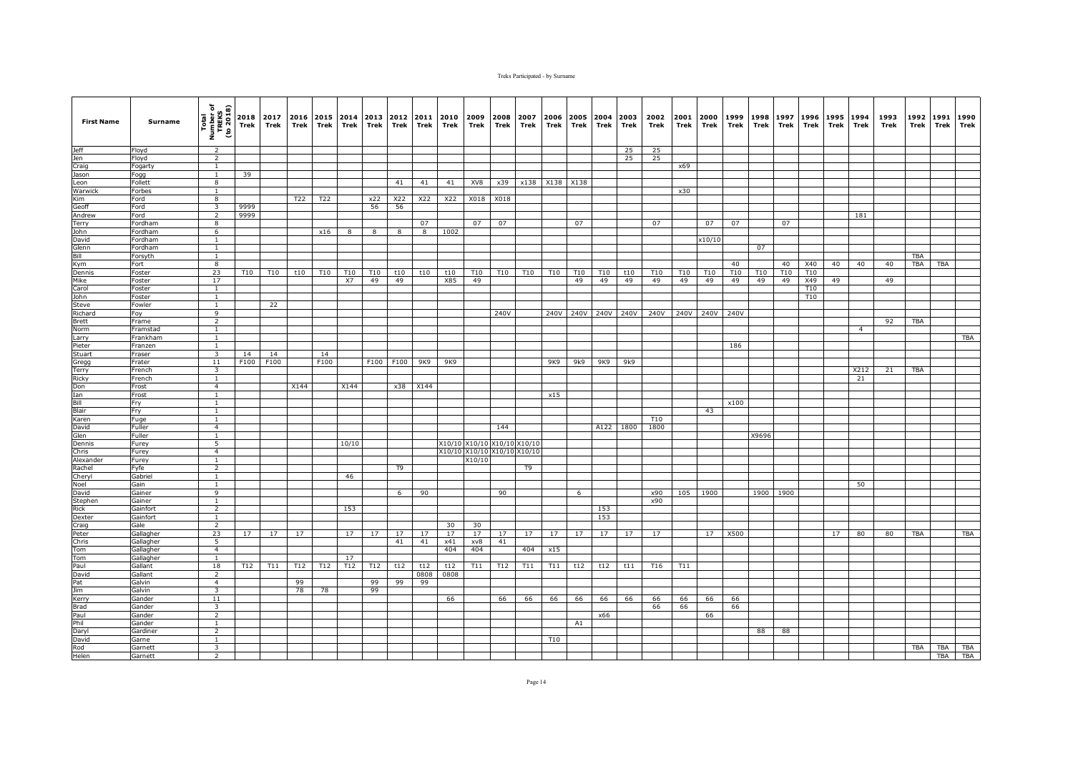| <b>First Name</b>    | Surname           | Total<br>Number of<br>TREKS<br>(to 2018) | Trek       | 2018 2017<br>Trek | 2016<br>Trek | 2015 2014<br>Trek | Trek       | 2013<br>Trek | 2012<br>Trek | 2011<br>Trek | 2010<br>Trek | 2009<br>Trek  | 2008<br>Trek | 2007<br>Trek                | 2006<br>Trek    | Trek  | 2005 2004<br>Trek | 2003<br>Trek        | 2002<br>Trek    | 2001<br>Trek | 2000<br>Trek | 1999<br>Trek     | 1998<br>Trek | 1997<br>Trek          | 1996<br>Trek | 1995<br>Trek | 1994<br>Trek   | 1993<br>Trek | 1992<br>Trek | 1991<br>Trek | 1990<br>Trek |
|----------------------|-------------------|------------------------------------------|------------|-------------------|--------------|-------------------|------------|--------------|--------------|--------------|--------------|---------------|--------------|-----------------------------|-----------------|-------|-------------------|---------------------|-----------------|--------------|--------------|------------------|--------------|-----------------------|--------------|--------------|----------------|--------------|--------------|--------------|--------------|
| <b>Jeff</b>          | Floyd             | $\overline{2}$                           |            |                   |              |                   |            |              |              |              |              |               |              |                             |                 |       |                   | 25                  | 25              |              |              |                  |              |                       |              |              |                |              |              |              |              |
| Jen                  | Floyd             | $\overline{2}$                           |            |                   |              |                   |            |              |              |              |              |               |              |                             |                 |       |                   | 25                  | 25              |              |              |                  |              |                       |              |              |                |              |              |              |              |
| Craig                | Fogarty           | $\mathbf{1}$                             |            |                   |              |                   |            |              |              |              |              |               |              |                             |                 |       |                   |                     |                 | x69          |              |                  |              |                       |              |              |                |              |              |              |              |
| Jason                | Fogg              | $\mathbf{1}$                             | 39         |                   |              |                   |            |              |              |              |              |               |              |                             |                 |       |                   |                     |                 |              |              |                  |              |                       |              |              |                |              |              |              |              |
| Leon<br>Warwick      | Follett<br>Forbes | 8<br>$\mathbf{1}$                        |            |                   |              |                   |            |              | 41           | 41           | 41           | XV8           | x39          | x138                        | X138 X138       |       |                   |                     |                 | x30          |              |                  |              |                       |              |              |                |              |              |              |              |
| Kim                  | Ford              | $\overline{8}$                           |            |                   | T22          | T22               |            | x22          | X22          | X22          | <b>X22</b>   | X018          | X018         |                             |                 |       |                   |                     |                 |              |              |                  |              |                       |              |              |                |              |              |              |              |
| Geoff                | Ford              | $\overline{\mathbf{3}}$                  | 9999       |                   |              |                   |            | 56           | 56           |              |              |               |              |                             |                 |       |                   |                     |                 |              |              |                  |              |                       |              |              |                |              |              |              |              |
| Andrew               | Ford              | 2                                        | 9999       |                   |              |                   |            |              |              |              |              |               |              |                             |                 |       |                   |                     |                 |              |              |                  |              |                       |              |              | 181            |              |              |              |              |
| <b>Terry</b>         | Fordham           | 8                                        |            |                   |              |                   |            |              |              | 07           |              | 07            | 07           |                             |                 | 07    |                   |                     | 07              |              | 07           | 07               |              | 07                    |              |              |                |              |              |              |              |
| John                 | Fordham           | 6                                        |            |                   |              | x16               | 8          | 8            | 8            | 8            | 1002         |               |              |                             |                 |       |                   |                     |                 |              |              |                  |              |                       |              |              |                |              |              |              |              |
| David                | Fordham           | <sup>1</sup>                             |            |                   |              |                   |            |              |              |              |              |               |              |                             |                 |       |                   |                     |                 |              | x10/10       |                  |              |                       |              |              |                |              |              |              |              |
| Glenn                | Fordham           | $\overline{1}$                           |            |                   |              |                   |            |              |              |              |              |               |              |                             |                 |       |                   |                     |                 |              |              |                  | 07           |                       |              |              |                |              |              |              |              |
| Bill                 | Forsyth           | $\mathbf{1}$                             |            |                   |              |                   |            |              |              |              |              |               |              |                             |                 |       |                   |                     |                 |              |              |                  |              |                       |              |              |                |              | TBA          |              |              |
| Kym<br>Dennis        | Fort<br>Foster    | $\overline{8}$<br>23                     | <b>T10</b> | T <sub>10</sub>   | t10          | T10               | <b>T10</b> | T10          | t10          | t10          | t10          | T10           | T10          | T <sub>10</sub>             | T <sub>10</sub> | T10   | T <sub>10</sub>   | t10                 | T10             | T10          | T10          | 40<br><b>T10</b> | <b>T10</b>   | 40<br>T <sub>10</sub> | X40<br>T10   | 40           | 40             | 40           | <b>TBA</b>   | <b>TBA</b>   |              |
| Mike                 | Foster            | 17                                       |            |                   |              |                   | X7         | 49           | 49           |              | X85          | 49            |              |                             |                 | 49    | 49                | 49                  | 49              | 49           | 49           | 49               | 49           | 49                    | X49          | 49           |                | 49           |              |              |              |
| Carol                | Foster            | $\mathbf{1}$                             |            |                   |              |                   |            |              |              |              |              |               |              |                             |                 |       |                   |                     |                 |              |              |                  |              |                       | T10          |              |                |              |              |              |              |
| John                 | Foster            | $\mathbf{1}$                             |            |                   |              |                   |            |              |              |              |              |               |              |                             |                 |       |                   |                     |                 |              |              |                  |              |                       | T10          |              |                |              |              |              |              |
| Steve                | Fowler            | $\overline{1}$                           |            | 22                |              |                   |            |              |              |              |              |               |              |                             |                 |       |                   |                     |                 |              |              |                  |              |                       |              |              |                |              |              |              |              |
| Richard              | Foy               | 9                                        |            |                   |              |                   |            |              |              |              |              |               | 240V         |                             |                 |       |                   | 240V 240V 240V 240V | 240V            |              | 240V 240V    | 240V             |              |                       |              |              |                |              |              |              |              |
| <b>Brett</b>         | Frame             | $\overline{2}$                           |            |                   |              |                   |            |              |              |              |              |               |              |                             |                 |       |                   |                     |                 |              |              |                  |              |                       |              |              |                | 92           | TBA          |              |              |
| Norm                 | Framstad          | 1                                        |            |                   |              |                   |            |              |              |              |              |               |              |                             |                 |       |                   |                     |                 |              |              |                  |              |                       |              |              | $\overline{4}$ |              |              |              |              |
| Larry                | Frankham          | $\overline{1}$                           |            |                   |              |                   |            |              |              |              |              |               |              |                             |                 |       |                   |                     |                 |              |              |                  |              |                       |              |              |                |              |              |              | TBA          |
| Pieter               | Franzen           | $\mathbf{1}$                             |            |                   |              |                   |            |              |              |              |              |               |              |                             |                 |       |                   |                     |                 |              |              | 186              |              |                       |              |              |                |              |              |              |              |
| Stuart               | Fraser<br>Frater  | 3<br>11                                  | 14<br>F100 | 14<br>F100        |              | 14<br>F100        |            |              | F100 F100    | 9K9          | 9K9          |               |              |                             | 9K9             | 9k9 l | 9K9               | 9k9                 |                 |              |              |                  |              |                       |              |              |                |              |              |              |              |
| Gregg<br>Terry       | French            | $\overline{\mathbf{3}}$                  |            |                   |              |                   |            |              |              |              |              |               |              |                             |                 |       |                   |                     |                 |              |              |                  |              |                       |              |              | X212           | 21           | <b>TBA</b>   |              |              |
| Ricky                | French            | $\mathbf{1}$                             |            |                   |              |                   |            |              |              |              |              |               |              |                             |                 |       |                   |                     |                 |              |              |                  |              |                       |              |              | 21             |              |              |              |              |
| Don                  | Frost             | $\overline{4}$                           |            |                   | X144         |                   | X144       |              | x38          | X144         |              |               |              |                             |                 |       |                   |                     |                 |              |              |                  |              |                       |              |              |                |              |              |              |              |
| Ian                  | Frost             | <sup>1</sup>                             |            |                   |              |                   |            |              |              |              |              |               |              |                             | x15             |       |                   |                     |                 |              |              |                  |              |                       |              |              |                |              |              |              |              |
| Bill                 | Fry               | <sup>1</sup>                             |            |                   |              |                   |            |              |              |              |              |               |              |                             |                 |       |                   |                     |                 |              |              | x100             |              |                       |              |              |                |              |              |              |              |
| Blair                | Fry               | $\mathbf{1}$                             |            |                   |              |                   |            |              |              |              |              |               |              |                             |                 |       |                   |                     |                 |              | 43           |                  |              |                       |              |              |                |              |              |              |              |
| Karen                | Fuge              | $\mathbf{1}$                             |            |                   |              |                   |            |              |              |              |              |               |              |                             |                 |       |                   |                     | T <sub>10</sub> |              |              |                  |              |                       |              |              |                |              |              |              |              |
| David                | Fuller<br>Fuller  | $\overline{4}$<br>$\overline{1}$         |            |                   |              |                   |            |              |              |              |              |               | 144          |                             |                 |       | A122              | 1800                | 1800            |              |              |                  | X9696        |                       |              |              |                |              |              |              |              |
| Glen<br>Dennis       | Furey             | $\overline{5}$                           |            |                   |              |                   | 10/10      |              |              |              |              | X10/10 X10/10 | X10/10       | X10/1                       |                 |       |                   |                     |                 |              |              |                  |              |                       |              |              |                |              |              |              |              |
| Chris                | Furey             | $\overline{4}$                           |            |                   |              |                   |            |              |              |              |              |               |              | X10/10 X10/10 X10/10 X10/10 |                 |       |                   |                     |                 |              |              |                  |              |                       |              |              |                |              |              |              |              |
| Alexander            | Furev             | 1                                        |            |                   |              |                   |            |              |              |              |              | X10/10        |              |                             |                 |       |                   |                     |                 |              |              |                  |              |                       |              |              |                |              |              |              |              |
| Rachel               | Fyfe              | $\overline{2}$                           |            |                   |              |                   |            |              | T9           |              |              |               |              | T9                          |                 |       |                   |                     |                 |              |              |                  |              |                       |              |              |                |              |              |              |              |
| Cheryl               | Gabriel           | $\mathbf{1}$                             |            |                   |              |                   | 46         |              |              |              |              |               |              |                             |                 |       |                   |                     |                 |              |              |                  |              |                       |              |              |                |              |              |              |              |
| Noel                 | Gain              | $\mathbf{1}$                             |            |                   |              |                   |            |              |              |              |              |               |              |                             |                 |       |                   |                     |                 |              |              |                  |              |                       |              |              | 50             |              |              |              |              |
| David                | Gainer            | 9                                        |            |                   |              |                   |            |              | 6            | 90           |              |               | 90           |                             |                 | 6     |                   |                     | x90             | 105          | 1900         |                  | 1900         | 1900                  |              |              |                |              |              |              |              |
| Stephen              | Gainer            | $\overline{1}$                           |            |                   |              |                   |            |              |              |              |              |               |              |                             |                 |       |                   |                     | x90             |              |              |                  |              |                       |              |              |                |              |              |              |              |
| Rick                 | Gainfort          | $\overline{2}$<br>$\overline{1}$         |            |                   |              |                   | 153        |              |              |              |              |               |              |                             |                 |       | 153<br>153        |                     |                 |              |              |                  |              |                       |              |              |                |              |              |              |              |
| Dexter<br>Craig      | Gainfort<br>Gale  | 2                                        |            |                   |              |                   |            |              |              |              | 30           | 30            |              |                             |                 |       |                   |                     |                 |              |              |                  |              |                       |              |              |                |              |              |              |              |
| Peter                | Gallagher         | 23                                       | 17         | 17                | 17           |                   | 17         | 17           | 17           | 17           | 17           | 17            | 17           | 17                          | 17              | 17    | 17                | 17                  | 17              |              | 17           | X500             |              |                       |              | 17           | 80             | 80           | <b>TBA</b>   |              | TBA          |
| Chris                | Gallagher         | $\overline{5}$                           |            |                   |              |                   |            |              | 41           | 41           | x41          | xv8           | 41           |                             |                 |       |                   |                     |                 |              |              |                  |              |                       |              |              |                |              |              |              |              |
| Tom                  | Gallagher         | $\overline{4}$                           |            |                   |              |                   |            |              |              |              | 404          | 404           |              | 404                         | x15             |       |                   |                     |                 |              |              |                  |              |                       |              |              |                |              |              |              |              |
| Tom                  | Gallagher         | $\mathbf{1}$                             |            |                   |              |                   | 17         |              |              |              |              |               |              |                             |                 |       |                   |                     |                 |              |              |                  |              |                       |              |              |                |              |              |              |              |
| Paul                 | Gallant           | 18                                       | T12        | T11               | T12          | T12               | T12        | T12          | t12          | t12          | t12          | T11           | T12          | T11                         | T11             | t12   | t12               | t11                 | T16             | T11          |              |                  |              |                       |              |              |                |              |              |              |              |
| David                | Gallant           | $\overline{2}$                           |            |                   |              |                   |            |              |              | 0808         | 0808         |               |              |                             |                 |       |                   |                     |                 |              |              |                  |              |                       |              |              |                |              |              |              |              |
| Pat                  | Galvin            | $\overline{4}$                           |            |                   | 99           |                   |            | 99           | 99           | 99           |              |               |              |                             |                 |       |                   |                     |                 |              |              |                  |              |                       |              |              |                |              |              |              |              |
| Jim                  | Galvin            | $\overline{3}$                           |            |                   | 78           | 78                |            | 99           |              |              |              |               |              |                             |                 |       |                   |                     |                 |              |              |                  |              |                       |              |              |                |              |              |              |              |
| Kerry<br><b>Brad</b> | Gander<br>Gander  | 11<br>$\overline{\mathbf{3}}$            |            |                   |              |                   |            |              |              |              | 66           |               | 66           | 66                          | 66              | 66    | 66                | 66                  | 66<br>66        | 66<br>66     | 66           | 66               |              |                       |              |              |                |              |              |              |              |
| Paul                 | Gander            | $\overline{2}$                           |            |                   |              |                   |            |              |              |              |              |               |              |                             |                 |       | x66               |                     |                 |              | 66           | 66               |              |                       |              |              |                |              |              |              |              |
| Phil                 | Gander            | $\mathbf{1}$                             |            |                   |              |                   |            |              |              |              |              |               |              |                             |                 | A1    |                   |                     |                 |              |              |                  |              |                       |              |              |                |              |              |              |              |
| Daryl                | Gardiner          | $\overline{2}$                           |            |                   |              |                   |            |              |              |              |              |               |              |                             |                 |       |                   |                     |                 |              |              |                  | 88           | 88                    |              |              |                |              |              |              |              |
| David                | Garne             | <sup>1</sup>                             |            |                   |              |                   |            |              |              |              |              |               |              |                             | T10             |       |                   |                     |                 |              |              |                  |              |                       |              |              |                |              |              |              |              |
| Rod                  | Garnett           | $\overline{3}$                           |            |                   |              |                   |            |              |              |              |              |               |              |                             |                 |       |                   |                     |                 |              |              |                  |              |                       |              |              |                |              | <b>TBA</b>   | TBA          | <b>TBA</b>   |
| Helen                | Garnett           | $\overline{2}$                           |            |                   |              |                   |            |              |              |              |              |               |              |                             |                 |       |                   |                     |                 |              |              |                  |              |                       |              |              |                |              |              | TBA          | TBA          |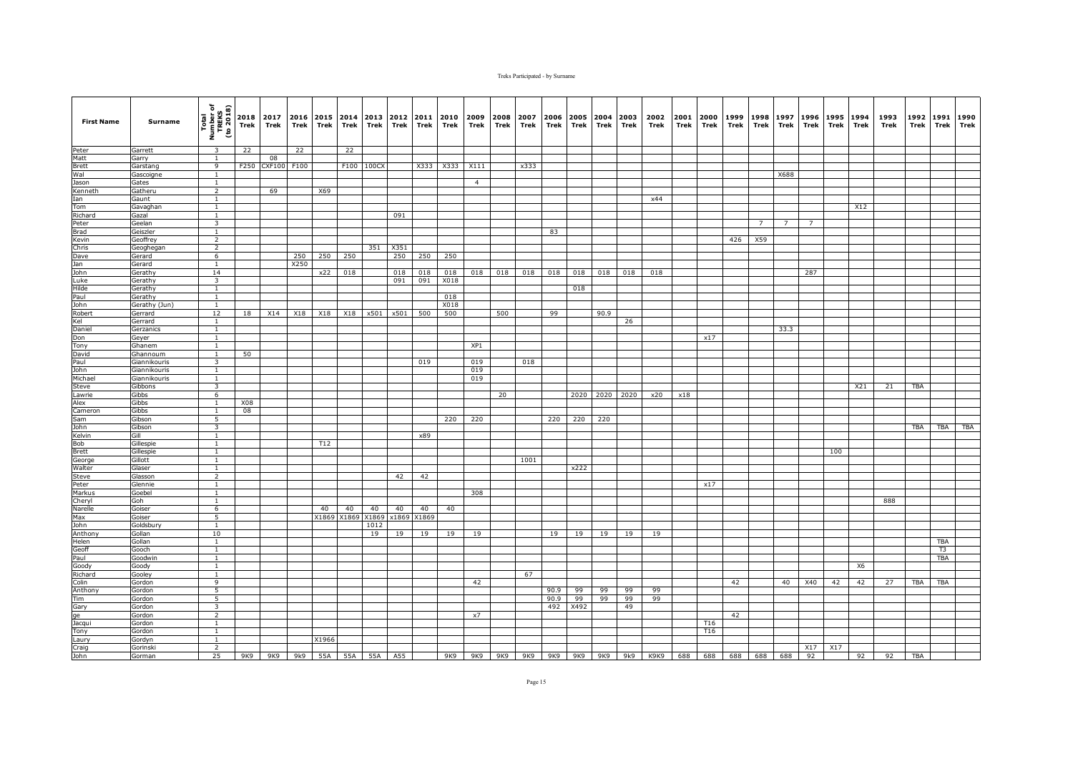| <b>First Name</b> | Surname               | Total<br>Number of<br>TREKS<br>(to 2018) | Trek      | 2018 2017<br>Trek | 2016<br>Trek | Trek  | 2015 2014<br>Trek | 2013<br>Trek            | 2012<br>Trek | 2011<br>Trek | 2010<br>Trek | 2009<br>Trek   | 2008<br>Trek | 2007<br>Trek | 2006<br>Trek | 2005<br>Trek | 2004<br>Trek | 2003<br>Trek | 2002<br>Trek     | 2001<br>Trek | 2000<br>Trek    | 1999<br>Trek | 1998<br>Trek   | 1997<br>Trek   | 1996<br>Trek   | 1995<br>Trek | 1994<br>Trek | 1993<br>Trek | 1992<br>Trek | 1991<br>Trek | 1990<br>Trek |
|-------------------|-----------------------|------------------------------------------|-----------|-------------------|--------------|-------|-------------------|-------------------------|--------------|--------------|--------------|----------------|--------------|--------------|--------------|--------------|--------------|--------------|------------------|--------------|-----------------|--------------|----------------|----------------|----------------|--------------|--------------|--------------|--------------|--------------|--------------|
| Peter             | Garrett               | $\overline{\mathbf{3}}$                  | 22        |                   | 22           |       | 22                |                         |              |              |              |                |              |              |              |              |              |              |                  |              |                 |              |                |                |                |              |              |              |              |              |              |
| Matt              | Garry                 | $\mathbf{1}$                             |           | 08                |              |       |                   |                         |              |              |              |                |              |              |              |              |              |              |                  |              |                 |              |                |                |                |              |              |              |              |              |              |
| <b>Brett</b>      | Garstang              | 9                                        | F250      | CXF100 F100       |              |       |                   | F100 100CX              |              | X333         | X333         | X111           |              | x333         |              |              |              |              |                  |              |                 |              |                |                |                |              |              |              |              |              |              |
| Wal<br>Jason      | Gascoigne<br>Gates    | 1<br>$\mathbf{1}$                        |           |                   |              |       |                   |                         |              |              |              | $\overline{4}$ |              |              |              |              |              |              |                  |              |                 |              |                | X688           |                |              |              |              |              |              |              |
| Kenneth           | Gatheru               | $\overline{2}$                           |           | 69                |              | X69   |                   |                         |              |              |              |                |              |              |              |              |              |              |                  |              |                 |              |                |                |                |              |              |              |              |              |              |
| Ian               | Gaunt                 | $\mathbf{1}$                             |           |                   |              |       |                   |                         |              |              |              |                |              |              |              |              |              |              | x44              |              |                 |              |                |                |                |              |              |              |              |              |              |
| Tom               | Gavaghan              | <sup>1</sup>                             |           |                   |              |       |                   |                         |              |              |              |                |              |              |              |              |              |              |                  |              |                 |              |                |                |                |              | X12          |              |              |              |              |
| Richard           | Gazal                 | $\mathbf{1}$                             |           |                   |              |       |                   |                         | 091          |              |              |                |              |              |              |              |              |              |                  |              |                 |              |                |                |                |              |              |              |              |              |              |
| Peter             | Geelan                | $\overline{3}$                           |           |                   |              |       |                   |                         |              |              |              |                |              |              |              |              |              |              |                  |              |                 |              | $\overline{7}$ | $\overline{7}$ | $\overline{7}$ |              |              |              |              |              |              |
| <b>Brad</b>       | Geiszler              | 1                                        |           |                   |              |       |                   |                         |              |              |              |                |              |              | 83           |              |              |              |                  |              |                 |              |                |                |                |              |              |              |              |              |              |
| Kevin<br>Chris    | Geoffrey<br>Geoghegan | $\overline{2}$<br>$\overline{2}$         |           |                   |              |       |                   | 351                     | X351         |              |              |                |              |              |              |              |              |              |                  |              |                 | 426          | X59            |                |                |              |              |              |              |              |              |
| Dave              | Gerard                | $6\overline{6}$                          |           |                   | 250          | 250   | 250               |                         | 250          | 250          | 250          |                |              |              |              |              |              |              |                  |              |                 |              |                |                |                |              |              |              |              |              |              |
| Jan               | Gerard                | $\mathbf{1}$                             |           |                   | X250         |       |                   |                         |              |              |              |                |              |              |              |              |              |              |                  |              |                 |              |                |                |                |              |              |              |              |              |              |
| John              | Gerathy               | 14                                       |           |                   |              | x22   | 018               |                         | 018          | 018          | 018          | 018            | 018          | 018          | 018          | 018          | 018          | 018          | 018              |              |                 |              |                |                | 287            |              |              |              |              |              |              |
| Luke              | Gerathy               | 3                                        |           |                   |              |       |                   |                         | 091          | 091          | X018         |                |              |              |              |              |              |              |                  |              |                 |              |                |                |                |              |              |              |              |              |              |
| Hilde             | Gerathy               | $\mathbf{1}$                             |           |                   |              |       |                   |                         |              |              |              |                |              |              |              | 018          |              |              |                  |              |                 |              |                |                |                |              |              |              |              |              |              |
| Paul              | Gerathy               | <sup>1</sup>                             |           |                   |              |       |                   |                         |              |              | 018          |                |              |              |              |              |              |              |                  |              |                 |              |                |                |                |              |              |              |              |              |              |
| John              | Gerathy (Jun)         | $\mathbf{1}$                             |           |                   |              |       |                   |                         |              |              | X018         |                |              |              |              |              |              |              |                  |              |                 |              |                |                |                |              |              |              |              |              |              |
| Robert            | Gerrard               | 12                                       | 18        | X14               | X18          | X18   | X18               | x501                    | x501         | 500          | 500          |                | 500          |              | 99           |              | 90.9         |              |                  |              |                 |              |                |                |                |              |              |              |              |              |              |
| Kel<br>Daniel     | Gerrard               | <sup>1</sup><br>$\mathbf{1}$             |           |                   |              |       |                   |                         |              |              |              |                |              |              |              |              |              | 26           |                  |              |                 |              |                | 33.3           |                |              |              |              |              |              |              |
| Don               | Gerzanics<br>Geyer    | $\overline{1}$                           |           |                   |              |       |                   |                         |              |              |              |                |              |              |              |              |              |              |                  |              | x17             |              |                |                |                |              |              |              |              |              |              |
| Tony              | Ghanem                | <sup>1</sup>                             |           |                   |              |       |                   |                         |              |              |              | XP1            |              |              |              |              |              |              |                  |              |                 |              |                |                |                |              |              |              |              |              |              |
| David             | Ghannoum              | $\mathbf{1}$                             | 50        |                   |              |       |                   |                         |              |              |              |                |              |              |              |              |              |              |                  |              |                 |              |                |                |                |              |              |              |              |              |              |
| Paul              | <b>Giannikouris</b>   | 3                                        |           |                   |              |       |                   |                         |              | 019          |              | 019            |              | 018          |              |              |              |              |                  |              |                 |              |                |                |                |              |              |              |              |              |              |
| John              | Giannikouris          | $\mathbf{1}$                             |           |                   |              |       |                   |                         |              |              |              | 019            |              |              |              |              |              |              |                  |              |                 |              |                |                |                |              |              |              |              |              |              |
| Michael           | Giannikouris          | $\mathbf{1}$                             |           |                   |              |       |                   |                         |              |              |              | 019            |              |              |              |              |              |              |                  |              |                 |              |                |                |                |              |              |              |              |              |              |
| Steve             | Gibbons               | $\overline{\mathbf{3}}$                  |           |                   |              |       |                   |                         |              |              |              |                |              |              |              |              |              |              |                  |              |                 |              |                |                |                |              | X21          | 21           | <b>TBA</b>   |              |              |
| Lawrie            | Gibbs                 | 6                                        |           |                   |              |       |                   |                         |              |              |              |                | 20           |              |              |              | 2020 2020    | 2020         | x20              | x18          |                 |              |                |                |                |              |              |              |              |              |              |
| Alex<br>Cameron   | Gibbs<br><b>Gibbs</b> | $\mathbf{1}$<br>$\mathbf{1}$             | X08<br>08 |                   |              |       |                   |                         |              |              |              |                |              |              |              |              |              |              |                  |              |                 |              |                |                |                |              |              |              |              |              |              |
| Sam               | Gibson                | 5                                        |           |                   |              |       |                   |                         |              |              | 220          | 220            |              |              | 220          | 220          | 220          |              |                  |              |                 |              |                |                |                |              |              |              |              |              |              |
| John              | Gibson                | 3                                        |           |                   |              |       |                   |                         |              |              |              |                |              |              |              |              |              |              |                  |              |                 |              |                |                |                |              |              |              | TBA          | TBA          | <b>TBA</b>   |
| Kelvin            | Gill                  | $\mathbf{1}$                             |           |                   |              |       |                   |                         |              | x89          |              |                |              |              |              |              |              |              |                  |              |                 |              |                |                |                |              |              |              |              |              |              |
| Bob               | Gillespie             | <sup>1</sup>                             |           |                   |              | T12   |                   |                         |              |              |              |                |              |              |              |              |              |              |                  |              |                 |              |                |                |                |              |              |              |              |              |              |
| <b>Brett</b>      | Gillespie             | $\mathbf{1}$                             |           |                   |              |       |                   |                         |              |              |              |                |              |              |              |              |              |              |                  |              |                 |              |                |                |                | 100          |              |              |              |              |              |
| George            | Gillott               | $\mathbf{1}$                             |           |                   |              |       |                   |                         |              |              |              |                |              | 1001         |              |              |              |              |                  |              |                 |              |                |                |                |              |              |              |              |              |              |
| Walter            | Glaser                | $\mathbf{1}$                             |           |                   |              |       |                   |                         |              |              |              |                |              |              |              | x222         |              |              |                  |              |                 |              |                |                |                |              |              |              |              |              |              |
| Steve             | Glasson               | $\overline{2}$                           |           |                   |              |       |                   |                         | 42           | 42           |              |                |              |              |              |              |              |              |                  |              |                 |              |                |                |                |              |              |              |              |              |              |
| Peter<br>Markus   | Glennie<br>Goebel     | $\overline{1}$<br>$\overline{1}$         |           |                   |              |       |                   |                         |              |              |              | 308            |              |              |              |              |              |              |                  |              | x17             |              |                |                |                |              |              |              |              |              |              |
| Cheryl            | Goh                   | <sup>1</sup>                             |           |                   |              |       |                   |                         |              |              |              |                |              |              |              |              |              |              |                  |              |                 |              |                |                |                |              |              | 888          |              |              |              |
| Narelle           | Goiser                | 6                                        |           |                   |              | 40    | 40                | 40                      | 40           | 40           | 40           |                |              |              |              |              |              |              |                  |              |                 |              |                |                |                |              |              |              |              |              |              |
| Max               | Goiser                | 5                                        |           |                   |              | X1869 | X1869             | X1869                   | x1869        | X1869        |              |                |              |              |              |              |              |              |                  |              |                 |              |                |                |                |              |              |              |              |              |              |
| John              | Goldsbury             | $\overline{1}$                           |           |                   |              |       |                   | 1012                    |              |              |              |                |              |              |              |              |              |              |                  |              |                 |              |                |                |                |              |              |              |              |              |              |
| Anthony           | Gollan                | 10                                       |           |                   |              |       |                   | 19                      | 19           | 19           | 19           | 19             |              |              | 19           | 19           | 19           | 19           | 19               |              |                 |              |                |                |                |              |              |              |              |              |              |
| Helen             | Gollan                | $\mathbf{1}$                             |           |                   |              |       |                   |                         |              |              |              |                |              |              |              |              |              |              |                  |              |                 |              |                |                |                |              |              |              |              | TBA          |              |
| Geoff             | Gooch                 | $\overline{1}$                           |           |                   |              |       |                   |                         |              |              |              |                |              |              |              |              |              |              |                  |              |                 |              |                |                |                |              |              |              |              | T3           |              |
| Paul              | Goodwin               | <sup>1</sup>                             |           |                   |              |       |                   |                         |              |              |              |                |              |              |              |              |              |              |                  |              |                 |              |                |                |                |              |              |              |              | TBA          |              |
| Goody<br>Richard  | Goody<br>Gooley       | $\mathbf{1}$<br>$\mathbf{1}$             |           |                   |              |       |                   |                         |              |              |              |                |              | 67           |              |              |              |              |                  |              |                 |              |                |                |                |              | X6           |              |              |              |              |
| Colin             | Gordon                | $\overline{9}$                           |           |                   |              |       |                   |                         |              |              |              | 42             |              |              |              |              |              |              |                  |              |                 | 42           |                | 40             | X40            | 42           | 42           | 27           | <b>TBA</b>   | <b>TBA</b>   |              |
| Anthony           | Gordon                | $\overline{5}$                           |           |                   |              |       |                   |                         |              |              |              |                |              |              | 90.9         | 99           | 99           | 99           | 99               |              |                 |              |                |                |                |              |              |              |              |              |              |
| Tim               | Gordon                | 5                                        |           |                   |              |       |                   |                         |              |              |              |                |              |              | 90.9         | 99           | 99           | 99           | 99               |              |                 |              |                |                |                |              |              |              |              |              |              |
| Gary              | Gordon                | 3                                        |           |                   |              |       |                   |                         |              |              |              |                |              |              | 492          | X492         |              | 49           |                  |              |                 |              |                |                |                |              |              |              |              |              |              |
| ge                | Gordon                | $\overline{2}$                           |           |                   |              |       |                   |                         |              |              |              | x7             |              |              |              |              |              |              |                  |              |                 | 42           |                |                |                |              |              |              |              |              |              |
| Jacqui            | Gordon                | 1                                        |           |                   |              |       |                   |                         |              |              |              |                |              |              |              |              |              |              |                  |              | T16             |              |                |                |                |              |              |              |              |              |              |
| Tony              | Gordon                | 1                                        |           |                   |              |       |                   |                         |              |              |              |                |              |              |              |              |              |              |                  |              | T <sub>16</sub> |              |                |                |                |              |              |              |              |              |              |
| Laury             | Gordyn                | $\mathbf{1}$                             |           |                   |              | X1966 |                   |                         |              |              |              |                |              |              |              |              |              |              |                  |              |                 |              |                |                |                |              |              |              |              |              |              |
| Craig<br>John     | Gorinski<br>Gorman    | $\overline{2}$<br>25                     | 9K9       |                   |              |       |                   | 9K9 9k9 55A 55A 55A A55 |              |              |              | 9K9 9K9 9K9    |              | 9K9          | 9K9          |              | 9K9 9K9      |              | 9k9 K9K9 688 688 |              |                 |              |                | 688 688 688    | X17<br>92      | X17          | 92           | 92           | TBA          |              |              |
|                   |                       |                                          |           |                   |              |       |                   |                         |              |              |              |                |              |              |              |              |              |              |                  |              |                 |              |                |                |                |              |              |              |              |              |              |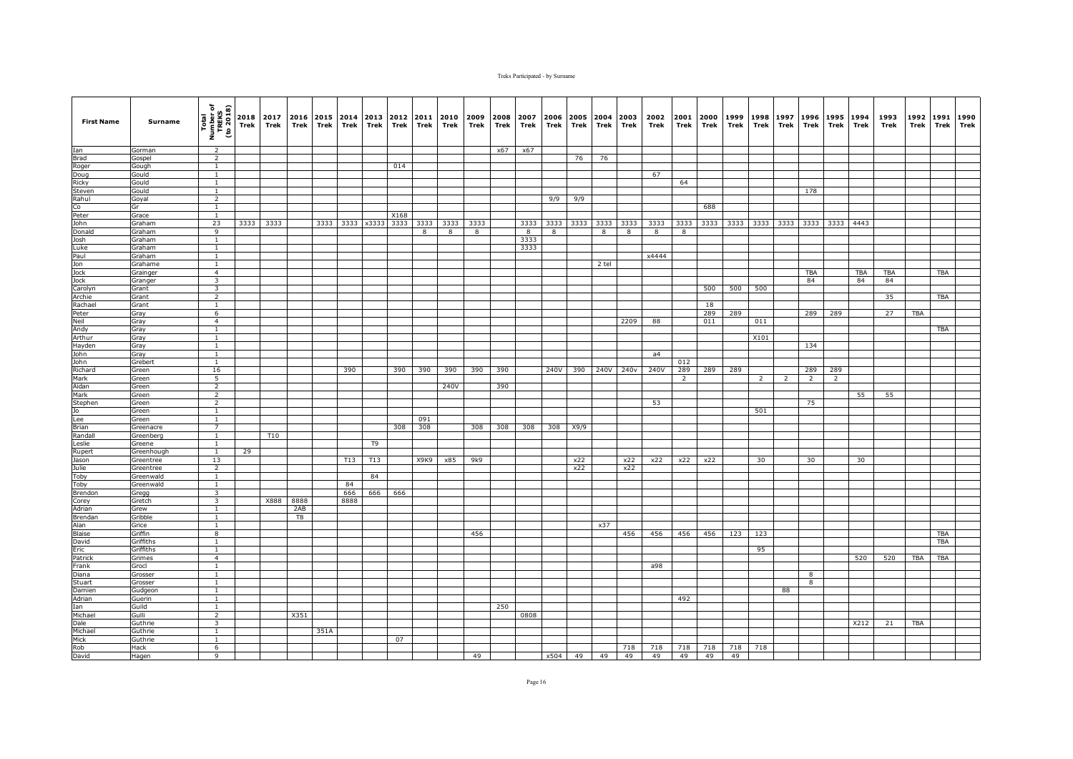| <b>First Name</b> | Surname           | Total<br>Number of<br>TREKS<br>(to 2018) | Trek | 2018 2017<br>Trek | 2016<br>Trek | Trek | 2015 2014<br>Trek | 2013<br>Trek    | 2012<br>Trek | 2011<br>Trek | 2010<br>Trek | 2009<br>Trek | 2008<br>Trek | 2007<br>Trek | 2006<br>Trek | Trek | Trek      | 2005 2004 2003<br>Trek | 2002<br>Trek | 2001<br>Trek   | 2000<br>Trek | 1999<br>Trek | 1998<br>Trek | 1997<br>Trek   | 1996<br>Trek   | 1995<br>Trek   | 1994<br>Trek | 1993<br>Trek | 1992<br>Trek | 1991<br><b>Trek</b> | 1990<br>Trek |
|-------------------|-------------------|------------------------------------------|------|-------------------|--------------|------|-------------------|-----------------|--------------|--------------|--------------|--------------|--------------|--------------|--------------|------|-----------|------------------------|--------------|----------------|--------------|--------------|--------------|----------------|----------------|----------------|--------------|--------------|--------------|---------------------|--------------|
| Ian               | Gorman            | $\overline{2}$                           |      |                   |              |      |                   |                 |              |              |              |              | x67          | x67          |              |      |           |                        |              |                |              |              |              |                |                |                |              |              |              |                     |              |
| <b>Brad</b>       | Gospel            | $\overline{2}$                           |      |                   |              |      |                   |                 |              |              |              |              |              |              |              | 76   | 76        |                        |              |                |              |              |              |                |                |                |              |              |              |                     |              |
| Roger             | Gough             | $\mathbf{1}$                             |      |                   |              |      |                   |                 | 014          |              |              |              |              |              |              |      |           |                        |              |                |              |              |              |                |                |                |              |              |              |                     |              |
| Doug              | Gould             | $\mathbf{1}$                             |      |                   |              |      |                   |                 |              |              |              |              |              |              |              |      |           |                        | 67           |                |              |              |              |                |                |                |              |              |              |                     |              |
| Ricky<br>Steven   | Gould<br>Gould    | $\mathbf{1}$<br><sup>1</sup>             |      |                   |              |      |                   |                 |              |              |              |              |              |              |              |      |           |                        |              | 64             |              |              |              |                | 178            |                |              |              |              |                     |              |
| Rahul             | Goyal             | $\overline{2}$                           |      |                   |              |      |                   |                 |              |              |              |              |              |              | 9/9          | 9/9  |           |                        |              |                |              |              |              |                |                |                |              |              |              |                     |              |
| Co                | Gr                | $\mathbf{1}$                             |      |                   |              |      |                   |                 |              |              |              |              |              |              |              |      |           |                        |              |                | 688          |              |              |                |                |                |              |              |              |                     |              |
| Peter             | Grace             | $\mathbf{1}$                             |      |                   |              |      |                   |                 | X168         |              |              |              |              |              |              |      |           |                        |              |                |              |              |              |                |                |                |              |              |              |                     |              |
| John              | Graham            | 23                                       | 3333 | 3333              |              |      |                   | 3333 3333 x3333 | 3333         | 3333         | 3333         | 3333         |              | 3333         | 3333         |      | 3333 3333 | 3333                   | 3333         | 3333           | 3333         |              |              | 3333 3333 3333 | 3333           | 3333           | 4443         |              |              |                     |              |
| Donald            | Graham            | 9                                        |      |                   |              |      |                   |                 |              | 8            | 8            | 8            |              | 8            | 8            |      | 8         | 8                      | 8            | 8              |              |              |              |                |                |                |              |              |              |                     |              |
| Josh              | Graham            | <sup>1</sup>                             |      |                   |              |      |                   |                 |              |              |              |              |              | 3333         |              |      |           |                        |              |                |              |              |              |                |                |                |              |              |              |                     |              |
| Luke              | Graham            | $\overline{1}$                           |      |                   |              |      |                   |                 |              |              |              |              |              | 3333         |              |      |           |                        |              |                |              |              |              |                |                |                |              |              |              |                     |              |
| Paul<br>Jon       | Graham<br>Grahame | $\mathbf{1}$<br><sup>1</sup>             |      |                   |              |      |                   |                 |              |              |              |              |              |              |              |      | 2 tel     |                        | x4444        |                |              |              |              |                |                |                |              |              |              |                     |              |
| Jock              | Grainger          | $\overline{4}$                           |      |                   |              |      |                   |                 |              |              |              |              |              |              |              |      |           |                        |              |                |              |              |              |                | <b>TBA</b>     |                | TBA          | TBA          |              | <b>TBA</b>          |              |
| Jock              | Granger           | $\overline{\mathbf{3}}$                  |      |                   |              |      |                   |                 |              |              |              |              |              |              |              |      |           |                        |              |                |              |              |              |                | 84             |                | 84           | 84           |              |                     |              |
| Carolyn           | Grant             | $\overline{\mathbf{3}}$                  |      |                   |              |      |                   |                 |              |              |              |              |              |              |              |      |           |                        |              |                | 500          | 500          | 500          |                |                |                |              |              |              |                     |              |
| Archie            | Grant             | $\overline{2}$                           |      |                   |              |      |                   |                 |              |              |              |              |              |              |              |      |           |                        |              |                |              |              |              |                |                |                |              | 35           |              | <b>TBA</b>          |              |
| Rachael           | Grant             | $\mathbf{1}$                             |      |                   |              |      |                   |                 |              |              |              |              |              |              |              |      |           |                        |              |                | 18           |              |              |                |                |                |              |              |              |                     |              |
| Peter             | Gray              | 6                                        |      |                   |              |      |                   |                 |              |              |              |              |              |              |              |      |           |                        |              |                | 289          | 289          |              |                | 289            | 289            |              | 27           | <b>TBA</b>   |                     |              |
| Neil              | Gray              | $\overline{4}$                           |      |                   |              |      |                   |                 |              |              |              |              |              |              |              |      |           | 2209                   | 88           |                | 011          |              | 011          |                |                |                |              |              |              |                     |              |
| Andy<br>Arthur    | Gray              | $\mathbf{1}$<br>$\mathbf{1}$             |      |                   |              |      |                   |                 |              |              |              |              |              |              |              |      |           |                        |              |                |              |              | X101         |                |                |                |              |              |              | TBA                 |              |
| Hayden            | Gray<br>Gray      | <sup>1</sup>                             |      |                   |              |      |                   |                 |              |              |              |              |              |              |              |      |           |                        |              |                |              |              |              |                | 134            |                |              |              |              |                     |              |
| John              | Gray              | $\mathbf{1}$                             |      |                   |              |      |                   |                 |              |              |              |              |              |              |              |      |           |                        | a4           |                |              |              |              |                |                |                |              |              |              |                     |              |
| John              | Grebert           | $\mathbf{1}$                             |      |                   |              |      |                   |                 |              |              |              |              |              |              |              |      |           |                        |              | 012            |              |              |              |                |                |                |              |              |              |                     |              |
| Richard           | Green             | 16                                       |      |                   |              |      | 390               |                 | 390          | 390          | 390          | 390          | 390          |              | 240V         | 390  | 240V      | 240v                   | 240V         | 289            | 289          | 289          |              |                | 289            | 289            |              |              |              |                     |              |
| Mark              | Green             | 5                                        |      |                   |              |      |                   |                 |              |              |              |              |              |              |              |      |           |                        |              | $\overline{2}$ |              |              | 2            | $\mathcal{L}$  | $\overline{2}$ | $\overline{2}$ |              |              |              |                     |              |
| Aidan             | Green             | $\overline{2}$                           |      |                   |              |      |                   |                 |              |              | 240V         |              | 390          |              |              |      |           |                        |              |                |              |              |              |                |                |                |              |              |              |                     |              |
| Mark              | Green             | $\overline{2}$                           |      |                   |              |      |                   |                 |              |              |              |              |              |              |              |      |           |                        |              |                |              |              |              |                |                |                | 55           | 55           |              |                     |              |
| Stephen<br>Jo     | Green<br>Green    | $\overline{2}$<br><sup>1</sup>           |      |                   |              |      |                   |                 |              |              |              |              |              |              |              |      |           |                        | 53           |                |              |              | 501          |                | 75             |                |              |              |              |                     |              |
| Lee               | Green             | <sup>1</sup>                             |      |                   |              |      |                   |                 |              | 091          |              |              |              |              |              |      |           |                        |              |                |              |              |              |                |                |                |              |              |              |                     |              |
| Brian             | Greenacre         | $\overline{7}$                           |      |                   |              |      |                   |                 | 308          | 308          |              | 308          | 308          | 308          | 308          | X9/9 |           |                        |              |                |              |              |              |                |                |                |              |              |              |                     |              |
| Randall           | Greenberg         | $\overline{1}$                           |      | T10               |              |      |                   |                 |              |              |              |              |              |              |              |      |           |                        |              |                |              |              |              |                |                |                |              |              |              |                     |              |
| Leslie            | Greene            | $\mathbf{1}$                             |      |                   |              |      |                   | T <sub>9</sub>  |              |              |              |              |              |              |              |      |           |                        |              |                |              |              |              |                |                |                |              |              |              |                     |              |
| Rupert            | Greenhough        | $\overline{1}$                           | 29   |                   |              |      |                   |                 |              |              |              |              |              |              |              |      |           |                        |              |                |              |              |              |                |                |                |              |              |              |                     |              |
| Jason             | Greentree         | 13                                       |      |                   |              |      | T13               | T13             |              | X9K9         | x85          | 9k9          |              |              |              | x22  |           | x22                    | x22          | x22            | x22          |              | 30           |                | 30             |                | 30           |              |              |                     |              |
| Julie             | Greentree         | $\overline{2}$                           |      |                   |              |      |                   |                 |              |              |              |              |              |              |              | x22  |           | x22                    |              |                |              |              |              |                |                |                |              |              |              |                     |              |
| Toby              | Greenwald         | $\mathbf{1}$                             |      |                   |              |      |                   | 84              |              |              |              |              |              |              |              |      |           |                        |              |                |              |              |              |                |                |                |              |              |              |                     |              |
| Toby              | Greenwald         | <sup>1</sup><br>$\overline{\mathbf{3}}$  |      |                   |              |      | 84                |                 | 666          |              |              |              |              |              |              |      |           |                        |              |                |              |              |              |                |                |                |              |              |              |                     |              |
| Brendon<br>Corey  | Gregg<br>Gretch   | $\overline{\mathbf{3}}$                  |      |                   | X888 8888    |      | 666<br>8888       | 666             |              |              |              |              |              |              |              |      |           |                        |              |                |              |              |              |                |                |                |              |              |              |                     |              |
| Adrian            | Grew              | <sup>1</sup>                             |      |                   | 2AB          |      |                   |                 |              |              |              |              |              |              |              |      |           |                        |              |                |              |              |              |                |                |                |              |              |              |                     |              |
| Brendan           | Gribble           | $\mathbf{1}$                             |      |                   | T8           |      |                   |                 |              |              |              |              |              |              |              |      |           |                        |              |                |              |              |              |                |                |                |              |              |              |                     |              |
| Alan              | Grice             | $\mathbf{1}$                             |      |                   |              |      |                   |                 |              |              |              |              |              |              |              |      | x37       |                        |              |                |              |              |              |                |                |                |              |              |              |                     |              |
| <b>Blaise</b>     | Griffin           | 8                                        |      |                   |              |      |                   |                 |              |              |              | 456          |              |              |              |      |           | 456                    | 456          | 456            | 456          | 123          | 123          |                |                |                |              |              |              | <b>TBA</b>          |              |
| David             | Griffiths         | $\mathbf{1}$                             |      |                   |              |      |                   |                 |              |              |              |              |              |              |              |      |           |                        |              |                |              |              |              |                |                |                |              |              |              | <b>TBA</b>          |              |
| Eric              | Griffiths         | <sup>1</sup>                             |      |                   |              |      |                   |                 |              |              |              |              |              |              |              |      |           |                        |              |                |              |              | 95           |                |                |                |              |              |              |                     |              |
| Patrick           | Grimes            | $\overline{4}$                           |      |                   |              |      |                   |                 |              |              |              |              |              |              |              |      |           |                        |              |                |              |              |              |                |                |                | 520          | 520          | TBA          | TBA                 |              |
| Frank<br>Diana    | Grocl<br>Grosser  | $\mathbf{1}$<br><sup>1</sup>             |      |                   |              |      |                   |                 |              |              |              |              |              |              |              |      |           |                        | a98          |                |              |              |              |                | 8              |                |              |              |              |                     |              |
| Stuart            | Grosser           | $\mathbf{1}$                             |      |                   |              |      |                   |                 |              |              |              |              |              |              |              |      |           |                        |              |                |              |              |              |                | 8              |                |              |              |              |                     |              |
| Damien            | Gudgeon           | $\overline{1}$                           |      |                   |              |      |                   |                 |              |              |              |              |              |              |              |      |           |                        |              |                |              |              |              | 88             |                |                |              |              |              |                     |              |
| Adrian            | Guerin            | <sup>1</sup>                             |      |                   |              |      |                   |                 |              |              |              |              |              |              |              |      |           |                        |              | 492            |              |              |              |                |                |                |              |              |              |                     |              |
| Ian               | Guild             | <sup>1</sup>                             |      |                   |              |      |                   |                 |              |              |              |              | 250          |              |              |      |           |                        |              |                |              |              |              |                |                |                |              |              |              |                     |              |
| Michael           | Gulli             | $\overline{2}$                           |      |                   | X351         |      |                   |                 |              |              |              |              |              | 0808         |              |      |           |                        |              |                |              |              |              |                |                |                |              |              |              |                     |              |
| Dale              | Guthrie           | 3                                        |      |                   |              |      |                   |                 |              |              |              |              |              |              |              |      |           |                        |              |                |              |              |              |                |                |                | X212         | 21           | TBA          |                     |              |
| Michael           | Guthrie           | $\mathbf{1}$                             |      |                   |              | 351A |                   |                 |              |              |              |              |              |              |              |      |           |                        |              |                |              |              |              |                |                |                |              |              |              |                     |              |
| Mick              | Guthrie           | $\overline{1}$                           |      |                   |              |      |                   |                 | 07           |              |              |              |              |              |              |      |           |                        |              |                |              |              |              |                |                |                |              |              |              |                     |              |
| Rob<br>David      | Hack<br>Hagen     | 6<br>9                                   |      |                   |              |      |                   |                 |              |              |              | 49           |              |              | x504         | 49   | 49        | 718<br>49              | 718<br>49    | 718<br>49      | 718<br>49    | 718<br>49    | 718          |                |                |                |              |              |              |                     |              |
|                   |                   |                                          |      |                   |              |      |                   |                 |              |              |              |              |              |              |              |      |           |                        |              |                |              |              |              |                |                |                |              |              |              |                     |              |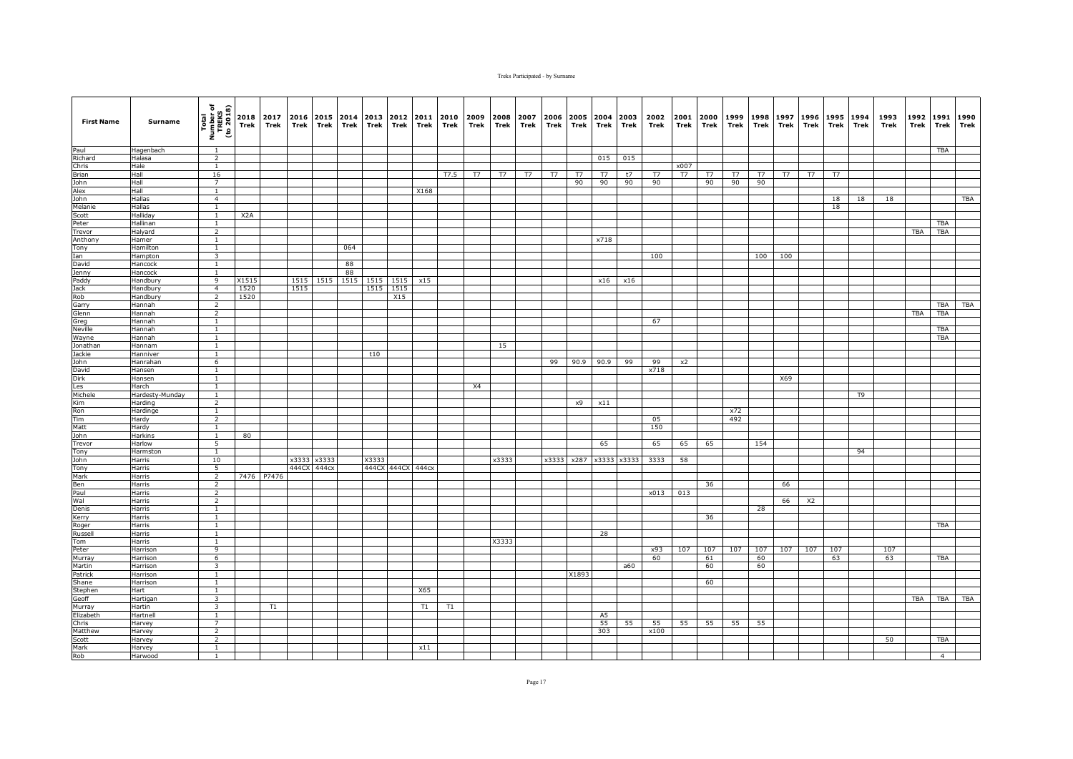| <b>First Name</b> | Surname                 | Total<br>Number of<br>TREKS<br>(to 2018) | Trek             | 2018 2017<br>Trek | 2016<br>Trek | 2015 2014<br>Trek | Trek | 2013<br>Trek | 2012<br>Trek | 2011<br>Trek | 2010<br>Trek | 2009<br>Trek | 2008<br>Trek | 2007<br>Trek | 2006<br>Trek | Trek  | 2005 2004 2003<br>Trek | Trek  | 2002<br>Trek | 2001<br>Trek | 2000<br>Trek | 1999<br>Trek | 1998<br>Trek | 1997<br>Trek | 1996<br>Trek | 1995<br>Trek | 1994<br>Trek | 1993<br>Trek | 1992<br>Trek | 1991<br><b>Trek</b> | 1990<br>Trek |
|-------------------|-------------------------|------------------------------------------|------------------|-------------------|--------------|-------------------|------|--------------|--------------|--------------|--------------|--------------|--------------|--------------|--------------|-------|------------------------|-------|--------------|--------------|--------------|--------------|--------------|--------------|--------------|--------------|--------------|--------------|--------------|---------------------|--------------|
| Paul              | Hagenbach               | <sup>1</sup>                             |                  |                   |              |                   |      |              |              |              |              |              |              |              |              |       |                        |       |              |              |              |              |              |              |              |              |              |              |              | <b>TBA</b>          |              |
| Richard           | Halasa                  | $\overline{2}$                           |                  |                   |              |                   |      |              |              |              |              |              |              |              |              |       | 015                    | 015   |              |              |              |              |              |              |              |              |              |              |              |                     |              |
| Chris             | Hale                    | $\mathbf{1}$                             |                  |                   |              |                   |      |              |              |              |              |              |              |              |              |       |                        |       |              | x007         |              |              |              |              |              |              |              |              |              |                     |              |
| <b>Brian</b>      | Hall                    | 16                                       |                  |                   |              |                   |      |              |              |              | T7.5         | T7           | T7           | T7           | T7           | T7    | T7                     | t7    | T7           | T7           | T7           | T7           | T7           | T7           | T7           | T7           |              |              |              |                     |              |
| John              | Hall                    | 7                                        |                  |                   |              |                   |      |              |              |              |              |              |              |              |              | 90    | 90                     | 90    | 90           |              | 90           | 90           | 90           |              |              |              |              |              |              |                     |              |
| Alex              | Hall                    | <sup>1</sup>                             |                  |                   |              |                   |      |              |              | X168         |              |              |              |              |              |       |                        |       |              |              |              |              |              |              |              |              |              |              |              |                     |              |
| John              | Hallas                  | $\overline{4}$                           |                  |                   |              |                   |      |              |              |              |              |              |              |              |              |       |                        |       |              |              |              |              |              |              |              | 18           | 18           | 18           |              |                     | <b>TBA</b>   |
| Melanie<br>Scott  | Hallas<br>Halliday      | $\mathbf{1}$<br>$\mathbf{1}$             | X <sub>2</sub> A |                   |              |                   |      |              |              |              |              |              |              |              |              |       |                        |       |              |              |              |              |              |              |              | 18           |              |              |              |                     |              |
| Peter             | Hallinan                | $\mathbf{1}$                             |                  |                   |              |                   |      |              |              |              |              |              |              |              |              |       |                        |       |              |              |              |              |              |              |              |              |              |              |              | <b>TBA</b>          |              |
| Trevor            | Halyard                 | $\overline{2}$                           |                  |                   |              |                   |      |              |              |              |              |              |              |              |              |       |                        |       |              |              |              |              |              |              |              |              |              |              | <b>TBA</b>   | TBA                 |              |
| Anthony           | Hamer                   | $\mathbf{1}$                             |                  |                   |              |                   |      |              |              |              |              |              |              |              |              |       | x718                   |       |              |              |              |              |              |              |              |              |              |              |              |                     |              |
| Tony              | Hamilton                | $\overline{1}$                           |                  |                   |              |                   | 064  |              |              |              |              |              |              |              |              |       |                        |       |              |              |              |              |              |              |              |              |              |              |              |                     |              |
| Ian               | Hampton                 | 3                                        |                  |                   |              |                   |      |              |              |              |              |              |              |              |              |       |                        |       | 100          |              |              |              | 100          | 100          |              |              |              |              |              |                     |              |
| David             | Hancock                 | $\mathbf{1}$                             |                  |                   |              |                   | 88   |              |              |              |              |              |              |              |              |       |                        |       |              |              |              |              |              |              |              |              |              |              |              |                     |              |
| Jenny             | Hancock                 | $\mathbf{1}$                             |                  |                   |              |                   | 88   |              |              |              |              |              |              |              |              |       |                        |       |              |              |              |              |              |              |              |              |              |              |              |                     |              |
| Paddy             | Handbury                | 9                                        | X1515            |                   | 1515         | 1515              | 1515 | 1515         | 1515         | x15          |              |              |              |              |              |       | x16                    | x16   |              |              |              |              |              |              |              |              |              |              |              |                     |              |
| Jack              | Handbury                | $\overline{4}$                           | 1520             |                   | 1515         |                   |      | 1515         | 1515         |              |              |              |              |              |              |       |                        |       |              |              |              |              |              |              |              |              |              |              |              |                     |              |
| Rob               | Handbury                | $\overline{2}$                           | 1520             |                   |              |                   |      |              | X15          |              |              |              |              |              |              |       |                        |       |              |              |              |              |              |              |              |              |              |              |              |                     |              |
| Garry             | Hannah                  | $\overline{2}$<br>$\overline{2}$         |                  |                   |              |                   |      |              |              |              |              |              |              |              |              |       |                        |       |              |              |              |              |              |              |              |              |              |              | <b>TBA</b>   | TBA<br><b>TBA</b>   | <b>TBA</b>   |
| Glenn             | Hannah<br>Hannah        |                                          |                  |                   |              |                   |      |              |              |              |              |              |              |              |              |       |                        |       | 67           |              |              |              |              |              |              |              |              |              |              |                     |              |
| Greg<br>Neville   | Hannah                  | $\mathbf{1}$<br>$\mathbf{1}$             |                  |                   |              |                   |      |              |              |              |              |              |              |              |              |       |                        |       |              |              |              |              |              |              |              |              |              |              |              | <b>TBA</b>          |              |
| Wayne             | Hannah                  | $\mathbf{1}$                             |                  |                   |              |                   |      |              |              |              |              |              |              |              |              |       |                        |       |              |              |              |              |              |              |              |              |              |              |              | TBA                 |              |
| Jonathan          | Hannam                  | <sup>1</sup>                             |                  |                   |              |                   |      |              |              |              |              |              | 15           |              |              |       |                        |       |              |              |              |              |              |              |              |              |              |              |              |                     |              |
| Jackie            | Hanniver                | $\mathbf{1}$                             |                  |                   |              |                   |      | t10          |              |              |              |              |              |              |              |       |                        |       |              |              |              |              |              |              |              |              |              |              |              |                     |              |
| John              | Hanrahan                | 6                                        |                  |                   |              |                   |      |              |              |              |              |              |              |              | 99           | 90.9  | 90.9                   | 99    | 99           | x2           |              |              |              |              |              |              |              |              |              |                     |              |
| David             | Hansen                  | $\mathbf{1}$                             |                  |                   |              |                   |      |              |              |              |              |              |              |              |              |       |                        |       | x718         |              |              |              |              |              |              |              |              |              |              |                     |              |
| Dirk              | Hansen                  | $\mathbf{1}$                             |                  |                   |              |                   |      |              |              |              |              |              |              |              |              |       |                        |       |              |              |              |              |              | X69          |              |              |              |              |              |                     |              |
| Les               | Harch                   | $\overline{1}$                           |                  |                   |              |                   |      |              |              |              |              | X4           |              |              |              |       |                        |       |              |              |              |              |              |              |              |              |              |              |              |                     |              |
| Michele           | Hardesty-Munday         | $\overline{1}$                           |                  |                   |              |                   |      |              |              |              |              |              |              |              |              |       |                        |       |              |              |              |              |              |              |              |              | T9           |              |              |                     |              |
| Kim               | Harding                 | $\overline{2}$                           |                  |                   |              |                   |      |              |              |              |              |              |              |              |              | x9    | x11                    |       |              |              |              |              |              |              |              |              |              |              |              |                     |              |
| Ron<br>Tim        | Hardinge                | <sup>1</sup><br>$\overline{2}$           |                  |                   |              |                   |      |              |              |              |              |              |              |              |              |       |                        |       |              |              |              | x72          |              |              |              |              |              |              |              |                     |              |
| Matt              | Hardy<br>Hardy          | $\mathbf{1}$                             |                  |                   |              |                   |      |              |              |              |              |              |              |              |              |       |                        |       | 05<br>150    |              |              | 492          |              |              |              |              |              |              |              |                     |              |
| John              | Harkins                 | $\mathbf{1}$                             | 80               |                   |              |                   |      |              |              |              |              |              |              |              |              |       |                        |       |              |              |              |              |              |              |              |              |              |              |              |                     |              |
| Trevor            | Harlow                  | $\overline{5}$                           |                  |                   |              |                   |      |              |              |              |              |              |              |              |              |       | 65                     |       | 65           | 65           | 65           |              | 154          |              |              |              |              |              |              |                     |              |
| Tony              | Harmston                | <sup>1</sup>                             |                  |                   |              |                   |      |              |              |              |              |              |              |              |              |       |                        |       |              |              |              |              |              |              |              |              | 94           |              |              |                     |              |
| John              | Harris                  | 10                                       |                  |                   |              | x3333 x3333       |      | X3333        |              |              |              |              | x3333        |              | x3333        |       | x287 x3333             | x3333 | 3333         | 58           |              |              |              |              |              |              |              |              |              |                     |              |
| Tony              | Harris                  | 5                                        |                  |                   | 444CX        | 444cx             |      |              | 444CX 444CX  | 444cx        |              |              |              |              |              |       |                        |       |              |              |              |              |              |              |              |              |              |              |              |                     |              |
| Mark              | Harris                  | $\overline{2}$                           |                  | 7476 P7476        |              |                   |      |              |              |              |              |              |              |              |              |       |                        |       |              |              |              |              |              |              |              |              |              |              |              |                     |              |
| Ben               | Harris                  | $\overline{2}$                           |                  |                   |              |                   |      |              |              |              |              |              |              |              |              |       |                        |       |              |              | 36           |              |              | 66           |              |              |              |              |              |                     |              |
| Paul              | Harris                  | $\overline{2}$                           |                  |                   |              |                   |      |              |              |              |              |              |              |              |              |       |                        |       | x013         | 013          |              |              |              |              |              |              |              |              |              |                     |              |
| Wal               | Harris                  | $\overline{2}$                           |                  |                   |              |                   |      |              |              |              |              |              |              |              |              |       |                        |       |              |              |              |              |              | 66           | X2           |              |              |              |              |                     |              |
| Denis             | Harris                  | $\mathbf{1}$                             |                  |                   |              |                   |      |              |              |              |              |              |              |              |              |       |                        |       |              |              |              |              | 28           |              |              |              |              |              |              |                     |              |
| Kerry             | Harris                  | $\mathbf{1}$                             |                  |                   |              |                   |      |              |              |              |              |              |              |              |              |       |                        |       |              |              | 36           |              |              |              |              |              |              |              |              |                     |              |
| Roger<br>Russell  | Harris<br>Harris        | $\mathbf{1}$<br>$\mathbf{1}$             |                  |                   |              |                   |      |              |              |              |              |              |              |              |              |       | 28                     |       |              |              |              |              |              |              |              |              |              |              |              | TBA                 |              |
| Tom               | <b>Harris</b>           | $\mathbf{1}$                             |                  |                   |              |                   |      |              |              |              |              |              | X3333        |              |              |       |                        |       |              |              |              |              |              |              |              |              |              |              |              |                     |              |
| Peter             | Harrison                | 9                                        |                  |                   |              |                   |      |              |              |              |              |              |              |              |              |       |                        |       | x93          | 107          | 107          | 107          | 107          | 107          | 107          | 107          |              | 107          |              |                     |              |
| Murray            | Harrison                | 6                                        |                  |                   |              |                   |      |              |              |              |              |              |              |              |              |       |                        |       | 60           |              | 61           |              | 60           |              |              | 63           |              | 63           |              | TBA                 |              |
| Martin            | Harrison                | 3                                        |                  |                   |              |                   |      |              |              |              |              |              |              |              |              |       |                        | a60   |              |              | 60           |              | 60           |              |              |              |              |              |              |                     |              |
| Patrick           | Harrison                | $\mathbf{1}$                             |                  |                   |              |                   |      |              |              |              |              |              |              |              |              | X1893 |                        |       |              |              |              |              |              |              |              |              |              |              |              |                     |              |
| Shane             | Harrison                | $\overline{1}$                           |                  |                   |              |                   |      |              |              |              |              |              |              |              |              |       |                        |       |              |              | 60           |              |              |              |              |              |              |              |              |                     |              |
| Stephen           | Hart                    | $\overline{1}$                           |                  |                   |              |                   |      |              |              | X65          |              |              |              |              |              |       |                        |       |              |              |              |              |              |              |              |              |              |              |              |                     |              |
| Geoff             | Hartigan                | $\overline{\mathbf{3}}$                  |                  |                   |              |                   |      |              |              |              |              |              |              |              |              |       |                        |       |              |              |              |              |              |              |              |              |              |              | TBA          |                     | TBA TBA      |
| Murray            | lartin                  | 3                                        |                  | T1                |              |                   |      |              |              | T1           | T1           |              |              |              |              |       |                        |       |              |              |              |              |              |              |              |              |              |              |              |                     |              |
| Elizabeth         | <b>Hartnell</b>         | $\mathbf{1}$                             |                  |                   |              |                   |      |              |              |              |              |              |              |              |              |       | A <sub>5</sub>         |       |              |              |              |              |              |              |              |              |              |              |              |                     |              |
| Chris<br>Matthew  | Harvey                  | 7<br>$\overline{2}$                      |                  |                   |              |                   |      |              |              |              |              |              |              |              |              |       | 55<br>303              | 55    | 55<br>x100   | 55           | 55           | 55           | 55           |              |              |              |              |              |              |                     |              |
| Scott             | <b>Harvey</b><br>larvey | $\overline{2}$                           |                  |                   |              |                   |      |              |              |              |              |              |              |              |              |       |                        |       |              |              |              |              |              |              |              |              |              | 50           |              | <b>TBA</b>          |              |
| Mark              | Harvey                  | $\mathbf{1}$                             |                  |                   |              |                   |      |              |              | x11          |              |              |              |              |              |       |                        |       |              |              |              |              |              |              |              |              |              |              |              |                     |              |
| Rob               | Harwood                 | 1                                        |                  |                   |              |                   |      |              |              |              |              |              |              |              |              |       |                        |       |              |              |              |              |              |              |              |              |              |              |              | $\overline{4}$      |              |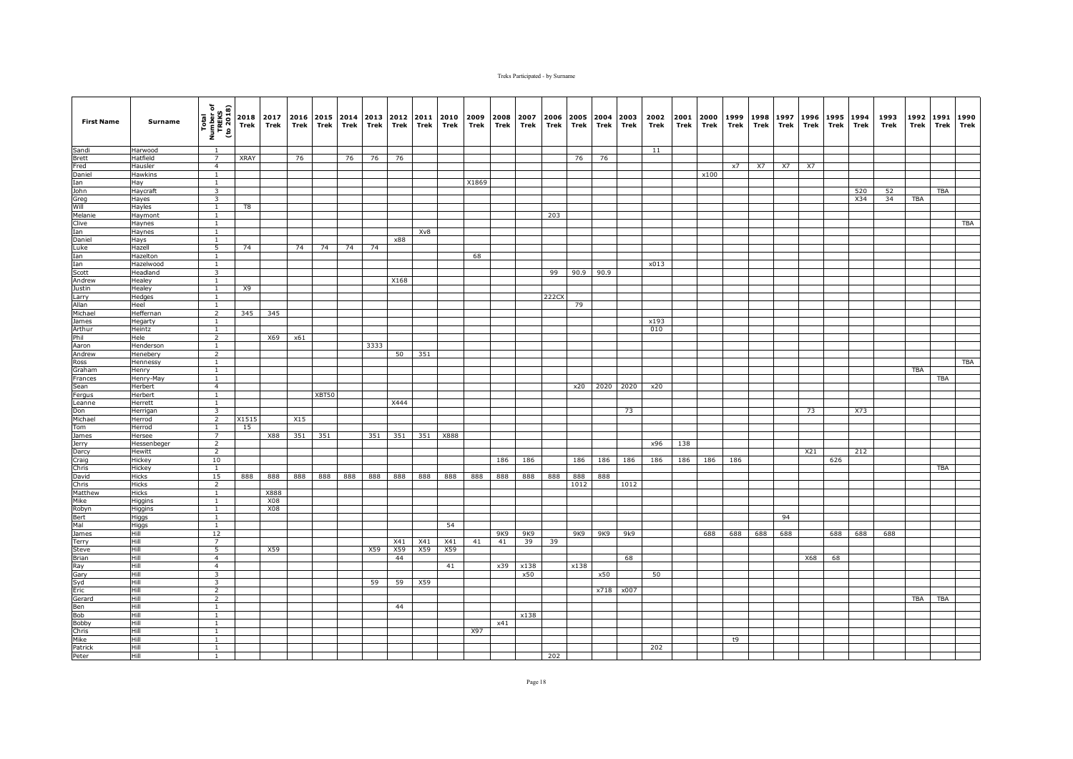| <b>First Name</b> | Surname               | Total<br>Number of<br>TREKS<br>(to 2018)  | Trek        | 2018 2017<br>Trek | 2016<br>Trek | Trek  | 2015 2014<br>Trek | 2013<br>Trek | 2012<br>Trek | 2011<br>Trek | 2010<br>Trek | 2009<br>Trek | 2008<br>Trek | 2007<br>Trek | 2006<br>Trek | 2005<br>Trek | 2004<br>Trek | 2003<br>Trek | 2002<br>Trek | 2001<br>Trek | 2000<br>Trek | 1999<br>Trek | 1998<br>Trek | 1997<br>Trek | 1996<br>Trek | 1995<br>Trek | 1994<br>Trek | 1993<br>Trek | 1992<br>Trek | 1991<br>Trek | 1990<br>Trek |
|-------------------|-----------------------|-------------------------------------------|-------------|-------------------|--------------|-------|-------------------|--------------|--------------|--------------|--------------|--------------|--------------|--------------|--------------|--------------|--------------|--------------|--------------|--------------|--------------|--------------|--------------|--------------|--------------|--------------|--------------|--------------|--------------|--------------|--------------|
| Sandi             | Harwood               | $\overline{1}$                            |             |                   |              |       |                   |              |              |              |              |              |              |              |              |              |              |              | 11           |              |              |              |              |              |              |              |              |              |              |              |              |
| <b>Brett</b>      | Hatfield              | $\overline{7}$                            | <b>XRAY</b> |                   | 76           |       | 76                | 76           | 76           |              |              |              |              |              |              | 76           | 76           |              |              |              |              |              |              |              |              |              |              |              |              |              |              |
| Fred              | Hausler               | $\overline{4}$                            |             |                   |              |       |                   |              |              |              |              |              |              |              |              |              |              |              |              |              |              | x7           | X7           | X7           | X7           |              |              |              |              |              |              |
| Daniel            | <b>Hawkins</b>        | $\mathbf{1}$                              |             |                   |              |       |                   |              |              |              |              |              |              |              |              |              |              |              |              |              | x100         |              |              |              |              |              |              |              |              |              |              |
| Ian<br>John       | Hay<br>Haycraft       | $\mathbf{1}$<br>$\overline{\mathbf{3}}$   |             |                   |              |       |                   |              |              |              |              | X1869        |              |              |              |              |              |              |              |              |              |              |              |              |              |              | 520          | 52           |              | TBA          |              |
| Greg              | Hayes                 | $\overline{\mathbf{3}}$                   |             |                   |              |       |                   |              |              |              |              |              |              |              |              |              |              |              |              |              |              |              |              |              |              |              | X34          | 34           | <b>TBA</b>   |              |              |
| Will              | Hayles                | $\mathbf{1}$                              | T8          |                   |              |       |                   |              |              |              |              |              |              |              |              |              |              |              |              |              |              |              |              |              |              |              |              |              |              |              |              |
| Melanie           | Haymont               | <sup>1</sup>                              |             |                   |              |       |                   |              |              |              |              |              |              |              | 203          |              |              |              |              |              |              |              |              |              |              |              |              |              |              |              |              |
| Clive             | Haynes                | $\mathbf{1}$                              |             |                   |              |       |                   |              |              |              |              |              |              |              |              |              |              |              |              |              |              |              |              |              |              |              |              |              |              |              | <b>TBA</b>   |
| Ian               | Haynes                | $\mathbf{1}$                              |             |                   |              |       |                   |              |              | Xv8          |              |              |              |              |              |              |              |              |              |              |              |              |              |              |              |              |              |              |              |              |              |
| Daniel            | Hays                  | <sup>1</sup>                              |             |                   |              |       |                   |              | x88          |              |              |              |              |              |              |              |              |              |              |              |              |              |              |              |              |              |              |              |              |              |              |
| Luke              | Hazell                | $\overline{5}$                            | 74          |                   | 74           | 74    | 74                | 74           |              |              |              |              |              |              |              |              |              |              |              |              |              |              |              |              |              |              |              |              |              |              |              |
| Ian               | Hazelton              | $\overline{1}$                            |             |                   |              |       |                   |              |              |              |              | 68           |              |              |              |              |              |              |              |              |              |              |              |              |              |              |              |              |              |              |              |
| Ian<br>Scott      | Hazelwood<br>Headland | $\mathbf{1}$<br>$\overline{\mathbf{3}}$   |             |                   |              |       |                   |              |              |              |              |              |              |              | 99           |              | 90.9 90.9    |              | x013         |              |              |              |              |              |              |              |              |              |              |              |              |
| Andrew            | Healey                | $\mathbf{1}$                              |             |                   |              |       |                   |              | X168         |              |              |              |              |              |              |              |              |              |              |              |              |              |              |              |              |              |              |              |              |              |              |
| Justin            | Healey                | <sup>1</sup>                              | X9          |                   |              |       |                   |              |              |              |              |              |              |              |              |              |              |              |              |              |              |              |              |              |              |              |              |              |              |              |              |
| Larry             | Hedges                | <sup>1</sup>                              |             |                   |              |       |                   |              |              |              |              |              |              |              | 222CX        |              |              |              |              |              |              |              |              |              |              |              |              |              |              |              |              |
| Allan             | Heel                  | 1                                         |             |                   |              |       |                   |              |              |              |              |              |              |              |              | 79           |              |              |              |              |              |              |              |              |              |              |              |              |              |              |              |
| Michael           | <b>Heffernan</b>      | $\overline{2}$                            | 345         | 345               |              |       |                   |              |              |              |              |              |              |              |              |              |              |              |              |              |              |              |              |              |              |              |              |              |              |              |              |
| James             | Hegarty               | $\mathbf{1}$                              |             |                   |              |       |                   |              |              |              |              |              |              |              |              |              |              |              | x193         |              |              |              |              |              |              |              |              |              |              |              |              |
| Arthur            | Heintz                | 1                                         |             |                   |              |       |                   |              |              |              |              |              |              |              |              |              |              |              | 010          |              |              |              |              |              |              |              |              |              |              |              |              |
| Phil<br>Aaron     | Hele<br>Henderson     | 2<br><sup>1</sup>                         |             | X69               | x61          |       |                   | 3333         |              |              |              |              |              |              |              |              |              |              |              |              |              |              |              |              |              |              |              |              |              |              |              |
| Andrew            | Henebery              | $\overline{2}$                            |             |                   |              |       |                   |              | 50           | 351          |              |              |              |              |              |              |              |              |              |              |              |              |              |              |              |              |              |              |              |              |              |
| Ross              | <b>Hennessy</b>       | $\mathbf{1}$                              |             |                   |              |       |                   |              |              |              |              |              |              |              |              |              |              |              |              |              |              |              |              |              |              |              |              |              |              |              | TBA          |
| Graham            | Henry                 | $\mathbf{1}$                              |             |                   |              |       |                   |              |              |              |              |              |              |              |              |              |              |              |              |              |              |              |              |              |              |              |              |              | <b>TBA</b>   |              |              |
| Frances           | Henry-May             | $\mathbf{1}$                              |             |                   |              |       |                   |              |              |              |              |              |              |              |              |              |              |              |              |              |              |              |              |              |              |              |              |              |              | TBA          |              |
| Sean              | Herbert               | $\overline{4}$                            |             |                   |              |       |                   |              |              |              |              |              |              |              |              | x20          | 2020         | 2020         | x20          |              |              |              |              |              |              |              |              |              |              |              |              |
| Fergus            | Herbert               | <sup>1</sup>                              |             |                   |              | XBT50 |                   |              |              |              |              |              |              |              |              |              |              |              |              |              |              |              |              |              |              |              |              |              |              |              |              |
| Leanne            | Herrett               | $\overline{1}$                            |             |                   |              |       |                   |              | X444         |              |              |              |              |              |              |              |              |              |              |              |              |              |              |              |              |              |              |              |              |              |              |
| Don<br>Michael    | Herrigan<br>Herrod    | $\overline{\mathbf{3}}$<br>$\overline{2}$ | X1515       |                   | X15          |       |                   |              |              |              |              |              |              |              |              |              |              | 73           |              |              |              |              |              |              | 73           |              | X73          |              |              |              |              |
| Tom               | Herrod                | $\mathbf{1}$                              | 15          |                   |              |       |                   |              |              |              |              |              |              |              |              |              |              |              |              |              |              |              |              |              |              |              |              |              |              |              |              |
| James             | Hersee                | $\overline{7}$                            |             | X88               | 351          | 351   |                   | 351          | 351          | 351          | X888         |              |              |              |              |              |              |              |              |              |              |              |              |              |              |              |              |              |              |              |              |
| <b>Jerry</b>      | <b>Hessenbeger</b>    | $\overline{2}$                            |             |                   |              |       |                   |              |              |              |              |              |              |              |              |              |              |              | x96          | 138          |              |              |              |              |              |              |              |              |              |              |              |
| Darcy             | Hewitt                | $\overline{2}$                            |             |                   |              |       |                   |              |              |              |              |              |              |              |              |              |              |              |              |              |              |              |              |              | X21          |              | 212          |              |              |              |              |
| Craig             | Hickey                | 10                                        |             |                   |              |       |                   |              |              |              |              |              | 186          | 186          |              | 186          | 186          | 186          | 186          | 186          | 186          | 186          |              |              |              | 626          |              |              |              |              |              |
| Chris             | Hickey                | $\mathbf{1}$                              |             |                   |              |       |                   |              |              |              |              |              |              |              |              |              |              |              |              |              |              |              |              |              |              |              |              |              |              | <b>TBA</b>   |              |
| David             | Hicks                 | 15                                        | 888         | 888               | 888          | 888   | 888               | 888          | 888          | 888          | 888          | 888          | 888          | 888          | 888          | 888          | 888          |              |              |              |              |              |              |              |              |              |              |              |              |              |              |
| Chris<br>Matthew  | <b>Hicks</b><br>Hicks | $\overline{2}$<br>$\overline{1}$          |             | X888              |              |       |                   |              |              |              |              |              |              |              |              | 1012         |              | 1012         |              |              |              |              |              |              |              |              |              |              |              |              |              |
| Mike              | Higgins               | $\mathbf{1}$                              |             | X08               |              |       |                   |              |              |              |              |              |              |              |              |              |              |              |              |              |              |              |              |              |              |              |              |              |              |              |              |
| Robyn             | Higgins               | <sup>1</sup>                              |             | X08               |              |       |                   |              |              |              |              |              |              |              |              |              |              |              |              |              |              |              |              |              |              |              |              |              |              |              |              |
| Bert              | Higgs                 | $\mathbf{1}$                              |             |                   |              |       |                   |              |              |              |              |              |              |              |              |              |              |              |              |              |              |              |              | 94           |              |              |              |              |              |              |              |
| Mal               | Higgs                 | 1                                         |             |                   |              |       |                   |              |              |              | 54           |              |              |              |              |              |              |              |              |              |              |              |              |              |              |              |              |              |              |              |              |
| James             | Hill                  | 12                                        |             |                   |              |       |                   |              |              |              |              |              | 9K9          | 9K9          |              | 9K9          | 9K9          | 9k9          |              |              | 688          | 688          | 688          | 688          |              | 688          | 688          | 688          |              |              |              |
| Terry             | Hill                  | $\overline{7}$                            |             |                   |              |       |                   |              | X41          | X41          | X41          | 41           | 41           | 39           | 39           |              |              |              |              |              |              |              |              |              |              |              |              |              |              |              |              |
| Steve             | Hill                  | $\overline{5}$                            |             | X59               |              |       |                   | X59          | X59          | X59          | X59          |              |              |              |              |              |              |              |              |              |              |              |              |              |              |              |              |              |              |              |              |
| Brian             | Hill<br>Hill          | $\overline{4}$                            |             |                   |              |       |                   |              | 44           |              | 41           |              | x39          | x138         |              | x138         |              | 68           |              |              |              |              |              |              | X68          | 68           |              |              |              |              |              |
| Ray<br>Gary       | Hill                  | $\overline{4}$<br>$\overline{\mathbf{3}}$ |             |                   |              |       |                   |              |              |              |              |              |              | x50          |              |              | x50          |              | 50           |              |              |              |              |              |              |              |              |              |              |              |              |
| Syd               | Hill                  | $\overline{\mathbf{3}}$                   |             |                   |              |       |                   | 59           | 59           | X59          |              |              |              |              |              |              |              |              |              |              |              |              |              |              |              |              |              |              |              |              |              |
| Eric              | Hill                  | $\overline{2}$                            |             |                   |              |       |                   |              |              |              |              |              |              |              |              |              | x718         | x007         |              |              |              |              |              |              |              |              |              |              |              |              |              |
| Gerard            | Hill                  | $\overline{2}$                            |             |                   |              |       |                   |              |              |              |              |              |              |              |              |              |              |              |              |              |              |              |              |              |              |              |              |              | TBA          | TBA          |              |
| Ben               | Hill                  | $\mathbf{1}$                              |             |                   |              |       |                   |              | 44           |              |              |              |              |              |              |              |              |              |              |              |              |              |              |              |              |              |              |              |              |              |              |
| Bob               | Hill                  | $\mathbf{1}$                              |             |                   |              |       |                   |              |              |              |              |              |              | x138         |              |              |              |              |              |              |              |              |              |              |              |              |              |              |              |              |              |
| Bobby             | Hill                  | 1                                         |             |                   |              |       |                   |              |              |              |              |              | x41          |              |              |              |              |              |              |              |              |              |              |              |              |              |              |              |              |              |              |
| Chris<br>Mike     | Hill<br>Hill          | <sup>1</sup><br>$\overline{1}$            |             |                   |              |       |                   |              |              |              |              | X97          |              |              |              |              |              |              |              |              |              | t9           |              |              |              |              |              |              |              |              |              |
| Patrick           | Hill                  | $\mathbf{1}$                              |             |                   |              |       |                   |              |              |              |              |              |              |              |              |              |              |              | 202          |              |              |              |              |              |              |              |              |              |              |              |              |
| Peter             | Hill                  | 1                                         |             |                   |              |       |                   |              |              |              |              |              |              |              | 202          |              |              |              |              |              |              |              |              |              |              |              |              |              |              |              |              |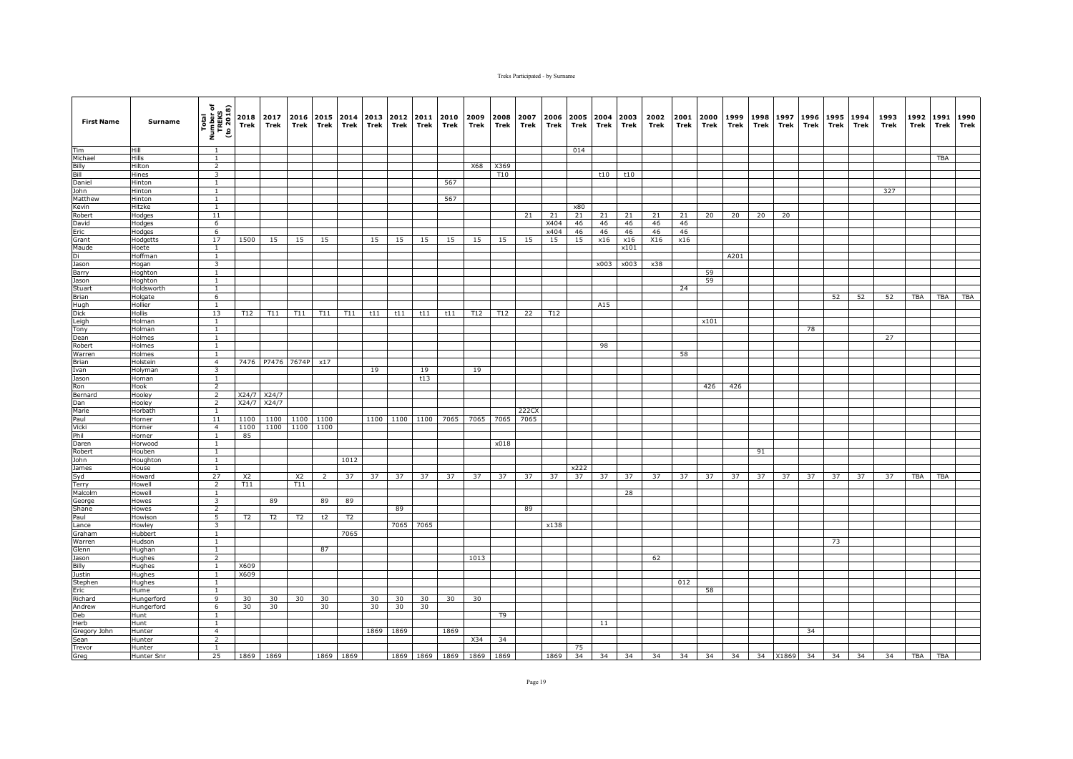| <b>First Name</b>    | Surname            | Total<br>Number of<br>TREKS<br>(to 2018) | Trek           | 2018 2017<br>Trek | 2016<br>Trek      | Trek         | 2015 2014<br>Trek | 2013<br>Trek | 2012<br>Trek | 2011<br>Trek | 2010<br>Trek | 2009<br>Trek             | 2008<br>Trek | 2007<br>Trek | 2006<br>Trek | 2005<br>Trek | 2004<br>Trek | 2003<br>Trek | 2002<br>Trek | 2001<br>Trek | 2000<br>Trek | 1999<br>Trek | 1998<br>Trek | 1997<br>Trek | 1996<br>Trek | 1995<br>Trek | 1994<br>Trek | 1993<br>Trek | 1992<br>Trek | 1991<br>Trek | 1990<br>Trek |
|----------------------|--------------------|------------------------------------------|----------------|-------------------|-------------------|--------------|-------------------|--------------|--------------|--------------|--------------|--------------------------|--------------|--------------|--------------|--------------|--------------|--------------|--------------|--------------|--------------|--------------|--------------|--------------|--------------|--------------|--------------|--------------|--------------|--------------|--------------|
| Tim                  | Hill               | $\overline{1}$                           |                |                   |                   |              |                   |              |              |              |              |                          |              |              |              | 014          |              |              |              |              |              |              |              |              |              |              |              |              |              |              |              |
| Michael              | Hills              | $\mathbf{1}$                             |                |                   |                   |              |                   |              |              |              |              |                          |              |              |              |              |              |              |              |              |              |              |              |              |              |              |              |              |              | <b>TBA</b>   |              |
| Billy                | Hilton             | $\overline{2}$                           |                |                   |                   |              |                   |              |              |              |              | X68                      | X369         |              |              |              |              |              |              |              |              |              |              |              |              |              |              |              |              |              |              |
| Bill<br>Daniel       | Hines<br>Hinton    | $\overline{\mathbf{3}}$<br>$\mathbf{1}$  |                |                   |                   |              |                   |              |              |              | 567          |                          | <b>T10</b>   |              |              |              | t10          | t10          |              |              |              |              |              |              |              |              |              |              |              |              |              |
| John                 | Hinton             | $\mathbf{1}$                             |                |                   |                   |              |                   |              |              |              |              |                          |              |              |              |              |              |              |              |              |              |              |              |              |              |              |              | 327          |              |              |              |
| Matthew              | Hinton             | $\mathbf{1}$                             |                |                   |                   |              |                   |              |              |              | 567          |                          |              |              |              |              |              |              |              |              |              |              |              |              |              |              |              |              |              |              |              |
| Kevin                | Hitzke             | $\mathbf{1}$                             |                |                   |                   |              |                   |              |              |              |              |                          |              |              |              | x80          |              |              |              |              |              |              |              |              |              |              |              |              |              |              |              |
| Robert               | Hodges             | 11                                       |                |                   |                   |              |                   |              |              |              |              |                          |              | 21           | 21           | 21           | 21           | 21           | 21           | 21           | 20           | 20           | 20           | 20           |              |              |              |              |              |              |              |
| David                | Hodges             | 6                                        |                |                   |                   |              |                   |              |              |              |              |                          |              |              | X404         | 46           | 46           | 46           | 46           | 46           |              |              |              |              |              |              |              |              |              |              |              |
| Eric<br>Grant        | Hodges<br>Hodgetts | 6<br>17                                  | 1500           | 15                | 15                | 15           |                   | 15           | 15           | 15           | 15           | 15                       | 15           | 15           | x404<br>15   | 46<br>15     | 46<br>x16    | 46<br>x16    | 46<br>X16    | 46<br>x16    |              |              |              |              |              |              |              |              |              |              |              |
| Maude                | Hoete              | <sup>1</sup>                             |                |                   |                   |              |                   |              |              |              |              |                          |              |              |              |              |              | x101         |              |              |              |              |              |              |              |              |              |              |              |              |              |
| Di                   | Hoffman            | $\overline{1}$                           |                |                   |                   |              |                   |              |              |              |              |                          |              |              |              |              |              |              |              |              |              | A201         |              |              |              |              |              |              |              |              |              |
| Jason                | Hogan              | $\overline{\mathbf{3}}$                  |                |                   |                   |              |                   |              |              |              |              |                          |              |              |              |              | x003         | x003         | x38          |              |              |              |              |              |              |              |              |              |              |              |              |
| Barry                | Hoghton            | 1                                        |                |                   |                   |              |                   |              |              |              |              |                          |              |              |              |              |              |              |              |              | 59           |              |              |              |              |              |              |              |              |              |              |
| Jason                | Hoghton            | $\mathbf{1}$                             |                |                   |                   |              |                   |              |              |              |              |                          |              |              |              |              |              |              |              |              | 59           |              |              |              |              |              |              |              |              |              |              |
| Stuart               | Holdsworth         | <sup>1</sup>                             |                |                   |                   |              |                   |              |              |              |              |                          |              |              |              |              |              |              |              | 24           |              |              |              |              |              |              |              |              |              |              |              |
| Brian<br>Hugh        | Holgate<br>Hollier | 6<br><sup>1</sup>                        |                |                   |                   |              |                   |              |              |              |              |                          |              |              |              |              | A15          |              |              |              |              |              |              |              |              | 52           | 52           | 52           | TBA          | TBA          | TBA          |
| <b>Dick</b>          | Hollis             | 13                                       | T12            | T11               | T11               | T11          | T11               | t11          | t11          | t11          | t11          | T12                      | T12          | 22           | T12          |              |              |              |              |              |              |              |              |              |              |              |              |              |              |              |              |
| Leigh                | Holman             | $\overline{1}$                           |                |                   |                   |              |                   |              |              |              |              |                          |              |              |              |              |              |              |              |              | x101         |              |              |              |              |              |              |              |              |              |              |
| Tony                 | Holman             | 1                                        |                |                   |                   |              |                   |              |              |              |              |                          |              |              |              |              |              |              |              |              |              |              |              |              | 78           |              |              |              |              |              |              |
| Dean                 | Holmes             | $\overline{1}$                           |                |                   |                   |              |                   |              |              |              |              |                          |              |              |              |              |              |              |              |              |              |              |              |              |              |              |              | 27           |              |              |              |
| Robert               | Holmes             | $\mathbf{1}$                             |                |                   |                   |              |                   |              |              |              |              |                          |              |              |              |              | 98           |              |              |              |              |              |              |              |              |              |              |              |              |              |              |
| Warren               | Holmes<br>Holstein | $\mathbf{1}$<br>$\overline{4}$           |                |                   |                   |              |                   |              |              |              |              |                          |              |              |              |              |              |              |              | 58           |              |              |              |              |              |              |              |              |              |              |              |
| Brian<br>Ivan        | Holyman            | $\overline{\mathbf{3}}$                  |                | 7476 P7476 7674P  |                   | x17          |                   | 19           |              | 19           |              | 19                       |              |              |              |              |              |              |              |              |              |              |              |              |              |              |              |              |              |              |              |
| Jason                | Homan              | $\mathbf{1}$                             |                |                   |                   |              |                   |              |              | t13          |              |                          |              |              |              |              |              |              |              |              |              |              |              |              |              |              |              |              |              |              |              |
| Ron                  | Hook               | 2                                        |                |                   |                   |              |                   |              |              |              |              |                          |              |              |              |              |              |              |              |              | 426          | 426          |              |              |              |              |              |              |              |              |              |
| Bernard              | Hooley             | $\overline{2}$                           | X24/7          | X24/7             |                   |              |                   |              |              |              |              |                          |              |              |              |              |              |              |              |              |              |              |              |              |              |              |              |              |              |              |              |
| Dan                  | Hooley             | $\overline{2}$                           | X24/7          | X24/7             |                   |              |                   |              |              |              |              |                          |              |              |              |              |              |              |              |              |              |              |              |              |              |              |              |              |              |              |              |
| Marie                | Horbath            | 1                                        |                |                   |                   |              |                   |              |              |              |              |                          |              | 222CX        |              |              |              |              |              |              |              |              |              |              |              |              |              |              |              |              |              |
| Paul<br>Vicki        | Horner             | 11<br>$\overline{4}$                     | 1100<br>1100   | 1100              | 1100 1100<br>1100 | 1100<br>1100 |                   |              | 1100 1100    | 1100         | 7065         | 7065                     | 7065         | 7065         |              |              |              |              |              |              |              |              |              |              |              |              |              |              |              |              |              |
| Phil                 | Horner<br>Horner   | $\overline{1}$                           | 85             |                   |                   |              |                   |              |              |              |              |                          |              |              |              |              |              |              |              |              |              |              |              |              |              |              |              |              |              |              |              |
| Daren                | Horwood            | <sup>1</sup>                             |                |                   |                   |              |                   |              |              |              |              |                          | x018         |              |              |              |              |              |              |              |              |              |              |              |              |              |              |              |              |              |              |
| Robert               | Houben             | $\mathbf{1}$                             |                |                   |                   |              |                   |              |              |              |              |                          |              |              |              |              |              |              |              |              |              |              | 91           |              |              |              |              |              |              |              |              |
| John                 | Houghton           | $\mathbf{1}$                             |                |                   |                   |              | 1012              |              |              |              |              |                          |              |              |              |              |              |              |              |              |              |              |              |              |              |              |              |              |              |              |              |
| James                | House              | $\mathbf{1}$                             |                |                   |                   |              |                   |              |              |              |              |                          |              |              |              | x222         |              |              |              |              |              |              |              |              |              |              |              |              |              |              |              |
| Syd                  | Howard             | 27                                       | X <sub>2</sub> |                   | X <sub>2</sub>    | -2           | 37                | 37           | 37           | 37           | 37           | 37                       | 37           | 37           | 37           | 37           | 37           | 37           | 37           | 37           | 37           | 37           | 37           | 37           | 37           | 37           | 37           | 37           | TBA          | TBA          |              |
| Terry<br>Malcolm     | Howell<br>Howell   | $\overline{2}$<br>$\overline{1}$         | T11            |                   | T11               |              |                   |              |              |              |              |                          |              |              |              |              |              | 28           |              |              |              |              |              |              |              |              |              |              |              |              |              |
| George               | Howes              | $\overline{\mathbf{3}}$                  |                | 89                |                   | 89           | 89                |              |              |              |              |                          |              |              |              |              |              |              |              |              |              |              |              |              |              |              |              |              |              |              |              |
| Shane                | Howes              | 2                                        |                |                   |                   |              |                   |              | 89           |              |              |                          |              | 89           |              |              |              |              |              |              |              |              |              |              |              |              |              |              |              |              |              |
| Paul                 | Howison            | 5                                        | T2             | T2                | T <sub>2</sub>    | t2           | T <sub>2</sub>    |              |              |              |              |                          |              |              |              |              |              |              |              |              |              |              |              |              |              |              |              |              |              |              |              |
| Lance                | Howley             | 3                                        |                |                   |                   |              |                   |              | 7065         | 7065         |              |                          |              |              | x138         |              |              |              |              |              |              |              |              |              |              |              |              |              |              |              |              |
| Graham               | Hubbert            | $\mathbf{1}$                             |                |                   |                   |              | 7065              |              |              |              |              |                          |              |              |              |              |              |              |              |              |              |              |              |              |              |              |              |              |              |              |              |
| Warren               | Hudson             | $\mathbf{1}$                             |                |                   |                   |              |                   |              |              |              |              |                          |              |              |              |              |              |              |              |              |              |              |              |              |              | 73           |              |              |              |              |              |
| Glenn<br>Jason       | Hughan<br>Hughes   | $\overline{1}$<br>2                      |                |                   |                   | 87           |                   |              |              |              |              | 1013                     |              |              |              |              |              |              | 62           |              |              |              |              |              |              |              |              |              |              |              |              |
| Billy                | Hughes             | $\mathbf{1}$                             | X609           |                   |                   |              |                   |              |              |              |              |                          |              |              |              |              |              |              |              |              |              |              |              |              |              |              |              |              |              |              |              |
| Justin               | Hughes             | <sup>1</sup>                             | X609           |                   |                   |              |                   |              |              |              |              |                          |              |              |              |              |              |              |              |              |              |              |              |              |              |              |              |              |              |              |              |
| Stephen              | Hughes             | <sup>1</sup>                             |                |                   |                   |              |                   |              |              |              |              |                          |              |              |              |              |              |              |              | 012          |              |              |              |              |              |              |              |              |              |              |              |
| Eric                 | Hume               | <sup>1</sup>                             |                |                   |                   |              |                   |              |              |              |              |                          |              |              |              |              |              |              |              |              | 58           |              |              |              |              |              |              |              |              |              |              |
| Richard              | Hungerford         | 9                                        | 30             | 30                | 30                | 30           |                   | 30           | 30           | 30           | 30           | 30                       |              |              |              |              |              |              |              |              |              |              |              |              |              |              |              |              |              |              |              |
| Andrew               | Hungerford         | 6                                        | 30             | 30                |                   | 30           |                   | 30           | 30           | 30           |              |                          |              |              |              |              |              |              |              |              |              |              |              |              |              |              |              |              |              |              |              |
| Deb                  | Hunt               | $\mathbf{1}$                             |                |                   |                   |              |                   |              |              |              |              |                          | T9           |              |              |              |              |              |              |              |              |              |              |              |              |              |              |              |              |              |              |
| Herb<br>Gregory John | Hunt<br>Hunter     | $\mathbf{1}$<br>$\overline{4}$           |                |                   |                   |              |                   |              | 1869 1869    |              | 1869         |                          |              |              |              |              | 11           |              |              |              |              |              |              |              | 34           |              |              |              |              |              |              |
| Sean                 | Hunter             | $\overline{2}$                           |                |                   |                   |              |                   |              |              |              |              | X34                      | 34           |              |              |              |              |              |              |              |              |              |              |              |              |              |              |              |              |              |              |
| Trevor               | Hunter             | $\mathbf{1}$                             |                |                   |                   |              |                   |              |              |              |              |                          |              |              |              | 75           |              |              |              |              |              |              |              |              |              |              |              |              |              |              |              |
| Greg                 | Hunter Snr         | 25                                       |                | 1869 1869         |                   |              | 1869 1869         |              |              |              |              | 1869 1869 1869 1869 1869 |              |              | 1869         |              | 34 34        |              | 34 34 34 34  |              |              | 34           |              | 34 X1869     | 34           |              | 34 34        | 34           | <b>TBA</b>   | TBA          |              |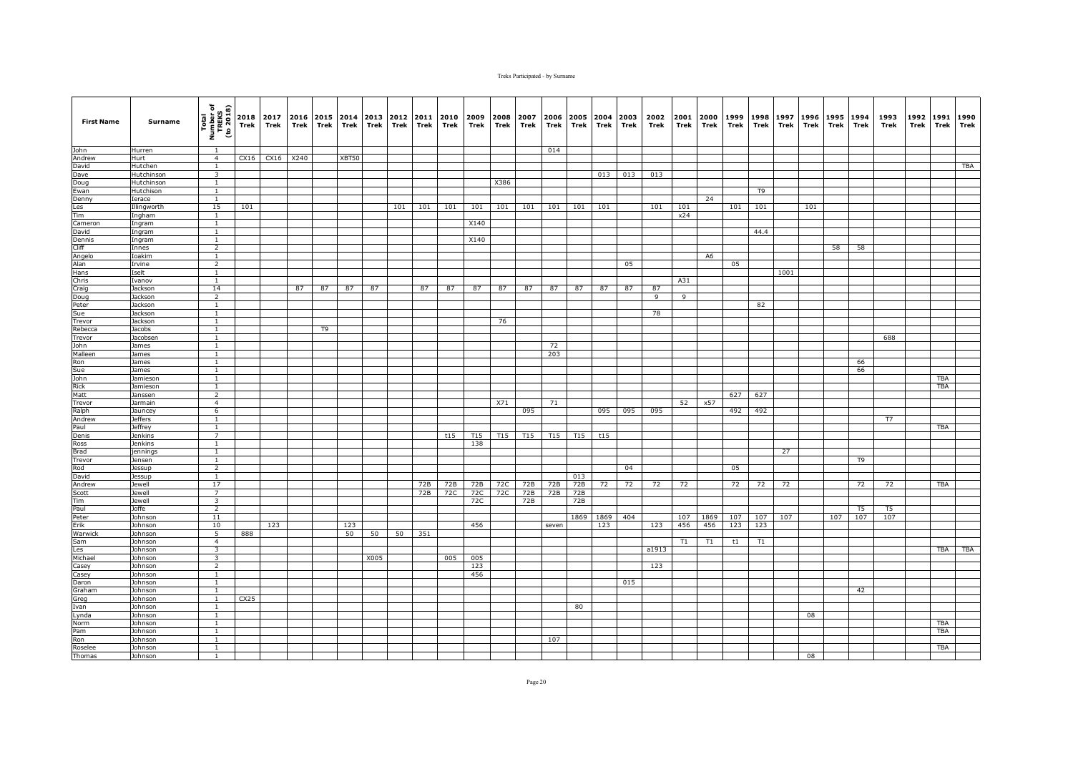| <b>First Name</b> | Surname                          | Total<br>Number of<br>TREKS<br>(to 2018)  | 2018<br>Trek      | 2017<br>Trek | 2016<br>Trek | Trek | Trek  | 2015 2014 2013<br>Trek | 2012 2011<br>Trek | Trek | 2010<br>Trek | 2009<br>Trek    | 2008<br>Trek    | 2007<br>Trek    | 2006<br>Trek    | 2005<br>Trek    | 2004<br>Trek | 2003<br>Trek | 2002<br>Trek   | 2001<br>Trek | 2000<br>Trek   | 1999<br>Trek | 1998<br>Trek   | 1997<br>Trek | 1996<br>Trek | 1995<br>Trek | 1994<br>Trek   | 1993<br>Trek   | 1992<br>Trek | 1991<br>Trek | 1990<br>Trek |
|-------------------|----------------------------------|-------------------------------------------|-------------------|--------------|--------------|------|-------|------------------------|-------------------|------|--------------|-----------------|-----------------|-----------------|-----------------|-----------------|--------------|--------------|----------------|--------------|----------------|--------------|----------------|--------------|--------------|--------------|----------------|----------------|--------------|--------------|--------------|
| John              | Hurren                           | -1                                        |                   |              |              |      |       |                        |                   |      |              |                 |                 |                 | 014             |                 |              |              |                |              |                |              |                |              |              |              |                |                |              |              |              |
| Andrew            | Hurt                             | $\overline{4}$                            | CX16              | CX16 X240    |              |      | XBT50 |                        |                   |      |              |                 |                 |                 |                 |                 |              |              |                |              |                |              |                |              |              |              |                |                |              |              |              |
| David             | Hutchen                          | $\mathbf{1}$                              |                   |              |              |      |       |                        |                   |      |              |                 |                 |                 |                 |                 |              |              |                |              |                |              |                |              |              |              |                |                |              |              | TBA          |
| Dave              | Hutchinson                       | $\overline{\mathbf{3}}$                   |                   |              |              |      |       |                        |                   |      |              |                 |                 |                 |                 |                 | 013          | 013          | 013            |              |                |              |                |              |              |              |                |                |              |              |              |
| Doug<br>Ewan      | Hutchinson<br>Hutchison          | 1<br>$\mathbf{1}$                         |                   |              |              |      |       |                        |                   |      |              |                 | X386            |                 |                 |                 |              |              |                |              |                |              | T <sub>9</sub> |              |              |              |                |                |              |              |              |
| Denny             | Ierace                           | $\mathbf{1}$                              |                   |              |              |      |       |                        |                   |      |              |                 |                 |                 |                 |                 |              |              |                |              | 24             |              |                |              |              |              |                |                |              |              |              |
| Les               | Illingworth                      | 15                                        | 101               |              |              |      |       |                        | 101               | 101  | 101          | 101             | 101             | 101             | 101             | 101             | 101          |              | 101            | 101          |                | 101          | 101            |              | 101          |              |                |                |              |              |              |
| Tim               | Ingham                           | $\overline{1}$                            |                   |              |              |      |       |                        |                   |      |              |                 |                 |                 |                 |                 |              |              |                | x24          |                |              |                |              |              |              |                |                |              |              |              |
| Cameron           | Ingram                           | $\mathbf{1}$                              |                   |              |              |      |       |                        |                   |      |              | X140            |                 |                 |                 |                 |              |              |                |              |                |              |                |              |              |              |                |                |              |              |              |
| David             | Ingram                           | $\mathbf{1}$                              |                   |              |              |      |       |                        |                   |      |              |                 |                 |                 |                 |                 |              |              |                |              |                |              | 44.4           |              |              |              |                |                |              |              |              |
| Dennis            | Ingram                           | $\mathbf{1}$                              |                   |              |              |      |       |                        |                   |      |              | X140            |                 |                 |                 |                 |              |              |                |              |                |              |                |              |              |              |                |                |              |              |              |
| Cliff             | Innes                            | $\overline{2}$                            |                   |              |              |      |       |                        |                   |      |              |                 |                 |                 |                 |                 |              |              |                |              |                |              |                |              |              | 58           | 58             |                |              |              |              |
| Angelo<br>Alan    | Ioakim                           | $\overline{1}$<br>$\overline{2}$          |                   |              |              |      |       |                        |                   |      |              |                 |                 |                 |                 |                 |              | 05           |                |              | A <sub>6</sub> |              |                |              |              |              |                |                |              |              |              |
| Hans              | Irvine<br>Iselt                  | $\mathbf{1}$                              |                   |              |              |      |       |                        |                   |      |              |                 |                 |                 |                 |                 |              |              |                |              |                | 05           |                | 1001         |              |              |                |                |              |              |              |
| Chris             | Ivanov                           | <sup>1</sup>                              |                   |              |              |      |       |                        |                   |      |              |                 |                 |                 |                 |                 |              |              |                | A31          |                |              |                |              |              |              |                |                |              |              |              |
| Craig             | Jackson                          | 14                                        |                   |              | 87           | 87   | 87    | 87                     |                   | 87   | 87           | 87              | 87              | 87              | 87              | 87              | 87           | 87           | 87             |              |                |              |                |              |              |              |                |                |              |              |              |
| Doug              | Jackson                          | $\overline{2}$                            |                   |              |              |      |       |                        |                   |      |              |                 |                 |                 |                 |                 |              |              | $\overline{9}$ | 9            |                |              |                |              |              |              |                |                |              |              |              |
| Peter             | Jackson                          | $\overline{1}$                            |                   |              |              |      |       |                        |                   |      |              |                 |                 |                 |                 |                 |              |              |                |              |                |              | 82             |              |              |              |                |                |              |              |              |
| Sue               | Jackson                          | $\mathbf{1}$                              |                   |              |              |      |       |                        |                   |      |              |                 |                 |                 |                 |                 |              |              | 78             |              |                |              |                |              |              |              |                |                |              |              |              |
| Trevor            | Jackson                          | $\overline{1}$                            |                   |              |              |      |       |                        |                   |      |              |                 | 76              |                 |                 |                 |              |              |                |              |                |              |                |              |              |              |                |                |              |              |              |
| Rebecca           | Jacobs                           | $\mathbf{1}$                              |                   |              |              | T9   |       |                        |                   |      |              |                 |                 |                 |                 |                 |              |              |                |              |                |              |                |              |              |              |                |                |              |              |              |
| <b>Trevor</b>     | Jacobsen                         | $\mathbf{1}$                              |                   |              |              |      |       |                        |                   |      |              |                 |                 |                 |                 |                 |              |              |                |              |                |              |                |              |              |              |                | 688            |              |              |              |
| John<br>Malleen   | James<br>James                   | $\overline{1}$<br>$\overline{1}$          |                   |              |              |      |       |                        |                   |      |              |                 |                 |                 | 72<br>203       |                 |              |              |                |              |                |              |                |              |              |              |                |                |              |              |              |
| Ron               | James                            | $\mathbf{1}$                              |                   |              |              |      |       |                        |                   |      |              |                 |                 |                 |                 |                 |              |              |                |              |                |              |                |              |              |              | 66             |                |              |              |              |
| Sue               | James                            | <sup>1</sup>                              |                   |              |              |      |       |                        |                   |      |              |                 |                 |                 |                 |                 |              |              |                |              |                |              |                |              |              |              | 66             |                |              |              |              |
|                   | Jamieson                         | $\mathbf{1}$                              |                   |              |              |      |       |                        |                   |      |              |                 |                 |                 |                 |                 |              |              |                |              |                |              |                |              |              |              |                |                |              | <b>TBA</b>   |              |
| John<br>Rick      | Jamieson                         | $\mathbf{1}$                              |                   |              |              |      |       |                        |                   |      |              |                 |                 |                 |                 |                 |              |              |                |              |                |              |                |              |              |              |                |                |              | <b>TBA</b>   |              |
| Matt              | Janssen                          | $\overline{2}$                            |                   |              |              |      |       |                        |                   |      |              |                 |                 |                 |                 |                 |              |              |                |              |                | 627          | 627            |              |              |              |                |                |              |              |              |
| Trevor            | Jarmain                          | $\overline{4}$                            |                   |              |              |      |       |                        |                   |      |              |                 | X71             |                 | 71              |                 |              |              |                | 52           | x57            |              |                |              |              |              |                |                |              |              |              |
| Ralph             | Jauncey                          | 6                                         |                   |              |              |      |       |                        |                   |      |              |                 |                 | 095             |                 |                 | 095          | 095          | 095            |              |                | 492          | 492            |              |              |              |                |                |              |              |              |
| Andrew            | <b>Jeffers</b>                   | $\mathbf{1}$                              |                   |              |              |      |       |                        |                   |      |              |                 |                 |                 |                 |                 |              |              |                |              |                |              |                |              |              |              |                | T7             |              |              |              |
| Paul<br>Denis     | <b>Jeffrey</b><br><b>Jenkins</b> | $\mathbf{1}$<br>$\overline{7}$            |                   |              |              |      |       |                        |                   |      | t15          | T <sub>15</sub> | T <sub>15</sub> | T <sub>15</sub> | T <sub>15</sub> | T <sub>15</sub> | t15          |              |                |              |                |              |                |              |              |              |                |                |              | <b>TBA</b>   |              |
| Ross              | Jenkins                          | $\overline{1}$                            |                   |              |              |      |       |                        |                   |      |              | 138             |                 |                 |                 |                 |              |              |                |              |                |              |                |              |              |              |                |                |              |              |              |
| <b>Brad</b>       | jennings                         | $\mathbf{1}$                              |                   |              |              |      |       |                        |                   |      |              |                 |                 |                 |                 |                 |              |              |                |              |                |              |                | 27           |              |              |                |                |              |              |              |
| Trevor            | Jensen                           | $\mathbf{1}$                              |                   |              |              |      |       |                        |                   |      |              |                 |                 |                 |                 |                 |              |              |                |              |                |              |                |              |              |              | T <sub>9</sub> |                |              |              |              |
| Rod               | Jessup                           | $\overline{2}$                            |                   |              |              |      |       |                        |                   |      |              |                 |                 |                 |                 |                 |              | 04           |                |              |                | 05           |                |              |              |              |                |                |              |              |              |
| David             | Jessup                           | 1                                         |                   |              |              |      |       |                        |                   |      |              |                 |                 |                 |                 | 013             |              |              |                |              |                |              |                |              |              |              |                |                |              |              |              |
| Andrew            | Jewell                           | 17                                        |                   |              |              |      |       |                        |                   | 72B  | 72B          | 72B             | 72C             | 72B             | 72B             | 72B             | 72           | 72           | 72             | 72           |                | 72           | 72             | 72           |              |              | 72             | 72             |              | TBA          |              |
| Scott             | Jewell                           | $\overline{7}$                            |                   |              |              |      |       |                        |                   | 72B  | 72C          | 72C             | 72C             | 72B             | 72B             | 72B             |              |              |                |              |                |              |                |              |              |              |                |                |              |              |              |
| Tim<br>Paul       | Jewell<br>Joffe                  | $\overline{\mathbf{3}}$<br>$\overline{2}$ |                   |              |              |      |       |                        |                   |      |              | 72C             |                 | 72B             |                 | 72B             |              |              |                |              |                |              |                |              |              |              | T <sub>5</sub> | T <sub>5</sub> |              |              |              |
| Peter             | Johnson                          | 11                                        |                   |              |              |      |       |                        |                   |      |              |                 |                 |                 |                 | 1869            | 1869         | 404          |                | 107          | 1869           | 107          | 107            | 107          |              | 107          | 107            | 107            |              |              |              |
| Erik              | Johnson                          | 10                                        |                   | 123          |              |      | 123   |                        |                   |      |              | 456             |                 |                 | seven           |                 | 123          |              | 123            | 456          | 456            | 123          | 123            |              |              |              |                |                |              |              |              |
| Warwick           | Johnson                          | 5                                         | 888               |              |              |      | 50    | 50                     | 50                | 351  |              |                 |                 |                 |                 |                 |              |              |                |              |                |              |                |              |              |              |                |                |              |              |              |
| Sam               | Johnson                          | $\overline{4}$                            |                   |              |              |      |       |                        |                   |      |              |                 |                 |                 |                 |                 |              |              |                | T1           | T1             | t1           | T1             |              |              |              |                |                |              |              |              |
| Les               | Johnson                          | $\overline{3}$                            |                   |              |              |      |       |                        |                   |      |              |                 |                 |                 |                 |                 |              |              | a1913          |              |                |              |                |              |              |              |                |                |              | TBA          | <b>TBA</b>   |
| Michael           | Johnson                          | $\overline{\mathbf{3}}$                   |                   |              |              |      |       | X005                   |                   |      | 005          | 005             |                 |                 |                 |                 |              |              |                |              |                |              |                |              |              |              |                |                |              |              |              |
| Casey             | Johnson                          | $\overline{2}$                            |                   |              |              |      |       |                        |                   |      |              | 123             |                 |                 |                 |                 |              |              | 123            |              |                |              |                |              |              |              |                |                |              |              |              |
| Casey             | Johnson                          | $\mathbf{1}$                              |                   |              |              |      |       |                        |                   |      |              | 456             |                 |                 |                 |                 |              |              |                |              |                |              |                |              |              |              |                |                |              |              |              |
| Daron             | Johnson                          | <sup>1</sup>                              |                   |              |              |      |       |                        |                   |      |              |                 |                 |                 |                 |                 |              | 015          |                |              |                |              |                |              |              |              |                |                |              |              |              |
| Graham            | Johnson                          | $\overline{1}$                            |                   |              |              |      |       |                        |                   |      |              |                 |                 |                 |                 |                 |              |              |                |              |                |              |                |              |              |              | 42             |                |              |              |              |
| àreg<br>Ivan      | Johnson<br>Johnson               | $\mathbf{1}$<br>$\mathbf{1}$              | CX <sub>2</sub> 5 |              |              |      |       |                        |                   |      |              |                 |                 |                 |                 | 80              |              |              |                |              |                |              |                |              |              |              |                |                |              |              |              |
| Lynda             | Johnson                          | $\mathbf{1}$                              |                   |              |              |      |       |                        |                   |      |              |                 |                 |                 |                 |                 |              |              |                |              |                |              |                |              | 08           |              |                |                |              |              |              |
| Norm              | Johnson                          | $\mathbf{1}$                              |                   |              |              |      |       |                        |                   |      |              |                 |                 |                 |                 |                 |              |              |                |              |                |              |                |              |              |              |                |                |              | TBA          |              |
| Pam               | Johnson                          | 1                                         |                   |              |              |      |       |                        |                   |      |              |                 |                 |                 |                 |                 |              |              |                |              |                |              |                |              |              |              |                |                |              | <b>TBA</b>   |              |
| Ron               | Johnson                          | $\overline{1}$                            |                   |              |              |      |       |                        |                   |      |              |                 |                 |                 | 107             |                 |              |              |                |              |                |              |                |              |              |              |                |                |              |              |              |
| Roselee           | Johnson                          | $\overline{1}$                            |                   |              |              |      |       |                        |                   |      |              |                 |                 |                 |                 |                 |              |              |                |              |                |              |                |              |              |              |                |                |              | <b>TBA</b>   |              |
| Thomas            | Johnson                          | -1                                        |                   |              |              |      |       |                        |                   |      |              |                 |                 |                 |                 |                 |              |              |                |              |                |              |                |              | 08           |              |                |                |              |              |              |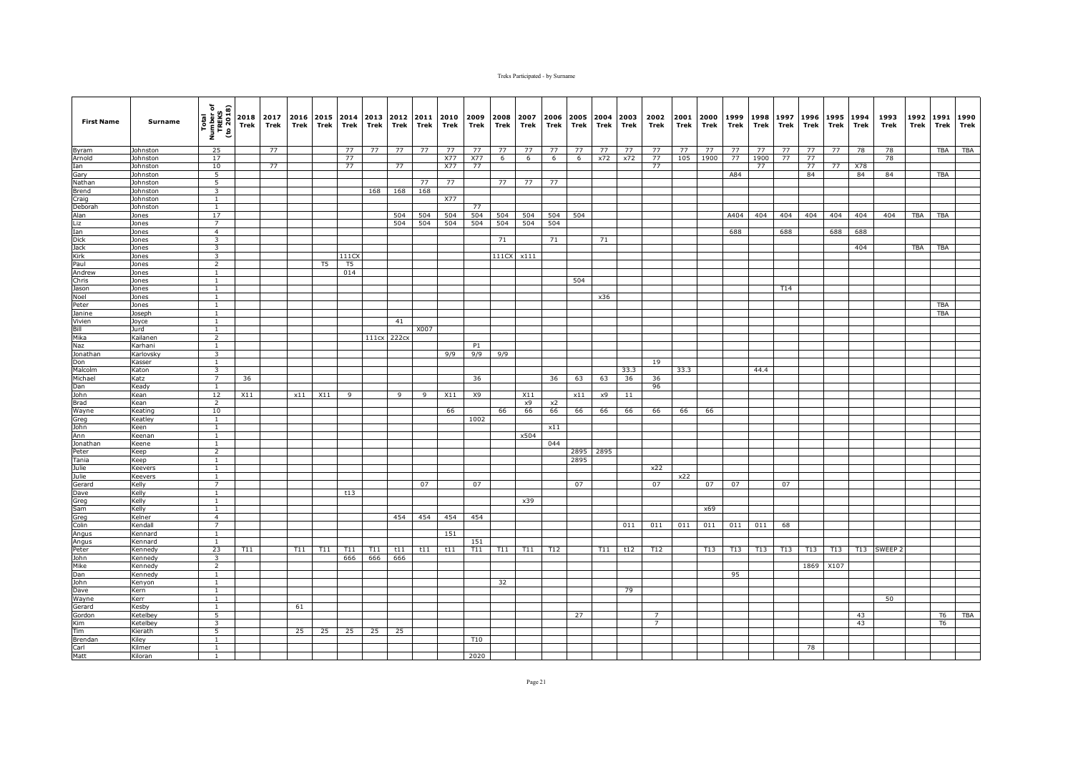| <b>First Name</b> | Surname              | Total<br>Number of<br>TREKS<br>(to 2018)  | Trek | 2018 2017<br>Trek | 2016<br>Trek | Trek | 2015 2014<br>Trek | 2013<br>Trek | 2012 2011<br>Trek | Trek      | 2010<br>Trek | 2009<br>Trek | 2008<br>Trek | 2007<br>Trek | 2006<br>Trek | Trek | 2005 2004 2003<br>Trek | Trek | 2002<br>Trek   | 2001<br>Trek | 2000<br>Trek | 1999<br>Trek | 1998<br>Trek | 1997<br>Trek | 1996<br>Trek | 1995<br>Trek | 1994<br>Trek | 1993<br>Trek | 1992<br>Trek | 1991<br>Trek   | 1990<br><b>Trek</b> |
|-------------------|----------------------|-------------------------------------------|------|-------------------|--------------|------|-------------------|--------------|-------------------|-----------|--------------|--------------|--------------|--------------|--------------|------|------------------------|------|----------------|--------------|--------------|--------------|--------------|--------------|--------------|--------------|--------------|--------------|--------------|----------------|---------------------|
| Byram             | Johnston             | 25                                        |      | 77                |              |      | 77                | 77           | 77                | 77        | 77           | 77           | 77           | 77           | 77           | 77   | 77                     | 77   | 77             | 77           | 77           | 77           | 77           | 77           | 77           | 77           | 78           | 78           |              | <b>TBA</b>     | <b>TBA</b>          |
| Arnold            | Johnston             | 17                                        |      |                   |              |      | 77                |              |                   |           | X77          | X77          | 6            | 6            | 6            | 6    | x72                    | x72  | 77             | 105          | 1900         | 77           | 1900         | 77           | 77           |              |              | 78           |              |                |                     |
| Ian               | Johnston             | 10                                        |      | 77                |              |      | 77                |              | 77                |           | X77          | 77           |              |              |              |      |                        |      | 77             |              |              |              | 77           |              | 77           | 77           | X78          |              |              |                |                     |
| Gary              | Johnston             | 5                                         |      |                   |              |      |                   |              |                   |           |              |              |              |              |              |      |                        |      |                |              |              | A84          |              |              | 84           |              | 84           | 84           |              | <b>TBA</b>     |                     |
| Nathan<br>Brend   | Johnston<br>Johnston | 5<br>$\overline{3}$                       |      |                   |              |      |                   | 168          | 168               | 77<br>168 | 77           |              | 77           | 77           | 77           |      |                        |      |                |              |              |              |              |              |              |              |              |              |              |                |                     |
| Craig             | Johnston             | $\overline{1}$                            |      |                   |              |      |                   |              |                   |           | <b>X77</b>   |              |              |              |              |      |                        |      |                |              |              |              |              |              |              |              |              |              |              |                |                     |
| Deborah           | Johnston             | $\mathbf{1}$                              |      |                   |              |      |                   |              |                   |           |              | 77           |              |              |              |      |                        |      |                |              |              |              |              |              |              |              |              |              |              |                |                     |
| Alan              | Jones                | 17                                        |      |                   |              |      |                   |              | 504               | 504       | 504          | 504          | 504          | 504          | 504          | 504  |                        |      |                |              |              | A404         | 404          | 404          | 404          | 404          | 404          | 404          | TBA          | <b>TBA</b>     |                     |
| Liz               | Jones                | $\overline{7}$                            |      |                   |              |      |                   |              | 504               | 504       | 504          | 504          | 504          | 504          | 504          |      |                        |      |                |              |              |              |              |              |              |              |              |              |              |                |                     |
| Ian               | Jones                | $\overline{4}$                            |      |                   |              |      |                   |              |                   |           |              |              |              |              |              |      |                        |      |                |              |              | 688          |              | 688          |              | 688          | 688          |              |              |                |                     |
| <b>Dick</b>       | Jones                | 3                                         |      |                   |              |      |                   |              |                   |           |              |              | 71           |              | 71           |      | 71                     |      |                |              |              |              |              |              |              |              |              |              |              |                |                     |
| Jack              | Jones                | $\overline{\mathbf{3}}$                   |      |                   |              |      |                   |              |                   |           |              |              |              |              |              |      |                        |      |                |              |              |              |              |              |              |              | 404          |              | <b>TBA</b>   | <b>TBA</b>     |                     |
| Kirk<br>Paul      | Jones<br>Jones       | $\overline{\mathbf{3}}$<br>$\overline{2}$ |      |                   |              | T5   | 111CX<br>T5       |              |                   |           |              |              | 111CX        | x111         |              |      |                        |      |                |              |              |              |              |              |              |              |              |              |              |                |                     |
| Andrew            | Jones                | $\mathbf{1}$                              |      |                   |              |      | 014               |              |                   |           |              |              |              |              |              |      |                        |      |                |              |              |              |              |              |              |              |              |              |              |                |                     |
| Chris             | Jones                | 1                                         |      |                   |              |      |                   |              |                   |           |              |              |              |              |              | 504  |                        |      |                |              |              |              |              |              |              |              |              |              |              |                |                     |
| Jason             | Jones                | <sup>1</sup>                              |      |                   |              |      |                   |              |                   |           |              |              |              |              |              |      |                        |      |                |              |              |              |              | T14          |              |              |              |              |              |                |                     |
| Noel              | Jones                | $\overline{1}$                            |      |                   |              |      |                   |              |                   |           |              |              |              |              |              |      | x36                    |      |                |              |              |              |              |              |              |              |              |              |              |                |                     |
| Peter             | Jones                | $\mathbf{1}$                              |      |                   |              |      |                   |              |                   |           |              |              |              |              |              |      |                        |      |                |              |              |              |              |              |              |              |              |              |              | <b>TBA</b>     |                     |
| Janine            | Joseph               | $\mathbf{1}$                              |      |                   |              |      |                   |              |                   |           |              |              |              |              |              |      |                        |      |                |              |              |              |              |              |              |              |              |              |              | <b>TBA</b>     |                     |
| Vivien            | Joyce                | $\mathbf{1}$                              |      |                   |              |      |                   |              | 41                |           |              |              |              |              |              |      |                        |      |                |              |              |              |              |              |              |              |              |              |              |                |                     |
| Bill<br>Mika      | Jurd<br>Kailanen     | $\mathbf{1}$<br>$\overline{2}$            |      |                   |              |      |                   | 111cx        | 222cx             | X007      |              |              |              |              |              |      |                        |      |                |              |              |              |              |              |              |              |              |              |              |                |                     |
| Naz               | Karhani              | $\mathbf{1}$                              |      |                   |              |      |                   |              |                   |           |              | <b>P1</b>    |              |              |              |      |                        |      |                |              |              |              |              |              |              |              |              |              |              |                |                     |
| Jonathan          | Karlovsky            | 3                                         |      |                   |              |      |                   |              |                   |           | 9/9          | 9/9          | 9/9          |              |              |      |                        |      |                |              |              |              |              |              |              |              |              |              |              |                |                     |
| Don               | Kasser               | $\mathbf{1}$                              |      |                   |              |      |                   |              |                   |           |              |              |              |              |              |      |                        |      | 19             |              |              |              |              |              |              |              |              |              |              |                |                     |
| Malcolm           | Katon                | $\overline{\mathbf{3}}$                   |      |                   |              |      |                   |              |                   |           |              |              |              |              |              |      |                        | 33.3 |                | 33.3         |              |              | 44.4         |              |              |              |              |              |              |                |                     |
| Michael           | Katz                 | 7                                         | 36   |                   |              |      |                   |              |                   |           |              | 36           |              |              | 36           | 63   | 63                     | 36   | 36             |              |              |              |              |              |              |              |              |              |              |                |                     |
| Dan               | Keady                | $\mathbf{1}$                              |      |                   |              |      |                   |              |                   |           |              |              |              |              |              |      |                        |      | 96             |              |              |              |              |              |              |              |              |              |              |                |                     |
| John              | Kean                 | 12                                        | X11  |                   | x11          | X11  | 9                 |              | 9                 | 9         | X11          | X9           |              | X11          |              | x11  | x9                     | 11   |                |              |              |              |              |              |              |              |              |              |              |                |                     |
| Brad              | Kean<br>Keating      | $\overline{2}$<br>10                      |      |                   |              |      |                   |              |                   |           |              |              |              | x9           | x2           |      |                        |      |                |              |              |              |              |              |              |              |              |              |              |                |                     |
| Wayne<br>Greg     | Keatley              | <sup>1</sup>                              |      |                   |              |      |                   |              |                   |           | 66           | 1002         | 66           | 66           | 66           | 66   | 66                     | 66   | 66             | 66           | 66           |              |              |              |              |              |              |              |              |                |                     |
| John              | Keen                 | $\mathbf{1}$                              |      |                   |              |      |                   |              |                   |           |              |              |              |              | x11          |      |                        |      |                |              |              |              |              |              |              |              |              |              |              |                |                     |
| Ann               | Keenan               | $\mathbf{1}$                              |      |                   |              |      |                   |              |                   |           |              |              |              | x504         |              |      |                        |      |                |              |              |              |              |              |              |              |              |              |              |                |                     |
| Jonathan          | Keene                | $\overline{1}$                            |      |                   |              |      |                   |              |                   |           |              |              |              |              | 044          |      |                        |      |                |              |              |              |              |              |              |              |              |              |              |                |                     |
| Peter             | Keep                 | $\overline{2}$                            |      |                   |              |      |                   |              |                   |           |              |              |              |              |              |      | 2895 2895              |      |                |              |              |              |              |              |              |              |              |              |              |                |                     |
| Tania             | Keep                 | <sup>1</sup>                              |      |                   |              |      |                   |              |                   |           |              |              |              |              |              | 2895 |                        |      |                |              |              |              |              |              |              |              |              |              |              |                |                     |
| Julie             | Keevers              | $\mathbf{1}$                              |      |                   |              |      |                   |              |                   |           |              |              |              |              |              |      |                        |      | x22            |              |              |              |              |              |              |              |              |              |              |                |                     |
| Julie             | Keevers              | $\mathbf{1}$                              |      |                   |              |      |                   |              |                   |           |              |              |              |              |              |      |                        |      |                | x22          |              |              |              |              |              |              |              |              |              |                |                     |
| Gerard            | Kelly<br>Kelly       | $\overline{7}$<br>$\overline{1}$          |      |                   |              |      | t13               |              |                   | 07        |              | 07           |              |              |              | 07   |                        |      | 07             |              | 07           | 07           |              | 07           |              |              |              |              |              |                |                     |
| Dave<br>Greg      | Kelly                | $\mathbf{1}$                              |      |                   |              |      |                   |              |                   |           |              |              |              | x39          |              |      |                        |      |                |              |              |              |              |              |              |              |              |              |              |                |                     |
| Sam               | Kelly                | $\mathbf{1}$                              |      |                   |              |      |                   |              |                   |           |              |              |              |              |              |      |                        |      |                |              | x69          |              |              |              |              |              |              |              |              |                |                     |
| Greg              | Kelner               | $\overline{4}$                            |      |                   |              |      |                   |              | 454               | 454       | 454          | 454          |              |              |              |      |                        |      |                |              |              |              |              |              |              |              |              |              |              |                |                     |
| Colin             | Kendall              | $\overline{7}$                            |      |                   |              |      |                   |              |                   |           |              |              |              |              |              |      |                        | 011  | 011            | 011          | 011          | 011          | 011          | 68           |              |              |              |              |              |                |                     |
| Angus             | Kennard              | $\mathbf{1}$                              |      |                   |              |      |                   |              |                   |           | 151          |              |              |              |              |      |                        |      |                |              |              |              |              |              |              |              |              |              |              |                |                     |
| Angus             | Kennard              | $\mathbf{1}$                              |      |                   |              |      |                   |              |                   |           |              | 151          |              |              |              |      |                        |      |                |              |              |              |              |              |              |              |              |              |              |                |                     |
| Peter             | Kennedy              | 23                                        | T11  |                   | T11          | T11  | T11               | T11          | t11               | t11       | t11          | T11          | T11          | T11          | T12          |      | T11                    | t12  | T12            |              | T13          | T13          | <b>T13</b>   | T13          | <b>T13</b>   | T13          | T13          | SWEEP        |              |                |                     |
| John              | Kennedy              | $\overline{\mathbf{3}}$                   |      |                   |              |      | 666               | 666          | 666               |           |              |              |              |              |              |      |                        |      |                |              |              |              |              |              |              |              |              |              |              |                |                     |
| Mike<br>Dan       | Kennedy              | $\overline{2}$<br><sup>1</sup>            |      |                   |              |      |                   |              |                   |           |              |              |              |              |              |      |                        |      |                |              |              |              |              |              | 1869         | X107         |              |              |              |                |                     |
| John              | Kennedy<br>Kenyon    | <sup>1</sup>                              |      |                   |              |      |                   |              |                   |           |              |              | 32           |              |              |      |                        |      |                |              |              | 95           |              |              |              |              |              |              |              |                |                     |
| Dave              | Kern                 | $\mathbf{1}$                              |      |                   |              |      |                   |              |                   |           |              |              |              |              |              |      |                        | 79   |                |              |              |              |              |              |              |              |              |              |              |                |                     |
| Wayne             | Kerr                 | 1                                         |      |                   |              |      |                   |              |                   |           |              |              |              |              |              |      |                        |      |                |              |              |              |              |              |              |              |              | 50           |              |                |                     |
| Gerard            | Kesby                | $\mathbf{1}$                              |      |                   | 61           |      |                   |              |                   |           |              |              |              |              |              |      |                        |      |                |              |              |              |              |              |              |              |              |              |              |                |                     |
| Gordon            | Ketelbey             | 5                                         |      |                   |              |      |                   |              |                   |           |              |              |              |              |              | 27   |                        |      | 7              |              |              |              |              |              |              |              | 43           |              |              | T <sub>6</sub> | TBA                 |
| Kim               | Ketelbey             | 3                                         |      |                   |              |      |                   |              |                   |           |              |              |              |              |              |      |                        |      | $\overline{7}$ |              |              |              |              |              |              |              | 43           |              |              | T <sub>6</sub> |                     |
| Tim               | Kierath              | 5                                         |      |                   | 25           | 25   | 25                | 25           | 25                |           |              |              |              |              |              |      |                        |      |                |              |              |              |              |              |              |              |              |              |              |                |                     |
| Brendan           | Kiley                | $\overline{1}$                            |      |                   |              |      |                   |              |                   |           |              | T10          |              |              |              |      |                        |      |                |              |              |              |              |              |              |              |              |              |              |                |                     |
| Carl<br>Matt      | Kilmer<br>Kiloran    | $\mathbf{1}$<br>1                         |      |                   |              |      |                   |              |                   |           |              | 2020         |              |              |              |      |                        |      |                |              |              |              |              |              | 78           |              |              |              |              |                |                     |
|                   |                      |                                           |      |                   |              |      |                   |              |                   |           |              |              |              |              |              |      |                        |      |                |              |              |              |              |              |              |              |              |              |              |                |                     |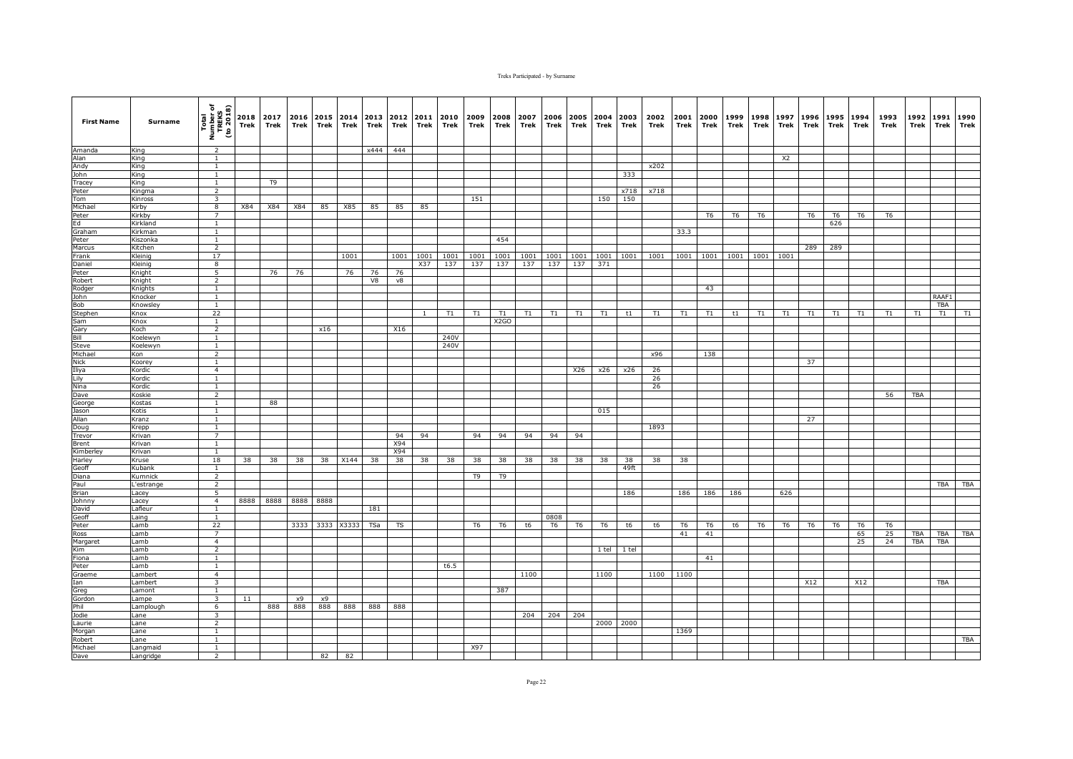| <b>First Name</b>   | Surname           | Total<br>Number of<br>TREKS<br>(to 2018) | 2018<br>Trek | 2017<br>Trek   | 2016<br>Trek | Trek      | 2015 2014 2013<br>Trek | Trek     | 2012<br>Trek | 2011<br>Trek | 2010<br>Trek | 2009<br>Trek   | 2008<br>Trek      | 2007<br>Trek | 2006<br>Trek | Trek           | 2005 2004<br>Trek | 2003<br>Trek | 2002<br>Trek | 2001<br>Trek         | 2000<br>Trek         | 1999<br>Trek        | 1998<br>Trek   | 1997<br>Trek   | 1996<br>Trek   | 1995<br>Trek   | 1994<br>Trek         | 1993<br>Trek   | 1992<br>Trek | 1991<br>Trek | 1990<br>Trek |
|---------------------|-------------------|------------------------------------------|--------------|----------------|--------------|-----------|------------------------|----------|--------------|--------------|--------------|----------------|-------------------|--------------|--------------|----------------|-------------------|--------------|--------------|----------------------|----------------------|---------------------|----------------|----------------|----------------|----------------|----------------------|----------------|--------------|--------------|--------------|
| Amanda              | Kina              | <sup>2</sup>                             |              |                |              |           |                        | x444     | 444          |              |              |                |                   |              |              |                |                   |              |              |                      |                      |                     |                |                |                |                |                      |                |              |              |              |
| Alan                | King              | $\overline{1}$                           |              |                |              |           |                        |          |              |              |              |                |                   |              |              |                |                   |              |              |                      |                      |                     |                | X <sub>2</sub> |                |                |                      |                |              |              |              |
| Andy                | King              | <sup>1</sup>                             |              |                |              |           |                        |          |              |              |              |                |                   |              |              |                |                   |              | x202         |                      |                      |                     |                |                |                |                |                      |                |              |              |              |
| John                | King              | $\mathbf{1}$                             |              |                |              |           |                        |          |              |              |              |                |                   |              |              |                |                   | 333          |              |                      |                      |                     |                |                |                |                |                      |                |              |              |              |
| Tracey              | King              | $\mathbf{1}$<br>$\overline{2}$           |              | T <sub>9</sub> |              |           |                        |          |              |              |              |                |                   |              |              |                |                   |              | x718         |                      |                      |                     |                |                |                |                |                      |                |              |              |              |
| Peter<br>Tom        | Kingma<br>Kinross | 3                                        |              |                |              |           |                        |          |              |              |              | 151            |                   |              |              |                | 150               | x718<br>150  |              |                      |                      |                     |                |                |                |                |                      |                |              |              |              |
| Michael             | Kirby             | 8                                        | X84          | X84            | X84          | 85        | X85                    | 85       | 85           | 85           |              |                |                   |              |              |                |                   |              |              |                      |                      |                     |                |                |                |                |                      |                |              |              |              |
| Peter               | Kirkby            | $\overline{7}$                           |              |                |              |           |                        |          |              |              |              |                |                   |              |              |                |                   |              |              |                      | T <sub>6</sub>       | T <sub>6</sub>      | T <sub>6</sub> |                | T <sub>6</sub> | T <sub>6</sub> | T <sub>6</sub>       | T <sub>6</sub> |              |              |              |
| Ed                  | Kirkland          | $\mathbf{1}$                             |              |                |              |           |                        |          |              |              |              |                |                   |              |              |                |                   |              |              |                      |                      |                     |                |                |                | 626            |                      |                |              |              |              |
| Graham              | Kirkman           | $\mathbf{1}$                             |              |                |              |           |                        |          |              |              |              |                |                   |              |              |                |                   |              |              | 33.3                 |                      |                     |                |                |                |                |                      |                |              |              |              |
| Peter               | Kiszonka          | $\mathbf{1}$                             |              |                |              |           |                        |          |              |              |              |                | 454               |              |              |                |                   |              |              |                      |                      |                     |                |                |                |                |                      |                |              |              |              |
| Marcus              | Kitchen           | $\overline{2}$                           |              |                |              |           |                        |          |              |              |              |                |                   |              |              |                |                   |              |              |                      |                      |                     |                |                | 289            | 289            |                      |                |              |              |              |
| Frank               | Kleinig           | 17                                       |              |                |              |           | 1001                   |          | 1001         | 1001         | 1001         | 1001           | 1001              | 1001         |              |                | 1001 1001 1001    | 1001         | 1001         | 1001                 |                      | 1001 1001 1001 1001 |                |                |                |                |                      |                |              |              |              |
| Daniel              | Kleinig           | 8                                        |              |                |              |           |                        |          |              | X37          | 137          | 137            | 137               | 137          | 137          | 137            | 371               |              |              |                      |                      |                     |                |                |                |                |                      |                |              |              |              |
| Peter<br>Robert     | Knight<br>Knight  | 5<br>$\overline{2}$                      |              | 76             | 76           |           | 76                     | 76<br>V8 | 76<br>v8     |              |              |                |                   |              |              |                |                   |              |              |                      |                      |                     |                |                |                |                |                      |                |              |              |              |
| Rodger              | Knights           | $\mathbf{1}$                             |              |                |              |           |                        |          |              |              |              |                |                   |              |              |                |                   |              |              |                      | 43                   |                     |                |                |                |                |                      |                |              |              |              |
| John                | Knocker           | $\overline{1}$                           |              |                |              |           |                        |          |              |              |              |                |                   |              |              |                |                   |              |              |                      |                      |                     |                |                |                |                |                      |                |              | RAAF1        |              |
| Bob                 | Knowsley          | $\overline{1}$                           |              |                |              |           |                        |          |              |              |              |                |                   |              |              |                |                   |              |              |                      |                      |                     |                |                |                |                |                      |                |              | <b>TBA</b>   |              |
| Stephen             | Knox              | 22                                       |              |                |              |           |                        |          |              |              | T1           | T1             | T1                | T1           | T1           | T1             | T1                | t1           | T1           | T1                   | T1                   | t1                  | T1             | T1             | T1             | T1             | T1                   | T1             | T1           | T1           | T1           |
| Sam                 | Knox              | $\overline{1}$                           |              |                |              |           |                        |          |              |              |              |                | X <sub>2</sub> GO |              |              |                |                   |              |              |                      |                      |                     |                |                |                |                |                      |                |              |              |              |
| Gary                | Koch              | $\overline{2}$                           |              |                |              | x16       |                        |          | X16          |              |              |                |                   |              |              |                |                   |              |              |                      |                      |                     |                |                |                |                |                      |                |              |              |              |
| Bill                | Koelewyn          | $\mathbf{1}$                             |              |                |              |           |                        |          |              |              | 240V         |                |                   |              |              |                |                   |              |              |                      |                      |                     |                |                |                |                |                      |                |              |              |              |
| Steve               | Koelewyn          | <sup>1</sup>                             |              |                |              |           |                        |          |              |              | 240V         |                |                   |              |              |                |                   |              |              |                      |                      |                     |                |                |                |                |                      |                |              |              |              |
| Michael             | Kon               | $\overline{2}$                           |              |                |              |           |                        |          |              |              |              |                |                   |              |              |                |                   |              | x96          |                      | 138                  |                     |                |                |                |                |                      |                |              |              |              |
| <b>Nick</b>         | Koorey<br>Kordic  | $\mathbf{1}$<br>$\overline{4}$           |              |                |              |           |                        |          |              |              |              |                |                   |              |              |                |                   |              |              |                      |                      |                     |                |                | 37             |                |                      |                |              |              |              |
| Iliya               | Kordic            | $\mathbf{1}$                             |              |                |              |           |                        |          |              |              |              |                |                   |              |              | X26            | x26               | x26          | 26<br>26     |                      |                      |                     |                |                |                |                |                      |                |              |              |              |
| Lily<br>Nina        | Kordic            | $\mathbf{1}$                             |              |                |              |           |                        |          |              |              |              |                |                   |              |              |                |                   |              | 26           |                      |                      |                     |                |                |                |                |                      |                |              |              |              |
| Dave                | Koskie            | $\overline{2}$                           |              |                |              |           |                        |          |              |              |              |                |                   |              |              |                |                   |              |              |                      |                      |                     |                |                |                |                |                      | 56             | <b>TBA</b>   |              |              |
| George              | Kostas            | $\overline{1}$                           |              | 88             |              |           |                        |          |              |              |              |                |                   |              |              |                |                   |              |              |                      |                      |                     |                |                |                |                |                      |                |              |              |              |
| Jason               | Kotis             | $\mathbf{1}$                             |              |                |              |           |                        |          |              |              |              |                |                   |              |              |                | 015               |              |              |                      |                      |                     |                |                |                |                |                      |                |              |              |              |
| Allan               | Kranz             | $\mathbf{1}$                             |              |                |              |           |                        |          |              |              |              |                |                   |              |              |                |                   |              |              |                      |                      |                     |                |                | 27             |                |                      |                |              |              |              |
| Doug                | Krepp             | $\mathbf{1}$                             |              |                |              |           |                        |          |              |              |              |                |                   |              |              |                |                   |              | 1893         |                      |                      |                     |                |                |                |                |                      |                |              |              |              |
| Trevor              | Krivan            | $\overline{7}$                           |              |                |              |           |                        |          | 94           | 94           |              | 94             | 94                | 94           | 94           | 94             |                   |              |              |                      |                      |                     |                |                |                |                |                      |                |              |              |              |
| Brent               | Krivan            | $\mathbf{1}$<br>$\overline{1}$           |              |                |              |           |                        |          | X94          |              |              |                |                   |              |              |                |                   |              |              |                      |                      |                     |                |                |                |                |                      |                |              |              |              |
| Kimberley<br>Harley | Krivan<br>Kruse   | 18                                       | 38           | 38             | 38           | 38        | X144                   | 38       | X94<br>38    | 38           | 38           | 38             | 38                | 38           | 38           | 38             | 38                | 38           | 38           | 38                   |                      |                     |                |                |                |                |                      |                |              |              |              |
| Geoff               | Kubank            | $\overline{1}$                           |              |                |              |           |                        |          |              |              |              |                |                   |              |              |                |                   | 49ft         |              |                      |                      |                     |                |                |                |                |                      |                |              |              |              |
| Diana               | Kumnick           | $\overline{2}$                           |              |                |              |           |                        |          |              |              |              | T9             | T9                |              |              |                |                   |              |              |                      |                      |                     |                |                |                |                |                      |                |              |              |              |
| Paul                | L'estrange        | $\overline{2}$                           |              |                |              |           |                        |          |              |              |              |                |                   |              |              |                |                   |              |              |                      |                      |                     |                |                |                |                |                      |                |              | TBA          | TBA          |
| Brian               | Lacey             | $\overline{5}$                           |              |                |              |           |                        |          |              |              |              |                |                   |              |              |                |                   | 186          |              | 186                  | 186                  | 186                 |                | 626            |                |                |                      |                |              |              |              |
| Johnny              | Lacey             | $\overline{4}$                           | 8888         | 8888           |              | 8888 8888 |                        |          |              |              |              |                |                   |              |              |                |                   |              |              |                      |                      |                     |                |                |                |                |                      |                |              |              |              |
| David               | Lafleur           | $\mathbf{1}$                             |              |                |              |           |                        | 181      |              |              |              |                |                   |              |              |                |                   |              |              |                      |                      |                     |                |                |                |                |                      |                |              |              |              |
| Geoff               | Laing             | 1                                        |              |                |              |           |                        |          |              |              |              |                |                   |              | 0808         |                |                   |              |              |                      |                      |                     |                |                |                |                |                      |                |              |              |              |
| Peter<br>Ross       | Lamb<br>Lamb      | 22<br>$\overline{7}$                     |              |                | 3333         | 3333      | X3333                  | TSa      | TS           |              |              | T <sub>6</sub> | T <sub>6</sub>    | t6           | T6           | T <sub>6</sub> | T <sub>6</sub>    | t6           | t6           | T <sub>6</sub><br>41 | T <sub>6</sub><br>41 | t6                  | T <sub>6</sub> | T <sub>6</sub> | T <sub>6</sub> | T <sub>6</sub> | T <sub>6</sub><br>65 | T6<br>25       | <b>TBA</b>   | TBA          | <b>TBA</b>   |
|                     |                   | $\overline{4}$                           |              |                |              |           |                        |          |              |              |              |                |                   |              |              |                |                   |              |              |                      |                      |                     |                |                |                |                | 25                   | 24             | <b>TBA</b>   | TBA          |              |
| Margaret<br>Kim     | .amb<br>Lamb      | $\overline{2}$                           |              |                |              |           |                        |          |              |              |              |                |                   |              |              |                | 1 tel             | 1 tel        |              |                      |                      |                     |                |                |                |                |                      |                |              |              |              |
| Fiona               | Lamb              | $\mathbf{1}$                             |              |                |              |           |                        |          |              |              |              |                |                   |              |              |                |                   |              |              |                      | 41                   |                     |                |                |                |                |                      |                |              |              |              |
| Peter               | Lamb              | $\mathbf{1}$                             |              |                |              |           |                        |          |              |              | t6.5         |                |                   |              |              |                |                   |              |              |                      |                      |                     |                |                |                |                |                      |                |              |              |              |
| Graeme              | Lambert           | 4                                        |              |                |              |           |                        |          |              |              |              |                |                   | 1100         |              |                | 1100              |              | 1100         | 1100                 |                      |                     |                |                |                |                |                      |                |              |              |              |
| Ian                 | Lambert           | $\overline{\mathbf{3}}$                  |              |                |              |           |                        |          |              |              |              |                |                   |              |              |                |                   |              |              |                      |                      |                     |                |                | X12            |                | X12                  |                |              | <b>TBA</b>   |              |
| Greg                | Lamont            | $\overline{1}$                           |              |                |              |           |                        |          |              |              |              |                | 387               |              |              |                |                   |              |              |                      |                      |                     |                |                |                |                |                      |                |              |              |              |
| Gordon              | Lampe             | $\overline{\mathbf{3}}$                  | 11           |                | х9           | x9        |                        |          |              |              |              |                |                   |              |              |                |                   |              |              |                      |                      |                     |                |                |                |                |                      |                |              |              |              |
| Phil                | Lamplough         | 6                                        |              | 888            | 888          | 888       | 888                    | 888      | 888          |              |              |                |                   |              |              |                |                   |              |              |                      |                      |                     |                |                |                |                |                      |                |              |              |              |
| Jodie               | Lane              | $\overline{\mathbf{3}}$                  |              |                |              |           |                        |          |              |              |              |                |                   | 204          | 204          | 204            |                   |              |              |                      |                      |                     |                |                |                |                |                      |                |              |              |              |
| Laurie              | Lane<br>Lane      | $\overline{2}$<br>1                      |              |                |              |           |                        |          |              |              |              |                |                   |              |              |                |                   | 2000 2000    |              | 1369                 |                      |                     |                |                |                |                |                      |                |              |              |              |
| Morgan<br>Robert    | Lane              | $\mathbf{1}$                             |              |                |              |           |                        |          |              |              |              |                |                   |              |              |                |                   |              |              |                      |                      |                     |                |                |                |                |                      |                |              |              | <b>TBA</b>   |
| Michael             | Langmaid          | <sup>1</sup>                             |              |                |              |           |                        |          |              |              |              | X97            |                   |              |              |                |                   |              |              |                      |                      |                     |                |                |                |                |                      |                |              |              |              |
| Dave                | Langridge         | 2                                        |              |                |              | 82        | 82                     |          |              |              |              |                |                   |              |              |                |                   |              |              |                      |                      |                     |                |                |                |                |                      |                |              |              |              |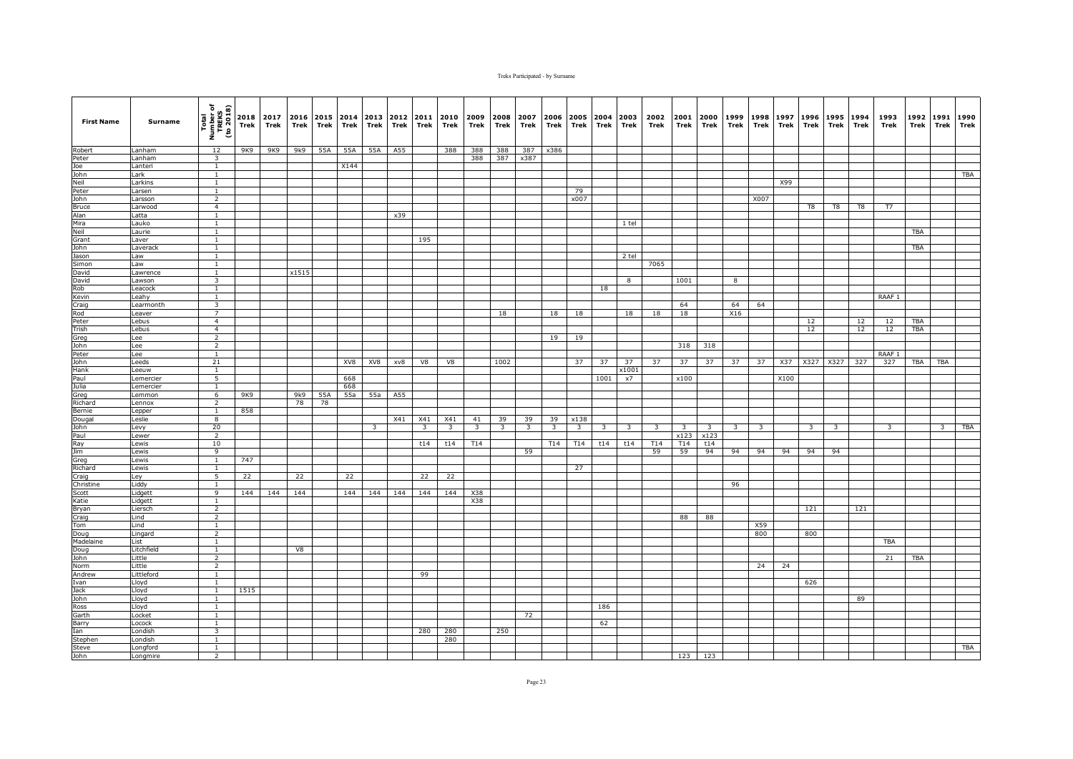| <b>First Name</b> | Surname             | Total<br>Number of<br>TREKS<br>(to 2018) | Trek | 2018 2017<br>Trek | 2016<br>Trek | Trek    | Trek | 2015 2014 2013<br>Trek  | 2012<br>Trek | 2011<br>Trek   | 2010<br>Trek            | 2009<br>Trek            | 2008<br>Trek            | 2007<br>Trek            | 2006<br>Trek            | 2005<br>Trek            | 2004<br>Trek | 2003<br>Trek            | 2002<br>Trek | 2001<br>Trek            | 2000<br>Trek            | 1999<br>Trek            | 1998<br>Trek   | 1997<br>Trek | 1996<br>Trek            | 1995<br>Trek | 1994<br>Trek | 1993<br>Trek      | 1992<br>Trek | 1991<br>Trek   | 1990<br>Trek |
|-------------------|---------------------|------------------------------------------|------|-------------------|--------------|---------|------|-------------------------|--------------|----------------|-------------------------|-------------------------|-------------------------|-------------------------|-------------------------|-------------------------|--------------|-------------------------|--------------|-------------------------|-------------------------|-------------------------|----------------|--------------|-------------------------|--------------|--------------|-------------------|--------------|----------------|--------------|
| Robert            | Lanham              | 12                                       | 9K9  | 9K9               |              | 9k9 55A | 55A  | 55A                     | A55          |                | 388                     | 388                     | 388                     | 387                     | x386                    |                         |              |                         |              |                         |                         |                         |                |              |                         |              |              |                   |              |                |              |
| Peter             | Lanham              | $\overline{\mathbf{3}}$                  |      |                   |              |         |      |                         |              |                |                         | 388                     | 387                     | x387                    |                         |                         |              |                         |              |                         |                         |                         |                |              |                         |              |              |                   |              |                |              |
| Joe               | anteri              | $\mathbf{1}$                             |      |                   |              |         | X144 |                         |              |                |                         |                         |                         |                         |                         |                         |              |                         |              |                         |                         |                         |                |              |                         |              |              |                   |              |                |              |
| John<br>Neil      | _ark<br>Larkins     | <sup>1</sup><br><sup>1</sup>             |      |                   |              |         |      |                         |              |                |                         |                         |                         |                         |                         |                         |              |                         |              |                         |                         |                         |                | X99          |                         |              |              |                   |              |                | <b>TBA</b>   |
| Peter             | Larsen              | $\mathbf{1}$                             |      |                   |              |         |      |                         |              |                |                         |                         |                         |                         |                         | 79                      |              |                         |              |                         |                         |                         |                |              |                         |              |              |                   |              |                |              |
| John              | Larsson             | $\overline{2}$                           |      |                   |              |         |      |                         |              |                |                         |                         |                         |                         |                         | x007                    |              |                         |              |                         |                         |                         | X007           |              |                         |              |              |                   |              |                |              |
| <b>Bruce</b>      | .arwood             | $\overline{4}$                           |      |                   |              |         |      |                         |              |                |                         |                         |                         |                         |                         |                         |              |                         |              |                         |                         |                         |                |              | T8                      | T8           | T8           | T7                |              |                |              |
| Alan              | .atta               | $\mathbf{1}$                             |      |                   |              |         |      |                         | x39          |                |                         |                         |                         |                         |                         |                         |              |                         |              |                         |                         |                         |                |              |                         |              |              |                   |              |                |              |
| Mira              | auko                | <sup>1</sup>                             |      |                   |              |         |      |                         |              |                |                         |                         |                         |                         |                         |                         |              | $1$ tel                 |              |                         |                         |                         |                |              |                         |              |              |                   |              |                |              |
| Neil              | aurie               | 1                                        |      |                   |              |         |      |                         |              |                |                         |                         |                         |                         |                         |                         |              |                         |              |                         |                         |                         |                |              |                         |              |              |                   | TBA          |                |              |
| Grant             | _aver               | $\mathbf{1}$                             |      |                   |              |         |      |                         |              | 195            |                         |                         |                         |                         |                         |                         |              |                         |              |                         |                         |                         |                |              |                         |              |              |                   |              |                |              |
| John              | averack             | $\overline{1}$                           |      |                   |              |         |      |                         |              |                |                         |                         |                         |                         |                         |                         |              |                         |              |                         |                         |                         |                |              |                         |              |              |                   | <b>TBA</b>   |                |              |
| Jason             | Law                 | $\overline{1}$                           |      |                   |              |         |      |                         |              |                |                         |                         |                         |                         |                         |                         |              | 2 tel                   |              |                         |                         |                         |                |              |                         |              |              |                   |              |                |              |
| Simon             | ws.                 | $\mathbf{1}$                             |      |                   | x1515        |         |      |                         |              |                |                         |                         |                         |                         |                         |                         |              |                         | 7065         |                         |                         |                         |                |              |                         |              |              |                   |              |                |              |
| David<br>David    | Lawrence<br>Lawson  | <sup>1</sup><br>3                        |      |                   |              |         |      |                         |              |                |                         |                         |                         |                         |                         |                         |              | 8                       |              | 1001                    |                         | 8                       |                |              |                         |              |              |                   |              |                |              |
| Rob               | Leacock             | $\mathbf{1}$                             |      |                   |              |         |      |                         |              |                |                         |                         |                         |                         |                         |                         | 18           |                         |              |                         |                         |                         |                |              |                         |              |              |                   |              |                |              |
| Kevin             | _eahy               | <sup>1</sup>                             |      |                   |              |         |      |                         |              |                |                         |                         |                         |                         |                         |                         |              |                         |              |                         |                         |                         |                |              |                         |              |              | RAAF <sub>1</sub> |              |                |              |
| Craig             | Learmonth           | $\overline{\mathbf{3}}$                  |      |                   |              |         |      |                         |              |                |                         |                         |                         |                         |                         |                         |              |                         |              | 64                      |                         | 64                      | 64             |              |                         |              |              |                   |              |                |              |
| Rod               | eaver               | $\overline{7}$                           |      |                   |              |         |      |                         |              |                |                         |                         | 18                      |                         | 18                      | 18                      |              | 18                      | 18           | 18                      |                         | X16                     |                |              |                         |              |              |                   |              |                |              |
| Peter             | _ebus               | $\overline{4}$                           |      |                   |              |         |      |                         |              |                |                         |                         |                         |                         |                         |                         |              |                         |              |                         |                         |                         |                |              | 12                      |              | 12           | 12                | TBA          |                |              |
| Trish             | _ebus               | $\overline{4}$                           |      |                   |              |         |      |                         |              |                |                         |                         |                         |                         |                         |                         |              |                         |              |                         |                         |                         |                |              | 12                      |              | 12           | 12                | TBA          |                |              |
| Greg              | Lee                 | 2                                        |      |                   |              |         |      |                         |              |                |                         |                         |                         |                         | 19                      | 19                      |              |                         |              |                         |                         |                         |                |              |                         |              |              |                   |              |                |              |
| John              | Lee                 | $\overline{2}$                           |      |                   |              |         |      |                         |              |                |                         |                         |                         |                         |                         |                         |              |                         |              | 318                     | 318                     |                         |                |              |                         |              |              |                   |              |                |              |
| Peter             | Lee                 | $\mathbf{1}$                             |      |                   |              |         |      |                         |              |                |                         |                         |                         |                         |                         |                         |              |                         |              |                         |                         |                         |                |              |                         |              |              | RAAF 1            |              |                |              |
| John              | Leeds               | 21<br>$\overline{1}$                     |      |                   |              |         | XV8  | XV8                     | xv8          | V8             | V8                      |                         | 1002                    |                         |                         | 37                      | 37           | 37<br>x1001             | 37           | 37                      | 37                      | 37                      | 37             |              | X37 X327 X327           |              | 327          | 327               | TBA          | TBA            |              |
| Hank<br>Paul      | Leeuw<br>Lemercier  | 5                                        |      |                   |              |         | 668  |                         |              |                |                         |                         |                         |                         |                         |                         | 1001         | x7                      |              | x100                    |                         |                         |                | X100         |                         |              |              |                   |              |                |              |
| Julia             | Lemercier           | $\mathbf{1}$                             |      |                   |              |         | 668  |                         |              |                |                         |                         |                         |                         |                         |                         |              |                         |              |                         |                         |                         |                |              |                         |              |              |                   |              |                |              |
| Greg              | Lemmon              | 6                                        | 9K9  |                   | 9k9          | 55A     | 55a  | 55a                     | A55          |                |                         |                         |                         |                         |                         |                         |              |                         |              |                         |                         |                         |                |              |                         |              |              |                   |              |                |              |
| Richard           | _ennox              | $\overline{2}$                           |      |                   | 78           | 78      |      |                         |              |                |                         |                         |                         |                         |                         |                         |              |                         |              |                         |                         |                         |                |              |                         |              |              |                   |              |                |              |
| Bernie            | epper.              | $\mathbf{1}$                             | 858  |                   |              |         |      |                         |              |                |                         |                         |                         |                         |                         |                         |              |                         |              |                         |                         |                         |                |              |                         |              |              |                   |              |                |              |
| Dougal            | eslie.              | 8                                        |      |                   |              |         |      |                         | X41          | X41            | X41                     | 41                      | 39                      | 39                      | 39                      | x138                    |              |                         |              |                         |                         |                         |                |              |                         |              |              |                   |              |                |              |
| John              | evy.                | 20                                       |      |                   |              |         |      | $\overline{\mathbf{3}}$ |              | $\overline{3}$ | $\overline{\mathbf{3}}$ | $\overline{\mathbf{3}}$ | $\overline{\mathbf{3}}$ | $\overline{\mathbf{3}}$ | $\overline{\mathbf{3}}$ | $\overline{\mathbf{3}}$ | 3            | $\overline{\mathbf{3}}$ | 3            | $\overline{\mathbf{3}}$ | $\overline{\mathbf{3}}$ | $\overline{\mathbf{3}}$ | $\overline{3}$ |              | $\overline{\mathbf{3}}$ | -3           |              | 3                 |              | $\overline{3}$ | TBA          |
| Paul              | ewer.               | 2                                        |      |                   |              |         |      |                         |              |                |                         |                         |                         |                         |                         |                         |              |                         |              | x123                    | x123                    |                         |                |              |                         |              |              |                   |              |                |              |
| Ray               | ewis.               | 10                                       |      |                   |              |         |      |                         |              | t14            | t14                     | T14                     |                         |                         | T14                     | T14                     | t14          | t14                     | T14          | T14                     | t14                     |                         |                |              |                         |              |              |                   |              |                |              |
| Jim               | _ewis               | 9                                        |      |                   |              |         |      |                         |              |                |                         |                         |                         | 59                      |                         |                         |              |                         | 59           | 59                      | 94                      | 94                      | 94             | 94           | 94                      | 94           |              |                   |              |                |              |
| Greg<br>Richard   | ewis<br>Lewis       | <sup>1</sup><br><sup>1</sup>             | 747  |                   |              |         |      |                         |              |                |                         |                         |                         |                         |                         | 27                      |              |                         |              |                         |                         |                         |                |              |                         |              |              |                   |              |                |              |
| Craig             | Ley                 | 5                                        | 22   |                   | 22           |         | 22   |                         |              | 22             | 22                      |                         |                         |                         |                         |                         |              |                         |              |                         |                         |                         |                |              |                         |              |              |                   |              |                |              |
| Christine         | Liddy               | $\mathbf{1}$                             |      |                   |              |         |      |                         |              |                |                         |                         |                         |                         |                         |                         |              |                         |              |                         |                         | 96                      |                |              |                         |              |              |                   |              |                |              |
| Scott             | Lidgett             | $\overline{9}$                           | 144  | 144               | 144          |         | 144  | 144                     | 144          | 144            | 144                     | X38                     |                         |                         |                         |                         |              |                         |              |                         |                         |                         |                |              |                         |              |              |                   |              |                |              |
| Katie             | Lidgett             | $\mathbf{1}$                             |      |                   |              |         |      |                         |              |                |                         | X38                     |                         |                         |                         |                         |              |                         |              |                         |                         |                         |                |              |                         |              |              |                   |              |                |              |
| Bryan             | .iersch             | 2                                        |      |                   |              |         |      |                         |              |                |                         |                         |                         |                         |                         |                         |              |                         |              |                         |                         |                         |                |              | 121                     |              | 121          |                   |              |                |              |
| Craig             | _ind                | $\overline{2}$                           |      |                   |              |         |      |                         |              |                |                         |                         |                         |                         |                         |                         |              |                         |              | 88                      | 88                      |                         |                |              |                         |              |              |                   |              |                |              |
| Tom               | Lind                | $\mathbf{1}$                             |      |                   |              |         |      |                         |              |                |                         |                         |                         |                         |                         |                         |              |                         |              |                         |                         |                         | X59            |              |                         |              |              |                   |              |                |              |
| Doug              | ingard              | 2                                        |      |                   |              |         |      |                         |              |                |                         |                         |                         |                         |                         |                         |              |                         |              |                         |                         |                         | 800            |              | 800                     |              |              |                   |              |                |              |
| Madelaine         | .ist                | $\mathbf{1}$                             |      |                   |              |         |      |                         |              |                |                         |                         |                         |                         |                         |                         |              |                         |              |                         |                         |                         |                |              |                         |              |              | <b>TBA</b>        |              |                |              |
| Doug<br>John      | .itchfield<br>ittle | $\mathbf{1}$<br>$\overline{2}$           |      |                   | V8           |         |      |                         |              |                |                         |                         |                         |                         |                         |                         |              |                         |              |                         |                         |                         |                |              |                         |              |              | 21                | TBA          |                |              |
| Norm              | Little              | $\overline{2}$                           |      |                   |              |         |      |                         |              |                |                         |                         |                         |                         |                         |                         |              |                         |              |                         |                         |                         | 24             | 24           |                         |              |              |                   |              |                |              |
| Andrew            | Littleford          | $\mathbf{1}$                             |      |                   |              |         |      |                         |              | 99             |                         |                         |                         |                         |                         |                         |              |                         |              |                         |                         |                         |                |              |                         |              |              |                   |              |                |              |
| Ivan              | Lloyd               | <sup>1</sup>                             |      |                   |              |         |      |                         |              |                |                         |                         |                         |                         |                         |                         |              |                         |              |                         |                         |                         |                |              | 626                     |              |              |                   |              |                |              |
| Jack              | Lloyd               | $\mathbf{1}$                             | 1515 |                   |              |         |      |                         |              |                |                         |                         |                         |                         |                         |                         |              |                         |              |                         |                         |                         |                |              |                         |              |              |                   |              |                |              |
| John              | Lloyd               | $\mathbf{1}$                             |      |                   |              |         |      |                         |              |                |                         |                         |                         |                         |                         |                         |              |                         |              |                         |                         |                         |                |              |                         |              | 89           |                   |              |                |              |
| Ross              | Lloyd               | <sup>1</sup>                             |      |                   |              |         |      |                         |              |                |                         |                         |                         |                         |                         |                         | 186          |                         |              |                         |                         |                         |                |              |                         |              |              |                   |              |                |              |
| Garth             | Locket              | $\mathbf{1}$                             |      |                   |              |         |      |                         |              |                |                         |                         |                         | 72                      |                         |                         |              |                         |              |                         |                         |                         |                |              |                         |              |              |                   |              |                |              |
| Barry             | Locock              | $\mathbf{1}$                             |      |                   |              |         |      |                         |              |                |                         |                         |                         |                         |                         |                         | 62           |                         |              |                         |                         |                         |                |              |                         |              |              |                   |              |                |              |
| Ian               | _ondish             | $\overline{3}$                           |      |                   |              |         |      |                         |              | 280            | 280                     |                         | 250                     |                         |                         |                         |              |                         |              |                         |                         |                         |                |              |                         |              |              |                   |              |                |              |
| Stephen           | Londish             | $\mathbf{1}$                             |      |                   |              |         |      |                         |              |                | 280                     |                         |                         |                         |                         |                         |              |                         |              |                         |                         |                         |                |              |                         |              |              |                   |              |                |              |
| Steve             | Longford            | $\mathbf{1}$                             |      |                   |              |         |      |                         |              |                |                         |                         |                         |                         |                         |                         |              |                         |              |                         |                         |                         |                |              |                         |              |              |                   |              |                | <b>TBA</b>   |
| John              | Longmire            | $\overline{2}$                           |      |                   |              |         |      |                         |              |                |                         |                         |                         |                         |                         |                         |              |                         |              |                         | 123 123                 |                         |                |              |                         |              |              |                   |              |                |              |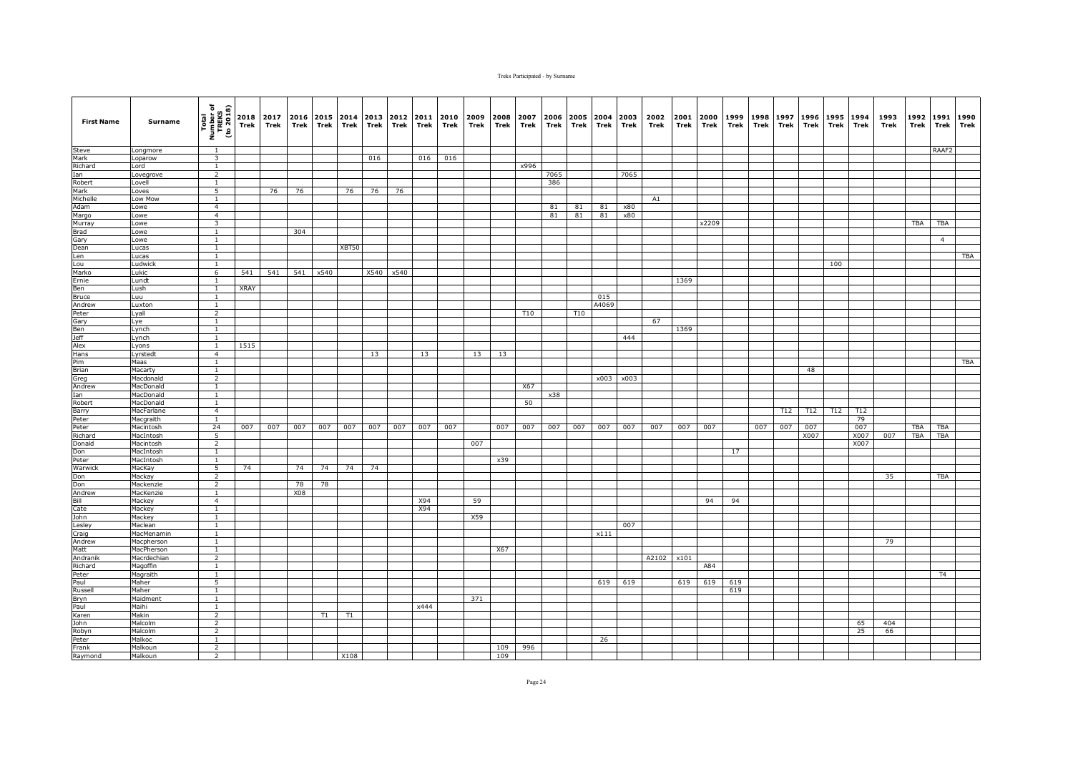| <b>First Name</b> | Surname                       | Total<br>Number of<br>TREKS<br>(to 2018) | 2018<br>Trek | 2017<br>Trek | 2016<br>Trek | 2015<br>Trek | 2014<br>Trek | 2013<br>Trek | 2012<br>Trek | 2011<br>Trek | 2010<br>Trek | 2009<br>Trek | 2008<br>Trek | 2007<br>Trek | 2006<br>Trek | 2005<br>Trek | 2004<br>Trek | 2003<br>Trek | 2002<br>Trek | 2001<br>Trek | 2000<br>Trek | 1999<br>Trek | 1998<br>Trek | 1997<br>Trek | 1996<br>Trek | 1995<br>Trek | 1994<br>Trek | 1993<br>Trek | 1992<br>Trek | 1991<br>Trek   | 1990<br>Trek |
|-------------------|-------------------------------|------------------------------------------|--------------|--------------|--------------|--------------|--------------|--------------|--------------|--------------|--------------|--------------|--------------|--------------|--------------|--------------|--------------|--------------|--------------|--------------|--------------|--------------|--------------|--------------|--------------|--------------|--------------|--------------|--------------|----------------|--------------|
| Steve             | Longmore                      | $\overline{1}$                           |              |              |              |              |              |              |              |              |              |              |              |              |              |              |              |              |              |              |              |              |              |              |              |              |              |              |              | RAAF2          |              |
| Mark              | Loparow                       | $\overline{\mathbf{3}}$                  |              |              |              |              |              | 016          |              | 016          | 016          |              |              |              |              |              |              |              |              |              |              |              |              |              |              |              |              |              |              |                |              |
| Richard           | Lord                          | $\mathbf{1}$                             |              |              |              |              |              |              |              |              |              |              |              | x996         |              |              |              |              |              |              |              |              |              |              |              |              |              |              |              |                |              |
| Ian               | Lovegrove                     | $\overline{2}$                           |              |              |              |              |              |              |              |              |              |              |              |              | 7065         |              |              | 7065         |              |              |              |              |              |              |              |              |              |              |              |                |              |
| Robert<br>Mark    | Lovell<br>Loves               | 1<br>5                                   |              | 76           | 76           |              | 76           | 76           | 76           |              |              |              |              |              | 386          |              |              |              |              |              |              |              |              |              |              |              |              |              |              |                |              |
| Michelle          | Low Mow                       | $\mathbf{1}$                             |              |              |              |              |              |              |              |              |              |              |              |              |              |              |              |              | A1           |              |              |              |              |              |              |              |              |              |              |                |              |
| Adam              | Lowe                          | $\overline{4}$                           |              |              |              |              |              |              |              |              |              |              |              |              | 81           | 81           | 81           | x80          |              |              |              |              |              |              |              |              |              |              |              |                |              |
| Margo             | Lowe                          | $\overline{4}$                           |              |              |              |              |              |              |              |              |              |              |              |              | 81           | 81           | 81           | x80          |              |              |              |              |              |              |              |              |              |              |              |                |              |
| Murray            | Lowe                          | 3                                        |              |              |              |              |              |              |              |              |              |              |              |              |              |              |              |              |              |              | x2209        |              |              |              |              |              |              |              | TBA          | <b>TBA</b>     |              |
| <b>Brad</b>       | Lowe                          | $\mathbf{1}$                             |              |              | 304          |              |              |              |              |              |              |              |              |              |              |              |              |              |              |              |              |              |              |              |              |              |              |              |              |                |              |
| Gary              | Lowe                          | $\mathbf{1}$                             |              |              |              |              |              |              |              |              |              |              |              |              |              |              |              |              |              |              |              |              |              |              |              |              |              |              |              | $\overline{4}$ |              |
| Dean              | Lucas                         | $\overline{1}$                           |              |              |              |              | XBT50        |              |              |              |              |              |              |              |              |              |              |              |              |              |              |              |              |              |              |              |              |              |              |                |              |
| Len               | Lucas                         | $\overline{1}$                           |              |              |              |              |              |              |              |              |              |              |              |              |              |              |              |              |              |              |              |              |              |              |              |              |              |              |              |                | <b>TBA</b>   |
| Lou<br>Marko      | Ludwick<br>Lukic              | $\mathbf{1}$<br>6                        |              |              |              |              |              | X540         |              |              |              |              |              |              |              |              |              |              |              |              |              |              |              |              |              | 100          |              |              |              |                |              |
| Ernie             | Lundt                         | $\mathbf{1}$                             | 541          | 541          |              | 541 x540     |              |              | x540         |              |              |              |              |              |              |              |              |              |              | 1369         |              |              |              |              |              |              |              |              |              |                |              |
| Ben               | Lush                          | $\mathbf{1}$                             | XRAY         |              |              |              |              |              |              |              |              |              |              |              |              |              |              |              |              |              |              |              |              |              |              |              |              |              |              |                |              |
| Bruce             | Luu                           | <sup>1</sup>                             |              |              |              |              |              |              |              |              |              |              |              |              |              |              | 015          |              |              |              |              |              |              |              |              |              |              |              |              |                |              |
| Andrew            | Luxton                        | <sup>1</sup>                             |              |              |              |              |              |              |              |              |              |              |              |              |              |              | A4069        |              |              |              |              |              |              |              |              |              |              |              |              |                |              |
| Peter             | Lyall                         | 2                                        |              |              |              |              |              |              |              |              |              |              |              | T10          |              | <b>T10</b>   |              |              |              |              |              |              |              |              |              |              |              |              |              |                |              |
| Gary              | Lye                           | <sup>1</sup>                             |              |              |              |              |              |              |              |              |              |              |              |              |              |              |              |              | 67           |              |              |              |              |              |              |              |              |              |              |                |              |
| Ben<br>Jeff       | Lynch                         | 1                                        |              |              |              |              |              |              |              |              |              |              |              |              |              |              |              |              |              | 1369         |              |              |              |              |              |              |              |              |              |                |              |
|                   | Lynch                         | $\overline{1}$                           |              |              |              |              |              |              |              |              |              |              |              |              |              |              |              | 444          |              |              |              |              |              |              |              |              |              |              |              |                |              |
| Alex              | Lyons                         | $\overline{1}$                           | 1515         |              |              |              |              |              |              |              |              |              |              |              |              |              |              |              |              |              |              |              |              |              |              |              |              |              |              |                |              |
| <b>Hans</b>       | Lyrstedt<br>Maas              | $\overline{4}$<br>$\mathbf{1}$           |              |              |              |              |              | 13           |              | 13           |              | 13           | 13           |              |              |              |              |              |              |              |              |              |              |              |              |              |              |              |              |                | TBA          |
| Pim<br>Brian      | Macarty                       | <sup>1</sup>                             |              |              |              |              |              |              |              |              |              |              |              |              |              |              |              |              |              |              |              |              |              |              | 48           |              |              |              |              |                |              |
| Greg              | Macdonald                     | $\overline{2}$                           |              |              |              |              |              |              |              |              |              |              |              |              |              |              | x003         | x003         |              |              |              |              |              |              |              |              |              |              |              |                |              |
| Andrew            | MacDonald                     | $\mathbf{1}$                             |              |              |              |              |              |              |              |              |              |              |              | X67          |              |              |              |              |              |              |              |              |              |              |              |              |              |              |              |                |              |
| Ian               | MacDonald                     | <sup>1</sup>                             |              |              |              |              |              |              |              |              |              |              |              |              | x38          |              |              |              |              |              |              |              |              |              |              |              |              |              |              |                |              |
| Robert            | MacDonald                     | $\overline{1}$                           |              |              |              |              |              |              |              |              |              |              |              | 50           |              |              |              |              |              |              |              |              |              |              |              |              |              |              |              |                |              |
| Barry             | MacFarlane                    | $\overline{4}$                           |              |              |              |              |              |              |              |              |              |              |              |              |              |              |              |              |              |              |              |              |              | T12          | T12          | T12          | T12          |              |              |                |              |
| Peter             | Macgraith                     | <sup>1</sup>                             |              |              |              |              |              |              |              |              |              |              |              |              |              |              |              |              |              |              |              |              |              |              |              |              | 79           |              |              |                |              |
| Peter             | Macintosh                     | 24                                       | 007          | 007          | 007          | 007          | 007          | 007          | 007          | 007          | 007          |              | 007          | 007          | 007          | 007          | 007          | 007          | 007          | 007          | 007          |              | 007          | 007          | 007          |              | 007          |              | TBA          | TBA            |              |
| Richard           | MacIntosh                     | 5<br>$\overline{2}$                      |              |              |              |              |              |              |              |              |              | 007          |              |              |              |              |              |              |              |              |              |              |              |              | X007         |              | X007<br>X007 | 007          | <b>TBA</b>   | TBA            |              |
| Donald<br>Don     | <b>Macintosh</b><br>MacIntosh | $\mathbf{1}$                             |              |              |              |              |              |              |              |              |              |              |              |              |              |              |              |              |              |              |              | 17           |              |              |              |              |              |              |              |                |              |
| Peter             | MacIntosh                     | <sup>1</sup>                             |              |              |              |              |              |              |              |              |              |              | x39          |              |              |              |              |              |              |              |              |              |              |              |              |              |              |              |              |                |              |
| Warwick           | MacKay                        | 5                                        | 74           |              | 74           | 74           | 74           | 74           |              |              |              |              |              |              |              |              |              |              |              |              |              |              |              |              |              |              |              |              |              |                |              |
| Don               | Mackay                        | $\overline{2}$                           |              |              |              |              |              |              |              |              |              |              |              |              |              |              |              |              |              |              |              |              |              |              |              |              |              | 35           |              | TBA            |              |
| Don               | Mackenzie                     | $\overline{2}$                           |              |              | 78           | 78           |              |              |              |              |              |              |              |              |              |              |              |              |              |              |              |              |              |              |              |              |              |              |              |                |              |
| Andrew            | MacKenzie                     | $\overline{1}$                           |              |              | X08          |              |              |              |              |              |              |              |              |              |              |              |              |              |              |              |              |              |              |              |              |              |              |              |              |                |              |
| Bill              | Mackey                        | $\overline{4}$                           |              |              |              |              |              |              |              | X94          |              | 59           |              |              |              |              |              |              |              |              | 94           | 94           |              |              |              |              |              |              |              |                |              |
| Cate              | Mackey                        | <sup>1</sup>                             |              |              |              |              |              |              |              | X94          |              |              |              |              |              |              |              |              |              |              |              |              |              |              |              |              |              |              |              |                |              |
| John<br>Lesley    | Mackey<br>Maclean             | $\mathbf{1}$<br>$\mathbf{1}$             |              |              |              |              |              |              |              |              |              | X59          |              |              |              |              |              | 007          |              |              |              |              |              |              |              |              |              |              |              |                |              |
| Craig             | MacMenamin                    | $\mathbf{1}$                             |              |              |              |              |              |              |              |              |              |              |              |              |              |              | x111         |              |              |              |              |              |              |              |              |              |              |              |              |                |              |
| Andrew            | Macpherson                    | $\mathbf{1}$                             |              |              |              |              |              |              |              |              |              |              |              |              |              |              |              |              |              |              |              |              |              |              |              |              |              | 79           |              |                |              |
| Matt              | MacPherson                    | $\overline{1}$                           |              |              |              |              |              |              |              |              |              |              | X67          |              |              |              |              |              |              |              |              |              |              |              |              |              |              |              |              |                |              |
| Andranik          | Macrdechian                   | 2                                        |              |              |              |              |              |              |              |              |              |              |              |              |              |              |              |              | A2102        | x101         |              |              |              |              |              |              |              |              |              |                |              |
| Richard           | Magoffin                      | $\mathbf{1}$                             |              |              |              |              |              |              |              |              |              |              |              |              |              |              |              |              |              |              | A84          |              |              |              |              |              |              |              |              |                |              |
| Peter             | Magraith                      | $\mathbf{1}$                             |              |              |              |              |              |              |              |              |              |              |              |              |              |              |              |              |              |              |              |              |              |              |              |              |              |              |              | T <sub>4</sub> |              |
| Paul              | Maher                         | 5                                        |              |              |              |              |              |              |              |              |              |              |              |              |              |              | 619          | 619          |              | 619          | 619          | 619          |              |              |              |              |              |              |              |                |              |
| Russell           | Maher                         | $\overline{1}$                           |              |              |              |              |              |              |              |              |              |              |              |              |              |              |              |              |              |              |              | 619          |              |              |              |              |              |              |              |                |              |
| Bryn<br>Paul      | Maidment<br>Maihi             | <sup>1</sup>                             |              |              |              |              |              |              |              | x444         |              | 371          |              |              |              |              |              |              |              |              |              |              |              |              |              |              |              |              |              |                |              |
| Karen             | Makin                         | $\mathbf{1}$<br>$\overline{2}$           |              |              |              | T1           | T1           |              |              |              |              |              |              |              |              |              |              |              |              |              |              |              |              |              |              |              |              |              |              |                |              |
| John              | Malcolm                       | $\overline{2}$                           |              |              |              |              |              |              |              |              |              |              |              |              |              |              |              |              |              |              |              |              |              |              |              |              | 65           | 404          |              |                |              |
| Robyn             | Malcolm                       | 2                                        |              |              |              |              |              |              |              |              |              |              |              |              |              |              |              |              |              |              |              |              |              |              |              |              | 25           | 66           |              |                |              |
| Peter             | Malkoc                        | $\overline{1}$                           |              |              |              |              |              |              |              |              |              |              |              |              |              |              | 26           |              |              |              |              |              |              |              |              |              |              |              |              |                |              |
| Frank             | Malkoun                       | $\overline{2}$                           |              |              |              |              |              |              |              |              |              |              | 109          | 996          |              |              |              |              |              |              |              |              |              |              |              |              |              |              |              |                |              |
| Raymond           | Malkoun                       | 2                                        |              |              |              |              | X108         |              |              |              |              |              | 109          |              |              |              |              |              |              |              |              |              |              |              |              |              |              |              |              |                |              |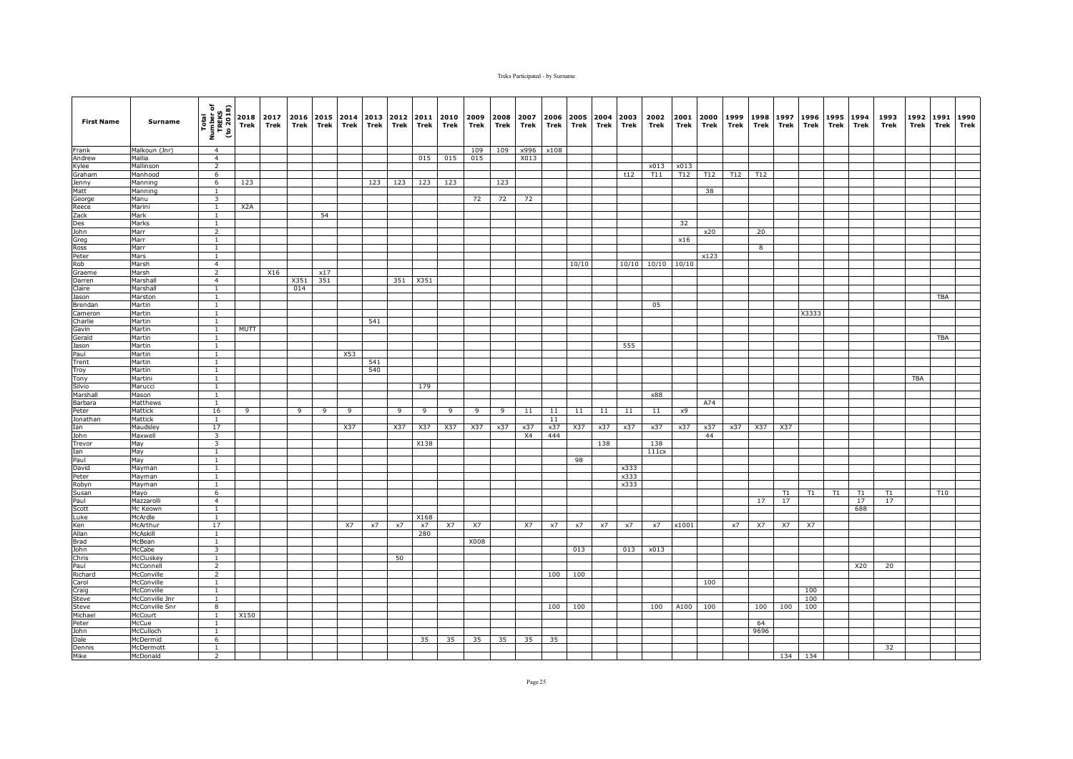| <b>First Name</b> | Surname                  | Total<br>Number of<br>TREKS<br>(to 2018) | Trek             | 2018 2017<br>Trek | 2016<br>Trek | 2015 2014<br>Trek | Trek | 2013<br>Trek | 2012<br>Trek | 2011<br>Trek | 2010<br>Trek | 2009<br>Trek | 2008<br>Trek | 2007<br>Trek | 2006<br>Trek | 2005<br>Trek | 2004<br>Trek | 2003<br>Trek | 2002<br>Trek | 2001<br>Trek | 2000<br>Trek | 1999<br>Trek | 1998<br>Trek            | 1997<br>Trek | 1996<br>Trek | 1995<br>Trek | 1994<br>Trek | 1993<br>Trek | 1992<br>Trek | 1991<br>Trek | 1990<br>Trek |
|-------------------|--------------------------|------------------------------------------|------------------|-------------------|--------------|-------------------|------|--------------|--------------|--------------|--------------|--------------|--------------|--------------|--------------|--------------|--------------|--------------|--------------|--------------|--------------|--------------|-------------------------|--------------|--------------|--------------|--------------|--------------|--------------|--------------|--------------|
| Frank             | Malkoun (Jnr)            | $\overline{4}$                           |                  |                   |              |                   |      |              |              |              |              | 109          | 109          | x996         | x108         |              |              |              |              |              |              |              |                         |              |              |              |              |              |              |              |              |
| Andrew            | Mallia                   | $\overline{4}$                           |                  |                   |              |                   |      |              |              | 015          | 015          | 015          |              | X013         |              |              |              |              |              |              |              |              |                         |              |              |              |              |              |              |              |              |
| Kylee             | Mallinson                | $\overline{2}$                           |                  |                   |              |                   |      |              |              |              |              |              |              |              |              |              |              |              | x013         | x013         |              |              |                         |              |              |              |              |              |              |              |              |
| Graham            | Manhood                  | 6                                        |                  |                   |              |                   |      |              |              |              |              |              |              |              |              |              |              | t12          | T11          | T12          | T12          | T12          | T12                     |              |              |              |              |              |              |              |              |
| Jenny<br>Matt     | Manning                  | 6                                        | 123              |                   |              |                   |      | 123          | 123          | 123          | 123          |              | 123          |              |              |              |              |              |              |              |              |              |                         |              |              |              |              |              |              |              |              |
| George            | Manning<br>Manu          | $\mathbf{1}$<br>$\overline{\mathbf{3}}$  |                  |                   |              |                   |      |              |              |              |              | 72           | 72           | 72           |              |              |              |              |              |              | 38           |              |                         |              |              |              |              |              |              |              |              |
| Reece             | Marini                   | $\mathbf{1}$                             | X <sub>2</sub> A |                   |              |                   |      |              |              |              |              |              |              |              |              |              |              |              |              |              |              |              |                         |              |              |              |              |              |              |              |              |
| Zack              | Mark                     | $\mathbf{1}$                             |                  |                   |              | 54                |      |              |              |              |              |              |              |              |              |              |              |              |              |              |              |              |                         |              |              |              |              |              |              |              |              |
| Des               | Marks                    | $\mathbf{1}$                             |                  |                   |              |                   |      |              |              |              |              |              |              |              |              |              |              |              |              | 32           |              |              |                         |              |              |              |              |              |              |              |              |
| John              | Marr                     | $\overline{2}$                           |                  |                   |              |                   |      |              |              |              |              |              |              |              |              |              |              |              |              |              | x20          |              | 20                      |              |              |              |              |              |              |              |              |
| Greg              | Marr                     | $\mathbf{1}$                             |                  |                   |              |                   |      |              |              |              |              |              |              |              |              |              |              |              |              | x16          |              |              |                         |              |              |              |              |              |              |              |              |
| Ross              | Marr                     | $\overline{1}$                           |                  |                   |              |                   |      |              |              |              |              |              |              |              |              |              |              |              |              |              |              |              | $\overline{\mathbf{8}}$ |              |              |              |              |              |              |              |              |
| Peter             | Mars                     | $\overline{1}$                           |                  |                   |              |                   |      |              |              |              |              |              |              |              |              |              |              |              |              |              | x123         |              |                         |              |              |              |              |              |              |              |              |
| Rob               | Marsh                    | $\overline{4}$                           |                  |                   |              |                   |      |              |              |              |              |              |              |              |              | 10/10        |              | 10/10        | 10/10        | 10/10        |              |              |                         |              |              |              |              |              |              |              |              |
| Graeme            | Marsh                    | $\overline{2}$                           |                  | X16               |              | x17<br>351        |      |              |              |              |              |              |              |              |              |              |              |              |              |              |              |              |                         |              |              |              |              |              |              |              |              |
| Darren<br>Claire  | Marshall<br>Marshall     | $\overline{4}$<br><sup>1</sup>           |                  |                   | X351<br>014  |                   |      |              | 351          | X351         |              |              |              |              |              |              |              |              |              |              |              |              |                         |              |              |              |              |              |              |              |              |
| Jason             | Marston                  | <sup>1</sup>                             |                  |                   |              |                   |      |              |              |              |              |              |              |              |              |              |              |              |              |              |              |              |                         |              |              |              |              |              |              | <b>TBA</b>   |              |
| Brendan           | Martin                   | $\overline{1}$                           |                  |                   |              |                   |      |              |              |              |              |              |              |              |              |              |              |              | 05           |              |              |              |                         |              |              |              |              |              |              |              |              |
| Cameron           | Martin                   | $\mathbf{1}$                             |                  |                   |              |                   |      |              |              |              |              |              |              |              |              |              |              |              |              |              |              |              |                         |              | X3333        |              |              |              |              |              |              |
| Charlie           | Martin                   | <sup>1</sup>                             |                  |                   |              |                   |      | 541          |              |              |              |              |              |              |              |              |              |              |              |              |              |              |                         |              |              |              |              |              |              |              |              |
| Gavin             | Martin                   | 1                                        | MUTT             |                   |              |                   |      |              |              |              |              |              |              |              |              |              |              |              |              |              |              |              |                         |              |              |              |              |              |              |              |              |
| Gerald            | Martin                   | $\overline{1}$                           |                  |                   |              |                   |      |              |              |              |              |              |              |              |              |              |              |              |              |              |              |              |                         |              |              |              |              |              |              | <b>TBA</b>   |              |
| Jason             | Martin                   | $\mathbf{1}$                             |                  |                   |              |                   |      |              |              |              |              |              |              |              |              |              |              | 555          |              |              |              |              |                         |              |              |              |              |              |              |              |              |
| Paul              | Martin                   | $\mathbf{1}$                             |                  |                   |              |                   | X53  |              |              |              |              |              |              |              |              |              |              |              |              |              |              |              |                         |              |              |              |              |              |              |              |              |
| Trent             | Martin                   | $\mathbf{1}$                             |                  |                   |              |                   |      | 541          |              |              |              |              |              |              |              |              |              |              |              |              |              |              |                         |              |              |              |              |              |              |              |              |
| Troy              | Martin                   | $\mathbf{1}$                             |                  |                   |              |                   |      | 540          |              |              |              |              |              |              |              |              |              |              |              |              |              |              |                         |              |              |              |              |              |              |              |              |
| Tony<br>Silvio    | Martini<br>Marucci       | $\mathbf{1}$<br>$\mathbf{1}$             |                  |                   |              |                   |      |              |              | 179          |              |              |              |              |              |              |              |              |              |              |              |              |                         |              |              |              |              |              | TBA          |              |              |
| Marshall          | Mason                    | <sup>1</sup>                             |                  |                   |              |                   |      |              |              |              |              |              |              |              |              |              |              |              | x88          |              |              |              |                         |              |              |              |              |              |              |              |              |
| Barbara           | Matthews                 | $\mathbf{1}$                             |                  |                   |              |                   |      |              |              |              |              |              |              |              |              |              |              |              |              |              | A74          |              |                         |              |              |              |              |              |              |              |              |
| Peter             | Mattick                  | 16                                       | 9                |                   | 9            | 9                 | 9    |              | 9            | 9            | 9            | 9            | 9            | 11           | 11           | 11           | 11           | 11           | 11           | x9           |              |              |                         |              |              |              |              |              |              |              |              |
| Jonathan          | Mattick                  | -1                                       |                  |                   |              |                   |      |              |              |              |              |              |              |              | 11           |              |              |              |              |              |              |              |                         |              |              |              |              |              |              |              |              |
| Ian               | Maudsley                 | 17                                       |                  |                   |              |                   | X37  |              | X37          | X37          | X37          | X37          | x37          | x37          | x37          | X37          | x37          | x37          | x37          | x37          | x37          | x37          | X37                     | X37          |              |              |              |              |              |              |              |
| John              | Maxwell                  | $\overline{3}$                           |                  |                   |              |                   |      |              |              |              |              |              |              | X4           | 444          |              |              |              |              |              | 44           |              |                         |              |              |              |              |              |              |              |              |
| Trevor            | May                      | $\overline{\mathbf{3}}$                  |                  |                   |              |                   |      |              |              | X138         |              |              |              |              |              |              | 138          |              | 138          |              |              |              |                         |              |              |              |              |              |              |              |              |
| Ian               | May                      | $\mathbf{1}$                             |                  |                   |              |                   |      |              |              |              |              |              |              |              |              |              |              |              | 111cx        |              |              |              |                         |              |              |              |              |              |              |              |              |
| Paul              | May                      | $\mathbf{1}$                             |                  |                   |              |                   |      |              |              |              |              |              |              |              |              | 98           |              |              |              |              |              |              |                         |              |              |              |              |              |              |              |              |
| David             | Mayman                   | $\mathbf{1}$                             |                  |                   |              |                   |      |              |              |              |              |              |              |              |              |              |              | x333         |              |              |              |              |                         |              |              |              |              |              |              |              |              |
| Peter<br>Robyn    | Mayman<br>Mayman         | <sup>1</sup><br>$\overline{1}$           |                  |                   |              |                   |      |              |              |              |              |              |              |              |              |              |              | x333<br>x333 |              |              |              |              |                         |              |              |              |              |              |              |              |              |
| Susan             | Mayo                     | 6                                        |                  |                   |              |                   |      |              |              |              |              |              |              |              |              |              |              |              |              |              |              |              |                         | T1           | T1           | T1           | T1           | T1           |              | T10          |              |
| Paul              | Mazzarolli               | $\overline{4}$                           |                  |                   |              |                   |      |              |              |              |              |              |              |              |              |              |              |              |              |              |              |              | 17                      | 17           |              |              | 17           | 17           |              |              |              |
| Scott             | Mc Keown                 | $\mathbf{1}$                             |                  |                   |              |                   |      |              |              |              |              |              |              |              |              |              |              |              |              |              |              |              |                         |              |              |              | 688          |              |              |              |              |
| Luke              | McArdle                  | $\mathbf{1}$                             |                  |                   |              |                   |      |              |              | X168         |              |              |              |              |              |              |              |              |              |              |              |              |                         |              |              |              |              |              |              |              |              |
| Ken               | McArthur                 | 17                                       |                  |                   |              |                   | X7   | x7           | x7           | x7           | X7           | X7           |              | <b>X7</b>    | x7           | x7           | x7           | x7           | x7           | x1001        |              | x7           | X7                      | X7           | X7           |              |              |              |              |              |              |
| Allan             | McAskill                 | <sup>1</sup>                             |                  |                   |              |                   |      |              |              | 280          |              |              |              |              |              |              |              |              |              |              |              |              |                         |              |              |              |              |              |              |              |              |
| Brad              | McBean                   | $\mathbf{1}$                             |                  |                   |              |                   |      |              |              |              |              | X008         |              |              |              |              |              |              |              |              |              |              |                         |              |              |              |              |              |              |              |              |
| John              | McCabe                   | $\overline{\mathbf{3}}$                  |                  |                   |              |                   |      |              |              |              |              |              |              |              |              | 013          |              | 013          | x013         |              |              |              |                         |              |              |              |              |              |              |              |              |
| Chris             | McCluskey                | <sup>1</sup>                             |                  |                   |              |                   |      |              | 50           |              |              |              |              |              |              |              |              |              |              |              |              |              |                         |              |              |              |              |              |              |              |              |
| Paul              | McConnell                | $\overline{2}$                           |                  |                   |              |                   |      |              |              |              |              |              |              |              |              |              |              |              |              |              |              |              |                         |              |              |              | X20          | 20           |              |              |              |
| Richard<br>Carol  | McConville<br>McConville | $\overline{2}$<br>$\mathbf{1}$           |                  |                   |              |                   |      |              |              |              |              |              |              |              | 100          | 100          |              |              |              |              | 100          |              |                         |              |              |              |              |              |              |              |              |
| Craig             | McConville               | $\overline{1}$                           |                  |                   |              |                   |      |              |              |              |              |              |              |              |              |              |              |              |              |              |              |              |                         |              | 100          |              |              |              |              |              |              |
| Steve             | McConville Jnr           | 1                                        |                  |                   |              |                   |      |              |              |              |              |              |              |              |              |              |              |              |              |              |              |              |                         |              | 100          |              |              |              |              |              |              |
| Steve             | McConville Snr           | 8                                        |                  |                   |              |                   |      |              |              |              |              |              |              |              | 100          | 100          |              |              | 100          | A100         | 100          |              | 100                     | 100          | 100          |              |              |              |              |              |              |
| Michael           | McCourt                  | $\mathbf{1}$                             | X150             |                   |              |                   |      |              |              |              |              |              |              |              |              |              |              |              |              |              |              |              |                         |              |              |              |              |              |              |              |              |
| Peter             | McCue                    | $\mathbf{1}$                             |                  |                   |              |                   |      |              |              |              |              |              |              |              |              |              |              |              |              |              |              |              | 64                      |              |              |              |              |              |              |              |              |
| John              | McCulloch                | $\mathbf{1}$                             |                  |                   |              |                   |      |              |              |              |              |              |              |              |              |              |              |              |              |              |              |              | 9696                    |              |              |              |              |              |              |              |              |
| Dale              | McDermid                 | $6\overline{6}$                          |                  |                   |              |                   |      |              |              | 35           | 35           | 35           | 35           | 35           | 35           |              |              |              |              |              |              |              |                         |              |              |              |              |              |              |              |              |
| Dennis            | McDermott                | <sup>1</sup>                             |                  |                   |              |                   |      |              |              |              |              |              |              |              |              |              |              |              |              |              |              |              |                         |              |              |              |              | 32           |              |              |              |
| Mike              | McDonald                 | $\overline{2}$                           |                  |                   |              |                   |      |              |              |              |              |              |              |              |              |              |              |              |              |              |              |              |                         |              | 134 134      |              |              |              |              |              |              |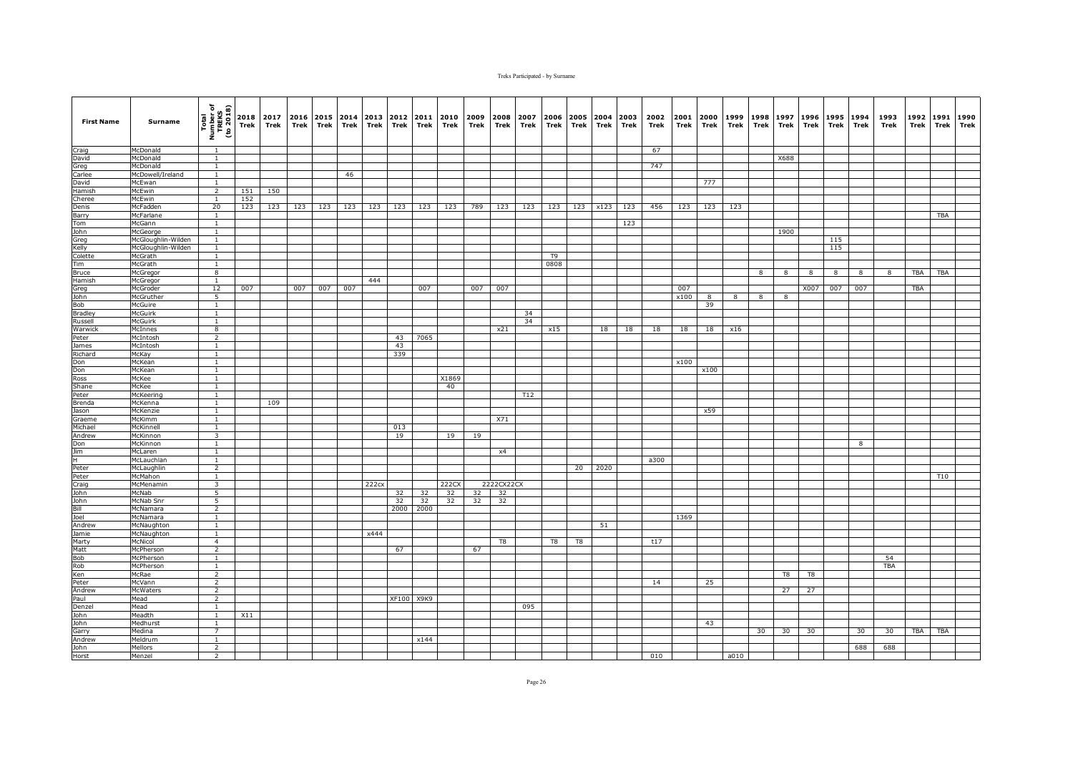| Total<br>Number of<br>TREKS<br>(to 2018)<br>2018<br>2017<br>2016<br>2015<br>2014 2013<br>2012<br>2011<br>2010<br><b>First Name</b><br>Surname<br>Trek<br>Trek<br>Trek<br>Trek<br>Trek<br>Trek<br>Trek<br>Trek<br>Trek | 2009<br>Trek | 2008<br>Trek | 2007<br>Trek | 2006<br>Trek | 2005<br>Trek | 2004<br>Trek | 2003<br>Trek | 2002<br>Trek | 2001<br>Trek | 2000<br>Trek | 1999<br>Trek | 1998<br>Trek            | 1997<br>Trek | 1996<br>Trek | 1995<br>Trek | 1994<br>Trek | 1993<br>Trek | 1992<br>Trek | 1991<br>Trek | 1990<br>Trek |
|-----------------------------------------------------------------------------------------------------------------------------------------------------------------------------------------------------------------------|--------------|--------------|--------------|--------------|--------------|--------------|--------------|--------------|--------------|--------------|--------------|-------------------------|--------------|--------------|--------------|--------------|--------------|--------------|--------------|--------------|
| Craig<br>McDonald<br>1                                                                                                                                                                                                |              |              |              |              |              |              |              | 67           |              |              |              |                         |              |              |              |              |              |              |              |              |
| David<br>Greg<br>Carlee<br>McDonald<br>$\overline{1}$                                                                                                                                                                 |              |              |              |              |              |              |              |              |              |              |              |                         | X688         |              |              |              |              |              |              |              |
| McDonald<br>$\mathbf{1}$                                                                                                                                                                                              |              |              |              |              |              |              |              | 747          |              |              |              |                         |              |              |              |              |              |              |              |              |
| McDowell/Ireland<br>$\mathbf{1}$<br>46                                                                                                                                                                                |              |              |              |              |              |              |              |              |              |              |              |                         |              |              |              |              |              |              |              |              |
| David<br>McEwan<br>$\mathbf{1}$                                                                                                                                                                                       |              |              |              |              |              |              |              |              |              | 777          |              |                         |              |              |              |              |              |              |              |              |
| Hamish<br>McEwin<br>150<br>$\overline{2}$<br>151                                                                                                                                                                      |              |              |              |              |              |              |              |              |              |              |              |                         |              |              |              |              |              |              |              |              |
| Cheree<br>McEwin<br>152<br>1<br>McFadden<br>20<br>123<br>123<br>123<br>123<br>123<br>123                                                                                                                              | 789          | 123          | 123          | 123          | 123          |              | 123          | 456          |              | 123          | 123          |                         |              |              |              |              |              |              |              |              |
| Denis<br>123<br>123<br>123<br>Barry<br>McFarlane<br>$\overline{1}$                                                                                                                                                    |              |              |              |              |              | x123         |              |              | 123          |              |              |                         |              |              |              |              |              |              | TBA          |              |
| Tom<br>McGann<br>$\overline{1}$                                                                                                                                                                                       |              |              |              |              |              |              | 123          |              |              |              |              |                         |              |              |              |              |              |              |              |              |
| McGeorge<br>1                                                                                                                                                                                                         |              |              |              |              |              |              |              |              |              |              |              |                         | 1900         |              |              |              |              |              |              |              |
| John<br>Greg<br>McGloughlin-Wilden<br>$\mathbf{1}$                                                                                                                                                                    |              |              |              |              |              |              |              |              |              |              |              |                         |              |              | 115          |              |              |              |              |              |
| Kelly<br>Colette<br>Tim<br>McGloughlin-Wilden<br>$\mathbf{1}$                                                                                                                                                         |              |              |              |              |              |              |              |              |              |              |              |                         |              |              | 115          |              |              |              |              |              |
| McGrath<br>$\overline{1}$                                                                                                                                                                                             |              |              |              | T9           |              |              |              |              |              |              |              |                         |              |              |              |              |              |              |              |              |
| McGrath<br>$\mathbf{1}$                                                                                                                                                                                               |              |              |              | 0808         |              |              |              |              |              |              |              |                         |              |              |              |              |              |              |              |              |
| <b>Bruce</b><br>McGregor<br>8                                                                                                                                                                                         |              |              |              |              |              |              |              |              |              |              |              | $\overline{\mathbf{8}}$ | 8            | 8            | 8            | 8            | 8            | <b>TBA</b>   | <b>TBA</b>   |              |
| Hamish<br>McGregor<br>444<br>$\mathbf{1}$                                                                                                                                                                             |              |              |              |              |              |              |              |              |              |              |              |                         |              |              |              |              |              |              |              |              |
| Greg<br>12<br>McGroder<br>007<br>007<br>007<br>007<br>007                                                                                                                                                             | 007          | 007          |              |              |              |              |              |              | 007          |              |              |                         |              | X007         | 007          | 007          |              | TBA          |              |              |
| John<br>McGruther<br>$\overline{5}$<br>McGuire<br>$\overline{1}$                                                                                                                                                      |              |              |              |              |              |              |              |              | x100         | 8<br>39      | 8            | 8                       | 8            |              |              |              |              |              |              |              |
| Bob<br>Bradley<br>McGuirk<br>$\mathbf{1}$                                                                                                                                                                             |              |              | 34           |              |              |              |              |              |              |              |              |                         |              |              |              |              |              |              |              |              |
| Russell<br>McGuirk<br>1                                                                                                                                                                                               |              |              | 34           |              |              |              |              |              |              |              |              |                         |              |              |              |              |              |              |              |              |
| Warwick<br>McInnes<br>8                                                                                                                                                                                               |              | x21          |              | x15          |              | 18           | 18           | 18           | 18           | 18           | x16          |                         |              |              |              |              |              |              |              |              |
| Peter<br>McIntosh<br>$\overline{2}$<br>43<br>7065                                                                                                                                                                     |              |              |              |              |              |              |              |              |              |              |              |                         |              |              |              |              |              |              |              |              |
| McIntosh<br>43<br>1                                                                                                                                                                                                   |              |              |              |              |              |              |              |              |              |              |              |                         |              |              |              |              |              |              |              |              |
| 339<br>McKay<br>$\overline{1}$                                                                                                                                                                                        |              |              |              |              |              |              |              |              |              |              |              |                         |              |              |              |              |              |              |              |              |
| James<br>Richard<br>Don<br>McKean<br>$\mathbf{1}$                                                                                                                                                                     |              |              |              |              |              |              |              |              | x100         |              |              |                         |              |              |              |              |              |              |              |              |
| Don<br>Ross<br>Shane<br>McKean<br>1                                                                                                                                                                                   |              |              |              |              |              |              |              |              |              | x100         |              |                         |              |              |              |              |              |              |              |              |
| McKee<br>X1869<br>1                                                                                                                                                                                                   |              |              |              |              |              |              |              |              |              |              |              |                         |              |              |              |              |              |              |              |              |
| McKee<br>$\mathbf{1}$<br>40                                                                                                                                                                                           |              |              |              |              |              |              |              |              |              |              |              |                         |              |              |              |              |              |              |              |              |
| Peter<br>McKeering<br>1                                                                                                                                                                                               |              |              | T12          |              |              |              |              |              |              |              |              |                         |              |              |              |              |              |              |              |              |
| Brenda<br><b>McKenna</b><br>$\overline{1}$<br>109                                                                                                                                                                     |              |              |              |              |              |              |              |              |              |              |              |                         |              |              |              |              |              |              |              |              |
| Jason<br>McKenzie<br>$\mathbf{1}$<br>Graeme<br>McKimm<br>$\mathbf{1}$                                                                                                                                                 |              | X71          |              |              |              |              |              |              |              | x59          |              |                         |              |              |              |              |              |              |              |              |
| McKinnell<br>Michael<br>013<br>$\mathbf{1}$                                                                                                                                                                           |              |              |              |              |              |              |              |              |              |              |              |                         |              |              |              |              |              |              |              |              |
| Andrew<br>McKinnon<br>$\overline{3}$<br>19<br>19                                                                                                                                                                      | 19           |              |              |              |              |              |              |              |              |              |              |                         |              |              |              |              |              |              |              |              |
| Don<br>McKinnon<br>$\mathbf{1}$                                                                                                                                                                                       |              |              |              |              |              |              |              |              |              |              |              |                         |              |              |              | 8            |              |              |              |              |
| $\mathbf{1}$<br>McLaren                                                                                                                                                                                               |              | x4           |              |              |              |              |              |              |              |              |              |                         |              |              |              |              |              |              |              |              |
| $\frac{ \text{Jim} }{ \text{H} }$<br>McLauchlan<br>$\mathbf{1}$                                                                                                                                                       |              |              |              |              |              |              |              | a300         |              |              |              |                         |              |              |              |              |              |              |              |              |
| McLaughlin<br>$\overline{2}$                                                                                                                                                                                          |              |              |              |              | 20           | 2020         |              |              |              |              |              |                         |              |              |              |              |              |              |              |              |
| Peter<br>Peter<br>Craig<br>McMahon<br>$\mathbf{1}$                                                                                                                                                                    |              |              |              |              |              |              |              |              |              |              |              |                         |              |              |              |              |              |              | T10          |              |
| McMenamin<br>$\overline{\mathbf{3}}$<br>222cx<br>222CX                                                                                                                                                                |              | 2222CX22CX   |              |              |              |              |              |              |              |              |              |                         |              |              |              |              |              |              |              |              |
| McNab<br>$\overline{5}$<br>32<br>32<br>32                                                                                                                                                                             | 32           | 32           |              |              |              |              |              |              |              |              |              |                         |              |              |              |              |              |              |              |              |
| John<br>John<br>Bill<br>Joel<br>Andrew<br>Jamie<br>- 5<br>32<br>McNab Snr<br>32<br>32                                                                                                                                 | 32           | 32           |              |              |              |              |              |              |              |              |              |                         |              |              |              |              |              |              |              |              |
| McNamara<br>$\overline{2}$<br>2000<br>2000                                                                                                                                                                            |              |              |              |              |              |              |              |              |              |              |              |                         |              |              |              |              |              |              |              |              |
| McNamara<br>$\mathbf{1}$<br>McNaughton<br>1                                                                                                                                                                           |              |              |              |              |              | 51           |              |              | 1369         |              |              |                         |              |              |              |              |              |              |              |              |
| McNaughton<br>$\mathbf{1}$<br>x444                                                                                                                                                                                    |              |              |              |              |              |              |              |              |              |              |              |                         |              |              |              |              |              |              |              |              |
| Marty<br>McNicol<br>$\overline{4}$                                                                                                                                                                                    |              | T8           |              | T8           | T8           |              |              | t17          |              |              |              |                         |              |              |              |              |              |              |              |              |
| $\overline{2}$<br>67<br>McPherson                                                                                                                                                                                     | 67           |              |              |              |              |              |              |              |              |              |              |                         |              |              |              |              |              |              |              |              |
| Matt<br>Bob<br>McPherson<br>$\mathbf{1}$                                                                                                                                                                              |              |              |              |              |              |              |              |              |              |              |              |                         |              |              |              |              | 54           |              |              |              |
| McPherson<br>$\mathbf{1}$                                                                                                                                                                                             |              |              |              |              |              |              |              |              |              |              |              |                         |              |              |              |              | TBA          |              |              |              |
| Rob<br>Ken<br>Peter<br>Andrew<br>Paul<br>McRae<br>$\overline{2}$                                                                                                                                                      |              |              |              |              |              |              |              |              |              |              |              |                         | T8           | T8           |              |              |              |              |              |              |
| McVann<br>$\overline{2}$                                                                                                                                                                                              |              |              |              |              |              |              |              | 14           |              | 25           |              |                         |              |              |              |              |              |              |              |              |
| $\overline{2}$<br>McWaters                                                                                                                                                                                            |              |              |              |              |              |              |              |              |              |              |              |                         | 27           | 27           |              |              |              |              |              |              |
| $\overline{2}$<br>Mead<br>X9K9<br>XF100                                                                                                                                                                               |              |              |              |              |              |              |              |              |              |              |              |                         |              |              |              |              |              |              |              |              |
| Denzel<br>Mead<br>$\mathbf{1}$                                                                                                                                                                                        |              |              |              |              |              |              |              |              |              |              |              |                         |              |              |              |              |              |              |              |              |
| John<br>John<br>Meadth<br>X11<br>$\mathbf{1}$                                                                                                                                                                         |              |              | 095          |              |              |              |              |              |              |              |              |                         |              |              |              |              |              |              |              |              |
|                                                                                                                                                                                                                       |              |              |              |              |              |              |              |              |              |              |              |                         |              |              |              |              |              |              |              |              |
| Medhurst<br>$\mathbf{1}$                                                                                                                                                                                              |              |              |              |              |              |              |              |              |              | 43           |              |                         |              |              |              |              |              |              |              |              |
| Garry<br>Medina<br>$\overline{z}$                                                                                                                                                                                     |              |              |              |              |              |              |              |              |              |              |              | 30                      | 30           | 30           |              | 30           | 30           | <b>TBA</b>   | <b>TBA</b>   |              |
| Andrew<br>Meldrum<br>$\overline{1}$<br>x144<br>$\overline{2}$<br>John<br>Mellors                                                                                                                                      |              |              |              |              |              |              |              |              |              |              |              |                         |              |              |              | 688          | 688          |              |              |              |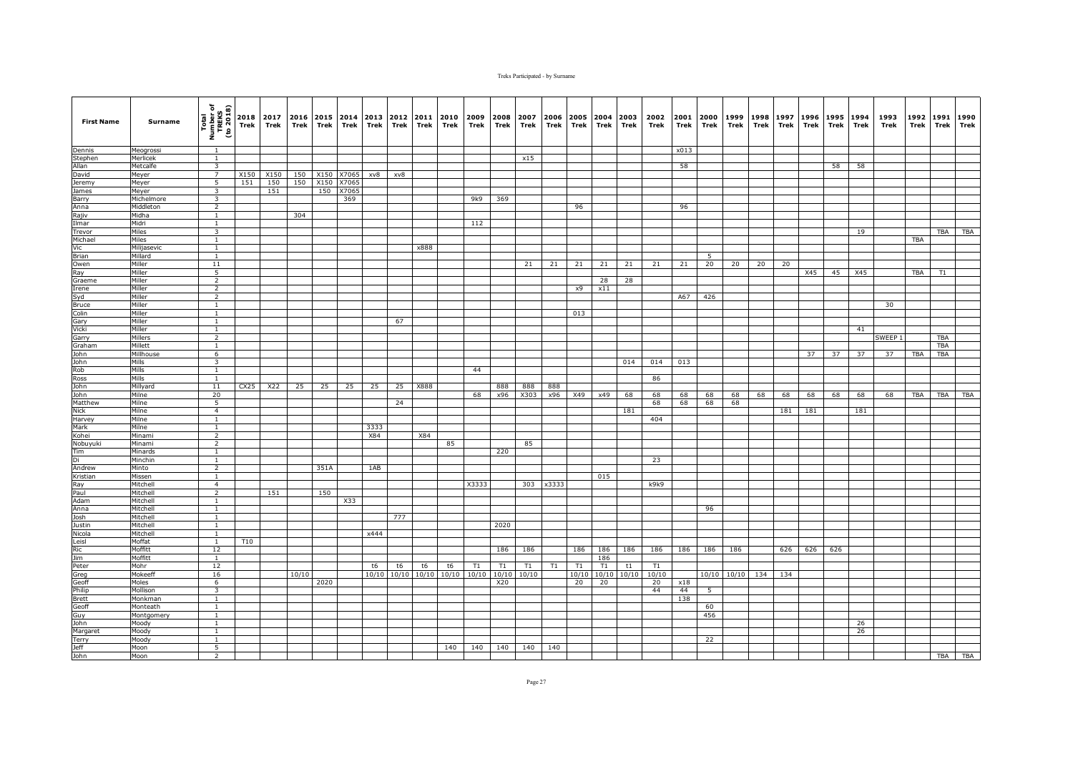| <b>First Name</b>     | Surname              | Total<br>Number of<br>TREKS<br>(to 2018)           | Trek | 2018 2017<br>Trek | 2016<br>Trek | Trek | 2015 2014<br>Trek | 2013<br>Trek | 2012<br>Trek | 2011<br>Trek | 2010<br>Trek | 2009<br>Trek | 2008<br>Trek | 2007<br>Trek | 2006<br>Trek | 2005<br>Trek | 2004<br>Trek | 2003<br>Trek | 2002<br>Trek | 2001<br>Trek | 2000<br>Trek | 1999<br>Trek | 1998<br>Trek | 1997<br>Trek | 1996<br>Trek | 1995<br>Trek | 1994<br>Trek | 1993<br>Trek | 1992<br>Trek | 1991<br><b>Trek</b> | 1990<br>Trek |
|-----------------------|----------------------|----------------------------------------------------|------|-------------------|--------------|------|-------------------|--------------|--------------|--------------|--------------|--------------|--------------|--------------|--------------|--------------|--------------|--------------|--------------|--------------|--------------|--------------|--------------|--------------|--------------|--------------|--------------|--------------|--------------|---------------------|--------------|
| Dennis                | Meogrossi            | $\overline{1}$                                     |      |                   |              |      |                   |              |              |              |              |              |              |              |              |              |              |              |              | x013         |              |              |              |              |              |              |              |              |              |                     |              |
| Stephen               | Merlicek             | $\mathbf{1}$                                       |      |                   |              |      |                   |              |              |              |              |              |              | x15          |              |              |              |              |              |              |              |              |              |              |              |              |              |              |              |                     |              |
| Allan                 | Metcalfe             | 3                                                  |      |                   |              |      |                   |              |              |              |              |              |              |              |              |              |              |              |              | 58           |              |              |              |              |              | 58           | 58           |              |              |                     |              |
| David                 | Meyer                | $\overline{7}$                                     | X150 | X150              | 150          | X150 | X7065             | xv8          | xv8          |              |              |              |              |              |              |              |              |              |              |              |              |              |              |              |              |              |              |              |              |                     |              |
| Jeremy                | Meyer                | 5                                                  | 151  | 150               | 150          |      | X150 X7065        |              |              |              |              |              |              |              |              |              |              |              |              |              |              |              |              |              |              |              |              |              |              |                     |              |
| James                 | Meyer                | $\overline{\mathbf{3}}$<br>$\overline{\mathbf{3}}$ |      | 151               |              | 150  | X7065             |              |              |              |              |              |              |              |              |              |              |              |              |              |              |              |              |              |              |              |              |              |              |                     |              |
| Barry                 | Michelmore           | $\overline{2}$                                     |      |                   |              |      | 369               |              |              |              |              | 9k9          | 369          |              |              | 96           |              |              |              | 96           |              |              |              |              |              |              |              |              |              |                     |              |
| Anna<br>Rajiv         | Middleton<br>Midha   | $\mathbf{1}$                                       |      |                   | 304          |      |                   |              |              |              |              |              |              |              |              |              |              |              |              |              |              |              |              |              |              |              |              |              |              |                     |              |
| Ilmar                 | Midri                | $\mathbf{1}$                                       |      |                   |              |      |                   |              |              |              |              | 112          |              |              |              |              |              |              |              |              |              |              |              |              |              |              |              |              |              |                     |              |
| Trevor                | Miles                | 3                                                  |      |                   |              |      |                   |              |              |              |              |              |              |              |              |              |              |              |              |              |              |              |              |              |              |              | 19           |              |              | TBA                 | TBA          |
| Michael               | Miles                | <sup>1</sup>                                       |      |                   |              |      |                   |              |              |              |              |              |              |              |              |              |              |              |              |              |              |              |              |              |              |              |              |              | <b>TBA</b>   |                     |              |
| Vic                   | Milijasevic          | $\overline{1}$                                     |      |                   |              |      |                   |              |              | x888         |              |              |              |              |              |              |              |              |              |              |              |              |              |              |              |              |              |              |              |                     |              |
| Brian                 | Millard              | $\overline{1}$                                     |      |                   |              |      |                   |              |              |              |              |              |              |              |              |              |              |              |              |              | 5            |              |              |              |              |              |              |              |              |                     |              |
| Owen                  | Miller               | 11                                                 |      |                   |              |      |                   |              |              |              |              |              |              | 21           | 21           | 21           | 21           | 21           | 21           | 21           | 20           | 20           | 20           | 20           |              |              |              |              |              |                     |              |
| Ray                   | Miller               | 5                                                  |      |                   |              |      |                   |              |              |              |              |              |              |              |              |              |              |              |              |              |              |              |              |              | X45          | 45           | X45          |              | TBA          | T1                  |              |
| Graeme                | Miller               | $\overline{2}$                                     |      |                   |              |      |                   |              |              |              |              |              |              |              |              |              | 28           | 28           |              |              |              |              |              |              |              |              |              |              |              |                     |              |
| Irene                 | Miller               | 2                                                  |      |                   |              |      |                   |              |              |              |              |              |              |              |              | x9           | x11          |              |              |              |              |              |              |              |              |              |              |              |              |                     |              |
| Syd                   | Miller               | $\overline{2}$                                     |      |                   |              |      |                   |              |              |              |              |              |              |              |              |              |              |              |              | A67          | 426          |              |              |              |              |              |              |              |              |                     |              |
| <b>Bruce</b><br>Colin | Miller<br>Miller     | $\mathbf{1}$                                       |      |                   |              |      |                   |              |              |              |              |              |              |              |              |              |              |              |              |              |              |              |              |              |              |              |              | 30           |              |                     |              |
| Gary                  | Miller               | $\mathbf{1}$<br><sup>1</sup>                       |      |                   |              |      |                   |              | 67           |              |              |              |              |              |              | 013          |              |              |              |              |              |              |              |              |              |              |              |              |              |                     |              |
| Vicki                 | Miller               | 1                                                  |      |                   |              |      |                   |              |              |              |              |              |              |              |              |              |              |              |              |              |              |              |              |              |              |              | 41           |              |              |                     |              |
| Garry                 | Millers              | $\overline{2}$                                     |      |                   |              |      |                   |              |              |              |              |              |              |              |              |              |              |              |              |              |              |              |              |              |              |              |              | SWEEP 1      |              | <b>TBA</b>          |              |
| Graham                | Millett              | <sup>1</sup>                                       |      |                   |              |      |                   |              |              |              |              |              |              |              |              |              |              |              |              |              |              |              |              |              |              |              |              |              |              | TBA                 |              |
| John                  | Millhouse            | 6                                                  |      |                   |              |      |                   |              |              |              |              |              |              |              |              |              |              |              |              |              |              |              |              |              | 37           | 37           | 37           | 37           | TBA          | TBA                 |              |
| John                  | Mills                | 3                                                  |      |                   |              |      |                   |              |              |              |              |              |              |              |              |              |              | 014          | 014          | 013          |              |              |              |              |              |              |              |              |              |                     |              |
| Rob                   | Mills                | $\mathbf{1}$                                       |      |                   |              |      |                   |              |              |              |              | 44           |              |              |              |              |              |              |              |              |              |              |              |              |              |              |              |              |              |                     |              |
| Ross                  | Mills                | 1                                                  |      |                   |              |      |                   |              |              |              |              |              |              |              |              |              |              |              | 86           |              |              |              |              |              |              |              |              |              |              |                     |              |
| John                  | Millyard             | 11                                                 | CX25 | X22               | 25           | 25   | 25                | 25           | 25           | X888         |              |              | 888          | 888          | 888          |              |              |              |              |              |              |              |              |              |              |              |              |              |              |                     |              |
| John                  | Milne                | 20                                                 |      |                   |              |      |                   |              |              |              |              | 68           | x96          | X303         | x96          | X49          | x49          | 68           | 68           | 68           | 68           | 68           | 68           | 68           | 68           | 68           | 68           | 68           | TBA          | TBA                 | TBA          |
| Matthew               | Milne                | $\overline{5}$                                     |      |                   |              |      |                   |              | 24           |              |              |              |              |              |              |              |              |              | 68           | 68           | 68           | 68           |              |              |              |              |              |              |              |                     |              |
| Nick                  | Milne                | $\overline{4}$                                     |      |                   |              |      |                   |              |              |              |              |              |              |              |              |              |              | 181          |              |              |              |              |              | 181          | 181          |              | 181          |              |              |                     |              |
| Harvey<br>Mark        | Milne<br>Milne       | 1<br>$\mathbf{1}$                                  |      |                   |              |      |                   | 3333         |              |              |              |              |              |              |              |              |              |              | 404          |              |              |              |              |              |              |              |              |              |              |                     |              |
| Kohei                 | Minami               | 2                                                  |      |                   |              |      |                   | X84          |              | X84          |              |              |              |              |              |              |              |              |              |              |              |              |              |              |              |              |              |              |              |                     |              |
| Nobuyuki              | Minami               | $\overline{2}$                                     |      |                   |              |      |                   |              |              |              | 85           |              |              | 85           |              |              |              |              |              |              |              |              |              |              |              |              |              |              |              |                     |              |
| Tim                   | Minards              | $\mathbf{1}$                                       |      |                   |              |      |                   |              |              |              |              |              | 220          |              |              |              |              |              |              |              |              |              |              |              |              |              |              |              |              |                     |              |
| Di                    | Minchin              | $\mathbf{1}$                                       |      |                   |              |      |                   |              |              |              |              |              |              |              |              |              |              |              | 23           |              |              |              |              |              |              |              |              |              |              |                     |              |
| Andrew                | Minto                | $\overline{2}$                                     |      |                   |              | 351A |                   | 1AB          |              |              |              |              |              |              |              |              |              |              |              |              |              |              |              |              |              |              |              |              |              |                     |              |
| Kristian              | Missen               | <sup>1</sup>                                       |      |                   |              |      |                   |              |              |              |              |              |              |              |              |              | 015          |              |              |              |              |              |              |              |              |              |              |              |              |                     |              |
| Ray                   | Mitchell             | $\overline{4}$                                     |      |                   |              |      |                   |              |              |              |              | X3333        |              | 303          | x3333        |              |              |              | k9k9         |              |              |              |              |              |              |              |              |              |              |                     |              |
| Paul                  | Mitchell             | $\overline{2}$                                     |      | 151               |              | 150  |                   |              |              |              |              |              |              |              |              |              |              |              |              |              |              |              |              |              |              |              |              |              |              |                     |              |
| Adam                  | Mitchell             | $\mathbf{1}$                                       |      |                   |              |      | X33               |              |              |              |              |              |              |              |              |              |              |              |              |              |              |              |              |              |              |              |              |              |              |                     |              |
| Anna                  | Mitchell             | $\mathbf{1}$                                       |      |                   |              |      |                   |              |              |              |              |              |              |              |              |              |              |              |              |              | 96           |              |              |              |              |              |              |              |              |                     |              |
| Josh                  | Mitchell             | <sup>1</sup><br>$\mathbf{1}$                       |      |                   |              |      |                   |              | 777          |              |              |              |              |              |              |              |              |              |              |              |              |              |              |              |              |              |              |              |              |                     |              |
| Justin<br>Nicola      | Mitchell<br>Mitchell | <sup>1</sup>                                       |      |                   |              |      |                   | x444         |              |              |              |              | 2020         |              |              |              |              |              |              |              |              |              |              |              |              |              |              |              |              |                     |              |
| Leisl                 | Moffat               | $\mathbf{1}$                                       | T10  |                   |              |      |                   |              |              |              |              |              |              |              |              |              |              |              |              |              |              |              |              |              |              |              |              |              |              |                     |              |
| Ric                   | Moffitt              | 12                                                 |      |                   |              |      |                   |              |              |              |              |              | 186          | 186          |              | 186          | 186          | 186          | 186          | 186          | 186          | 186          |              | 626          | 626          | 626          |              |              |              |                     |              |
| <b>Jim</b>            | Moffitt              | <sup>1</sup>                                       |      |                   |              |      |                   |              |              |              |              |              |              |              |              |              | 186          |              |              |              |              |              |              |              |              |              |              |              |              |                     |              |
| Peter                 | Mohr                 | 12                                                 |      |                   |              |      |                   | t6           | t6           | t6           | t6           | T1           | T1           | T1           | T1           | T1           | T1           | t1           | T1           |              |              |              |              |              |              |              |              |              |              |                     |              |
| Greg                  | Mokeeff              | 16                                                 |      |                   | 10/10        |      |                   | 10/10        | 10/10        | 10/10        | 10/10        | 10/10        | 10/10        | 10/10        |              | 10/10        | 10/10        | 10/10        | 10/10        |              | 10/10        | 10/10        | 134          | 134          |              |              |              |              |              |                     |              |
| Geoff                 | Moles                | 6                                                  |      |                   |              | 2020 |                   |              |              |              |              |              | X20          |              |              | 20           | 20           |              | 20           | x18          |              |              |              |              |              |              |              |              |              |                     |              |
| Philip                | Mollison             | 3                                                  |      |                   |              |      |                   |              |              |              |              |              |              |              |              |              |              |              | 44           | 44           | 5            |              |              |              |              |              |              |              |              |                     |              |
| Brett                 | Monkman              | 1                                                  |      |                   |              |      |                   |              |              |              |              |              |              |              |              |              |              |              |              | 138          |              |              |              |              |              |              |              |              |              |                     |              |
| Geoff                 | Monteath             | $\mathbf{1}$                                       |      |                   |              |      |                   |              |              |              |              |              |              |              |              |              |              |              |              |              | 60           |              |              |              |              |              |              |              |              |                     |              |
| Guy                   | Montgomery           | $\mathbf{1}$                                       |      |                   |              |      |                   |              |              |              |              |              |              |              |              |              |              |              |              |              | 456          |              |              |              |              |              |              |              |              |                     |              |
| John                  | Moody                | $\mathbf{1}$                                       |      |                   |              |      |                   |              |              |              |              |              |              |              |              |              |              |              |              |              |              |              |              |              |              |              | 26           |              |              |                     |              |
| Margaret              | Moody                | $\mathbf{1}$                                       |      |                   |              |      |                   |              |              |              |              |              |              |              |              |              |              |              |              |              |              |              |              |              |              |              | 26           |              |              |                     |              |
| Terry<br><b>Jeff</b>  | Moody                | $\overline{1}$<br>5                                |      |                   |              |      |                   |              |              |              | 140          | 140          | 140          | 140          | 140          |              |              |              |              |              | 22           |              |              |              |              |              |              |              |              |                     |              |
| John                  | Moon<br>Moon         | $\overline{2}$                                     |      |                   |              |      |                   |              |              |              |              |              |              |              |              |              |              |              |              |              |              |              |              |              |              |              |              |              |              |                     | TBA TBA      |
|                       |                      |                                                    |      |                   |              |      |                   |              |              |              |              |              |              |              |              |              |              |              |              |              |              |              |              |              |              |              |              |              |              |                     |              |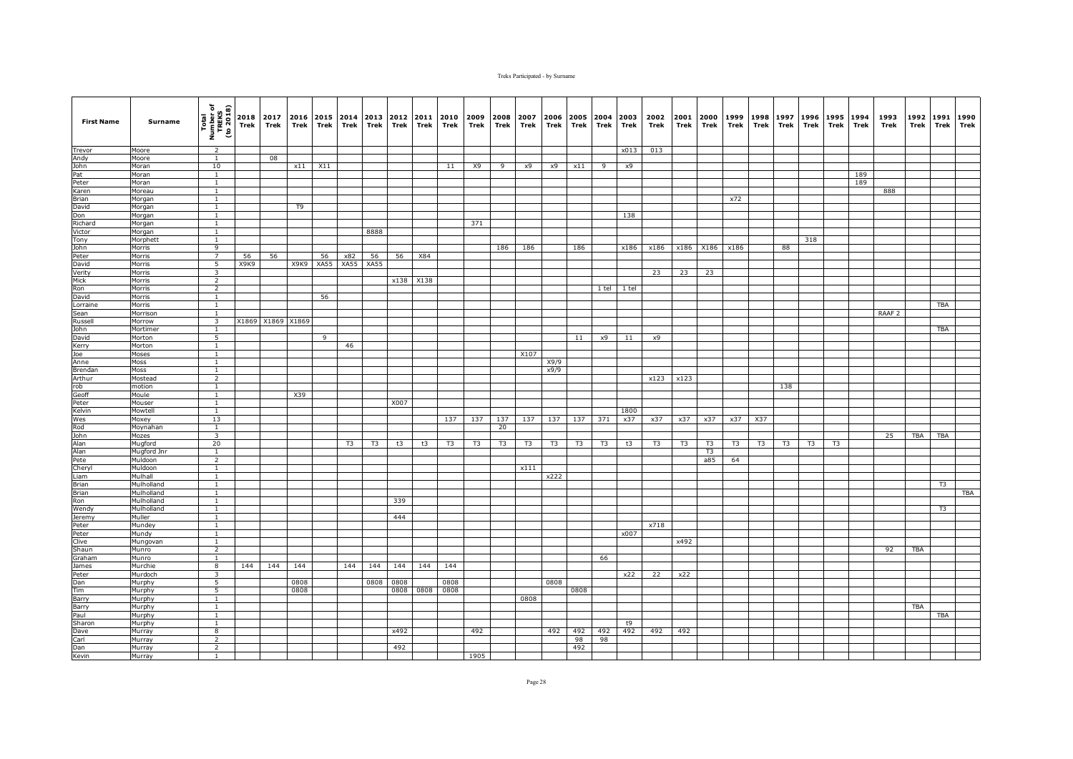| <b>First Name</b>   | Surname                  | Total<br>Number of<br>TREKS<br>(to 2018)  | 2018<br>Trek | 2017<br>Trek      | 2016<br>Trek | Trek | 2015 2014<br>Trek | 2013<br>Trek   | 2012<br>Trek | 2011<br>Trek | 2010<br>Trek | 2009<br>Trek   | 2008<br>Trek | 2007<br>Trek   | 2006<br>Trek   | 2005<br>Trek   | 2004<br>Trek   | 2003<br>Trek | 2002<br>Trek   | 2001<br>Trek   | 2000<br>Trek   | 1999<br>Trek   | 1998<br>Trek | 1997<br>Trek   | 1996<br>Trek   | 1995<br>Trek | 1994<br>Trek | 1993<br>Trek      | 1992<br>Trek | 1991<br><b>Trek</b> | 1990<br>Trek |
|---------------------|--------------------------|-------------------------------------------|--------------|-------------------|--------------|------|-------------------|----------------|--------------|--------------|--------------|----------------|--------------|----------------|----------------|----------------|----------------|--------------|----------------|----------------|----------------|----------------|--------------|----------------|----------------|--------------|--------------|-------------------|--------------|---------------------|--------------|
| Trevor              | Moore                    | 2                                         |              |                   |              |      |                   |                |              |              |              |                |              |                |                |                |                | x013         | 013            |                |                |                |              |                |                |              |              |                   |              |                     |              |
| Andy                | Moore                    | $\mathbf{1}$                              |              | 08                |              |      |                   |                |              |              |              |                |              |                |                |                |                |              |                |                |                |                |              |                |                |              |              |                   |              |                     |              |
| John                | Moran                    | 10                                        |              |                   | x11          | X11  |                   |                |              |              | 11           | X9             | 9            | x9             | x9             | x11            | 9              | x9           |                |                |                |                |              |                |                |              |              |                   |              |                     |              |
| Pat<br>Peter        | Moran<br>Moran           | $\mathbf{1}$<br>$\mathbf{1}$              |              |                   |              |      |                   |                |              |              |              |                |              |                |                |                |                |              |                |                |                |                |              |                |                |              | 189<br>189   |                   |              |                     |              |
| Karen               | Moreau                   | $\mathbf{1}$                              |              |                   |              |      |                   |                |              |              |              |                |              |                |                |                |                |              |                |                |                |                |              |                |                |              |              | 888               |              |                     |              |
| Brian               | Morgan                   | $\mathbf{1}$                              |              |                   |              |      |                   |                |              |              |              |                |              |                |                |                |                |              |                |                |                | x72            |              |                |                |              |              |                   |              |                     |              |
| David               | Morgan                   | $\mathbf{1}$                              |              |                   | T9           |      |                   |                |              |              |              |                |              |                |                |                |                |              |                |                |                |                |              |                |                |              |              |                   |              |                     |              |
| Don                 | Morgan                   | $\mathbf{1}$                              |              |                   |              |      |                   |                |              |              |              |                |              |                |                |                |                | 138          |                |                |                |                |              |                |                |              |              |                   |              |                     |              |
| Richard             | Morgan                   | $\mathbf{1}$                              |              |                   |              |      |                   |                |              |              |              | 371            |              |                |                |                |                |              |                |                |                |                |              |                |                |              |              |                   |              |                     |              |
| Victor              | Morgan                   | $\mathbf{1}$                              |              |                   |              |      |                   | 8888           |              |              |              |                |              |                |                |                |                |              |                |                |                |                |              |                |                |              |              |                   |              |                     |              |
| Tony<br>John        | Morphett<br>Morris       | $\mathbf{1}$<br>$\overline{9}$            |              |                   |              |      |                   |                |              |              |              |                | 186          | 186            |                | 186            |                | x186         | x186           |                | x186 X186      | x186           |              | 88             | 318            |              |              |                   |              |                     |              |
| Peter               | Morris                   | $\overline{7}$                            | 56           | 56                |              | 56   | x82               | 56             | 56           | X84          |              |                |              |                |                |                |                |              |                |                |                |                |              |                |                |              |              |                   |              |                     |              |
| David               | Morris                   | 5                                         | X9K9         |                   | X9K9         | XA55 | XA55              | <b>XA55</b>    |              |              |              |                |              |                |                |                |                |              |                |                |                |                |              |                |                |              |              |                   |              |                     |              |
| Verity              | Morris                   | $\overline{3}$                            |              |                   |              |      |                   |                |              |              |              |                |              |                |                |                |                |              | 23             | 23             | 23             |                |              |                |                |              |              |                   |              |                     |              |
| Mick                | Morris                   | $\overline{2}$                            |              |                   |              |      |                   |                | x138         | X138         |              |                |              |                |                |                |                |              |                |                |                |                |              |                |                |              |              |                   |              |                     |              |
| Ron                 | Morris                   | $\overline{2}$                            |              |                   |              |      |                   |                |              |              |              |                |              |                |                |                | 1 tel          | 1 tel        |                |                |                |                |              |                |                |              |              |                   |              |                     |              |
| David               | Morris                   | <sup>1</sup>                              |              |                   |              | 56   |                   |                |              |              |              |                |              |                |                |                |                |              |                |                |                |                |              |                |                |              |              |                   |              |                     |              |
| Lorraine            | Morris                   | <sup>1</sup>                              |              |                   |              |      |                   |                |              |              |              |                |              |                |                |                |                |              |                |                |                |                |              |                |                |              |              |                   |              | <b>TBA</b>          |              |
| Sean                | Morrison                 | $\mathbf{1}$<br>$\overline{3}$            |              |                   |              |      |                   |                |              |              |              |                |              |                |                |                |                |              |                |                |                |                |              |                |                |              |              | RAAF <sub>2</sub> |              |                     |              |
| Russell<br>John     | Morrow<br>Mortimer       | 1                                         |              | X1869 X1869 X1869 |              |      |                   |                |              |              |              |                |              |                |                |                |                |              |                |                |                |                |              |                |                |              |              |                   |              | TBA                 |              |
| David               | Morton                   | 5                                         |              |                   |              | 9    |                   |                |              |              |              |                |              |                |                | 11             | x9             | 11           | x9             |                |                |                |              |                |                |              |              |                   |              |                     |              |
| Kerry               | Morton                   | $\mathbf{1}$                              |              |                   |              |      | 46                |                |              |              |              |                |              |                |                |                |                |              |                |                |                |                |              |                |                |              |              |                   |              |                     |              |
| Joe                 | Moses                    | $\mathbf{1}$                              |              |                   |              |      |                   |                |              |              |              |                |              | X107           |                |                |                |              |                |                |                |                |              |                |                |              |              |                   |              |                     |              |
| Anne                | Moss                     | $\mathbf{1}$                              |              |                   |              |      |                   |                |              |              |              |                |              |                | X9/9           |                |                |              |                |                |                |                |              |                |                |              |              |                   |              |                     |              |
| Brendan             | Moss                     | $\mathbf{1}$                              |              |                   |              |      |                   |                |              |              |              |                |              |                | x9/9           |                |                |              |                |                |                |                |              |                |                |              |              |                   |              |                     |              |
| Arthur              | Mostead                  | $\overline{2}$                            |              |                   |              |      |                   |                |              |              |              |                |              |                |                |                |                |              | x123           | x123           |                |                |              |                |                |              |              |                   |              |                     |              |
| rob                 | motion                   | $\mathbf{1}$                              |              |                   |              |      |                   |                |              |              |              |                |              |                |                |                |                |              |                |                |                |                |              | 138            |                |              |              |                   |              |                     |              |
| Geoff               | Moule                    | <sup>1</sup>                              |              |                   | X39          |      |                   |                |              |              |              |                |              |                |                |                |                |              |                |                |                |                |              |                |                |              |              |                   |              |                     |              |
| Peter<br>Kelvin     | Mouser<br>Mowtell        | $\overline{1}$<br><sup>1</sup>            |              |                   |              |      |                   |                | X007         |              |              |                |              |                |                |                |                | 1800         |                |                |                |                |              |                |                |              |              |                   |              |                     |              |
| Wes                 | Moxey                    | 13                                        |              |                   |              |      |                   |                |              |              | 137          | 137            | 137          | 137            | 137            | 137            | 371            | x37          | x37            | x37            | x37            | x37            | X37          |                |                |              |              |                   |              |                     |              |
| Rod                 | Moynahan                 | $\mathbf{1}$                              |              |                   |              |      |                   |                |              |              |              |                | 20           |                |                |                |                |              |                |                |                |                |              |                |                |              |              |                   |              |                     |              |
| John                | Mozes                    | $\overline{3}$                            |              |                   |              |      |                   |                |              |              |              |                |              |                |                |                |                |              |                |                |                |                |              |                |                |              |              | 25                | <b>TBA</b>   | <b>TBA</b>          |              |
| <b>Alan</b>         | Mugford                  | 20                                        |              |                   |              |      | T <sub>3</sub>    | T <sub>3</sub> | t3           | t3           | T3           | T <sub>3</sub> | T3           | T <sub>3</sub> | T <sub>3</sub> | T <sub>3</sub> | T <sub>3</sub> | t3           | T <sub>3</sub> | T <sub>3</sub> | T <sub>3</sub> | T <sub>3</sub> | T3           | T <sub>3</sub> | T <sub>3</sub> | T3           |              |                   |              |                     |              |
| Alan                | Mugford Jnr              | $\mathbf{1}$                              |              |                   |              |      |                   |                |              |              |              |                |              |                |                |                |                |              |                |                | T <sub>3</sub> |                |              |                |                |              |              |                   |              |                     |              |
| Pete                | Muldoon                  | $\overline{2}$                            |              |                   |              |      |                   |                |              |              |              |                |              |                |                |                |                |              |                |                | a85            | 64             |              |                |                |              |              |                   |              |                     |              |
| Cheryl              | Muldoon                  | $\mathbf{1}$                              |              |                   |              |      |                   |                |              |              |              |                |              | x111           |                |                |                |              |                |                |                |                |              |                |                |              |              |                   |              |                     |              |
| Liam                | Mulhall                  | $\mathbf{1}$                              |              |                   |              |      |                   |                |              |              |              |                |              |                | x222           |                |                |              |                |                |                |                |              |                |                |              |              |                   |              |                     |              |
| <b>Brian</b>        | Mulholland<br>Mulholland | $\overline{1}$<br>$\overline{1}$          |              |                   |              |      |                   |                |              |              |              |                |              |                |                |                |                |              |                |                |                |                |              |                |                |              |              |                   |              | T3                  | <b>TBA</b>   |
| <b>Brian</b><br>Ron | Mulholland               | $\mathbf{1}$                              |              |                   |              |      |                   |                | 339          |              |              |                |              |                |                |                |                |              |                |                |                |                |              |                |                |              |              |                   |              |                     |              |
| Wendy               | Mulholland               | $\mathbf{1}$                              |              |                   |              |      |                   |                |              |              |              |                |              |                |                |                |                |              |                |                |                |                |              |                |                |              |              |                   |              | T <sub>3</sub>      |              |
| Jeremy              | Muller                   | <sup>1</sup>                              |              |                   |              |      |                   |                | 444          |              |              |                |              |                |                |                |                |              |                |                |                |                |              |                |                |              |              |                   |              |                     |              |
| Peter               | Mundey                   | $\mathbf{1}$                              |              |                   |              |      |                   |                |              |              |              |                |              |                |                |                |                |              | x718           |                |                |                |              |                |                |              |              |                   |              |                     |              |
| Peter               | Mundy                    | <sup>1</sup>                              |              |                   |              |      |                   |                |              |              |              |                |              |                |                |                |                | x007         |                |                |                |                |              |                |                |              |              |                   |              |                     |              |
| Clive               | Mungovan                 | $\mathbf{1}$                              |              |                   |              |      |                   |                |              |              |              |                |              |                |                |                |                |              |                | x492           |                |                |              |                |                |              |              |                   |              |                     |              |
| Shaun               | Munro                    | $\overline{2}$                            |              |                   |              |      |                   |                |              |              |              |                |              |                |                |                |                |              |                |                |                |                |              |                |                |              |              | 92                | <b>TBA</b>   |                     |              |
| Graham              | Munro                    | $\mathbf{1}$                              |              |                   |              |      |                   |                |              |              |              |                |              |                |                |                | 66             |              |                |                |                |                |              |                |                |              |              |                   |              |                     |              |
| James               | Murchie                  | 8                                         | 144          | 144               | 144          |      | 144               | 144            | 144          | 144          | 144          |                |              |                |                |                |                |              |                |                |                |                |              |                |                |              |              |                   |              |                     |              |
| Peter<br>Dan        | Murdoch<br>Murphy        | $\overline{\mathbf{3}}$<br>$\overline{5}$ |              |                   | 0808         |      |                   | 0808           | 0808         |              | 0808         |                |              |                | 0808           |                |                | x22          | 22             | x22            |                |                |              |                |                |              |              |                   |              |                     |              |
| Tim                 | Murphy                   | $\overline{5}$                            |              |                   | 0808         |      |                   |                | 0808         | 0808         | 0808         |                |              |                |                | 0808           |                |              |                |                |                |                |              |                |                |              |              |                   |              |                     |              |
| Barry               | Murphy                   | 1                                         |              |                   |              |      |                   |                |              |              |              |                |              | 0808           |                |                |                |              |                |                |                |                |              |                |                |              |              |                   |              |                     |              |
| Barry               | Murphy                   | $\mathbf{1}$                              |              |                   |              |      |                   |                |              |              |              |                |              |                |                |                |                |              |                |                |                |                |              |                |                |              |              |                   | <b>TBA</b>   |                     |              |
| Paul                | Murphy                   | $\mathbf{1}$                              |              |                   |              |      |                   |                |              |              |              |                |              |                |                |                |                |              |                |                |                |                |              |                |                |              |              |                   |              | <b>TBA</b>          |              |
| Sharon              | Murphy                   | 1                                         |              |                   |              |      |                   |                |              |              |              |                |              |                |                |                |                | t9           |                |                |                |                |              |                |                |              |              |                   |              |                     |              |
| Dave                | Murray                   | 8                                         |              |                   |              |      |                   |                | x492         |              |              | 492            |              |                | 492            | 492            | 492            | 492          | 492            | 492            |                |                |              |                |                |              |              |                   |              |                     |              |
| Carl                | Murray                   | $\overline{2}$                            |              |                   |              |      |                   |                |              |              |              |                |              |                |                | 98             | 98             |              |                |                |                |                |              |                |                |              |              |                   |              |                     |              |
| Dan                 | Murray                   | $\overline{2}$                            |              |                   |              |      |                   |                | 492          |              |              |                |              |                |                | 492            |                |              |                |                |                |                |              |                |                |              |              |                   |              |                     |              |
| Kevin               | Murray                   | 1                                         |              |                   |              |      |                   |                |              |              |              | 1905           |              |                |                |                |                |              |                |                |                |                |              |                |                |              |              |                   |              |                     |              |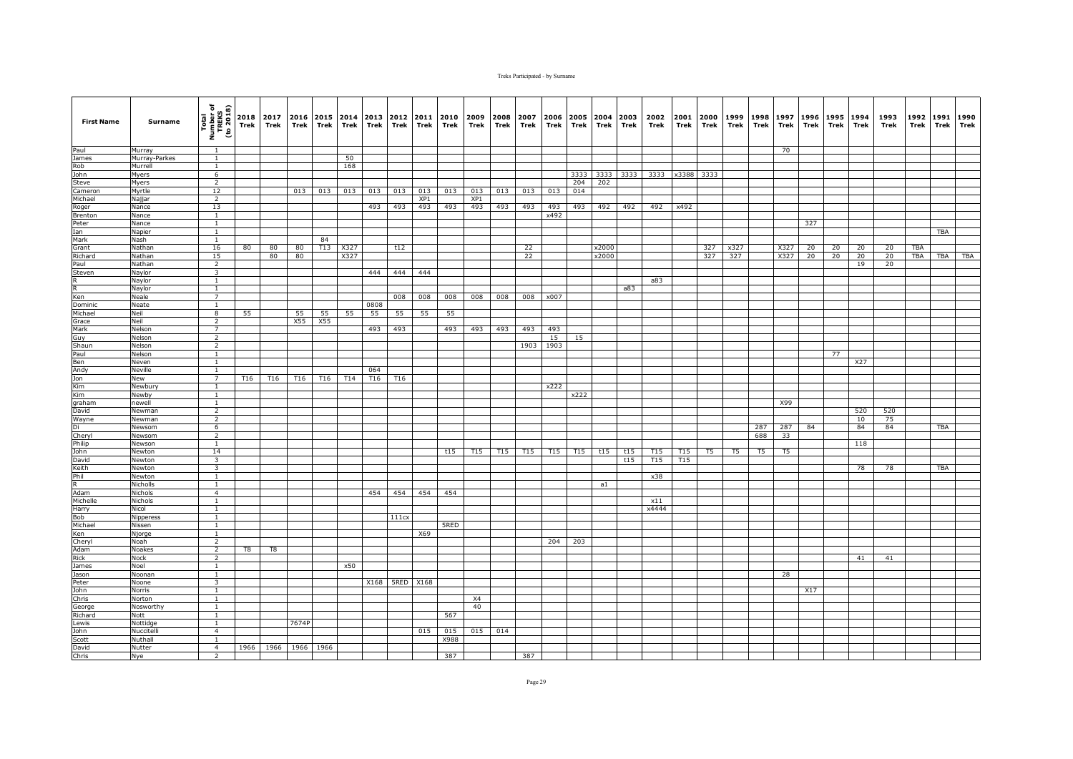| <b>First Name</b> | Surname               | Total<br>Number of<br>TREKS<br>(to 2018) | 2018<br>Trek | 2017<br>Trek | 2016<br>Trek | 2015<br>Trek | Trek | 2014 2013<br>Trek | 2012<br>Trek | 2011<br>Trek | 2010<br>Trek | 2009<br>Trek           | 2008<br>Trek    | 2007<br>Trek | 2006<br>Trek | Trek            | 2005 2004 2003<br>Trek | Trek | 2002<br>Trek | 2001<br>Trek    | 2000<br>Trek | 1999<br>Trek   | 1998<br>Trek   | 1997<br>Trek | 1996<br>Trek | 1995<br>Trek | 1994<br>Trek | 1993<br>Trek | 1992<br>Trek | 1991<br>Trek | 1990<br>Trek |
|-------------------|-----------------------|------------------------------------------|--------------|--------------|--------------|--------------|------|-------------------|--------------|--------------|--------------|------------------------|-----------------|--------------|--------------|-----------------|------------------------|------|--------------|-----------------|--------------|----------------|----------------|--------------|--------------|--------------|--------------|--------------|--------------|--------------|--------------|
| Paul              | Murray                | <sup>1</sup>                             |              |              |              |              |      |                   |              |              |              |                        |                 |              |              |                 |                        |      |              |                 |              |                |                | 70           |              |              |              |              |              |              |              |
| James             | Murray-Parkes         | $\mathbf{1}$                             |              |              |              |              | 50   |                   |              |              |              |                        |                 |              |              |                 |                        |      |              |                 |              |                |                |              |              |              |              |              |              |              |              |
| Rob               | Murrell               | $\mathbf{1}$                             |              |              |              |              | 168  |                   |              |              |              |                        |                 |              |              |                 |                        |      |              |                 |              |                |                |              |              |              |              |              |              |              |              |
| John              | Myers                 | 6                                        |              |              |              |              |      |                   |              |              |              |                        |                 |              |              | 3333            | 3333                   | 3333 | 3333         |                 | x3388 3333   |                |                |              |              |              |              |              |              |              |              |
| Steve             | Myers                 | $\overline{2}$                           |              |              |              |              |      |                   |              |              |              |                        |                 |              |              | 204             | 202                    |      |              |                 |              |                |                |              |              |              |              |              |              |              |              |
| Cameron           | Myrtle                | 12<br>$\overline{2}$                     |              |              | 013          | 013          | 013  | 013               | 013          | 013<br>XP1   | 013          | 013<br>XP <sub>1</sub> | 013             | 013          | 013          | 014             |                        |      |              |                 |              |                |                |              |              |              |              |              |              |              |              |
| Michael           | Najjar<br>Nance       | 13                                       |              |              |              |              |      | 493               | 493          | 493          | 493          | 493                    | 493             | 493          | 493          | 493             | 492                    | 492  | 492          | x492            |              |                |                |              |              |              |              |              |              |              |              |
| Roger<br>Brenton  | Nance                 | $\mathbf{1}$                             |              |              |              |              |      |                   |              |              |              |                        |                 |              | x492         |                 |                        |      |              |                 |              |                |                |              |              |              |              |              |              |              |              |
| Peter             | Nance                 | <sup>1</sup>                             |              |              |              |              |      |                   |              |              |              |                        |                 |              |              |                 |                        |      |              |                 |              |                |                |              | 327          |              |              |              |              |              |              |
| Ian               | Napier                | $\overline{1}$                           |              |              |              |              |      |                   |              |              |              |                        |                 |              |              |                 |                        |      |              |                 |              |                |                |              |              |              |              |              |              | TBA          |              |
| Mark              | Nash                  | <sup>1</sup>                             |              |              |              | 84           |      |                   |              |              |              |                        |                 |              |              |                 |                        |      |              |                 |              |                |                |              |              |              |              |              |              |              |              |
| Grant             | Nathan                | 16                                       | 80           | 80           | 80           | T13          | X327 |                   | t12          |              |              |                        |                 | 22           |              |                 | x2000                  |      |              |                 | 327          | x327           |                | X327         | 20           | 20           | 20           | 20           | <b>TBA</b>   |              |              |
| Richard           | Nathan                | 15                                       |              | 80           | 80           |              | X327 |                   |              |              |              |                        |                 | 22           |              |                 | x2000                  |      |              |                 | 327          | 327            |                | X327         | 20           | 20           | 20           | 20           | <b>TBA</b>   | TBA          | <b>TBA</b>   |
| Paul              | Nathan                | $\overline{2}$                           |              |              |              |              |      |                   |              |              |              |                        |                 |              |              |                 |                        |      |              |                 |              |                |                |              |              |              | 19           | 20           |              |              |              |
| Steven            | Naylor                | $\overline{\mathbf{3}}$                  |              |              |              |              |      | 444               | 444          | 444          |              |                        |                 |              |              |                 |                        |      |              |                 |              |                |                |              |              |              |              |              |              |              |              |
| R                 | Naylor<br>Naylor      | $\mathbf{1}$<br>$\mathbf{1}$             |              |              |              |              |      |                   |              |              |              |                        |                 |              |              |                 |                        | a83  | a83          |                 |              |                |                |              |              |              |              |              |              |              |              |
| Ken               | Neale                 | $\overline{7}$                           |              |              |              |              |      |                   | 008          | 008          | 008          | 008                    | 008             | 008          | x007         |                 |                        |      |              |                 |              |                |                |              |              |              |              |              |              |              |              |
| Dominic           | Neate                 | $\mathbf{1}$                             |              |              |              |              |      | 0808              |              |              |              |                        |                 |              |              |                 |                        |      |              |                 |              |                |                |              |              |              |              |              |              |              |              |
| Michael           | Neil                  | 8                                        | 55           |              | 55           | 55           | 55   | 55                | 55           | 55           | 55           |                        |                 |              |              |                 |                        |      |              |                 |              |                |                |              |              |              |              |              |              |              |              |
| Grace             | Neil                  | $\overline{2}$                           |              |              | X55          | X55          |      |                   |              |              |              |                        |                 |              |              |                 |                        |      |              |                 |              |                |                |              |              |              |              |              |              |              |              |
| Mark              | Nelson                | $\overline{7}$                           |              |              |              |              |      | 493               | 493          |              | 493          | 493                    | 493             | 493          | 493          |                 |                        |      |              |                 |              |                |                |              |              |              |              |              |              |              |              |
| Guy               | Nelson                | $\overline{2}$                           |              |              |              |              |      |                   |              |              |              |                        |                 |              | 15           | 15              |                        |      |              |                 |              |                |                |              |              |              |              |              |              |              |              |
| Shaun             | Nelson                | $\overline{2}$                           |              |              |              |              |      |                   |              |              |              |                        |                 | 1903         | 1903         |                 |                        |      |              |                 |              |                |                |              |              |              |              |              |              |              |              |
| Paul              | Nelson                | $\mathbf{1}$                             |              |              |              |              |      |                   |              |              |              |                        |                 |              |              |                 |                        |      |              |                 |              |                |                |              |              | 77           |              |              |              |              |              |
| Ben               | Neven                 | <sup>1</sup>                             |              |              |              |              |      |                   |              |              |              |                        |                 |              |              |                 |                        |      |              |                 |              |                |                |              |              |              | X27          |              |              |              |              |
| Andy<br>Jon       | Neville<br>New        | $\mathbf{1}$<br>7                        | T16          | T16          | T16          | T16          | T14  | 064<br>T16        | T16          |              |              |                        |                 |              |              |                 |                        |      |              |                 |              |                |                |              |              |              |              |              |              |              |              |
| Kim               | Newbury               | <sup>1</sup>                             |              |              |              |              |      |                   |              |              |              |                        |                 |              | x222         |                 |                        |      |              |                 |              |                |                |              |              |              |              |              |              |              |              |
|                   | Newby                 | <sup>1</sup>                             |              |              |              |              |      |                   |              |              |              |                        |                 |              |              | x222            |                        |      |              |                 |              |                |                |              |              |              |              |              |              |              |              |
| Kim<br>graham     | newell                | <sup>1</sup>                             |              |              |              |              |      |                   |              |              |              |                        |                 |              |              |                 |                        |      |              |                 |              |                |                | X99          |              |              |              |              |              |              |              |
| David             | Newman                | 2                                        |              |              |              |              |      |                   |              |              |              |                        |                 |              |              |                 |                        |      |              |                 |              |                |                |              |              |              | 520          | 520          |              |              |              |
| Wayne             | Newman                | $\overline{2}$                           |              |              |              |              |      |                   |              |              |              |                        |                 |              |              |                 |                        |      |              |                 |              |                |                |              |              |              | 10           | 75           |              |              |              |
| Di                | Newsom                | 6                                        |              |              |              |              |      |                   |              |              |              |                        |                 |              |              |                 |                        |      |              |                 |              |                | 287            | 287          | 84           |              | 84           | 84           |              | TBA          |              |
| Cheryl            | Newsom                | 2                                        |              |              |              |              |      |                   |              |              |              |                        |                 |              |              |                 |                        |      |              |                 |              |                | 688            | 33           |              |              |              |              |              |              |              |
| Philip            | Newson<br>Newton      | $\mathbf{1}$<br>14                       |              |              |              |              |      |                   |              |              | t15          | T <sub>15</sub>        | T <sub>15</sub> | T15          | T15          | T <sub>15</sub> | t15                    | t15  | T15          | T <sub>15</sub> | T5           | T <sub>5</sub> | T <sub>5</sub> | T5           |              |              | 118          |              |              |              |              |
| John<br>David     | Newton                | $\overline{\mathbf{3}}$                  |              |              |              |              |      |                   |              |              |              |                        |                 |              |              |                 |                        | t15  | T15          | T <sub>15</sub> |              |                |                |              |              |              |              |              |              |              |              |
| Keith             | Newton                | $\overline{\mathbf{3}}$                  |              |              |              |              |      |                   |              |              |              |                        |                 |              |              |                 |                        |      |              |                 |              |                |                |              |              |              | 78           | 78           |              | <b>TBA</b>   |              |
| Phil              | Newton                | $\mathbf{1}$                             |              |              |              |              |      |                   |              |              |              |                        |                 |              |              |                 |                        |      | x38          |                 |              |                |                |              |              |              |              |              |              |              |              |
| R                 | Nicholls              | <sup>1</sup>                             |              |              |              |              |      |                   |              |              |              |                        |                 |              |              |                 | a1                     |      |              |                 |              |                |                |              |              |              |              |              |              |              |              |
| Adam              | Nichols               | $\overline{4}$                           |              |              |              |              |      | 454               | 454          | 454          | 454          |                        |                 |              |              |                 |                        |      |              |                 |              |                |                |              |              |              |              |              |              |              |              |
| Michelle          | Nichols               | $\mathbf{1}$                             |              |              |              |              |      |                   |              |              |              |                        |                 |              |              |                 |                        |      | x11          |                 |              |                |                |              |              |              |              |              |              |              |              |
| Harry             | Nicol                 | $\mathbf{1}$                             |              |              |              |              |      |                   |              |              |              |                        |                 |              |              |                 |                        |      | x4444        |                 |              |                |                |              |              |              |              |              |              |              |              |
| Bob               | Nipperess             | $\mathbf{1}$                             |              |              |              |              |      |                   | 111cx        |              |              |                        |                 |              |              |                 |                        |      |              |                 |              |                |                |              |              |              |              |              |              |              |              |
| Michael<br>Ken    | Nissen                | $\mathbf{1}$<br>1                        |              |              |              |              |      |                   |              | X69          | 5RED         |                        |                 |              |              |                 |                        |      |              |                 |              |                |                |              |              |              |              |              |              |              |              |
| Cheryl            | Njorge<br>Noah        | $\overline{2}$                           |              |              |              |              |      |                   |              |              |              |                        |                 |              | 204          | 203             |                        |      |              |                 |              |                |                |              |              |              |              |              |              |              |              |
| Adam              | Noakes                | $\overline{2}$                           | T8           | T8           |              |              |      |                   |              |              |              |                        |                 |              |              |                 |                        |      |              |                 |              |                |                |              |              |              |              |              |              |              |              |
| Rick              | Nock                  | $\overline{2}$                           |              |              |              |              |      |                   |              |              |              |                        |                 |              |              |                 |                        |      |              |                 |              |                |                |              |              |              | 41           | 41           |              |              |              |
| James             | Noel                  | 1                                        |              |              |              |              | x50  |                   |              |              |              |                        |                 |              |              |                 |                        |      |              |                 |              |                |                |              |              |              |              |              |              |              |              |
| Jason             | Noonan                | $\mathbf{1}$                             |              |              |              |              |      |                   |              |              |              |                        |                 |              |              |                 |                        |      |              |                 |              |                |                | 28           |              |              |              |              |              |              |              |
| Peter             | Noone                 | 3                                        |              |              |              |              |      | X168              | 5RED         | X168         |              |                        |                 |              |              |                 |                        |      |              |                 |              |                |                |              |              |              |              |              |              |              |              |
| John              | Norris                | $\overline{1}$                           |              |              |              |              |      |                   |              |              |              |                        |                 |              |              |                 |                        |      |              |                 |              |                |                |              | X17          |              |              |              |              |              |              |
| Chris             | Norton                | 1                                        |              |              |              |              |      |                   |              |              |              | <b>X4</b>              |                 |              |              |                 |                        |      |              |                 |              |                |                |              |              |              |              |              |              |              |              |
| George            | Nosworthy             | $\mathbf{1}$                             |              |              |              |              |      |                   |              |              |              | 40                     |                 |              |              |                 |                        |      |              |                 |              |                |                |              |              |              |              |              |              |              |              |
| Richard           | Nott                  | $\overline{1}$                           |              |              |              |              |      |                   |              |              | 567          |                        |                 |              |              |                 |                        |      |              |                 |              |                |                |              |              |              |              |              |              |              |              |
| Lewis<br>John     | Nottidge<br>Nuccitell | $\mathbf{1}$<br>$\overline{4}$           |              |              | 7674P        |              |      |                   |              | 015          | 015          | 015                    | 014             |              |              |                 |                        |      |              |                 |              |                |                |              |              |              |              |              |              |              |              |
| Scott             | Nuthall               | $\mathbf{1}$                             |              |              |              |              |      |                   |              |              | X988         |                        |                 |              |              |                 |                        |      |              |                 |              |                |                |              |              |              |              |              |              |              |              |
| David             | Nutter                | $\overline{4}$                           | 1966         |              | 1966 1966    | 1966         |      |                   |              |              |              |                        |                 |              |              |                 |                        |      |              |                 |              |                |                |              |              |              |              |              |              |              |              |
| Chris             | Nye                   | $\overline{2}$                           |              |              |              |              |      |                   |              |              | 387          |                        |                 | 387          |              |                 |                        |      |              |                 |              |                |                |              |              |              |              |              |              |              |              |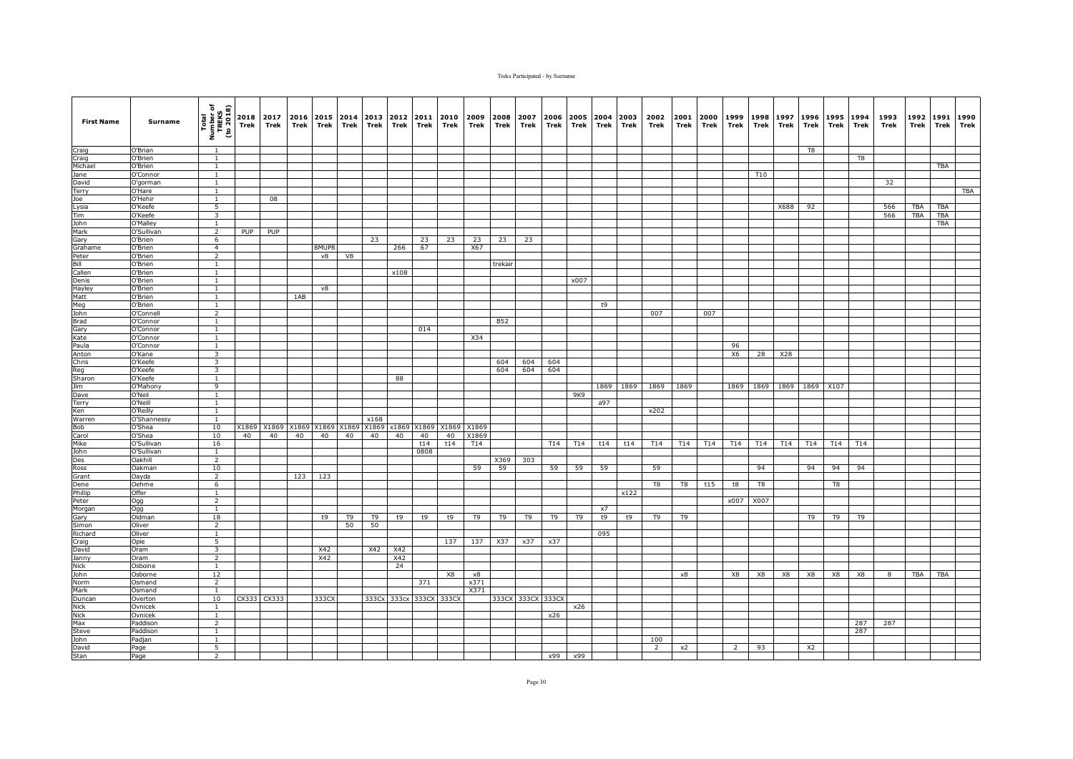| <b>First Name</b> | Surname                  | Total<br>Number of<br>TREKS<br>(to 2018) | Trek  | 2018 2017<br>Trek | 2016<br>Trek | Trek  | 2015 2014<br>Trek    | 2013<br>Trek | 2012<br>Trek | 2011<br>Trek | 2010<br>Trek | 2009<br>Trek | 2008<br>Trek | 2007<br>Trek      | 2006<br>Trek | 2005<br>Trek | 2004<br>Trek | 2003<br>Trek | 2002<br>Trek   | 2001<br>Trek   | 2000<br>Trek | 1999<br>Trek | 1998<br>Trek | 1997<br>Trek        | 1996<br>Trek   | 1995<br>Trek   | 1994<br>Trek   | 1993<br>Trek | 1992<br>Trek | 1991<br><b>Trek</b> | 1990<br>Trek |
|-------------------|--------------------------|------------------------------------------|-------|-------------------|--------------|-------|----------------------|--------------|--------------|--------------|--------------|--------------|--------------|-------------------|--------------|--------------|--------------|--------------|----------------|----------------|--------------|--------------|--------------|---------------------|----------------|----------------|----------------|--------------|--------------|---------------------|--------------|
| Craig             | O'Brian                  | $\overline{1}$                           |       |                   |              |       |                      |              |              |              |              |              |              |                   |              |              |              |              |                |                |              |              |              |                     | T8             |                |                |              |              |                     |              |
| Craig             | O'Brien                  | $\overline{1}$                           |       |                   |              |       |                      |              |              |              |              |              |              |                   |              |              |              |              |                |                |              |              |              |                     |                |                | T <sub>8</sub> |              |              |                     |              |
| Michael           | O'Brien                  | $\mathbf{1}$                             |       |                   |              |       |                      |              |              |              |              |              |              |                   |              |              |              |              |                |                |              |              |              |                     |                |                |                |              |              | TBA                 |              |
| Jane              | O'Connor                 | $\mathbf{1}$                             |       |                   |              |       |                      |              |              |              |              |              |              |                   |              |              |              |              |                |                |              |              | <b>T10</b>   |                     |                |                |                |              |              |                     |              |
| David<br>Terry    | O'gorman<br>O'Hare       | $\mathbf{1}$<br>$\mathbf{1}$             |       |                   |              |       |                      |              |              |              |              |              |              |                   |              |              |              |              |                |                |              |              |              |                     |                |                |                | 32           |              |                     | TBA          |
| Joe               | O'Hehir                  | <sup>1</sup>                             |       | 08                |              |       |                      |              |              |              |              |              |              |                   |              |              |              |              |                |                |              |              |              |                     |                |                |                |              |              |                     |              |
| Lysia             | O'Keefe                  | $5\overline{5}$                          |       |                   |              |       |                      |              |              |              |              |              |              |                   |              |              |              |              |                |                |              |              |              | X688                | 92             |                |                | 566          | TBA          | TBA                 |              |
| Tim               | O'Keefe                  | 3                                        |       |                   |              |       |                      |              |              |              |              |              |              |                   |              |              |              |              |                |                |              |              |              |                     |                |                |                | 566          | <b>TBA</b>   | <b>TBA</b>          |              |
| John              | O'Malley                 | $\mathbf{1}$                             |       |                   |              |       |                      |              |              |              |              |              |              |                   |              |              |              |              |                |                |              |              |              |                     |                |                |                |              |              | <b>TBA</b>          |              |
| Mark              | O'Sullivan               | $\overline{2}$                           | PUP   | PUP               |              |       |                      |              |              |              |              |              |              |                   |              |              |              |              |                |                |              |              |              |                     |                |                |                |              |              |                     |              |
| Gary              | O'Brien                  | 6                                        |       |                   |              |       |                      | 23           |              | 23           | 23           | 23           | 23           | 23                |              |              |              |              |                |                |              |              |              |                     |                |                |                |              |              |                     |              |
| Grahame           | O'Brien                  | $\overline{4}$                           |       |                   |              | 8MUP8 |                      |              | 266          | 67           |              | X67          |              |                   |              |              |              |              |                |                |              |              |              |                     |                |                |                |              |              |                     |              |
| Peter             | O'Brien                  | $\overline{2}$                           |       |                   |              | v8    | V8                   |              |              |              |              |              |              |                   |              |              |              |              |                |                |              |              |              |                     |                |                |                |              |              |                     |              |
| Bill<br>Callen    | O'Brien<br>O'Brien       | $\mathbf{1}$<br>1                        |       |                   |              |       |                      |              | x108         |              |              |              | trekair      |                   |              |              |              |              |                |                |              |              |              |                     |                |                |                |              |              |                     |              |
| Denis             | O'Brien                  | $\mathbf{1}$                             |       |                   |              |       |                      |              |              |              |              |              |              |                   |              | x007         |              |              |                |                |              |              |              |                     |                |                |                |              |              |                     |              |
| Hayley            | O'Brien                  | <sup>1</sup>                             |       |                   |              | v8    |                      |              |              |              |              |              |              |                   |              |              |              |              |                |                |              |              |              |                     |                |                |                |              |              |                     |              |
| Matt              | O'Brien                  | <sup>1</sup>                             |       |                   | 1AB          |       |                      |              |              |              |              |              |              |                   |              |              |              |              |                |                |              |              |              |                     |                |                |                |              |              |                     |              |
| Meg               | O'Brien                  | <sup>1</sup>                             |       |                   |              |       |                      |              |              |              |              |              |              |                   |              |              | t9           |              |                |                |              |              |              |                     |                |                |                |              |              |                     |              |
| John              | O'Connell                | 2                                        |       |                   |              |       |                      |              |              |              |              |              |              |                   |              |              |              |              | 007            |                | 007          |              |              |                     |                |                |                |              |              |                     |              |
| <b>Brad</b>       | O'Connor                 | <sup>1</sup>                             |       |                   |              |       |                      |              |              |              |              |              | <b>B52</b>   |                   |              |              |              |              |                |                |              |              |              |                     |                |                |                |              |              |                     |              |
| Gary              | O'Connor                 | 1                                        |       |                   |              |       |                      |              |              | 014          |              |              |              |                   |              |              |              |              |                |                |              |              |              |                     |                |                |                |              |              |                     |              |
| Kate              | O'Connor                 | $\mathbf{1}$                             |       |                   |              |       |                      |              |              |              |              | X34          |              |                   |              |              |              |              |                |                |              |              |              |                     |                |                |                |              |              |                     |              |
| Paula             | O'Connor                 | <sup>1</sup>                             |       |                   |              |       |                      |              |              |              |              |              |              |                   |              |              |              |              |                |                |              | 96           |              |                     |                |                |                |              |              |                     |              |
| Anton<br>Chris    | O'Kane<br>O'Keefe        | $\overline{\mathbf{3}}$<br>3             |       |                   |              |       |                      |              |              |              |              |              | 604          | 604               | 604          |              |              |              |                |                |              | X6           | 28           | X28                 |                |                |                |              |              |                     |              |
| Reg               | O'Keefe                  | $\overline{\mathbf{3}}$                  |       |                   |              |       |                      |              |              |              |              |              | 604          | 604               | 604          |              |              |              |                |                |              |              |              |                     |                |                |                |              |              |                     |              |
| Sharon            | O'Keefe                  | $\mathbf{1}$                             |       |                   |              |       |                      |              | 88           |              |              |              |              |                   |              |              |              |              |                |                |              |              |              |                     |                |                |                |              |              |                     |              |
| Jim               | O'Mahony                 | 9                                        |       |                   |              |       |                      |              |              |              |              |              |              |                   |              |              | 1869         | 1869         | 1869           | 1869           |              |              |              | 1869 1869 1869 1869 |                | X107           |                |              |              |                     |              |
| Dave              | O'Neil                   | <sup>1</sup>                             |       |                   |              |       |                      |              |              |              |              |              |              |                   |              | 9K9          |              |              |                |                |              |              |              |                     |                |                |                |              |              |                     |              |
| Terry             | O'Neill                  | $\overline{1}$                           |       |                   |              |       |                      |              |              |              |              |              |              |                   |              |              | a97          |              |                |                |              |              |              |                     |                |                |                |              |              |                     |              |
| Ken               | O'Reilly                 | <sup>1</sup>                             |       |                   |              |       |                      |              |              |              |              |              |              |                   |              |              |              |              | x202           |                |              |              |              |                     |                |                |                |              |              |                     |              |
| Warren            | O'Shannessy              | $\overline{1}$                           |       |                   |              |       |                      | x168         |              |              |              |              |              |                   |              |              |              |              |                |                |              |              |              |                     |                |                |                |              |              |                     |              |
| Bob               | O'Shea                   | 10                                       | X1869 | X1869             | X1869        | X1869 | X1869                | X1869        | x1869        | X1869        | X1869        | X1869        |              |                   |              |              |              |              |                |                |              |              |              |                     |                |                |                |              |              |                     |              |
| Carol<br>Mike     | O'Shea                   | 10<br>16                                 | 40    | 40                | 40           | 40    | 40                   | 40           | 40           | 40<br>t14    | 40<br>t14    | X1869<br>T14 |              |                   | T14          | T14          | t14          | t14          | T14            | T14            | T14          | T14          | T14          | T14                 | T14            | T14            | T14            |              |              |                     |              |
| John              | O'Sullivan<br>O'Sullivan | $\mathbf{1}$                             |       |                   |              |       |                      |              |              | 0808         |              |              |              |                   |              |              |              |              |                |                |              |              |              |                     |                |                |                |              |              |                     |              |
| Des               | Oakhill                  | 2                                        |       |                   |              |       |                      |              |              |              |              |              | X369         | 303               |              |              |              |              |                |                |              |              |              |                     |                |                |                |              |              |                     |              |
| Ross              | Oakman                   | 10                                       |       |                   |              |       |                      |              |              |              |              | 59           | 59           |                   | 59           | 59           | 59           |              | 59             |                |              |              | 94           |                     | 94             | 94             | 94             |              |              |                     |              |
| Grant             | Oayda                    | $\overline{2}$                           |       |                   | 123          | 123   |                      |              |              |              |              |              |              |                   |              |              |              |              |                |                |              |              |              |                     |                |                |                |              |              |                     |              |
| Dene              | Oehme                    | 6                                        |       |                   |              |       |                      |              |              |              |              |              |              |                   |              |              |              |              | T <sub>8</sub> | T <sub>8</sub> | t15          | t8           | T8           |                     |                | T <sub>8</sub> |                |              |              |                     |              |
| Phillip           | Offer                    | $\overline{1}$                           |       |                   |              |       |                      |              |              |              |              |              |              |                   |              |              |              | x122         |                |                |              |              |              |                     |                |                |                |              |              |                     |              |
| Peter             | Ogg                      | $\overline{2}$                           |       |                   |              |       |                      |              |              |              |              |              |              |                   |              |              |              |              |                |                |              | x007         | X007         |                     |                |                |                |              |              |                     |              |
| Morgan            | Ogg                      | $\mathbf{1}$                             |       |                   |              |       |                      |              |              |              |              |              |              |                   |              |              | x7           |              |                |                |              |              |              |                     |                |                |                |              |              |                     |              |
| Gary<br>Simon     | Oldman<br>Oliver         | 18<br>$\overline{2}$                     |       |                   |              | t9    | T <sub>9</sub><br>50 | T9<br>50     | t9           | t9           | t9           | T9           | T9           | T9                | T9           | T9           | t9           | t9           | T9             | T9             |              |              |              |                     | T9             | T9             | T9             |              |              |                     |              |
| Richard           | Oliver                   | <sup>1</sup>                             |       |                   |              |       |                      |              |              |              |              |              |              |                   |              |              | 095          |              |                |                |              |              |              |                     |                |                |                |              |              |                     |              |
| Craig             | Opie                     | 5                                        |       |                   |              |       |                      |              |              |              | 137          | 137          | X37          | x37               | x37          |              |              |              |                |                |              |              |              |                     |                |                |                |              |              |                     |              |
| David             | Oram                     | $\overline{\mathbf{3}}$                  |       |                   |              | X42   |                      | X42          | X42          |              |              |              |              |                   |              |              |              |              |                |                |              |              |              |                     |                |                |                |              |              |                     |              |
| Janny             | Oram                     | 2                                        |       |                   |              | X42   |                      |              | X42          |              |              |              |              |                   |              |              |              |              |                |                |              |              |              |                     |                |                |                |              |              |                     |              |
| Nick              | Osboine                  | $\mathbf{1}$                             |       |                   |              |       |                      |              | 24           |              |              |              |              |                   |              |              |              |              |                |                |              |              |              |                     |                |                |                |              |              |                     |              |
| John              | Osborne                  | 12                                       |       |                   |              |       |                      |              |              |              | X8           | $\times 8$   |              |                   |              |              |              |              |                | x8             |              | X8           | X8           | X8                  | X8             | X8             | X8             | 8            | TBA          | TBA                 |              |
| Norm              | Osmand                   | $\overline{2}$                           |       |                   |              |       |                      |              |              | 371          |              | x371         |              |                   |              |              |              |              |                |                |              |              |              |                     |                |                |                |              |              |                     |              |
| Mark              | Osmand                   | <sup>1</sup>                             |       |                   |              |       |                      |              |              |              |              | X371         |              |                   |              |              |              |              |                |                |              |              |              |                     |                |                |                |              |              |                     |              |
| Duncan<br>Nick    | Overton<br>Ovnicek       | 10<br><sup>1</sup>                       |       | CX333 CX333       |              | 333CX |                      |              | 333Cx 333cx  | 333CX        | 333CX        |              |              | 333CX 333CX 333CX |              | x26          |              |              |                |                |              |              |              |                     |                |                |                |              |              |                     |              |
| <b>Nick</b>       | Ovnicek                  | $\mathbf{1}$                             |       |                   |              |       |                      |              |              |              |              |              |              |                   | x26          |              |              |              |                |                |              |              |              |                     |                |                |                |              |              |                     |              |
| Max               | Paddison                 | $\overline{2}$                           |       |                   |              |       |                      |              |              |              |              |              |              |                   |              |              |              |              |                |                |              |              |              |                     |                |                | 287            | 287          |              |                     |              |
| Steve             | Paddison                 | $\mathbf{1}$                             |       |                   |              |       |                      |              |              |              |              |              |              |                   |              |              |              |              |                |                |              |              |              |                     |                |                | 287            |              |              |                     |              |
| John              | Padjan                   | $\overline{1}$                           |       |                   |              |       |                      |              |              |              |              |              |              |                   |              |              |              |              | 100            |                |              |              |              |                     |                |                |                |              |              |                     |              |
| David             | Page                     | $5\overline{5}$                          |       |                   |              |       |                      |              |              |              |              |              |              |                   |              |              |              |              | $\overline{2}$ | x2             |              | 2            | 93           |                     | X <sub>2</sub> |                |                |              |              |                     |              |
| Stan              | Page                     | $\overline{2}$                           |       |                   |              |       |                      |              |              |              |              |              |              |                   | x99          | x99          |              |              |                |                |              |              |              |                     |                |                |                |              |              |                     |              |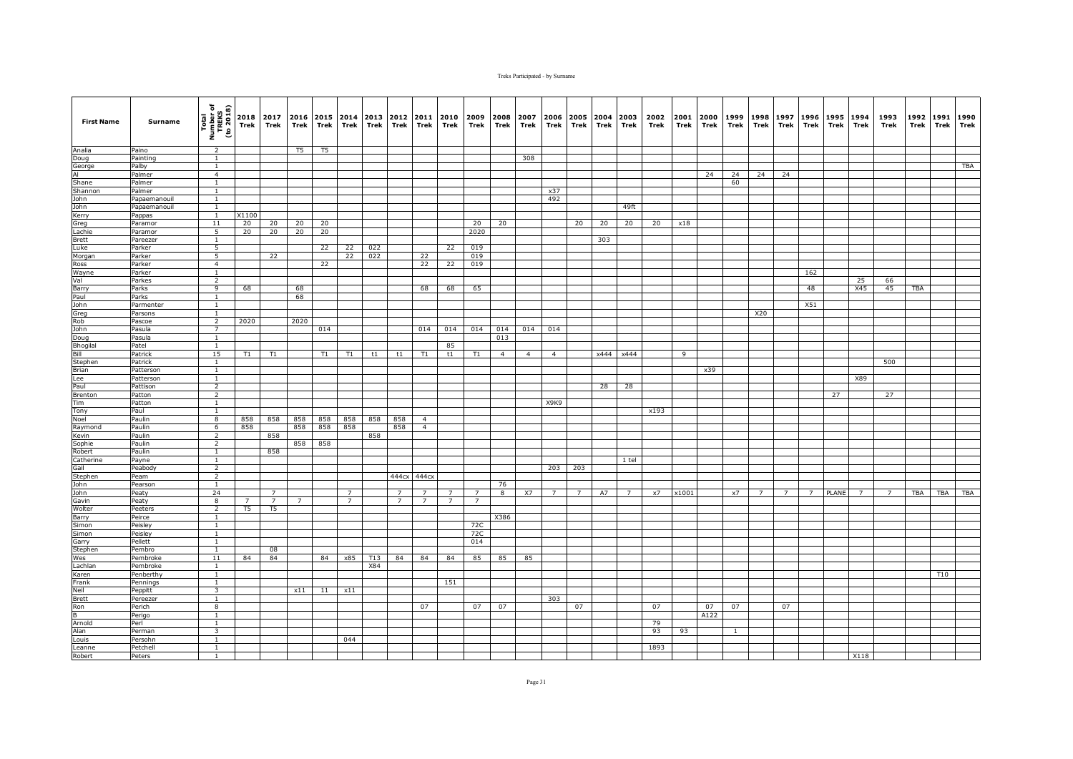| <b>First Name</b>   | Surname               | Total<br>Number of<br>TREKS<br>(to 2018) | 2018<br>Trek   | 2017<br>Trek   | 2016<br>Trek   | 2015<br>Trek | Trek           | 2014 2013<br>Trek | 2012<br>Trek   | 2011<br>Trek   | 2010<br>Trek   | 2009<br>Trek   | 2008<br>Trek            | 2007<br>Trek   | 2006<br>Trek                  | 2005<br><b>Trek</b> | 2004<br>Trek | 2003<br>Trek   | 2002<br>Trek | 2001<br>Trek | 2000<br>Trek | 1999<br>Trek | 1998<br>Trek | 1997<br>Trek | 1996<br>Trek | 1995<br>Trek | 1994<br>Trek   | 1993<br>Trek   | 1992<br>Trek | 1991<br>Trek | 1990<br>Trek |
|---------------------|-----------------------|------------------------------------------|----------------|----------------|----------------|--------------|----------------|-------------------|----------------|----------------|----------------|----------------|-------------------------|----------------|-------------------------------|---------------------|--------------|----------------|--------------|--------------|--------------|--------------|--------------|--------------|--------------|--------------|----------------|----------------|--------------|--------------|--------------|
| Analia              | Paino                 | $\overline{2}$                           |                |                | T5             | T5           |                |                   |                |                |                |                |                         |                |                               |                     |              |                |              |              |              |              |              |              |              |              |                |                |              |              |              |
| Doug                | Painting              | <sup>1</sup>                             |                |                |                |              |                |                   |                |                |                |                |                         | 308            |                               |                     |              |                |              |              |              |              |              |              |              |              |                |                |              |              |              |
| George<br>Al        | Palby<br>Palmer       | $\mathbf{1}$<br>$\overline{4}$           |                |                |                |              |                |                   |                |                |                |                |                         |                |                               |                     |              |                |              |              | 24           | 24           | 24           | 24           |              |              |                |                |              |              | TBA          |
| Shane               | Palmer                | $\mathbf{1}$                             |                |                |                |              |                |                   |                |                |                |                |                         |                |                               |                     |              |                |              |              |              | 60           |              |              |              |              |                |                |              |              |              |
| Shannon             | Palmer                | $\mathbf{1}$                             |                |                |                |              |                |                   |                |                |                |                |                         |                | x37                           |                     |              |                |              |              |              |              |              |              |              |              |                |                |              |              |              |
| John                | Papaemanouil          | <sup>1</sup>                             |                |                |                |              |                |                   |                |                |                |                |                         |                | 492                           |                     |              |                |              |              |              |              |              |              |              |              |                |                |              |              |              |
| John                | Papaemanouil          | <sup>1</sup>                             |                |                |                |              |                |                   |                |                |                |                |                         |                |                               |                     |              | 49ft           |              |              |              |              |              |              |              |              |                |                |              |              |              |
| Kerry               | Pappas                | $\mathbf{1}$                             | X1100          |                |                |              |                |                   |                |                |                |                |                         |                |                               |                     |              |                |              |              |              |              |              |              |              |              |                |                |              |              |              |
| Greg<br>Lachie      | Paramor<br>Paramor    | 11<br>5                                  | 20<br>20       | 20<br>20       | 20<br>20       | 20<br>20     |                |                   |                |                |                | 20<br>2020     | 20                      |                |                               | 20                  | 20           | 20             | 20           | x18          |              |              |              |              |              |              |                |                |              |              |              |
| Brett               | Pareezer              | $\mathbf{1}$                             |                |                |                |              |                |                   |                |                |                |                |                         |                |                               |                     | 303          |                |              |              |              |              |              |              |              |              |                |                |              |              |              |
| Luke                | Parker                | 5                                        |                |                |                | 22           | 22             | 022               |                |                | 22             | 019            |                         |                |                               |                     |              |                |              |              |              |              |              |              |              |              |                |                |              |              |              |
| Morgan              | Parker                | $\overline{5}$                           |                | 22             |                |              | 22             | 022               |                | 22             |                | 019            |                         |                |                               |                     |              |                |              |              |              |              |              |              |              |              |                |                |              |              |              |
| Ross                | Parker                | $\overline{4}$                           |                |                |                | 22           |                |                   |                | 22             | 22             | 019            |                         |                |                               |                     |              |                |              |              |              |              |              |              |              |              |                |                |              |              |              |
| Wayne               | Parker                | <sup>1</sup>                             |                |                |                |              |                |                   |                |                |                |                |                         |                |                               |                     |              |                |              |              |              |              |              |              | 162          |              |                |                |              |              |              |
| Val<br>Barry        | Parkes<br>Parks       | $\overline{2}$<br>9                      | 68             |                | 68             |              |                |                   |                | 68             | 68             | 65             |                         |                |                               |                     |              |                |              |              |              |              |              |              | 48           |              | 25<br>X45      | 66<br>45       | TBA          |              |              |
| Paul                | Parks                 | <sup>1</sup>                             |                |                | 68             |              |                |                   |                |                |                |                |                         |                |                               |                     |              |                |              |              |              |              |              |              |              |              |                |                |              |              |              |
| John                | Parmenter             | <sup>1</sup>                             |                |                |                |              |                |                   |                |                |                |                |                         |                |                               |                     |              |                |              |              |              |              |              |              | X51          |              |                |                |              |              |              |
| Greg                | Parsons               | $\overline{1}$                           |                |                |                |              |                |                   |                |                |                |                |                         |                |                               |                     |              |                |              |              |              |              | X20          |              |              |              |                |                |              |              |              |
| Rob                 | Pascoe                | $\overline{2}$                           | 2020           |                | 2020           |              |                |                   |                |                |                |                |                         |                |                               |                     |              |                |              |              |              |              |              |              |              |              |                |                |              |              |              |
| John                | Pasula                | $\overline{7}$                           |                |                |                | 014          |                |                   |                | 014            | 014            | 014            | 014                     | 014            | 014                           |                     |              |                |              |              |              |              |              |              |              |              |                |                |              |              |              |
| Doug<br>Bhogilal    | Pasula<br>Patel       | $\mathbf{1}$<br>1                        |                |                |                |              |                |                   |                |                | 85             |                | 013                     |                |                               |                     |              |                |              |              |              |              |              |              |              |              |                |                |              |              |              |
| Bill                | Patrick               | 15                                       | T1             | T1             |                | T1           | T1             | t1                | t1             | T1             | t1             | T1             | $\overline{4}$          | $\overline{4}$ | $\overline{4}$                |                     |              | x444 x444      |              | 9            |              |              |              |              |              |              |                |                |              |              |              |
| Stephen             | Patrick               | $\mathbf{1}$                             |                |                |                |              |                |                   |                |                |                |                |                         |                |                               |                     |              |                |              |              |              |              |              |              |              |              |                | 500            |              |              |              |
| Brian               | Patterson             | <sup>1</sup>                             |                |                |                |              |                |                   |                |                |                |                |                         |                |                               |                     |              |                |              |              | x39          |              |              |              |              |              |                |                |              |              |              |
| Lee                 | Patterson             | $\mathbf{1}$                             |                |                |                |              |                |                   |                |                |                |                |                         |                |                               |                     |              |                |              |              |              |              |              |              |              |              | X89            |                |              |              |              |
| Paul                | Pattison              | $\overline{2}$                           |                |                |                |              |                |                   |                |                |                |                |                         |                |                               |                     | 28           | 28             |              |              |              |              |              |              |              |              |                |                |              |              |              |
| Brenton<br>Tim      | Patton                | $\overline{2}$<br>$\overline{1}$         |                |                |                |              |                |                   |                |                |                |                |                         |                | X <sub>3</sub> K <sub>3</sub> |                     |              |                |              |              |              |              |              |              |              | 27           |                | 27             |              |              |              |
| Tony                | Patton<br>Paul        | $\mathbf{1}$                             |                |                |                |              |                |                   |                |                |                |                |                         |                |                               |                     |              |                | x193         |              |              |              |              |              |              |              |                |                |              |              |              |
| Noel                | Paulin                | $\overline{8}$                           | 858            | 858            | 858            | 858          | 858            | 858               | 858            | $\overline{4}$ |                |                |                         |                |                               |                     |              |                |              |              |              |              |              |              |              |              |                |                |              |              |              |
| Raymond             | Paulin                | 6                                        | 858            |                | 858            | 858          | 858            |                   | 858            | $\overline{4}$ |                |                |                         |                |                               |                     |              |                |              |              |              |              |              |              |              |              |                |                |              |              |              |
| Kevin               | Paulin                | 2                                        |                | 858            |                |              |                | 858               |                |                |                |                |                         |                |                               |                     |              |                |              |              |              |              |              |              |              |              |                |                |              |              |              |
| Sophie              | Paulin                | $\overline{2}$                           |                |                | 858            | 858          |                |                   |                |                |                |                |                         |                |                               |                     |              |                |              |              |              |              |              |              |              |              |                |                |              |              |              |
| Robert<br>Catherine | Paulin                | $1\,$<br>$\mathbf{1}$                    |                | 858            |                |              |                |                   |                |                |                |                |                         |                |                               |                     |              | 1 tel          |              |              |              |              |              |              |              |              |                |                |              |              |              |
| Gail                | Payne<br>Peabody      | $\overline{2}$                           |                |                |                |              |                |                   |                |                |                |                |                         |                | 203                           | 203                 |              |                |              |              |              |              |              |              |              |              |                |                |              |              |              |
| Stephen             | Peam                  | $\overline{2}$                           |                |                |                |              |                |                   |                | 444cx 444cx    |                |                |                         |                |                               |                     |              |                |              |              |              |              |              |              |              |              |                |                |              |              |              |
| John                | Pearson               | $\mathbf{1}$                             |                |                |                |              |                |                   |                |                |                |                | 76                      |                |                               |                     |              |                |              |              |              |              |              |              |              |              |                |                |              |              |              |
| John                | Peaty                 | 24                                       |                | -7             |                |              | $\overline{7}$ |                   | $\overline{7}$ | $\overline{7}$ | $\overline{7}$ | $\overline{7}$ | $\overline{\mathbf{8}}$ | X7             | $\overline{7}$                | $\overline{7}$      | A7           | $\overline{7}$ | x7           | x1001        |              | x7           |              |              | 7            | PLANE        | $\overline{7}$ | $\overline{7}$ | <b>TBA</b>   | <b>TBA</b>   | TBA          |
| Gavin               | Peaty                 | 8                                        | $\overline{7}$ | $\overline{7}$ | $\overline{7}$ |              | $\overline{7}$ |                   | $\overline{7}$ | $\overline{7}$ | $\overline{7}$ | $\overline{7}$ |                         |                |                               |                     |              |                |              |              |              |              |              |              |              |              |                |                |              |              |              |
| Wolter<br>Barry     | Peeters<br>Peirce     | $\overline{2}$<br>$\mathbf{1}$           | T <sub>5</sub> | T <sub>5</sub> |                |              |                |                   |                |                |                |                | X386                    |                |                               |                     |              |                |              |              |              |              |              |              |              |              |                |                |              |              |              |
| Simon               | Peisley               | 1                                        |                |                |                |              |                |                   |                |                |                | 72C            |                         |                |                               |                     |              |                |              |              |              |              |              |              |              |              |                |                |              |              |              |
| Simon               | Peisley               | $\mathbf{1}$                             |                |                |                |              |                |                   |                |                |                | 72C            |                         |                |                               |                     |              |                |              |              |              |              |              |              |              |              |                |                |              |              |              |
| Garry               | Pellett               | $\overline{1}$                           |                |                |                |              |                |                   |                |                |                | 014            |                         |                |                               |                     |              |                |              |              |              |              |              |              |              |              |                |                |              |              |              |
| Stephen             | Pembro                | $\mathbf{1}$                             |                | 08             |                |              |                |                   |                |                |                |                |                         |                |                               |                     |              |                |              |              |              |              |              |              |              |              |                |                |              |              |              |
| Wes                 | Pembroke              | 11                                       | 84             | 84             |                | 84           | x85            | T13               | 84             | 84             | 84             | 85             | 85                      | 85             |                               |                     |              |                |              |              |              |              |              |              |              |              |                |                |              |              |              |
| Lachlan             | Pembroke              | <sup>1</sup>                             |                |                |                |              |                | X84               |                |                |                |                |                         |                |                               |                     |              |                |              |              |              |              |              |              |              |              |                |                |              | T10          |              |
| Karen<br>Frank      | Penberthy<br>Pennings | $\mathbf{1}$<br><sup>1</sup>             |                |                |                |              |                |                   |                |                | 151            |                |                         |                |                               |                     |              |                |              |              |              |              |              |              |              |              |                |                |              |              |              |
| Neil                | Peppitt               | 3                                        |                |                | x11            | 11           | x11            |                   |                |                |                |                |                         |                |                               |                     |              |                |              |              |              |              |              |              |              |              |                |                |              |              |              |
| <b>Brett</b>        | Pereezer              | $\overline{1}$                           |                |                |                |              |                |                   |                |                |                |                |                         |                | 303                           |                     |              |                |              |              |              |              |              |              |              |              |                |                |              |              |              |
| Ron                 | Perich                | $\overline{\mathbf{8}}$                  |                |                |                |              |                |                   |                | 07             |                | 07             | 07                      |                |                               | 07                  |              |                | 07           |              | 07           | 07           |              | 07           |              |              |                |                |              |              |              |
| B                   | Perigo                | $\mathbf{1}$                             |                |                |                |              |                |                   |                |                |                |                |                         |                |                               |                     |              |                |              |              | A122         |              |              |              |              |              |                |                |              |              |              |
| Arnold              | Perl                  | $\mathbf{1}$                             |                |                |                |              |                |                   |                |                |                |                |                         |                |                               |                     |              |                | 79           |              |              |              |              |              |              |              |                |                |              |              |              |
| Alan<br>Louis       | Perman<br>Persohn     | 3<br><sup>1</sup>                        |                |                |                |              | 044            |                   |                |                |                |                |                         |                |                               |                     |              |                | 93           | 93           |              |              |              |              |              |              |                |                |              |              |              |
| Leanne              | Petchell              | $\mathbf{1}$                             |                |                |                |              |                |                   |                |                |                |                |                         |                |                               |                     |              |                | 1893         |              |              |              |              |              |              |              |                |                |              |              |              |
| Robert              | Peters                | <sup>1</sup>                             |                |                |                |              |                |                   |                |                |                |                |                         |                |                               |                     |              |                |              |              |              |              |              |              |              |              | X118           |                |              |              |              |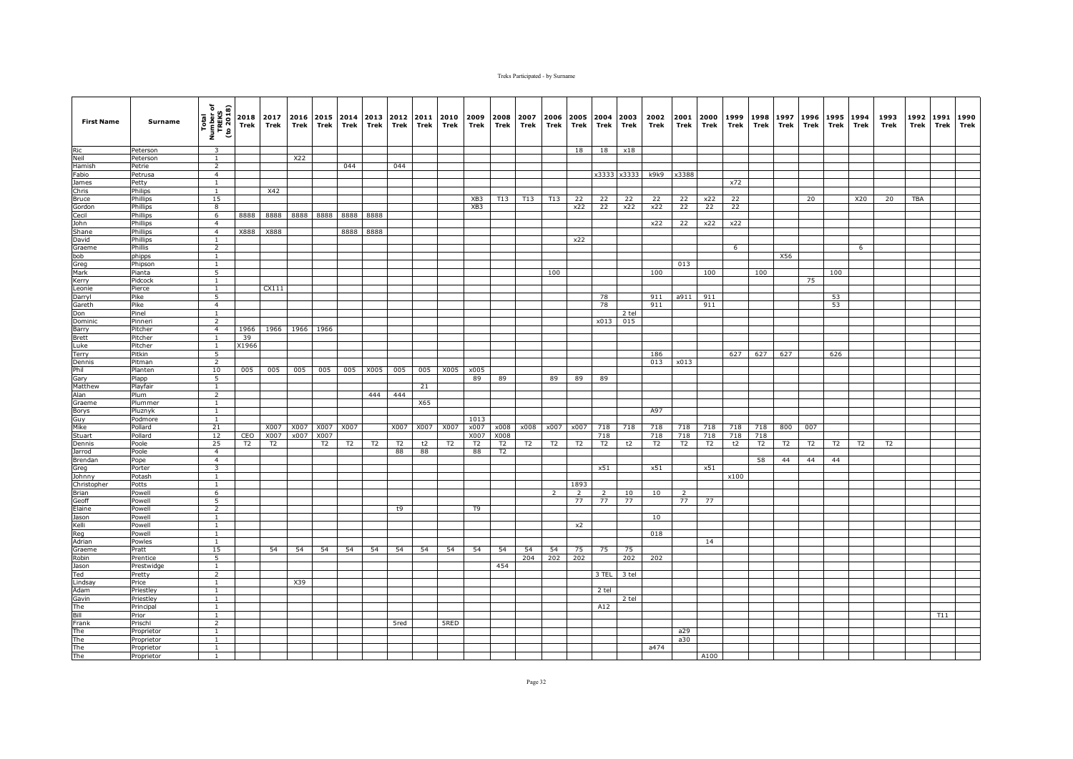| <b>First Name</b> | Surname                  | Total<br>Number of<br>TREKS<br>(to 2018) | Trek           | 2018 2017<br>Trek | 2016<br>Trek | Trek | 2015 2014<br>Trek | 2013<br>Trek | 2012<br>Trek | 2011<br>Trek | 2010<br>Trek   | 2009<br>Trek   | 2008<br>Trek | 2007<br>Trek   | 2006<br>Trek   | Trek      | 2005 2004 2003<br>Trek | Trek        | 2002<br>Trek | 2001<br>Trek   | 2000<br>Trek   | 1999<br>Trek | 1998<br>Trek | 1997<br>Trek | 1996<br>Trek | 1995<br>Trek | 1994<br>Trek   | 1993<br>Trek   | 1992<br>Trek | 1991<br>Trek | 1990<br>Trek |
|-------------------|--------------------------|------------------------------------------|----------------|-------------------|--------------|------|-------------------|--------------|--------------|--------------|----------------|----------------|--------------|----------------|----------------|-----------|------------------------|-------------|--------------|----------------|----------------|--------------|--------------|--------------|--------------|--------------|----------------|----------------|--------------|--------------|--------------|
| Ric               | Peterson                 | 3                                        |                |                   |              |      |                   |              |              |              |                |                |              |                |                | 18        | 18                     | x18         |              |                |                |              |              |              |              |              |                |                |              |              |              |
| Neil              | Peterson                 | 1                                        |                |                   | X22          |      |                   |              |              |              |                |                |              |                |                |           |                        |             |              |                |                |              |              |              |              |              |                |                |              |              |              |
| Hamish            | Petrie                   | $\overline{2}$                           |                |                   |              |      | 044               |              | 044          |              |                |                |              |                |                |           |                        |             |              |                |                |              |              |              |              |              |                |                |              |              |              |
| Fabio             | Petrusa                  | $\overline{4}$                           |                |                   |              |      |                   |              |              |              |                |                |              |                |                |           |                        | x3333 x3333 | k9k9         | x3388          |                |              |              |              |              |              |                |                |              |              |              |
| James<br>Chris    | Petty<br>Philips         | $\mathbf{1}$<br>1                        |                | X42               |              |      |                   |              |              |              |                |                |              |                |                |           |                        |             |              |                |                | x72          |              |              |              |              |                |                |              |              |              |
| Bruce             | Phillips                 | 15                                       |                |                   |              |      |                   |              |              |              |                | XB3            | T13          | T13            | T13            | 22        | 22                     | 22          | 22           | 22             | x22            | 22           |              |              | 20           |              | X20            | 20             | <b>TBA</b>   |              |              |
| Gordon            | Phillips                 | 8                                        |                |                   |              |      |                   |              |              |              |                | XB3            |              |                |                | x22       | 22                     | x22         | x22          | 22             | 22             | 22           |              |              |              |              |                |                |              |              |              |
| Cecil             | Phillips                 | 6                                        | 8888           | 8888              | 8888         | 8888 | 8888              | 8888         |              |              |                |                |              |                |                |           |                        |             |              |                |                |              |              |              |              |              |                |                |              |              |              |
| John              | Phillips                 | $\overline{4}$                           |                |                   |              |      |                   |              |              |              |                |                |              |                |                |           |                        |             | x22          | 22             | x22            | x22          |              |              |              |              |                |                |              |              |              |
| Shane             | Phillips                 | $\overline{4}$                           | X888           | X888              |              |      | 8888              | 8888         |              |              |                |                |              |                |                |           |                        |             |              |                |                |              |              |              |              |              |                |                |              |              |              |
| David             | Phillips                 | 1                                        |                |                   |              |      |                   |              |              |              |                |                |              |                |                | x22       |                        |             |              |                |                |              |              |              |              |              |                |                |              |              |              |
| Graeme            | Phillis                  | $\overline{2}$                           |                |                   |              |      |                   |              |              |              |                |                |              |                |                |           |                        |             |              |                |                | 6            |              |              |              |              | 6              |                |              |              |              |
| bob<br>Greg       | phipps<br>Phipson        | $\mathbf{1}$<br><sup>1</sup>             |                |                   |              |      |                   |              |              |              |                |                |              |                |                |           |                        |             |              | 013            |                |              |              | X56          |              |              |                |                |              |              |              |
| Mark              | Pianta                   | 5                                        |                |                   |              |      |                   |              |              |              |                |                |              |                | 100            |           |                        |             | 100          |                | 100            |              | 100          |              |              | 100          |                |                |              |              |              |
| Kerry             | Pidcock                  | 1                                        |                |                   |              |      |                   |              |              |              |                |                |              |                |                |           |                        |             |              |                |                |              |              |              | 75           |              |                |                |              |              |              |
| Leonie            | Pierce                   | <sup>1</sup>                             |                | CX111             |              |      |                   |              |              |              |                |                |              |                |                |           |                        |             |              |                |                |              |              |              |              |              |                |                |              |              |              |
| Darryl            | Pike                     | 5                                        |                |                   |              |      |                   |              |              |              |                |                |              |                |                |           | 78                     |             | 911          | a911           | 911            |              |              |              |              | 53           |                |                |              |              |              |
| Gareth            | Pike                     | $\overline{4}$                           |                |                   |              |      |                   |              |              |              |                |                |              |                |                |           | 78                     |             | 911          |                | 911            |              |              |              |              | 53           |                |                |              |              |              |
| Don               | Pinel                    | $\mathbf{1}$                             |                |                   |              |      |                   |              |              |              |                |                |              |                |                |           |                        | 2 tel       |              |                |                |              |              |              |              |              |                |                |              |              |              |
| Dominic           | Pinneri                  | $\overline{2}$                           |                |                   |              |      |                   |              |              |              |                |                |              |                |                |           | x013                   | 015         |              |                |                |              |              |              |              |              |                |                |              |              |              |
| Barry<br>Brett    | Pitcher<br>Pitcher       | $\overline{4}$<br>$\overline{1}$         | 1966<br>39     |                   | 1966 1966    | 1966 |                   |              |              |              |                |                |              |                |                |           |                        |             |              |                |                |              |              |              |              |              |                |                |              |              |              |
| Luke              | Pitcher                  | 1                                        | X1966          |                   |              |      |                   |              |              |              |                |                |              |                |                |           |                        |             |              |                |                |              |              |              |              |              |                |                |              |              |              |
| Terry             | Pitkin                   | 5                                        |                |                   |              |      |                   |              |              |              |                |                |              |                |                |           |                        |             | 186          |                |                | 627          | 627          | 627          |              | 626          |                |                |              |              |              |
| Dennis            | Pitman                   | $\overline{2}$                           |                |                   |              |      |                   |              |              |              |                |                |              |                |                |           |                        |             | 013          | x013           |                |              |              |              |              |              |                |                |              |              |              |
| Phil              | Planten                  | 10                                       | 005            | 005               | 005          | 005  | 005               | X005         | 005          | 005          | X005           | x005           |              |                |                |           |                        |             |              |                |                |              |              |              |              |              |                |                |              |              |              |
| Gary              | Plapp                    | 5                                        |                |                   |              |      |                   |              |              |              |                | 89             | 89           |                | 89             | 89        | 89                     |             |              |                |                |              |              |              |              |              |                |                |              |              |              |
| Matthew           | Playfair                 | <sup>1</sup>                             |                |                   |              |      |                   |              |              | 21           |                |                |              |                |                |           |                        |             |              |                |                |              |              |              |              |              |                |                |              |              |              |
| Alan              | Plum                     | $\overline{2}$                           |                |                   |              |      |                   | 444          | 444          |              |                |                |              |                |                |           |                        |             |              |                |                |              |              |              |              |              |                |                |              |              |              |
| Graeme            | Plummer                  | $\mathbf{1}$<br><sup>1</sup>             |                |                   |              |      |                   |              |              | X65          |                |                |              |                |                |           |                        |             | A97          |                |                |              |              |              |              |              |                |                |              |              |              |
| Borys<br>Guy      | Pluznyk<br>Podmore       | $\mathbf{1}$                             |                |                   |              |      |                   |              |              |              |                | 1013           |              |                |                |           |                        |             |              |                |                |              |              |              |              |              |                |                |              |              |              |
| Mike              | Pollard                  | 21                                       |                | X007              | X007         | X007 | X007              |              | X007         | X007         | X007           | x007           | x008         | x008           | x007           | x007      | 718                    | 718         | 718          | 718            | 718            | 718          | 718          | 800          | 007          |              |                |                |              |              |              |
| Stuart            | Pollard                  | 12                                       | CEO            | X007              | x007         | X007 |                   |              |              |              |                | X007           | X008         |                |                |           | 718                    |             | 718          | 718            | 718            | 718          | 718          |              |              |              |                |                |              |              |              |
| Dennis            | Poole                    | 25                                       | T <sub>2</sub> | T2                |              | T2   | T2                | T2           | T2           | t2           | T <sub>2</sub> | T <sub>2</sub> | T2           | T <sub>2</sub> | T2             | <b>T2</b> | T2                     | t2          | T2           | T <sub>2</sub> | T <sub>2</sub> | t2           | T2           | T2           | T2           | T2           | T <sub>2</sub> | T <sub>2</sub> |              |              |              |
| Jarrod            | Poole                    | $\overline{4}$                           |                |                   |              |      |                   |              | 88           | 88           |                | 88             | T2           |                |                |           |                        |             |              |                |                |              |              |              |              |              |                |                |              |              |              |
| Brendan           | Pope                     | $\overline{4}$                           |                |                   |              |      |                   |              |              |              |                |                |              |                |                |           |                        |             |              |                |                |              | 58           | 44           | 44           | 44           |                |                |              |              |              |
| Greg              | Porter                   | $\overline{\mathbf{3}}$                  |                |                   |              |      |                   |              |              |              |                |                |              |                |                |           | x51                    |             | x51          |                | x51            |              |              |              |              |              |                |                |              |              |              |
| Johnny            | Potash                   | $\mathbf{1}$                             |                |                   |              |      |                   |              |              |              |                |                |              |                |                | 1893      |                        |             |              |                |                | x100         |              |              |              |              |                |                |              |              |              |
| Christopher       | Potts                    | <sup>1</sup><br>6                        |                |                   |              |      |                   |              |              |              |                |                |              |                | $\overline{2}$ | 2         | 2                      | 10          | 10           | $\overline{2}$ |                |              |              |              |              |              |                |                |              |              |              |
| Brian<br>Geoff    | Powell<br>Powell         | 5                                        |                |                   |              |      |                   |              |              |              |                |                |              |                |                | 77        | 77                     | 77          |              | 77             | 77             |              |              |              |              |              |                |                |              |              |              |
| Elaine            | Powell                   | $\overline{2}$                           |                |                   |              |      |                   |              | t9           |              |                | T9             |              |                |                |           |                        |             |              |                |                |              |              |              |              |              |                |                |              |              |              |
| Jason             | Powell                   | $\mathbf{1}$                             |                |                   |              |      |                   |              |              |              |                |                |              |                |                |           |                        |             | 10           |                |                |              |              |              |              |              |                |                |              |              |              |
| Kelli             | Powell                   | $\mathbf{1}$                             |                |                   |              |      |                   |              |              |              |                |                |              |                |                | x2        |                        |             |              |                |                |              |              |              |              |              |                |                |              |              |              |
| Reg               | Powell                   | $\mathbf{1}$                             |                |                   |              |      |                   |              |              |              |                |                |              |                |                |           |                        |             | 018          |                |                |              |              |              |              |              |                |                |              |              |              |
| Adrian            | Powles                   | $\mathbf{1}$                             |                |                   |              |      |                   |              |              |              |                |                |              |                |                |           |                        |             |              |                | 14             |              |              |              |              |              |                |                |              |              |              |
| Graeme            | Pratt                    | 15                                       |                | 54                | 54           | 54   | 54                | 54           | 54           | 54           | 54             | 54             | 54           | 54             | 54             | 75        | 75                     | 75          |              |                |                |              |              |              |              |              |                |                |              |              |              |
| Robin             | Prentice                 | 5                                        |                |                   |              |      |                   |              |              |              |                |                | 454          | 204            | 202            | 202       |                        | 202         | 202          |                |                |              |              |              |              |              |                |                |              |              |              |
| Jason<br>Ted      | Prestwidge<br>Pretty     | $\mathbf{1}$<br>$\overline{2}$           |                |                   |              |      |                   |              |              |              |                |                |              |                |                |           | 3 TEL                  | 3 tel       |              |                |                |              |              |              |              |              |                |                |              |              |              |
| Lindsay           | Price                    | $\mathbf{1}$                             |                |                   | X39          |      |                   |              |              |              |                |                |              |                |                |           |                        |             |              |                |                |              |              |              |              |              |                |                |              |              |              |
| Adam              | Priestley                | $\mathbf{1}$                             |                |                   |              |      |                   |              |              |              |                |                |              |                |                |           | 2 tel                  |             |              |                |                |              |              |              |              |              |                |                |              |              |              |
| Gavin             | Priestley                | <sup>1</sup>                             |                |                   |              |      |                   |              |              |              |                |                |              |                |                |           |                        | 2 tel       |              |                |                |              |              |              |              |              |                |                |              |              |              |
| The               | Principal                | $\mathbf{1}$                             |                |                   |              |      |                   |              |              |              |                |                |              |                |                |           | A12                    |             |              |                |                |              |              |              |              |              |                |                |              |              |              |
| Bill              | Prior                    | $\mathbf{1}$                             |                |                   |              |      |                   |              |              |              |                |                |              |                |                |           |                        |             |              |                |                |              |              |              |              |              |                |                |              | T11          |              |
| Frank             | Prischl                  | $\overline{2}$                           |                |                   |              |      |                   |              | 5red         |              | 5RED           |                |              |                |                |           |                        |             |              |                |                |              |              |              |              |              |                |                |              |              |              |
| The               | Proprietor               | $\mathbf{1}$                             |                |                   |              |      |                   |              |              |              |                |                |              |                |                |           |                        |             |              | a29            |                |              |              |              |              |              |                |                |              |              |              |
| The               | Proprietor               | $\mathbf{1}$                             |                |                   |              |      |                   |              |              |              |                |                |              |                |                |           |                        |             |              | a30            |                |              |              |              |              |              |                |                |              |              |              |
| The<br>The        | Proprietor<br>Proprietor | $\mathbf{1}$<br>$\mathbf{1}$             |                |                   |              |      |                   |              |              |              |                |                |              |                |                |           |                        |             | a474         |                | A100           |              |              |              |              |              |                |                |              |              |              |
|                   |                          |                                          |                |                   |              |      |                   |              |              |              |                |                |              |                |                |           |                        |             |              |                |                |              |              |              |              |              |                |                |              |              |              |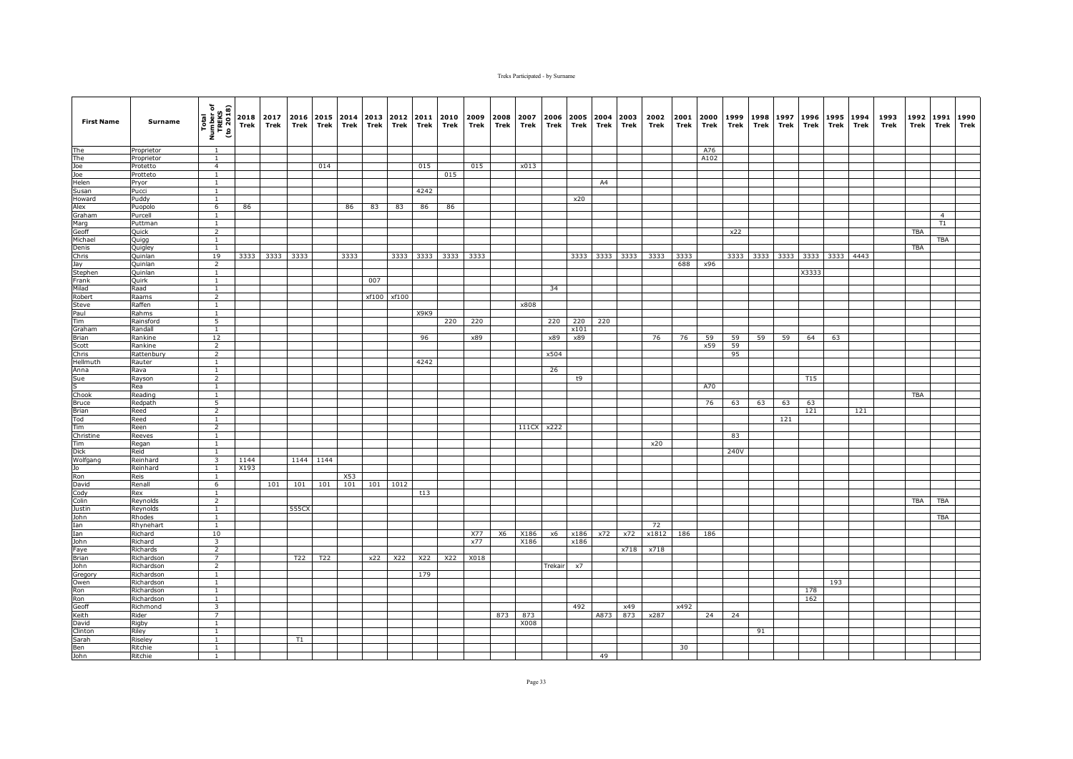| <b>First Name</b>  | Surname              | Total<br>Number of<br>TREKS<br>(to 2018) | Trek | 2018 2017<br>Trek | 2016<br>Trek | Trek            | 2015 2014<br>Trek | 2013<br>Trek | 2012<br>Trek | 2011<br>Trek | 2010<br>Trek | 2009<br>Trek | 2008<br>Trek | 2007<br>Trek | 2006<br>Trek | 2005<br>Trek | 2004<br>Trek | 2003<br>Trek | 2002<br>Trek | 2001<br>Trek | 2000<br>Trek | 1999<br>Trek | 1998<br>Trek   | 1997<br>Trek | 1996<br>Trek | 1995<br>Trek | 1994<br>Trek | 1993<br>Trek | 1992<br>Trek | 1991<br>Trek   | 1990<br>Trek |
|--------------------|----------------------|------------------------------------------|------|-------------------|--------------|-----------------|-------------------|--------------|--------------|--------------|--------------|--------------|--------------|--------------|--------------|--------------|--------------|--------------|--------------|--------------|--------------|--------------|----------------|--------------|--------------|--------------|--------------|--------------|--------------|----------------|--------------|
| The                | Proprietor           | $\overline{1}$                           |      |                   |              |                 |                   |              |              |              |              |              |              |              |              |              |              |              |              |              | A76          |              |                |              |              |              |              |              |              |                |              |
| The                | Proprietor           | $\mathbf{1}$                             |      |                   |              |                 |                   |              |              |              |              |              |              |              |              |              |              |              |              |              | A102         |              |                |              |              |              |              |              |              |                |              |
| Joe                | Protetto             | $\overline{4}$                           |      |                   |              | 014             |                   |              |              | 015          |              | 015          |              | x013         |              |              |              |              |              |              |              |              |                |              |              |              |              |              |              |                |              |
| Joe                | Protteto             | $\mathbf{1}$                             |      |                   |              |                 |                   |              |              |              | 015          |              |              |              |              |              |              |              |              |              |              |              |                |              |              |              |              |              |              |                |              |
| Helen<br>Susan     | Pryor<br>Pucci       | $\mathbf{1}$<br>$\mathbf{1}$             |      |                   |              |                 |                   |              |              | 4242         |              |              |              |              |              |              | A4           |              |              |              |              |              |                |              |              |              |              |              |              |                |              |
| Howard             | Puddy                | <sup>1</sup>                             |      |                   |              |                 |                   |              |              |              |              |              |              |              |              | x20          |              |              |              |              |              |              |                |              |              |              |              |              |              |                |              |
| Alex               | Puopolo              | 6                                        | 86   |                   |              |                 | 86                | 83           | 83           | 86           | 86           |              |              |              |              |              |              |              |              |              |              |              |                |              |              |              |              |              |              |                |              |
| Graham             | Purcell              | $\mathbf{1}$                             |      |                   |              |                 |                   |              |              |              |              |              |              |              |              |              |              |              |              |              |              |              |                |              |              |              |              |              |              | $\overline{4}$ |              |
| Marg               | Puttman              | $\mathbf{1}$                             |      |                   |              |                 |                   |              |              |              |              |              |              |              |              |              |              |              |              |              |              |              |                |              |              |              |              |              |              | T1             |              |
| Geoff              | Quick                | $\overline{2}$                           |      |                   |              |                 |                   |              |              |              |              |              |              |              |              |              |              |              |              |              |              | x22          |                |              |              |              |              |              | TBA          |                |              |
| Michael            | Quigg                | $\mathbf{1}$                             |      |                   |              |                 |                   |              |              |              |              |              |              |              |              |              |              |              |              |              |              |              |                |              |              |              |              |              |              | <b>TBA</b>     |              |
| Denis              | Quigley              | 1                                        |      |                   |              |                 |                   |              |              |              |              |              |              |              |              |              |              |              |              |              |              |              |                |              |              |              |              |              | <b>TBA</b>   |                |              |
| Chris              | Quinlan              | 19                                       | 3333 | 3333 3333         |              |                 | 3333              |              | 3333         | 3333         | 3333         | 3333         |              |              |              |              | 3333 3333    | 3333         | 3333         | 3333         |              |              | 3333 3333 3333 |              | 3333         | 3333 4443    |              |              |              |                |              |
| Jay                | Quinlan              | 2                                        |      |                   |              |                 |                   |              |              |              |              |              |              |              |              |              |              |              |              | 688          | x96          |              |                |              |              |              |              |              |              |                |              |
| Stephen<br>Frank   | Quinlan<br>Quirk     | 1<br>$\mathbf{1}$                        |      |                   |              |                 |                   | 007          |              |              |              |              |              |              |              |              |              |              |              |              |              |              |                |              | X3333        |              |              |              |              |                |              |
| Milad              | Raad                 | <sup>1</sup>                             |      |                   |              |                 |                   |              |              |              |              |              |              |              | 34           |              |              |              |              |              |              |              |                |              |              |              |              |              |              |                |              |
| Robert             | Raams                | $\overline{2}$                           |      |                   |              |                 |                   | xf100        | xf100        |              |              |              |              |              |              |              |              |              |              |              |              |              |                |              |              |              |              |              |              |                |              |
| <b>Steve</b>       | Raffen               | $\mathbf{1}$                             |      |                   |              |                 |                   |              |              |              |              |              |              | x808         |              |              |              |              |              |              |              |              |                |              |              |              |              |              |              |                |              |
| Paul               | Rahms                | $\mathbf{1}$                             |      |                   |              |                 |                   |              |              | X9K9         |              |              |              |              |              |              |              |              |              |              |              |              |                |              |              |              |              |              |              |                |              |
| Tim                | Rainsford            | 5                                        |      |                   |              |                 |                   |              |              |              | 220          | 220          |              |              | 220          | 220          | 220          |              |              |              |              |              |                |              |              |              |              |              |              |                |              |
| Graham             | Randall              | 1                                        |      |                   |              |                 |                   |              |              |              |              |              |              |              |              | x101         |              |              |              |              |              |              |                |              |              |              |              |              |              |                |              |
| Brian              | Rankine              | 12                                       |      |                   |              |                 |                   |              |              | 96           |              | x89          |              |              | x89          | x89          |              |              | 76           | 76           | 59           | 59           | 59             | 59           | 64           | 63           |              |              |              |                |              |
| Scott              | Rankine              | $\overline{2}$                           |      |                   |              |                 |                   |              |              |              |              |              |              |              |              |              |              |              |              |              | x59          | 59           |                |              |              |              |              |              |              |                |              |
| Chris<br>Hellmuth  | Rattenbury<br>Rauter | $\overline{2}$<br>$\mathbf{1}$           |      |                   |              |                 |                   |              |              | 4242         |              |              |              |              | x504         |              |              |              |              |              |              | 95           |                |              |              |              |              |              |              |                |              |
| Anna               | Rava                 | $\mathbf{1}$                             |      |                   |              |                 |                   |              |              |              |              |              |              |              | 26           |              |              |              |              |              |              |              |                |              |              |              |              |              |              |                |              |
| Sue                | Rayson               | $\overline{2}$                           |      |                   |              |                 |                   |              |              |              |              |              |              |              |              | t9           |              |              |              |              |              |              |                |              | T15          |              |              |              |              |                |              |
| lS.                | Rea                  | $\mathbf{1}$                             |      |                   |              |                 |                   |              |              |              |              |              |              |              |              |              |              |              |              |              | A70          |              |                |              |              |              |              |              |              |                |              |
| Chook              | Reading              | <sup>1</sup>                             |      |                   |              |                 |                   |              |              |              |              |              |              |              |              |              |              |              |              |              |              |              |                |              |              |              |              |              | <b>TBA</b>   |                |              |
| <b>Bruce</b>       | Redpath              | - 5                                      |      |                   |              |                 |                   |              |              |              |              |              |              |              |              |              |              |              |              |              | 76           | 63           | 63             | 63           | 63           |              |              |              |              |                |              |
| Brian              | Reed                 | $\overline{2}$                           |      |                   |              |                 |                   |              |              |              |              |              |              |              |              |              |              |              |              |              |              |              |                |              | 121          |              | 121          |              |              |                |              |
| Tod                | Reed                 | 1                                        |      |                   |              |                 |                   |              |              |              |              |              |              |              |              |              |              |              |              |              |              |              |                | 121          |              |              |              |              |              |                |              |
| Tim                | Reen                 | $\overline{2}$                           |      |                   |              |                 |                   |              |              |              |              |              |              |              | 111CX x222   |              |              |              |              |              |              |              |                |              |              |              |              |              |              |                |              |
| Christine          | Reeves               | $\mathbf{1}$<br>$\mathbf{1}$             |      |                   |              |                 |                   |              |              |              |              |              |              |              |              |              |              |              | x20          |              |              | 83           |                |              |              |              |              |              |              |                |              |
| Tim<br><b>Dick</b> | Regan<br>Reid        | $\mathbf{1}$                             |      |                   |              |                 |                   |              |              |              |              |              |              |              |              |              |              |              |              |              |              | 240V         |                |              |              |              |              |              |              |                |              |
| Wolfgang           | Reinhard             | $\overline{3}$                           | 1144 |                   |              | 1144 1144       |                   |              |              |              |              |              |              |              |              |              |              |              |              |              |              |              |                |              |              |              |              |              |              |                |              |
| Jo                 | Reinhard             | $\mathbf{1}$                             | X193 |                   |              |                 |                   |              |              |              |              |              |              |              |              |              |              |              |              |              |              |              |                |              |              |              |              |              |              |                |              |
| Ron                | Reis                 | 1                                        |      |                   |              |                 | X53               |              |              |              |              |              |              |              |              |              |              |              |              |              |              |              |                |              |              |              |              |              |              |                |              |
| David              | Renall               | 6                                        |      | 101               | 101          | 101             | 101               | 101          | 1012         |              |              |              |              |              |              |              |              |              |              |              |              |              |                |              |              |              |              |              |              |                |              |
| Cody               | Rex                  | $\overline{1}$                           |      |                   |              |                 |                   |              |              | t13          |              |              |              |              |              |              |              |              |              |              |              |              |                |              |              |              |              |              |              |                |              |
| Colin              | Reynolds             | $\overline{2}$                           |      |                   |              |                 |                   |              |              |              |              |              |              |              |              |              |              |              |              |              |              |              |                |              |              |              |              |              | TBA          | TBA            |              |
| Justin             | Reynolds             | $\mathbf{1}$                             |      |                   | 555CX        |                 |                   |              |              |              |              |              |              |              |              |              |              |              |              |              |              |              |                |              |              |              |              |              |              |                |              |
| John               | Rhodes               | $\mathbf{1}$                             |      |                   |              |                 |                   |              |              |              |              |              |              |              |              |              |              |              |              |              |              |              |                |              |              |              |              |              |              | <b>TBA</b>     |              |
| Ian<br>Ian         | Rhynehart<br>Richard | $\mathbf{1}$<br>10                       |      |                   |              |                 |                   |              |              |              |              | X77          | X6           | X186         | x6           | x186         | x72          | x72          | 72<br>x1812  | 186          | 186          |              |                |              |              |              |              |              |              |                |              |
| John               | Richard              | $\overline{3}$                           |      |                   |              |                 |                   |              |              |              |              | x77          |              | X186         |              | x186         |              |              |              |              |              |              |                |              |              |              |              |              |              |                |              |
| Faye               | Richards             | $\overline{2}$                           |      |                   |              |                 |                   |              |              |              |              |              |              |              |              |              |              | x718         | x718         |              |              |              |                |              |              |              |              |              |              |                |              |
| Brian              | Richardson           | $\overline{7}$                           |      |                   | T22          | T <sub>22</sub> |                   | x22          | X22          | X22          | X22          | X018         |              |              |              |              |              |              |              |              |              |              |                |              |              |              |              |              |              |                |              |
| John               | Richardson           | $\overline{2}$                           |      |                   |              |                 |                   |              |              |              |              |              |              |              | Trekair      | x7           |              |              |              |              |              |              |                |              |              |              |              |              |              |                |              |
| Gregory            | Richardson           | $\mathbf{1}$                             |      |                   |              |                 |                   |              |              | 179          |              |              |              |              |              |              |              |              |              |              |              |              |                |              |              |              |              |              |              |                |              |
| Owen               | Richardson           | <sup>1</sup>                             |      |                   |              |                 |                   |              |              |              |              |              |              |              |              |              |              |              |              |              |              |              |                |              |              | 193          |              |              |              |                |              |
| Ron                | Richardson           | $\overline{1}$                           |      |                   |              |                 |                   |              |              |              |              |              |              |              |              |              |              |              |              |              |              |              |                |              | 178          |              |              |              |              |                |              |
| Ron                | Richardson           | 1                                        |      |                   |              |                 |                   |              |              |              |              |              |              |              |              |              |              |              |              |              |              |              |                |              | 162          |              |              |              |              |                |              |
| Geoff              | Richmond             | 3<br>$\overline{7}$                      |      |                   |              |                 |                   |              |              |              |              |              |              |              |              | 492          |              | x49          |              | x492         |              |              |                |              |              |              |              |              |              |                |              |
| Keith<br>David     | Rider<br>Rigby       | 1                                        |      |                   |              |                 |                   |              |              |              |              |              | 873          | 873<br>X008  |              |              | A873         | 873          | x287         |              | 24           | 24           |                |              |              |              |              |              |              |                |              |
| Clinton            | Riley                | 1                                        |      |                   |              |                 |                   |              |              |              |              |              |              |              |              |              |              |              |              |              |              |              | 91             |              |              |              |              |              |              |                |              |
| Sarah              | Riseley              | $\overline{1}$                           |      |                   | T1           |                 |                   |              |              |              |              |              |              |              |              |              |              |              |              |              |              |              |                |              |              |              |              |              |              |                |              |
| Ben                | Ritchie              | <sup>1</sup>                             |      |                   |              |                 |                   |              |              |              |              |              |              |              |              |              |              |              |              | 30           |              |              |                |              |              |              |              |              |              |                |              |
| John               | Ritchie              | 1                                        |      |                   |              |                 |                   |              |              |              |              |              |              |              |              |              | 49           |              |              |              |              |              |                |              |              |              |              |              |              |                |              |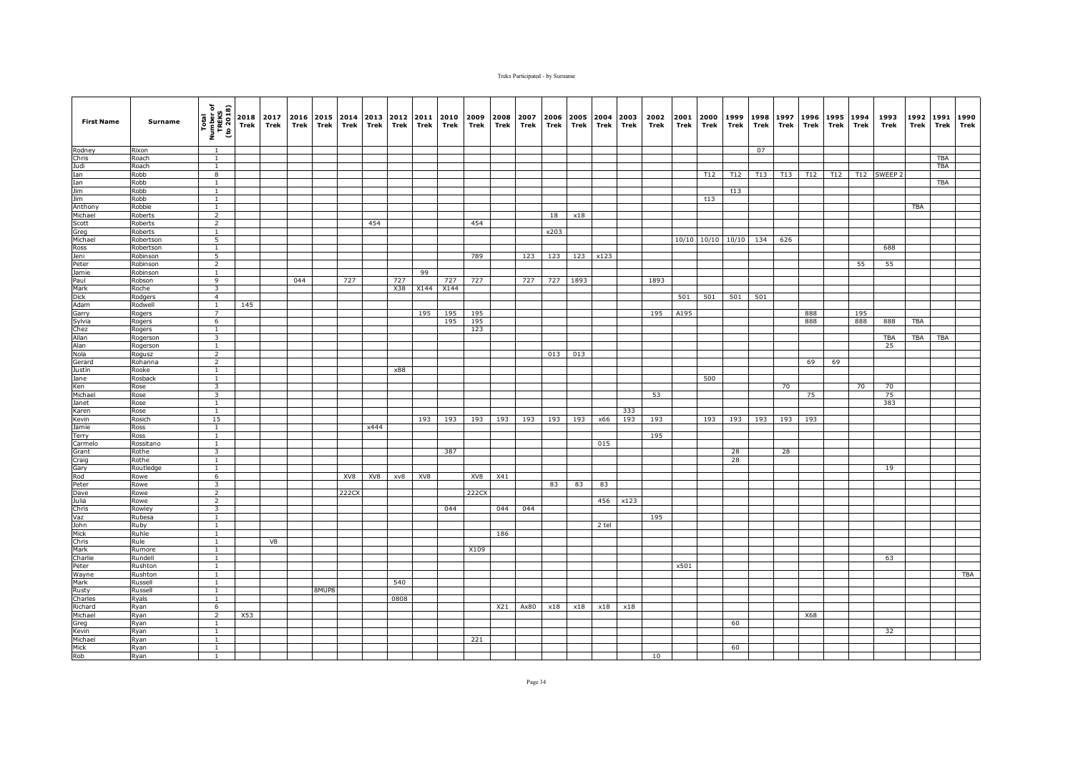| <b>First Name</b> | Surname            | Total<br>Number of<br>TREKS<br>(to 2018) | Trek | 2018 2017<br>Trek | Trek | 2016 2015 2014<br>Trek | Trek  | 2013<br>Trek | 2012<br>Trek | 2011<br>Trek | 2010 2009<br>Trek | Trek       | 2008<br>Trek | 2007<br>Trek | 2006<br>Trek | Trek     | Trek     | 2005 2004 2003<br>Trek | 2002<br>Trek | 2001<br>Trek | 2000<br>Trek | 1999<br>Trek | 1998<br>Trek | 1997<br>Trek | Trek | 1996 1995<br>Trek | 1994<br>Trek | 1993<br>Trek | 1992<br>Trek | 1991<br>Trek | 1990<br>Trek |
|-------------------|--------------------|------------------------------------------|------|-------------------|------|------------------------|-------|--------------|--------------|--------------|-------------------|------------|--------------|--------------|--------------|----------|----------|------------------------|--------------|--------------|--------------|--------------|--------------|--------------|------|-------------------|--------------|--------------|--------------|--------------|--------------|
| Rodney            | Rixon              | $\overline{1}$                           |      |                   |      |                        |       |              |              |              |                   |            |              |              |              |          |          |                        |              |              |              |              | 07           |              |      |                   |              |              |              |              |              |
| Chris             | Roach              | $\overline{1}$                           |      |                   |      |                        |       |              |              |              |                   |            |              |              |              |          |          |                        |              |              |              |              |              |              |      |                   |              |              |              | <b>TBA</b>   |              |
| Judi              | Roach              | $\mathbf{1}$                             |      |                   |      |                        |       |              |              |              |                   |            |              |              |              |          |          |                        |              |              |              |              |              |              |      |                   |              |              |              | <b>TBA</b>   |              |
| Ian               | Robb               | 8                                        |      |                   |      |                        |       |              |              |              |                   |            |              |              |              |          |          |                        |              |              | T12          | T12          | T13          | T13          | T12  | T12               |              | T12 SWEEP 2  |              |              |              |
| Ian               | Robb               | 1                                        |      |                   |      |                        |       |              |              |              |                   |            |              |              |              |          |          |                        |              |              |              |              |              |              |      |                   |              |              |              | TBA          |              |
| <b>Jim</b>        | Robb               | $\mathbf{1}$                             |      |                   |      |                        |       |              |              |              |                   |            |              |              |              |          |          |                        |              |              |              | t13          |              |              |      |                   |              |              |              |              |              |
| Jim               | Robb               | $\mathbf{1}$<br>$\overline{1}$           |      |                   |      |                        |       |              |              |              |                   |            |              |              |              |          |          |                        |              |              | t13          |              |              |              |      |                   |              |              |              |              |              |
| Anthony           | Robbie             | $\overline{2}$                           |      |                   |      |                        |       |              |              |              |                   |            |              |              | 18           | x18      |          |                        |              |              |              |              |              |              |      |                   |              |              | <b>TBA</b>   |              |              |
| Michael<br>Scott  | Roberts<br>Roberts | $\overline{2}$                           |      |                   |      |                        |       | 454          |              |              |                   | 454        |              |              |              |          |          |                        |              |              |              |              |              |              |      |                   |              |              |              |              |              |
| Greg              | Roberts            | 1                                        |      |                   |      |                        |       |              |              |              |                   |            |              |              | x203         |          |          |                        |              |              |              |              |              |              |      |                   |              |              |              |              |              |
| Michael           | Robertson          | 5                                        |      |                   |      |                        |       |              |              |              |                   |            |              |              |              |          |          |                        |              |              | 10/10 10/10  | 10/10        | 134          | 626          |      |                   |              |              |              |              |              |
| Ross              | Robertson          | $\mathbf{1}$                             |      |                   |      |                        |       |              |              |              |                   |            |              |              |              |          |          |                        |              |              |              |              |              |              |      |                   |              | 688          |              |              |              |
| Jeni              | Robinson           | 5                                        |      |                   |      |                        |       |              |              |              |                   | 789        |              | 123          | 123          |          | 123 x123 |                        |              |              |              |              |              |              |      |                   |              |              |              |              |              |
| Peter             | Robinson           | $\overline{2}$                           |      |                   |      |                        |       |              |              |              |                   |            |              |              |              |          |          |                        |              |              |              |              |              |              |      |                   | 55           | 55           |              |              |              |
| Jamie             | Robinson           | $\mathbf{1}$                             |      |                   |      |                        |       |              |              | 99           |                   |            |              |              |              |          |          |                        |              |              |              |              |              |              |      |                   |              |              |              |              |              |
| Paul              | Robson             | 9                                        |      |                   | 044  |                        | 727   |              | 727          |              | 727               | 727        |              | 727          |              | 727 1893 |          |                        | 1893         |              |              |              |              |              |      |                   |              |              |              |              |              |
| Mark              | Roche              | 3                                        |      |                   |      |                        |       |              | X38          | X144         | X144              |            |              |              |              |          |          |                        |              |              |              |              |              |              |      |                   |              |              |              |              |              |
| <b>Dick</b>       | Rodgers            | $\overline{4}$                           |      |                   |      |                        |       |              |              |              |                   |            |              |              |              |          |          |                        |              | 501          | 501          | 501          | 501          |              |      |                   |              |              |              |              |              |
| Adam              | Rodwell            | $\overline{1}$                           | 145  |                   |      |                        |       |              |              |              |                   |            |              |              |              |          |          |                        |              |              |              |              |              |              |      |                   |              |              |              |              |              |
| Garry             | Rogers             | $\overline{7}$                           |      |                   |      |                        |       |              |              | 195          | 195               | 195        |              |              |              |          |          |                        | 195          | A195         |              |              |              |              | 888  |                   | 195          |              |              |              |              |
| Sylvia            | Rogers             | 6                                        |      |                   |      |                        |       |              |              |              | 195               | 195<br>123 |              |              |              |          |          |                        |              |              |              |              |              |              | 888  |                   | 888          | 888          | <b>TBA</b>   |              |              |
| Chez<br>Allan     | Rogers<br>Rogerson | $\mathbf{1}$<br>3                        |      |                   |      |                        |       |              |              |              |                   |            |              |              |              |          |          |                        |              |              |              |              |              |              |      |                   |              | TBA          | TBA          | <b>TBA</b>   |              |
| Alan              | Rogerson           | $\mathbf{1}$                             |      |                   |      |                        |       |              |              |              |                   |            |              |              |              |          |          |                        |              |              |              |              |              |              |      |                   |              | 25           |              |              |              |
| Nola              | Rogusz             | $\overline{2}$                           |      |                   |      |                        |       |              |              |              |                   |            |              |              | 013          | 013      |          |                        |              |              |              |              |              |              |      |                   |              |              |              |              |              |
| Gerard            | Rohanna            | $\overline{2}$                           |      |                   |      |                        |       |              |              |              |                   |            |              |              |              |          |          |                        |              |              |              |              |              |              | 69   | 69                |              |              |              |              |              |
| Justin            | Rooke              | $\mathbf{1}$                             |      |                   |      |                        |       |              | x88          |              |                   |            |              |              |              |          |          |                        |              |              |              |              |              |              |      |                   |              |              |              |              |              |
| Jane              | Rosback            | $\mathbf{1}$                             |      |                   |      |                        |       |              |              |              |                   |            |              |              |              |          |          |                        |              |              | 500          |              |              |              |      |                   |              |              |              |              |              |
| Ken               | Rose               | $\overline{\mathbf{3}}$                  |      |                   |      |                        |       |              |              |              |                   |            |              |              |              |          |          |                        |              |              |              |              |              | 70           |      |                   | 70           | 70           |              |              |              |
| Michael           | Rose               | $\overline{\mathbf{3}}$                  |      |                   |      |                        |       |              |              |              |                   |            |              |              |              |          |          |                        | 53           |              |              |              |              |              | 75   |                   |              | 75           |              |              |              |
| Janet             | Rose               | $\overline{1}$                           |      |                   |      |                        |       |              |              |              |                   |            |              |              |              |          |          |                        |              |              |              |              |              |              |      |                   |              | 383          |              |              |              |
| Karen             | Rose               | $\mathbf{1}$                             |      |                   |      |                        |       |              |              |              |                   |            |              |              |              |          |          | 333                    |              |              |              |              |              |              |      |                   |              |              |              |              |              |
| Kevin             | Rosich             | 15                                       |      |                   |      |                        |       |              |              | 193          | 193               | 193        | 193          | 193          | 193          | 193      | x66      | 193                    | 193          |              | 193          | 193          | 193          | 193          | 193  |                   |              |              |              |              |              |
| Jamie             | Ross               | $\mathbf{1}$<br>$\mathbf{1}$             |      |                   |      |                        |       | x444         |              |              |                   |            |              |              |              |          |          |                        | 195          |              |              |              |              |              |      |                   |              |              |              |              |              |
| Terry<br>Carmelo  | Ross<br>Rossitano  | $\overline{1}$                           |      |                   |      |                        |       |              |              |              |                   |            |              |              |              |          | 015      |                        |              |              |              |              |              |              |      |                   |              |              |              |              |              |
| Grant             | Rothe              | $\overline{\mathbf{3}}$                  |      |                   |      |                        |       |              |              |              | 387               |            |              |              |              |          |          |                        |              |              |              | 28           |              | 28           |      |                   |              |              |              |              |              |
| Craig             | Rothe              | $\mathbf{1}$                             |      |                   |      |                        |       |              |              |              |                   |            |              |              |              |          |          |                        |              |              |              | 28           |              |              |      |                   |              |              |              |              |              |
| Gary              | Routledge          | $\mathbf{1}$                             |      |                   |      |                        |       |              |              |              |                   |            |              |              |              |          |          |                        |              |              |              |              |              |              |      |                   |              | 19           |              |              |              |
| Rod               | Rowe               | 6                                        |      |                   |      |                        | XV8   | XV8          | xv8          | XV8          |                   | XV8        | X41          |              |              |          |          |                        |              |              |              |              |              |              |      |                   |              |              |              |              |              |
| Peter             | Rowe               | $\overline{\mathbf{3}}$                  |      |                   |      |                        |       |              |              |              |                   |            |              |              | 83           | 83       | 83       |                        |              |              |              |              |              |              |      |                   |              |              |              |              |              |
| Dave              | Rowe               | $\overline{2}$                           |      |                   |      |                        | 222CX |              |              |              |                   | 222CX      |              |              |              |          |          |                        |              |              |              |              |              |              |      |                   |              |              |              |              |              |
| Julia             | Rowe               | $\overline{2}$                           |      |                   |      |                        |       |              |              |              |                   |            |              |              |              |          | 456      | x123                   |              |              |              |              |              |              |      |                   |              |              |              |              |              |
| Chris             | Rowley             | $\overline{\mathbf{3}}$                  |      |                   |      |                        |       |              |              |              | 044               |            | 044          | 044          |              |          |          |                        |              |              |              |              |              |              |      |                   |              |              |              |              |              |
| Vaz               | Rubesa             | 1                                        |      |                   |      |                        |       |              |              |              |                   |            |              |              |              |          |          |                        | 195          |              |              |              |              |              |      |                   |              |              |              |              |              |
| John              | Ruby               | $\mathbf{1}$                             |      |                   |      |                        |       |              |              |              |                   |            |              |              |              |          | 2 tel    |                        |              |              |              |              |              |              |      |                   |              |              |              |              |              |
| Mick              | Ruhle              | $\mathbf{1}$                             |      |                   |      |                        |       |              |              |              |                   |            | 186          |              |              |          |          |                        |              |              |              |              |              |              |      |                   |              |              |              |              |              |
| Chris<br>Mark     | Rule               | $\mathbf{1}$<br>$\mathbf{1}$             |      | V8                |      |                        |       |              |              |              |                   | X109       |              |              |              |          |          |                        |              |              |              |              |              |              |      |                   |              |              |              |              |              |
| Charlie           | Rumore<br>Rundell  | $\mathbf{1}$                             |      |                   |      |                        |       |              |              |              |                   |            |              |              |              |          |          |                        |              |              |              |              |              |              |      |                   |              | 63           |              |              |              |
| Peter             | Rushton            | $\mathbf{1}$                             |      |                   |      |                        |       |              |              |              |                   |            |              |              |              |          |          |                        |              | x501         |              |              |              |              |      |                   |              |              |              |              |              |
| Wayne             | Rushton            | $\mathbf{1}$                             |      |                   |      |                        |       |              |              |              |                   |            |              |              |              |          |          |                        |              |              |              |              |              |              |      |                   |              |              |              |              | TBA          |
| Mark              | Russell            | $\overline{1}$                           |      |                   |      |                        |       |              | 540          |              |                   |            |              |              |              |          |          |                        |              |              |              |              |              |              |      |                   |              |              |              |              |              |
| Rusty             | Russell            | $\overline{1}$                           |      |                   |      | 8MUP8                  |       |              |              |              |                   |            |              |              |              |          |          |                        |              |              |              |              |              |              |      |                   |              |              |              |              |              |
| Charles           | Ryals              | 1                                        |      |                   |      |                        |       |              | 0808         |              |                   |            |              |              |              |          |          |                        |              |              |              |              |              |              |      |                   |              |              |              |              |              |
| Richard           | Ryan               | 6                                        |      |                   |      |                        |       |              |              |              |                   |            | X21          | Ax80         | x18          | x18      | x18      | x18                    |              |              |              |              |              |              |      |                   |              |              |              |              |              |
| Michael           | Ryan               | $\overline{2}$                           | X53  |                   |      |                        |       |              |              |              |                   |            |              |              |              |          |          |                        |              |              |              |              |              |              | X68  |                   |              |              |              |              |              |
| Greg              | Ryan               | 1                                        |      |                   |      |                        |       |              |              |              |                   |            |              |              |              |          |          |                        |              |              |              | 60           |              |              |      |                   |              |              |              |              |              |
| Kevin             | Ryan               | 1                                        |      |                   |      |                        |       |              |              |              |                   |            |              |              |              |          |          |                        |              |              |              |              |              |              |      |                   |              | 32           |              |              |              |
| Michael           | Ryan               | $\overline{1}$                           |      |                   |      |                        |       |              |              |              |                   | 221        |              |              |              |          |          |                        |              |              |              |              |              |              |      |                   |              |              |              |              |              |
| Mick              | Ryan               | $\mathbf{1}$                             |      |                   |      |                        |       |              |              |              |                   |            |              |              |              |          |          |                        |              |              |              | 60           |              |              |      |                   |              |              |              |              |              |
| Rob               | Ryan               | $\mathbf{1}$                             |      |                   |      |                        |       |              |              |              |                   |            |              |              |              |          |          |                        | 10           |              |              |              |              |              |      |                   |              |              |              |              |              |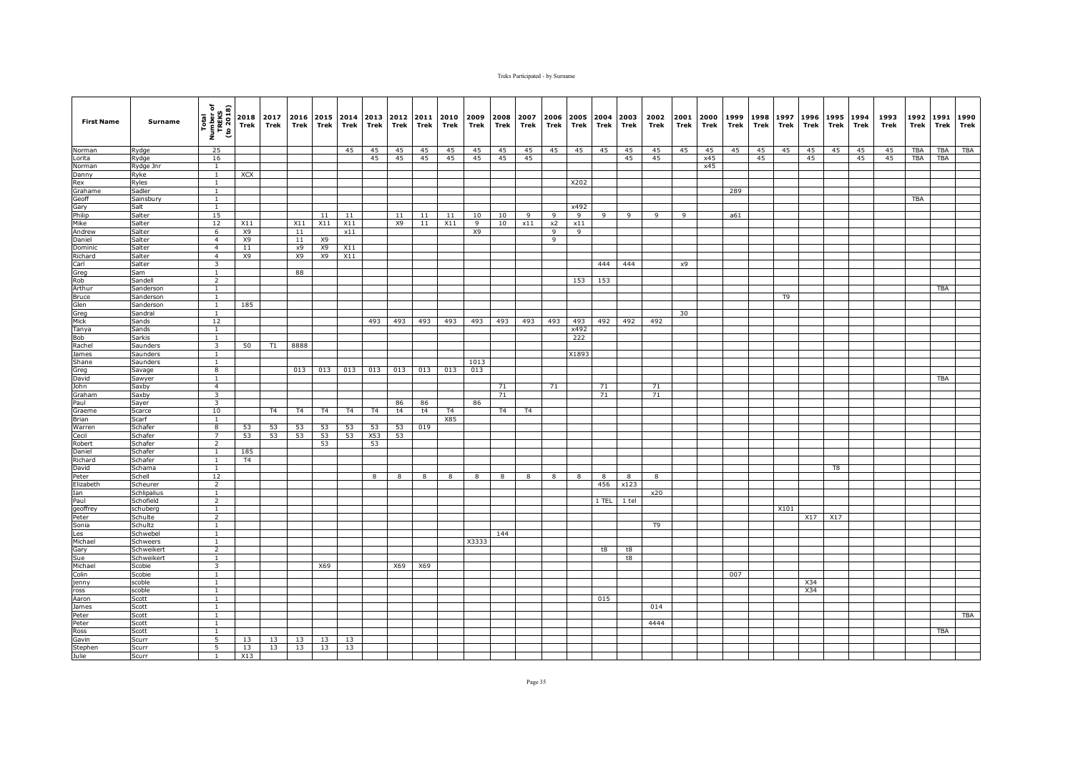| <b>First Name</b>  | Surname          | Total<br>Number of<br>TREKS<br>(to 2018) | 2018<br>Trek | 2017<br>Trek  | 2016<br>Trek   | 2015<br>Trek   | Trek           | 2014 2013<br>Trek | 2012<br>Trek | 2011<br>Trek | 2010<br>Trek   | 2009<br>Trek | 2008<br>Trek   | 2007<br>Trek   | 2006<br>Trek   | 2005<br>Trek | 2004<br>Trek | 2003<br>Trek | 2002<br>Trek   | 2001<br>Trek | 2000<br>Trek | 1999<br>Trek | 1998<br>Trek | 1997<br>Trek | 1996<br>Trek | 1995<br>Trek | 1994<br>Trek | 1993<br>Trek | 1992<br>Trek | 1991<br>Trek | 1990<br><b>Trek</b> |
|--------------------|------------------|------------------------------------------|--------------|---------------|----------------|----------------|----------------|-------------------|--------------|--------------|----------------|--------------|----------------|----------------|----------------|--------------|--------------|--------------|----------------|--------------|--------------|--------------|--------------|--------------|--------------|--------------|--------------|--------------|--------------|--------------|---------------------|
| Norman             | Rydge            | 25                                       |              |               |                |                | 45             | 45                | 45           | 45           | 45             | 45           | 45             | 45             | 45             | 45           | 45           | 45           | 45             | 45           | 45           | 45           | 45           | 45           | 45           | 45           | 45           | 45           | <b>TBA</b>   | <b>TBA</b>   | TBA                 |
| Lorita             | Rydge            | 16                                       |              |               |                |                |                | 45                | 45           | 45           | 45             | 45           | 45             | 45             |                |              |              | 45           | 45             |              | x45          |              | 45           |              | 45           |              | 45           | 45           | <b>TBA</b>   | <b>TBA</b>   |                     |
| Norman             | Rydge Jnr        | $\mathbf{1}$                             |              |               |                |                |                |                   |              |              |                |              |                |                |                |              |              |              |                |              | x45          |              |              |              |              |              |              |              |              |              |                     |
| Danny              | Ryke             | $\mathbf{1}$                             | XCX          |               |                |                |                |                   |              |              |                |              |                |                |                |              |              |              |                |              |              |              |              |              |              |              |              |              |              |              |                     |
| Rex<br>Grahame     | Ryles<br>Sadler  | 1<br>1                                   |              |               |                |                |                |                   |              |              |                |              |                |                |                | X202         |              |              |                |              |              | 289          |              |              |              |              |              |              |              |              |                     |
| Geoff              | Sainsbury        | $\overline{1}$                           |              |               |                |                |                |                   |              |              |                |              |                |                |                |              |              |              |                |              |              |              |              |              |              |              |              |              | <b>TBA</b>   |              |                     |
| Gary               | Salt             | $\mathbf{1}$                             |              |               |                |                |                |                   |              |              |                |              |                |                |                | x492         |              |              |                |              |              |              |              |              |              |              |              |              |              |              |                     |
| Philip             | Salter           | 15                                       |              |               |                | 11             | 11             |                   | 11           | 11           | 11             | 10           | 10             | 9              | $\overline{9}$ | 9            | 9            | 9            | 9              | 9            |              | a61          |              |              |              |              |              |              |              |              |                     |
| Mike               | Salter           | 12                                       | X11          |               | X11            | X11            | X11            |                   | X9           | 11           | X11            | 9            | 10             | x11            | x2             | x11          |              |              |                |              |              |              |              |              |              |              |              |              |              |              |                     |
| Andrew             | Salter           | 6                                        | X9           |               | 11             |                | x11            |                   |              |              |                | X9           |                |                | 9              | 9            |              |              |                |              |              |              |              |              |              |              |              |              |              |              |                     |
| Daniel             | Salter           | $\overline{4}$                           | <b>X9</b>    |               | 11             | <b>X9</b>      |                |                   |              |              |                |              |                |                | q              |              |              |              |                |              |              |              |              |              |              |              |              |              |              |              |                     |
| Dominic            | Salter           | $\overline{4}$                           | 11           |               | x9             | X9             | X11            |                   |              |              |                |              |                |                |                |              |              |              |                |              |              |              |              |              |              |              |              |              |              |              |                     |
| Richard            | Salter           | $\overline{4}$                           | <b>X9</b>    |               | X9             | X9             | X11            |                   |              |              |                |              |                |                |                |              |              |              |                |              |              |              |              |              |              |              |              |              |              |              |                     |
| Carl               | Salter           | 3                                        |              |               |                |                |                |                   |              |              |                |              |                |                |                |              | 444          | 444          |                | x9           |              |              |              |              |              |              |              |              |              |              |                     |
| Greg<br>Rob        | Sam<br>Sandell   | $\mathbf{1}$                             |              |               | 88             |                |                |                   |              |              |                |              |                |                |                |              |              |              |                |              |              |              |              |              |              |              |              |              |              |              |                     |
| Arthur             | Sanderson        | $\overline{2}$<br>$\mathbf{1}$           |              |               |                |                |                |                   |              |              |                |              |                |                |                | 153          | 153          |              |                |              |              |              |              |              |              |              |              |              |              | <b>TBA</b>   |                     |
| Bruce              | Sanderson        | $\overline{1}$                           |              |               |                |                |                |                   |              |              |                |              |                |                |                |              |              |              |                |              |              |              |              | T9           |              |              |              |              |              |              |                     |
| Glen               | Sanderson        | $\mathbf{1}$                             | 185          |               |                |                |                |                   |              |              |                |              |                |                |                |              |              |              |                |              |              |              |              |              |              |              |              |              |              |              |                     |
| Greg               | Sandral          | $\mathbf{1}$                             |              |               |                |                |                |                   |              |              |                |              |                |                |                |              |              |              |                | 30           |              |              |              |              |              |              |              |              |              |              |                     |
| Mick               | Sands            | 12                                       |              |               |                |                |                | 493               | 493          | 493          | 493            | 493          | 493            | 493            | 493            | 493          | 492          | 492          | 492            |              |              |              |              |              |              |              |              |              |              |              |                     |
| Tanya              | Sands            | $\mathbf{1}$                             |              |               |                |                |                |                   |              |              |                |              |                |                |                | x492         |              |              |                |              |              |              |              |              |              |              |              |              |              |              |                     |
| Bob                | Sarkis           | $\overline{1}$                           |              |               |                |                |                |                   |              |              |                |              |                |                |                | 222          |              |              |                |              |              |              |              |              |              |              |              |              |              |              |                     |
| Rachel             | Saunders         | $\overline{\mathbf{3}}$                  | 50           | $\mathsf{T}1$ | 8888           |                |                |                   |              |              |                |              |                |                |                |              |              |              |                |              |              |              |              |              |              |              |              |              |              |              |                     |
| James              | Saunders         | $\mathbf{1}$                             |              |               |                |                |                |                   |              |              |                |              |                |                |                | X1893        |              |              |                |              |              |              |              |              |              |              |              |              |              |              |                     |
| Shane              | Saunders         | $\mathbf{1}$                             |              |               |                |                |                |                   |              |              |                | 1013         |                |                |                |              |              |              |                |              |              |              |              |              |              |              |              |              |              |              |                     |
| Greg               | Savage           | $\overline{\mathbf{8}}$                  |              |               | 013            | 013            | 013            | 013               | 013          | 013          | 013            | 013          |                |                |                |              |              |              |                |              |              |              |              |              |              |              |              |              |              |              |                     |
| David<br>John      | Sawyer<br>Saxby  | $\mathbf{1}$<br>$\overline{4}$           |              |               |                |                |                |                   |              |              |                |              | 71             |                | 71             |              | 71           |              | 71             |              |              |              |              |              |              |              |              |              |              | TBA          |                     |
| Graham             | Saxby            | $\overline{\mathbf{3}}$                  |              |               |                |                |                |                   |              |              |                |              | 71             |                |                |              | 71           |              | 71             |              |              |              |              |              |              |              |              |              |              |              |                     |
| Paul               | Sayer            | 3                                        |              |               |                |                |                |                   | 86           | 86           |                | 86           |                |                |                |              |              |              |                |              |              |              |              |              |              |              |              |              |              |              |                     |
| Graeme             | Scarce           | 10                                       |              | <b>T4</b>     | T <sub>4</sub> | T <sub>4</sub> | T <sub>4</sub> | T <sub>4</sub>    | t4           | t4           | T <sub>4</sub> |              | T <sub>4</sub> | T <sub>4</sub> |                |              |              |              |                |              |              |              |              |              |              |              |              |              |              |              |                     |
| <b>Brian</b>       | Scarf            | $\mathbf{1}$                             |              |               |                |                |                |                   |              |              | X85            |              |                |                |                |              |              |              |                |              |              |              |              |              |              |              |              |              |              |              |                     |
| Warren             | Schafer          | 8                                        | 53           | 53            | 53             | 53             | 53             | 53                | 53           | 019          |                |              |                |                |                |              |              |              |                |              |              |              |              |              |              |              |              |              |              |              |                     |
| Cecil              | Schafer          | $\overline{7}$                           | 53           | 53            | 53             | 53             | 53             | X53               | 53           |              |                |              |                |                |                |              |              |              |                |              |              |              |              |              |              |              |              |              |              |              |                     |
| Robert             | Schafer          | $\overline{2}$                           |              |               |                | 53             |                | 53                |              |              |                |              |                |                |                |              |              |              |                |              |              |              |              |              |              |              |              |              |              |              |                     |
| Daniel             | Schafer          | $\mathbf{1}$                             | 185          |               |                |                |                |                   |              |              |                |              |                |                |                |              |              |              |                |              |              |              |              |              |              |              |              |              |              |              |                     |
| Richard            | Schafer          | <sup>1</sup>                             | <b>T4</b>    |               |                |                |                |                   |              |              |                |              |                |                |                |              |              |              |                |              |              |              |              |              |              |              |              |              |              |              |                     |
| David              | Schama<br>Schell | $\mathbf{1}$<br>12                       |              |               |                |                |                |                   |              |              |                |              |                |                |                |              | 8            | 8            |                |              |              |              |              |              |              | T8           |              |              |              |              |                     |
| Peter<br>Elizabeth | Scheurer         | $\overline{2}$                           |              |               |                |                |                | 8                 | 8            | 8            | 8              | 8            | 8              | 8              | 8              | 8            | 456          | x123         | 8              |              |              |              |              |              |              |              |              |              |              |              |                     |
| Ian                | Schlipalius      | $\overline{1}$                           |              |               |                |                |                |                   |              |              |                |              |                |                |                |              |              |              | x20            |              |              |              |              |              |              |              |              |              |              |              |                     |
| Paul               | Schofield        | $\overline{2}$                           |              |               |                |                |                |                   |              |              |                |              |                |                |                |              | 1 TEL        | 1 tel        |                |              |              |              |              |              |              |              |              |              |              |              |                     |
| geoffrey           | schuberg         | $\mathbf{1}$                             |              |               |                |                |                |                   |              |              |                |              |                |                |                |              |              |              |                |              |              |              |              | X101         |              |              |              |              |              |              |                     |
| Peter              | Schulte          | $\overline{2}$                           |              |               |                |                |                |                   |              |              |                |              |                |                |                |              |              |              |                |              |              |              |              |              | X17          | X17          |              |              |              |              |                     |
| Sonia              | Schultz          | 1                                        |              |               |                |                |                |                   |              |              |                |              |                |                |                |              |              |              | T <sub>9</sub> |              |              |              |              |              |              |              |              |              |              |              |                     |
| Les                | Schwebel         | $\overline{1}$                           |              |               |                |                |                |                   |              |              |                |              | 144            |                |                |              |              |              |                |              |              |              |              |              |              |              |              |              |              |              |                     |
| Michael            | Schweers         | $\mathbf{1}$                             |              |               |                |                |                |                   |              |              |                | X3333        |                |                |                |              |              |              |                |              |              |              |              |              |              |              |              |              |              |              |                     |
| Gary               | Schweikert       | $\overline{2}$                           |              |               |                |                |                |                   |              |              |                |              |                |                |                |              | t8           | t8           |                |              |              |              |              |              |              |              |              |              |              |              |                     |
| Sue                | Schweikert       | $\overline{1}$                           |              |               |                |                |                |                   |              |              |                |              |                |                |                |              |              | t8           |                |              |              |              |              |              |              |              |              |              |              |              |                     |
| Michael            | Scobie           | 3                                        |              |               |                | X69            |                |                   | X69          | X69          |                |              |                |                |                |              |              |              |                |              |              |              |              |              |              |              |              |              |              |              |                     |
| Colin<br>jenny     | Scobie<br>scoble | $\mathbf{1}$<br>$\mathbf{1}$             |              |               |                |                |                |                   |              |              |                |              |                |                |                |              |              |              |                |              |              | 007          |              |              | X34          |              |              |              |              |              |                     |
| ross               | scoble           | $\overline{1}$                           |              |               |                |                |                |                   |              |              |                |              |                |                |                |              |              |              |                |              |              |              |              |              | X34          |              |              |              |              |              |                     |
| Aaron              | Scott            | $\mathbf{1}$                             |              |               |                |                |                |                   |              |              |                |              |                |                |                |              | 015          |              |                |              |              |              |              |              |              |              |              |              |              |              |                     |
| James              | Scott            | $\mathbf{1}$                             |              |               |                |                |                |                   |              |              |                |              |                |                |                |              |              |              | 014            |              |              |              |              |              |              |              |              |              |              |              |                     |
| Peter              | Scott            | 1                                        |              |               |                |                |                |                   |              |              |                |              |                |                |                |              |              |              |                |              |              |              |              |              |              |              |              |              |              |              | <b>TBA</b>          |
| Peter              | Scott            | $\mathbf{1}$                             |              |               |                |                |                |                   |              |              |                |              |                |                |                |              |              |              | 4444           |              |              |              |              |              |              |              |              |              |              |              |                     |
| Ross               | Scott            | <sup>1</sup>                             |              |               |                |                |                |                   |              |              |                |              |                |                |                |              |              |              |                |              |              |              |              |              |              |              |              |              |              | <b>TBA</b>   |                     |
| Gavin              | Scurr            | $\overline{5}$                           | 13           | 13            | 13             | 13             | 13             |                   |              |              |                |              |                |                |                |              |              |              |                |              |              |              |              |              |              |              |              |              |              |              |                     |
| Stephen            | Scurr            | 5                                        | 13           | 13            | 13             | 13             | 13             |                   |              |              |                |              |                |                |                |              |              |              |                |              |              |              |              |              |              |              |              |              |              |              |                     |
| Julie              | Scurr            | 1                                        | X13          |               |                |                |                |                   |              |              |                |              |                |                |                |              |              |              |                |              |              |              |              |              |              |              |              |              |              |              |                     |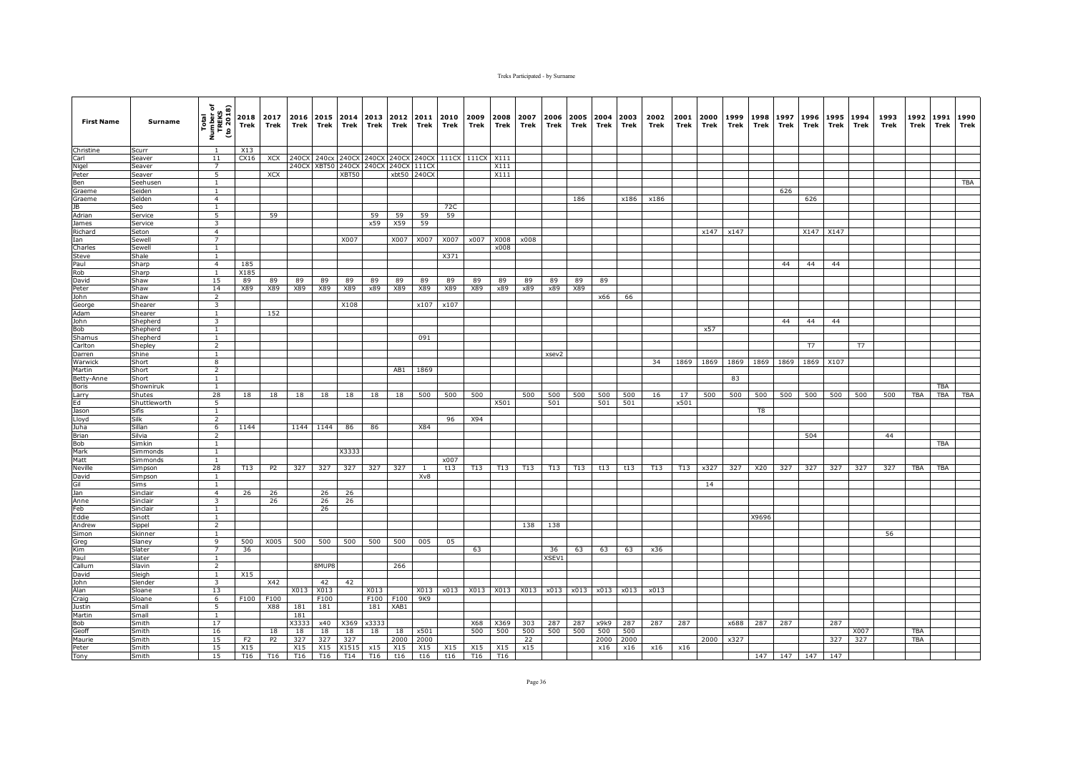| <b>First Name</b> | Surname          | Total<br>Number of<br>TREKS<br>(to 2018)  | 2018<br>Trek   | 2017<br>Trek   | 2016<br>Trek | Trek               | 2015 2014<br>Trek | 2013<br>Trek      | 2012<br>Trek | 2011<br>Trek | 2010<br>Trek | 2009<br>Trek     | 2008<br>Trek | 2007<br>Trek | 2006<br>Trek | 2005<br>Trek | 2004<br>Trek | 2003<br>Trek | 2002<br>Trek | 2001<br>Trek | 2000<br>Trek | 1999<br>Trek | 1998<br>Trek   | 1997<br>Trek | 1996<br>Trek             | 1995<br>Trek | 1994<br>Trek | 1993<br>Trek | 1992<br>Trek | 1991<br>Trek | 1990<br>Trek |
|-------------------|------------------|-------------------------------------------|----------------|----------------|--------------|--------------------|-------------------|-------------------|--------------|--------------|--------------|------------------|--------------|--------------|--------------|--------------|--------------|--------------|--------------|--------------|--------------|--------------|----------------|--------------|--------------------------|--------------|--------------|--------------|--------------|--------------|--------------|
| Christine         | Scurr            | $\overline{1}$                            | X13            |                |              |                    |                   |                   |              |              |              |                  |              |              |              |              |              |              |              |              |              |              |                |              |                          |              |              |              |              |              |              |
| Carl              | Seaver           | 11                                        | CX16           | XCX            | 240CX        | 240 <sub>c</sub> x |                   | 240CX 240CX 240CX |              | 240CX        |              | 111CX 111CX X111 |              |              |              |              |              |              |              |              |              |              |                |              |                          |              |              |              |              |              |              |
| Nigel             | Seaver           | $\overline{7}$                            |                |                | 240CX        | XBT50              |                   | 240CX 240CX       | 240CX 111CX  |              |              |                  | X111         |              |              |              |              |              |              |              |              |              |                |              |                          |              |              |              |              |              |              |
| Peter             | Seaver           | 5                                         |                | XCX            |              |                    | XBT50             |                   |              | xbt50 240CX  |              |                  | X111         |              |              |              |              |              |              |              |              |              |                |              |                          |              |              |              |              |              |              |
| Ben               | Seehusen         | $\mathbf{1}$                              |                |                |              |                    |                   |                   |              |              |              |                  |              |              |              |              |              |              |              |              |              |              |                |              |                          |              |              |              |              |              | TBA          |
| Graeme<br>Graeme  | Seiden<br>Selden | $\mathbf{1}$<br>$\overline{4}$            |                |                |              |                    |                   |                   |              |              |              |                  |              |              |              | 186          |              | x186         | x186         |              |              |              |                | 626          | 626                      |              |              |              |              |              |              |
| 1B                | Seo              | $\mathbf{1}$                              |                |                |              |                    |                   |                   |              |              | 72C          |                  |              |              |              |              |              |              |              |              |              |              |                |              |                          |              |              |              |              |              |              |
| Adrian            | Service          | $\overline{5}$                            |                | 59             |              |                    |                   | 59                | 59           | 59           | 59           |                  |              |              |              |              |              |              |              |              |              |              |                |              |                          |              |              |              |              |              |              |
| James             | Service          | 3                                         |                |                |              |                    |                   | x59               | X59          | 59           |              |                  |              |              |              |              |              |              |              |              |              |              |                |              |                          |              |              |              |              |              |              |
| Richard           | Seton            | $\overline{4}$                            |                |                |              |                    |                   |                   |              |              |              |                  |              |              |              |              |              |              |              |              | x147         | x147         |                |              | X147 X147                |              |              |              |              |              |              |
| Ian               | Sewell           | $\overline{7}$                            |                |                |              |                    | X007              |                   | X007         | X007         | X007         | x007             | X008         | x008         |              |              |              |              |              |              |              |              |                |              |                          |              |              |              |              |              |              |
| Charles           | Sewell           | $\mathbf{1}$                              |                |                |              |                    |                   |                   |              |              |              |                  | x008         |              |              |              |              |              |              |              |              |              |                |              |                          |              |              |              |              |              |              |
| <b>Steve</b>      | Shale            | $\mathbf{1}$                              |                |                |              |                    |                   |                   |              |              | X371         |                  |              |              |              |              |              |              |              |              |              |              |                |              |                          |              |              |              |              |              |              |
| Paul              | Sharp            | $\overline{4}$                            | 185            |                |              |                    |                   |                   |              |              |              |                  |              |              |              |              |              |              |              |              |              |              |                | 44           | 44                       | 44           |              |              |              |              |              |
| Rob<br>David      | Sharp<br>Shaw    | $\mathbf{1}$<br>15                        | X185<br>89     |                | 89           | 89                 | 89                | 89                | 89           | 89           | 89           | 89               | 89           |              | 89           | 89           | 89           |              |              |              |              |              |                |              |                          |              |              |              |              |              |              |
| Peter             | Shaw             | 14                                        | X89            | 89<br>X89      | X89          | X89                | X89               | x89               | X89          | X89          | X89          | X89              | x89          | 89<br>x89    | x89          | X89          |              |              |              |              |              |              |                |              |                          |              |              |              |              |              |              |
| John              | Shaw             | 2                                         |                |                |              |                    |                   |                   |              |              |              |                  |              |              |              |              | x66          | 66           |              |              |              |              |                |              |                          |              |              |              |              |              |              |
| George            | Shearer          | $\overline{\mathbf{3}}$                   |                |                |              |                    | X108              |                   |              | x107         | x107         |                  |              |              |              |              |              |              |              |              |              |              |                |              |                          |              |              |              |              |              |              |
| Adam              | Shearer          | $\mathbf{1}$                              |                | 152            |              |                    |                   |                   |              |              |              |                  |              |              |              |              |              |              |              |              |              |              |                |              |                          |              |              |              |              |              |              |
| John              | Shepherd         | $\overline{3}$                            |                |                |              |                    |                   |                   |              |              |              |                  |              |              |              |              |              |              |              |              |              |              |                | 44           | 44                       | 44           |              |              |              |              |              |
| Bob               | Shepherd         | $\mathbf{1}$                              |                |                |              |                    |                   |                   |              |              |              |                  |              |              |              |              |              |              |              |              | x57          |              |                |              |                          |              |              |              |              |              |              |
| Shamus            | Shepherd         | $\mathbf{1}$                              |                |                |              |                    |                   |                   |              | 091          |              |                  |              |              |              |              |              |              |              |              |              |              |                |              |                          |              |              |              |              |              |              |
| Carlton           | Shepley          | $\overline{2}$                            |                |                |              |                    |                   |                   |              |              |              |                  |              |              |              |              |              |              |              |              |              |              |                |              | T7                       |              | <b>T7</b>    |              |              |              |              |
| Darren            | Shine            | $\mathbf{1}$                              |                |                |              |                    |                   |                   |              |              |              |                  |              |              | xsev2        |              |              |              | 34           |              |              |              |                |              |                          |              |              |              |              |              |              |
| Warwick<br>Martin | Short<br>Short   | $\overline{\mathbf{8}}$<br>$\overline{2}$ |                |                |              |                    |                   |                   | AB1          | 1869         |              |                  |              |              |              |              |              |              |              | 1869         | 1869         |              |                |              | 1869 1869 1869 1869 X107 |              |              |              |              |              |              |
| Betty-Anne        | Short            | <sup>1</sup>                              |                |                |              |                    |                   |                   |              |              |              |                  |              |              |              |              |              |              |              |              |              | 83           |                |              |                          |              |              |              |              |              |              |
| Boris             | Showniruk        | $\mathbf{1}$                              |                |                |              |                    |                   |                   |              |              |              |                  |              |              |              |              |              |              |              |              |              |              |                |              |                          |              |              |              |              | <b>TBA</b>   |              |
| Larry             | Shutes           | 28                                        | 18             | 18             | 18           | 18                 | 18                | 18                | 18           | 500          | 500          | 500              |              | 500          | 500          | 500          | 500          | 500          | 16           | 17           | 500          | 500          | 500            | 500          | 500                      | 500          | 500          | 500          | TBA          | <b>TBA</b>   | TBA          |
| Ed                | Shuttleworth     | 5                                         |                |                |              |                    |                   |                   |              |              |              |                  | X501         |              | 501          |              | 501          | 501          |              | x501         |              |              |                |              |                          |              |              |              |              |              |              |
| Jason             | Sifis            | $\mathbf{1}$                              |                |                |              |                    |                   |                   |              |              |              |                  |              |              |              |              |              |              |              |              |              |              | T <sub>8</sub> |              |                          |              |              |              |              |              |              |
| Lloyd             | Silk             | $\overline{2}$                            |                |                |              |                    |                   |                   |              |              | 96           | X94              |              |              |              |              |              |              |              |              |              |              |                |              |                          |              |              |              |              |              |              |
| Juha              | Sillan           | 6                                         | 1144           |                | 1144         | 1144               | 86                | 86                |              | X84          |              |                  |              |              |              |              |              |              |              |              |              |              |                |              |                          |              |              |              |              |              |              |
| Brian<br>Bob      | Silvia<br>Simkin | $\overline{2}$<br>$\overline{1}$          |                |                |              |                    |                   |                   |              |              |              |                  |              |              |              |              |              |              |              |              |              |              |                |              | 504                      |              |              | 44           |              | <b>TBA</b>   |              |
| Mark              | Simmonds         | $\overline{1}$                            |                |                |              |                    | X3333             |                   |              |              |              |                  |              |              |              |              |              |              |              |              |              |              |                |              |                          |              |              |              |              |              |              |
| Matt              | Simmonds         | $\mathbf{1}$                              |                |                |              |                    |                   |                   |              |              | x007         |                  |              |              |              |              |              |              |              |              |              |              |                |              |                          |              |              |              |              |              |              |
| Neville           | Simpson          | 28                                        | T13            | P <sub>2</sub> | 327          | 327                | 327               | 327               | 327          | 1            | t13          | T13              | T13          | T13          | T13          | T13          | t13          | t13          | T13          | T13          | x327         | 327          | X20            | 327          | 327                      | 327          | 327          | 327          | TBA          | TBA          |              |
| David             | Simpson          | <sup>1</sup>                              |                |                |              |                    |                   |                   |              | Xv8          |              |                  |              |              |              |              |              |              |              |              |              |              |                |              |                          |              |              |              |              |              |              |
| Gil               | Sims             | $\mathbf{1}$                              |                |                |              |                    |                   |                   |              |              |              |                  |              |              |              |              |              |              |              |              | 14           |              |                |              |                          |              |              |              |              |              |              |
| Jan               | Sinclair         | $\overline{4}$                            | 26             | 26             |              | 26                 | 26                |                   |              |              |              |                  |              |              |              |              |              |              |              |              |              |              |                |              |                          |              |              |              |              |              |              |
| Anne              | Sinclair         | $\overline{3}$                            |                | 26             |              | 26                 | 26                |                   |              |              |              |                  |              |              |              |              |              |              |              |              |              |              |                |              |                          |              |              |              |              |              |              |
| Feb               | Sinclair         | $\mathbf{1}$                              |                |                |              | 26                 |                   |                   |              |              |              |                  |              |              |              |              |              |              |              |              |              |              |                |              |                          |              |              |              |              |              |              |
| Eddie<br>Andrew   | Sinott<br>Sippel | $\mathbf{1}$<br>$\overline{2}$            |                |                |              |                    |                   |                   |              |              |              |                  |              | 138          | 138          |              |              |              |              |              |              |              | X9696          |              |                          |              |              |              |              |              |              |
| Simon             | Skinner          | 1                                         |                |                |              |                    |                   |                   |              |              |              |                  |              |              |              |              |              |              |              |              |              |              |                |              |                          |              |              | 56           |              |              |              |
| Greg              | Slaney           | 9                                         | 500            | X005           | 500          | 500                | 500               | 500               | 500          | 005          | 05           |                  |              |              |              |              |              |              |              |              |              |              |                |              |                          |              |              |              |              |              |              |
| Kim               | Slater           | $\overline{7}$                            | 36             |                |              |                    |                   |                   |              |              |              | 63               |              |              | 36           | 63           | 63           | 63           | x36          |              |              |              |                |              |                          |              |              |              |              |              |              |
| Paul              | Slater           | $\mathbf{1}$                              |                |                |              |                    |                   |                   |              |              |              |                  |              |              | XSEV1        |              |              |              |              |              |              |              |                |              |                          |              |              |              |              |              |              |
| Callum            | Slavin           | $\overline{2}$                            |                |                |              | 8MUP8              |                   |                   | 266          |              |              |                  |              |              |              |              |              |              |              |              |              |              |                |              |                          |              |              |              |              |              |              |
| David             | Sleigh           | <sup>1</sup>                              | X15            |                |              |                    |                   |                   |              |              |              |                  |              |              |              |              |              |              |              |              |              |              |                |              |                          |              |              |              |              |              |              |
| John              | Slender          | 3                                         |                | X42            |              | 42                 | 42                |                   |              |              |              |                  |              |              |              |              |              |              |              |              |              |              |                |              |                          |              |              |              |              |              |              |
| Alan              | Sloane           | 13                                        |                |                | X013 X013    |                    |                   | X013              |              | X013         | x013         | X013             | X013         | X013         |              | x013 x013    | x013         | x013         | x013         |              |              |              |                |              |                          |              |              |              |              |              |              |
| Craig             | Sloane           | 6                                         | F100           | F100           |              | F100               |                   | F100              | F100         | 9K9          |              |                  |              |              |              |              |              |              |              |              |              |              |                |              |                          |              |              |              |              |              |              |
| Justin<br>Martin  | Small<br>Small   | $\overline{5}$<br>$\mathbf{1}$            |                | X88            | 181<br>181   | 181                |                   | 181               | XAB1         |              |              |                  |              |              |              |              |              |              |              |              |              |              |                |              |                          |              |              |              |              |              |              |
| Bob               | Smith            | 17                                        |                |                | X3333        | x40                | X369              | x3333             |              |              |              | X68              | X369         | 303          | 287          | 287          | x9k9         | 287          | 287          | 287          |              | x688         | 287            | 287          |                          | 287          |              |              |              |              |              |
| Geoff             | Smith            | 16                                        |                | 18             | 18           | 18                 | 18                | 18                | 18           | x501         |              | 500              | 500          | 500          | 500          | 500          | 500          | 500          |              |              |              |              |                |              |                          |              | X007         |              | TBA          |              |              |
| Maurie            | Smith            | 15                                        | F <sub>2</sub> | P <sub>2</sub> | 327          | 327                | 327               |                   | 2000         | 2000         |              |                  |              | 22           |              |              | 2000         | 2000         |              |              | 2000         | x327         |                |              |                          | 327          | 327          |              | <b>TBA</b>   |              |              |
| Peter             | Smith            | 15                                        | X15            |                | X15          | X15                | X1515             | x15               | X15          | X15          | X15          | X15              | X15          | x15          |              |              | x16          | x16          | x16          | x16          |              |              |                |              |                          |              |              |              |              |              |              |
| Tony              | Smith            | 15                                        | T16            | T16            | T16          | T <sub>16</sub>    |                   |                   | T14 T16 t16  | t16          | t16          | T16              | T16          |              |              |              |              |              |              |              |              |              |                |              | 147 147 147 147          |              |              |              |              |              |              |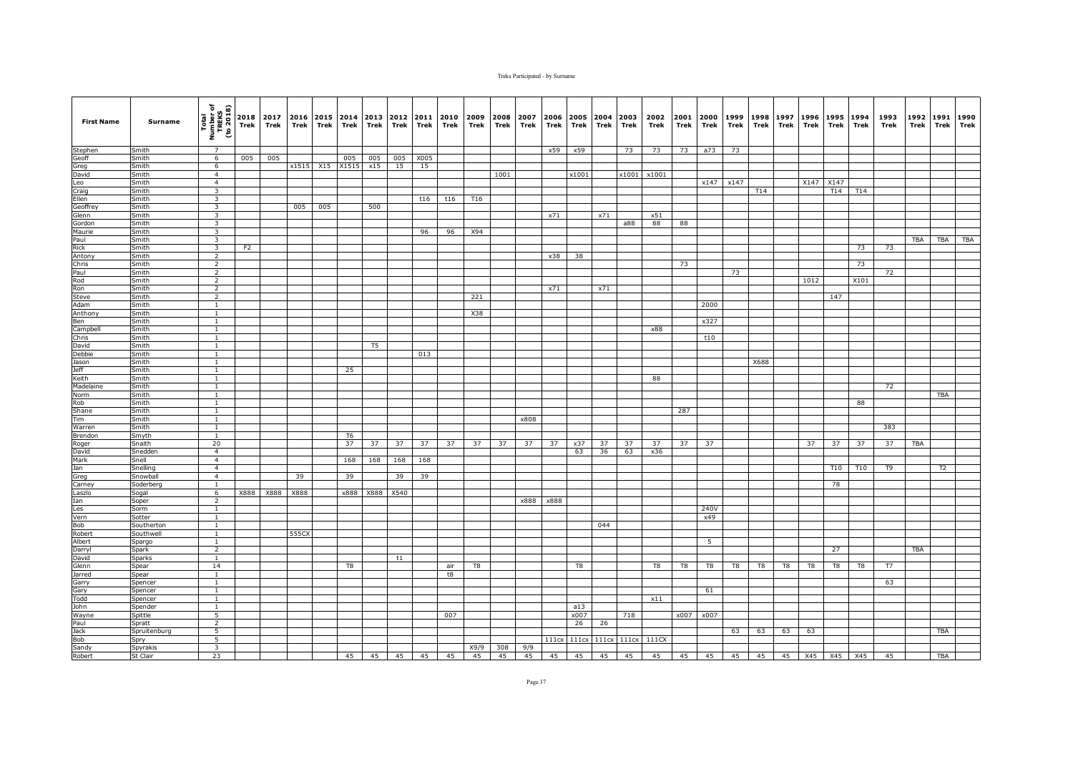| <b>First Name</b> | Surname            | Total<br>Number of<br>TREKS<br>(to 2018) | Trek | 2018 2017<br>Trek | Trek  | 2016 2015 2014<br>Trek | Trek           | 2013<br>Trek | 2012<br>Trek | 2011<br>Trek | 2010 2009<br>Trek | Trek | 2008<br>Trek | 2007<br>Trek | 2006<br>Trek | Trek  | Trek | 2005 2004 2003<br>Trek | 2002<br>Trek                  | 2001<br>Trek | 2000<br>Trek | 1999<br>Trek | 1998<br>Trek | 1997<br>Trek | Trek | 1996 1995<br>Trek | 1994<br>Trek    | 1993<br>Trek | 1992<br>Trek | 1991<br>Trek   | 1990<br>Trek |
|-------------------|--------------------|------------------------------------------|------|-------------------|-------|------------------------|----------------|--------------|--------------|--------------|-------------------|------|--------------|--------------|--------------|-------|------|------------------------|-------------------------------|--------------|--------------|--------------|--------------|--------------|------|-------------------|-----------------|--------------|--------------|----------------|--------------|
| Stephen           | Smith              | $\overline{7}$                           |      |                   |       |                        |                |              |              |              |                   |      |              |              | x59          | x59   |      | 73                     | 73                            | 73           | a73          | 73           |              |              |      |                   |                 |              |              |                |              |
| Geoff             | Smith              | $6\overline{}$                           | 005  | 005               |       |                        | 005            | 005          | 005          | X005         |                   |      |              |              |              |       |      |                        |                               |              |              |              |              |              |      |                   |                 |              |              |                |              |
| Greg              | Smith              | 6                                        |      |                   |       | x1515 X15 X1515        |                | x15          | 15           | 15           |                   |      |              |              |              |       |      |                        |                               |              |              |              |              |              |      |                   |                 |              |              |                |              |
| David             | Smith<br>Smith     | $\overline{4}$<br>$\overline{4}$         |      |                   |       |                        |                |              |              |              |                   |      | 1001         |              |              | x1001 |      | x1001                  | x1001                         |              |              |              |              |              |      |                   |                 |              |              |                |              |
| Leo<br>Craig      | Smith              | 3                                        |      |                   |       |                        |                |              |              |              |                   |      |              |              |              |       |      |                        |                               |              | x147         | x147         | T14          |              | X147 | X147<br>T14       | T14             |              |              |                |              |
| Ellen             | Smith              | $\overline{\mathbf{3}}$                  |      |                   |       |                        |                |              |              | t16          | t16               | T16  |              |              |              |       |      |                        |                               |              |              |              |              |              |      |                   |                 |              |              |                |              |
| Geoffrey          | Smith              | 3                                        |      |                   | 005   | 005                    |                | 500          |              |              |                   |      |              |              |              |       |      |                        |                               |              |              |              |              |              |      |                   |                 |              |              |                |              |
| Glenn             | Smith              | $\overline{3}$                           |      |                   |       |                        |                |              |              |              |                   |      |              |              | x71          |       | x71  |                        | x51                           |              |              |              |              |              |      |                   |                 |              |              |                |              |
| Gordon            | Smith              | 3                                        |      |                   |       |                        |                |              |              |              |                   |      |              |              |              |       |      | a88                    | 88                            | 88           |              |              |              |              |      |                   |                 |              |              |                |              |
| Maurie            | Smith              | 3                                        |      |                   |       |                        |                |              |              | 96           | 96                | X94  |              |              |              |       |      |                        |                               |              |              |              |              |              |      |                   |                 |              |              |                |              |
| Paul              | Smith              | 3                                        |      |                   |       |                        |                |              |              |              |                   |      |              |              |              |       |      |                        |                               |              |              |              |              |              |      |                   |                 |              | <b>TBA</b>   | TBA            | <b>TBA</b>   |
| Rick              | Smith              | $\overline{\mathbf{3}}$                  | F2   |                   |       |                        |                |              |              |              |                   |      |              |              |              |       |      |                        |                               |              |              |              |              |              |      |                   | 73              | 73           |              |                |              |
| Antony            | Smith              | $\overline{2}$<br>$\overline{2}$         |      |                   |       |                        |                |              |              |              |                   |      |              |              | x38          | 38    |      |                        |                               | 73           |              |              |              |              |      |                   |                 |              |              |                |              |
| Chris<br>Paul     | Smith<br>Smith     | $\overline{2}$                           |      |                   |       |                        |                |              |              |              |                   |      |              |              |              |       |      |                        |                               |              |              | 73           |              |              |      |                   | 73              | 72           |              |                |              |
| Rod               | Smith              | $\overline{2}$                           |      |                   |       |                        |                |              |              |              |                   |      |              |              |              |       |      |                        |                               |              |              |              |              |              | 1012 |                   | X101            |              |              |                |              |
| Ron               | Smith              | $\overline{2}$                           |      |                   |       |                        |                |              |              |              |                   |      |              |              | x71          |       | x71  |                        |                               |              |              |              |              |              |      |                   |                 |              |              |                |              |
| <b>Steve</b>      | Smith              | $\overline{2}$                           |      |                   |       |                        |                |              |              |              |                   | 221  |              |              |              |       |      |                        |                               |              |              |              |              |              |      | 147               |                 |              |              |                |              |
| Adam              | Smith              | $\overline{1}$                           |      |                   |       |                        |                |              |              |              |                   |      |              |              |              |       |      |                        |                               |              | 2000         |              |              |              |      |                   |                 |              |              |                |              |
| Anthony           | Smith              | $\mathbf{1}$                             |      |                   |       |                        |                |              |              |              |                   | X38  |              |              |              |       |      |                        |                               |              |              |              |              |              |      |                   |                 |              |              |                |              |
| Ben               | Smith              | $\mathbf{1}$                             |      |                   |       |                        |                |              |              |              |                   |      |              |              |              |       |      |                        |                               |              | x327         |              |              |              |      |                   |                 |              |              |                |              |
| Campbell          | Smith              | $\mathbf{1}$                             |      |                   |       |                        |                |              |              |              |                   |      |              |              |              |       |      |                        | x88                           |              |              |              |              |              |      |                   |                 |              |              |                |              |
| Chris             | Smith              | $\mathbf{1}$                             |      |                   |       |                        |                |              |              |              |                   |      |              |              |              |       |      |                        |                               |              | t10          |              |              |              |      |                   |                 |              |              |                |              |
| David<br>Debbie   | Smith<br>Smith     | <sup>1</sup><br>$\overline{1}$           |      |                   |       |                        |                | T5           |              | 013          |                   |      |              |              |              |       |      |                        |                               |              |              |              |              |              |      |                   |                 |              |              |                |              |
| Jason             | Smith              | $\mathbf{1}$                             |      |                   |       |                        |                |              |              |              |                   |      |              |              |              |       |      |                        |                               |              |              |              | X688         |              |      |                   |                 |              |              |                |              |
| <b>Jeff</b>       | Smith              | $\mathbf{1}$                             |      |                   |       |                        | 25             |              |              |              |                   |      |              |              |              |       |      |                        |                               |              |              |              |              |              |      |                   |                 |              |              |                |              |
| Keith             | Smith              | $\mathbf{1}$                             |      |                   |       |                        |                |              |              |              |                   |      |              |              |              |       |      |                        | 88                            |              |              |              |              |              |      |                   |                 |              |              |                |              |
| Madelaine         | Smith              | $\mathbf{1}$                             |      |                   |       |                        |                |              |              |              |                   |      |              |              |              |       |      |                        |                               |              |              |              |              |              |      |                   |                 | 72           |              |                |              |
| Norm              | Smith              | <sup>1</sup>                             |      |                   |       |                        |                |              |              |              |                   |      |              |              |              |       |      |                        |                               |              |              |              |              |              |      |                   |                 |              |              | <b>TBA</b>     |              |
| Rob               | Smith              | $\overline{1}$                           |      |                   |       |                        |                |              |              |              |                   |      |              |              |              |       |      |                        |                               |              |              |              |              |              |      |                   | 88              |              |              |                |              |
| Shane             | Smith              | $\mathbf{1}$                             |      |                   |       |                        |                |              |              |              |                   |      |              |              |              |       |      |                        |                               | 287          |              |              |              |              |      |                   |                 |              |              |                |              |
| Tim               | Smith              | 1<br>$\mathbf{1}$                        |      |                   |       |                        |                |              |              |              |                   |      |              | x808         |              |       |      |                        |                               |              |              |              |              |              |      |                   |                 |              |              |                |              |
| Warren<br>Brendon | Smith<br>Smyth     | $\mathbf{1}$                             |      |                   |       |                        | T <sub>6</sub> |              |              |              |                   |      |              |              |              |       |      |                        |                               |              |              |              |              |              |      |                   |                 | 383          |              |                |              |
| Roger             | Snaith             | 20                                       |      |                   |       |                        | 37             | 37           | 37           | 37           | 37                | 37   | 37           | 37           | 37           | x37   | 37   | 37                     | 37                            | 37           | 37           |              |              |              | 37   | 37                | 37              | 37           | <b>TBA</b>   |                |              |
| David             | Snedden            | $\overline{4}$                           |      |                   |       |                        |                |              |              |              |                   |      |              |              |              | 63    | 36   | 63                     | x36                           |              |              |              |              |              |      |                   |                 |              |              |                |              |
| Mark              | Snell              | $\overline{4}$                           |      |                   |       |                        | 168            | 168          | 168          | 168          |                   |      |              |              |              |       |      |                        |                               |              |              |              |              |              |      |                   |                 |              |              |                |              |
| Jan               | Snelling           | $\overline{4}$                           |      |                   |       |                        |                |              |              |              |                   |      |              |              |              |       |      |                        |                               |              |              |              |              |              |      | T10               | T <sub>10</sub> | T9           |              | T <sub>2</sub> |              |
| Greg              | Snowbal            | $\overline{4}$                           |      |                   | 39    |                        | 39             |              | 39           | 39           |                   |      |              |              |              |       |      |                        |                               |              |              |              |              |              |      |                   |                 |              |              |                |              |
| Carney            | Soderbero          | $\mathbf{1}$                             |      |                   |       |                        |                |              |              |              |                   |      |              |              |              |       |      |                        |                               |              |              |              |              |              |      | 78                |                 |              |              |                |              |
| Laszlo            | Sogal              | 6                                        | X888 | X888              | X888  |                        | x888           | X888         | X540         |              |                   |      |              |              |              |       |      |                        |                               |              |              |              |              |              |      |                   |                 |              |              |                |              |
| Ian<br>Les        | Soper<br>Sorm      | $\overline{2}$<br>$\mathbf{1}$           |      |                   |       |                        |                |              |              |              |                   |      |              | x888         | x888         |       |      |                        |                               |              | 240V         |              |              |              |      |                   |                 |              |              |                |              |
| Vern              | Sotter             | $\overline{1}$                           |      |                   |       |                        |                |              |              |              |                   |      |              |              |              |       |      |                        |                               |              | x49          |              |              |              |      |                   |                 |              |              |                |              |
| Bob               | Southerton         | 1                                        |      |                   |       |                        |                |              |              |              |                   |      |              |              |              |       | 044  |                        |                               |              |              |              |              |              |      |                   |                 |              |              |                |              |
| Robert            | Southwell          | <sup>1</sup>                             |      |                   | 555CX |                        |                |              |              |              |                   |      |              |              |              |       |      |                        |                               |              |              |              |              |              |      |                   |                 |              |              |                |              |
| Albert            | Spargo             | $\mathbf{1}$                             |      |                   |       |                        |                |              |              |              |                   |      |              |              |              |       |      |                        |                               |              | 5            |              |              |              |      |                   |                 |              |              |                |              |
| Darryl            | Spark              | $\overline{2}$                           |      |                   |       |                        |                |              |              |              |                   |      |              |              |              |       |      |                        |                               |              |              |              |              |              |      | 27                |                 |              | <b>TBA</b>   |                |              |
| David             | Sparks             | $\mathbf{1}$                             |      |                   |       |                        |                |              | t1           |              |                   |      |              |              |              |       |      |                        |                               |              |              |              |              |              |      |                   |                 |              |              |                |              |
| Glenn             | Spear              | 14                                       |      |                   |       |                        | T8             |              |              |              | air               | T8   |              |              |              | T8    |      |                        | T8                            | T8           | T8           | T8           | T8           | T8           | T8   | T8                | T8              | T7           |              |                |              |
| Jarred            | Spear              | 1                                        |      |                   |       |                        |                |              |              |              | t8                |      |              |              |              |       |      |                        |                               |              |              |              |              |              |      |                   |                 |              |              |                |              |
| Garry<br>Gary     | Spencer            | <sup>1</sup><br>$\overline{1}$           |      |                   |       |                        |                |              |              |              |                   |      |              |              |              |       |      |                        |                               |              | 61           |              |              |              |      |                   |                 | 63           |              |                |              |
| Todd              | Spencer<br>Spencer | $\mathbf{1}$                             |      |                   |       |                        |                |              |              |              |                   |      |              |              |              |       |      |                        | x11                           |              |              |              |              |              |      |                   |                 |              |              |                |              |
| John              | Spender            | <sup>1</sup>                             |      |                   |       |                        |                |              |              |              |                   |      |              |              |              | a13   |      |                        |                               |              |              |              |              |              |      |                   |                 |              |              |                |              |
| Wayne             | Spittle            | 5                                        |      |                   |       |                        |                |              |              |              | 007               |      |              |              |              | x007  |      | 718                    |                               |              | x007 x007    |              |              |              |      |                   |                 |              |              |                |              |
| Paul              | Spratt             | $\overline{2}$                           |      |                   |       |                        |                |              |              |              |                   |      |              |              |              | 26    | 26   |                        |                               |              |              |              |              |              |      |                   |                 |              |              |                |              |
| Jack              | Spruitenburg       | 5                                        |      |                   |       |                        |                |              |              |              |                   |      |              |              |              |       |      |                        |                               |              |              | 63           | 63           | 63           | 63   |                   |                 |              |              | TBA            |              |
| Bob               | Spry               | $\overline{5}$                           |      |                   |       |                        |                |              |              |              |                   |      |              |              |              |       |      |                        | 111cx 111cx 111cx 111cx 111CX |              |              |              |              |              |      |                   |                 |              |              |                |              |
| Sandy             | Spyrakis           | $\overline{\mathbf{3}}$                  |      |                   |       |                        |                |              |              |              |                   | X9/9 | 308          | 9/9          |              |       |      |                        |                               |              |              |              |              |              |      |                   |                 |              |              |                |              |
| Robert            | St Clair           | 23                                       |      |                   |       |                        | 45             | 45           |              | 45 45        | 45                | 45   | 45           | 45           | 45           | 45    | 45   | 45                     | 45                            |              | 45 45        | 45           | 45           | 45           |      |                   | X45 X45 X45     | 45           |              | TBA            |              |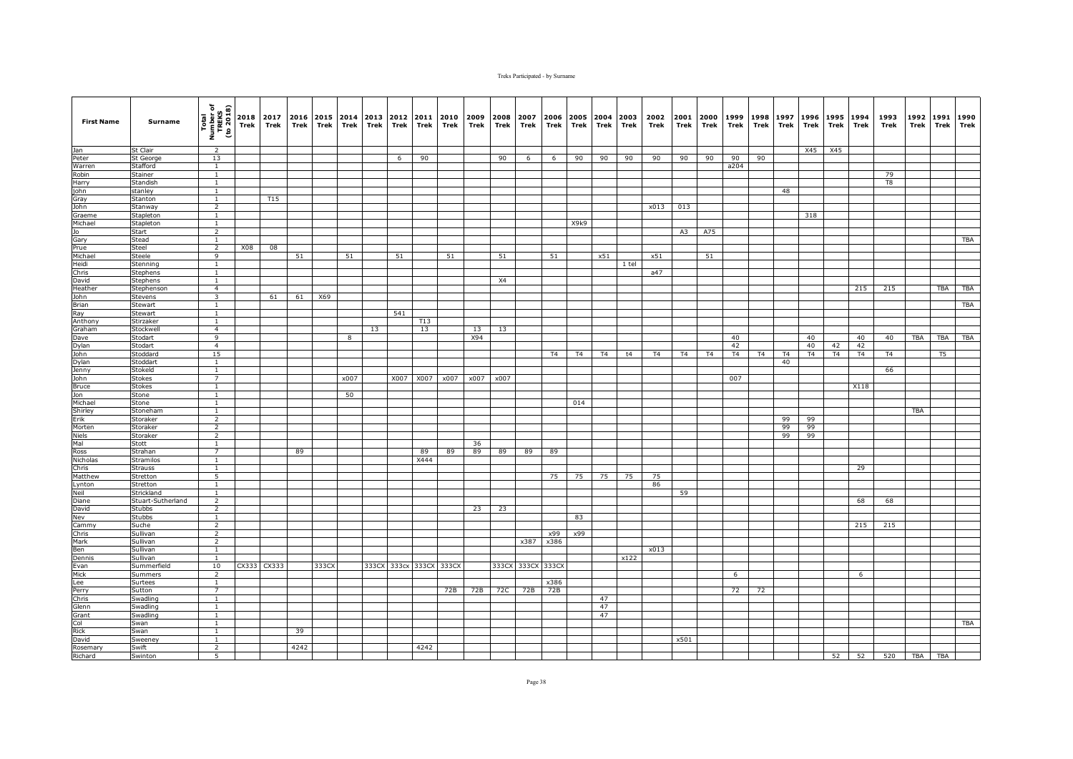| <b>First Name</b> | Surname              | Total<br>Number of<br>TREKS<br>(to 2018)  | 2018<br>Trek | 2017<br>Trek    | Trek | 2016 2015 2014<br>Trek | Trek | 2013<br>Trek | 2012<br>Trek | 2011<br>Trek | 2010<br>Trek | 2009<br>Trek | 2008<br>Trek | 2007<br>Trek | 2006<br>Trek | Trek | 2005 2004 2003<br>Trek | Trek  | 2002<br>Trek | 2001<br>Trek | 2000<br>Trek | 1999<br>Trek | 1998<br>Trek | 1997<br>Trek | 1996<br>Trek | 1995<br>Trek | 1994<br>Trek | 1993<br>Trek | 1992<br>Trek | 1991<br>Trek | 1990<br>Trek |
|-------------------|----------------------|-------------------------------------------|--------------|-----------------|------|------------------------|------|--------------|--------------|--------------|--------------|--------------|--------------|--------------|--------------|------|------------------------|-------|--------------|--------------|--------------|--------------|--------------|--------------|--------------|--------------|--------------|--------------|--------------|--------------|--------------|
| Jan               | St Clair             | 2                                         |              |                 |      |                        |      |              |              |              |              |              |              |              |              |      |                        |       |              |              |              |              |              |              | X45          | X45          |              |              |              |              |              |
| Peter             | <b>St George</b>     | 13                                        |              |                 |      |                        |      |              | 6            | 90           |              |              | 90           | 6            | 6            | 90   | 90                     | 90    | 90           | 90           | 90           | 90           | 90           |              |              |              |              |              |              |              |              |
| Warren            | Stafford             | $\mathbf{1}$                              |              |                 |      |                        |      |              |              |              |              |              |              |              |              |      |                        |       |              |              |              | a204         |              |              |              |              |              |              |              |              |              |
| Robin             | Stainer              | $\mathbf{1}$                              |              |                 |      |                        |      |              |              |              |              |              |              |              |              |      |                        |       |              |              |              |              |              |              |              |              |              | 79           |              |              |              |
| Harry             | Standish             | 1                                         |              |                 |      |                        |      |              |              |              |              |              |              |              |              |      |                        |       |              |              |              |              |              |              |              |              |              | T8           |              |              |              |
| john              | stanley              | $\mathbf{1}$                              |              |                 |      |                        |      |              |              |              |              |              |              |              |              |      |                        |       |              |              |              |              |              | 48           |              |              |              |              |              |              |              |
| Gray              | Stanton              | $\mathbf{1}$                              |              | T <sub>15</sub> |      |                        |      |              |              |              |              |              |              |              |              |      |                        |       |              |              |              |              |              |              |              |              |              |              |              |              |              |
| John              | Stanway              | $\overline{2}$                            |              |                 |      |                        |      |              |              |              |              |              |              |              |              |      |                        |       | x013         | 013          |              |              |              |              |              |              |              |              |              |              |              |
| Graeme            | Stapleton            | <sup>1</sup>                              |              |                 |      |                        |      |              |              |              |              |              |              |              |              |      |                        |       |              |              |              |              |              |              | 318          |              |              |              |              |              |              |
| Michael           | <b>Stapleton</b>     | $\mathbf{1}$                              |              |                 |      |                        |      |              |              |              |              |              |              |              |              | X9k9 |                        |       |              |              |              |              |              |              |              |              |              |              |              |              |              |
| Jo                | Start                | $\overline{2}$                            |              |                 |      |                        |      |              |              |              |              |              |              |              |              |      |                        |       |              | A3           | A75          |              |              |              |              |              |              |              |              |              |              |
| Gary              | Stead                | $\mathbf{1}$                              |              |                 |      |                        |      |              |              |              |              |              |              |              |              |      |                        |       |              |              |              |              |              |              |              |              |              |              |              |              | TBA          |
| Prue              | Steel                | $\overline{2}$                            | X08          | 08              |      |                        |      |              |              |              |              |              |              |              |              |      |                        |       |              |              |              |              |              |              |              |              |              |              |              |              |              |
| Michael           | Steele               | $\overline{9}$                            |              |                 | 51   |                        | 51   |              | 51           |              | 51           |              | 51           |              | 51           |      | x51                    |       | x51          |              | 51           |              |              |              |              |              |              |              |              |              |              |
| Heidi             | Stenning             | $\mathbf{1}$                              |              |                 |      |                        |      |              |              |              |              |              |              |              |              |      |                        | 1 tel |              |              |              |              |              |              |              |              |              |              |              |              |              |
| Chris             | <b>Stephens</b>      | $\mathbf{1}$                              |              |                 |      |                        |      |              |              |              |              |              |              |              |              |      |                        |       | a47          |              |              |              |              |              |              |              |              |              |              |              |              |
| David             | Stephens             | $\mathbf{1}$                              |              |                 |      |                        |      |              |              |              |              |              | X4           |              |              |      |                        |       |              |              |              |              |              |              |              |              |              |              |              |              |              |
| Heather<br>John   | Stephenson           | $\overline{4}$<br>$\overline{\mathbf{3}}$ |              |                 |      |                        |      |              |              |              |              |              |              |              |              |      |                        |       |              |              |              |              |              |              |              |              | 215          | 215          |              | TBA          | TBA          |
|                   | Stevens              | $\overline{1}$                            |              | 61              | 61   | X69                    |      |              |              |              |              |              |              |              |              |      |                        |       |              |              |              |              |              |              |              |              |              |              |              |              |              |
| Brian             | Stewart              |                                           |              |                 |      |                        |      |              |              |              |              |              |              |              |              |      |                        |       |              |              |              |              |              |              |              |              |              |              |              |              | <b>TBA</b>   |
| Ray<br>Anthony    | Stewart<br>Stirzaker | $\mathbf{1}$<br>$\mathbf{1}$              |              |                 |      |                        |      |              | 541          | T13          |              |              |              |              |              |      |                        |       |              |              |              |              |              |              |              |              |              |              |              |              |              |
| Graham            | Stockwell            | $\overline{4}$                            |              |                 |      |                        |      | 13           |              | 13           |              | 13           | 13           |              |              |      |                        |       |              |              |              |              |              |              |              |              |              |              |              |              |              |
| Dave              | Stodart              | 9                                         |              |                 |      |                        | 8    |              |              |              |              | X94          |              |              |              |      |                        |       |              |              |              | 40           |              |              | 40           |              | 40           | 40           | <b>TBA</b>   | TBA          | TBA          |
| Dylan             | Stodart              | $\overline{4}$                            |              |                 |      |                        |      |              |              |              |              |              |              |              |              |      |                        |       |              |              |              | 42           |              |              | 40           | 42           | 42           |              |              |              |              |
| John              | Stoddard             | 15                                        |              |                 |      |                        |      |              |              |              |              |              |              |              | T4           | T4   | T4                     | t4    | T4           | T4           | T4           | T4           | T4           | T4           | T4           | T4           | T4           | T4           |              | T5           |              |
| Dylan             | Stoddart             | $\mathbf{1}$                              |              |                 |      |                        |      |              |              |              |              |              |              |              |              |      |                        |       |              |              |              |              |              | 40           |              |              |              |              |              |              |              |
| Jenny             | Stokeld              | $\mathbf{1}$                              |              |                 |      |                        |      |              |              |              |              |              |              |              |              |      |                        |       |              |              |              |              |              |              |              |              |              | 66           |              |              |              |
| John              | <b>Stokes</b>        | 7                                         |              |                 |      |                        | x007 |              | X007         | X007         | x007         | x007         | x007         |              |              |      |                        |       |              |              |              | 007          |              |              |              |              |              |              |              |              |              |
| <b>Bruce</b>      | <b>Stokes</b>        | $\mathbf{1}$                              |              |                 |      |                        |      |              |              |              |              |              |              |              |              |      |                        |       |              |              |              |              |              |              |              |              | X118         |              |              |              |              |
| Jon               | Stone                | <sup>1</sup>                              |              |                 |      |                        | 50   |              |              |              |              |              |              |              |              |      |                        |       |              |              |              |              |              |              |              |              |              |              |              |              |              |
| Michael           | Stone                | $\overline{1}$                            |              |                 |      |                        |      |              |              |              |              |              |              |              |              | 014  |                        |       |              |              |              |              |              |              |              |              |              |              |              |              |              |
| Shirley           | Stoneham             | $\mathbf{1}$                              |              |                 |      |                        |      |              |              |              |              |              |              |              |              |      |                        |       |              |              |              |              |              |              |              |              |              |              | <b>TBA</b>   |              |              |
| Erik              | Storaker             | $\overline{2}$                            |              |                 |      |                        |      |              |              |              |              |              |              |              |              |      |                        |       |              |              |              |              |              | 99           | 99           |              |              |              |              |              |              |
| Morten            | Storaker             | $\overline{2}$                            |              |                 |      |                        |      |              |              |              |              |              |              |              |              |      |                        |       |              |              |              |              |              | 99           | 99           |              |              |              |              |              |              |
| Niels             | Storaker             | 2                                         |              |                 |      |                        |      |              |              |              |              |              |              |              |              |      |                        |       |              |              |              |              |              | 99           | 99           |              |              |              |              |              |              |
| Mal               | Stott                | $\mathbf{1}$                              |              |                 |      |                        |      |              |              |              |              | 36           |              |              |              |      |                        |       |              |              |              |              |              |              |              |              |              |              |              |              |              |
| Ross              | Strahan              | $\overline{7}$                            |              |                 | 89   |                        |      |              |              | 89           | 89           | 89           | 89           | 89           | 89           |      |                        |       |              |              |              |              |              |              |              |              |              |              |              |              |              |
| Nicholas          | <b>Stramilos</b>     | <sup>1</sup>                              |              |                 |      |                        |      |              |              | X444         |              |              |              |              |              |      |                        |       |              |              |              |              |              |              |              |              |              |              |              |              |              |
| Chris             | <b>Strauss</b>       | $\mathbf{1}$                              |              |                 |      |                        |      |              |              |              |              |              |              |              |              |      |                        |       |              |              |              |              |              |              |              |              | 29           |              |              |              |              |
| Matthew           | Stretton             | 5                                         |              |                 |      |                        |      |              |              |              |              |              |              |              | 75           | 75   | 75                     | 75    | 75           |              |              |              |              |              |              |              |              |              |              |              |              |
| Lynton            | Stretton             | $\mathbf{1}$                              |              |                 |      |                        |      |              |              |              |              |              |              |              |              |      |                        |       | 86           |              |              |              |              |              |              |              |              |              |              |              |              |
| Neil              | Strickland           | <sup>1</sup>                              |              |                 |      |                        |      |              |              |              |              |              |              |              |              |      |                        |       |              | 59           |              |              |              |              |              |              |              |              |              |              |              |
| Diane             | Stuart-Sutherland    | $\overline{2}$                            |              |                 |      |                        |      |              |              |              |              |              |              |              |              |      |                        |       |              |              |              |              |              |              |              |              | 68           | 68           |              |              |              |
| David             | Stubbs               | $\overline{2}$                            |              |                 |      |                        |      |              |              |              |              | 23           | 23           |              |              |      |                        |       |              |              |              |              |              |              |              |              |              |              |              |              |              |
| Nev               | <b>Stubbs</b>        | 1<br>$\overline{2}$                       |              |                 |      |                        |      |              |              |              |              |              |              |              |              | 83   |                        |       |              |              |              |              |              |              |              |              | 215          | 215          |              |              |              |
| Cammy<br>Chris    | Suche<br>Sullivan    | $\overline{2}$                            |              |                 |      |                        |      |              |              |              |              |              |              |              | x99          | x99  |                        |       |              |              |              |              |              |              |              |              |              |              |              |              |              |
|                   |                      |                                           |              |                 |      |                        |      |              |              |              |              |              |              |              |              |      |                        |       |              |              |              |              |              |              |              |              |              |              |              |              |              |
| Mark<br>Ben       | Sullivan<br>Sullivan | $\overline{2}$<br><sup>1</sup>            |              |                 |      |                        |      |              |              |              |              |              |              | x387         | x386         |      |                        |       | x013         |              |              |              |              |              |              |              |              |              |              |              |              |
| Dennis            | Sullivan             | <sup>1</sup>                              |              |                 |      |                        |      |              |              |              |              |              |              |              |              |      |                        | x122  |              |              |              |              |              |              |              |              |              |              |              |              |              |
| Evan              | Summerfield          | 10                                        | CX333        | CX333           |      | 333CX                  |      |              | 333CX 333cx  | 333CX        | 333CX        |              | 333CX        |              | 333CX 333CX  |      |                        |       |              |              |              |              |              |              |              |              |              |              |              |              |              |
| Mick              | Summers              | $\overline{2}$                            |              |                 |      |                        |      |              |              |              |              |              |              |              |              |      |                        |       |              |              |              | 6            |              |              |              |              | 6            |              |              |              |              |
| Lee               | Surtees              | $\overline{1}$                            |              |                 |      |                        |      |              |              |              |              |              |              |              | x386         |      |                        |       |              |              |              |              |              |              |              |              |              |              |              |              |              |
| Perry             | Sutton               | $\overline{7}$                            |              |                 |      |                        |      |              |              |              | 72B          | 72B          | 72C          | 72B          | 72B          |      |                        |       |              |              |              | 72           | 72           |              |              |              |              |              |              |              |              |
| Chris             | Swadling             | <sup>1</sup>                              |              |                 |      |                        |      |              |              |              |              |              |              |              |              |      | 47                     |       |              |              |              |              |              |              |              |              |              |              |              |              |              |
| Glenn             | Swadling             | <sup>1</sup>                              |              |                 |      |                        |      |              |              |              |              |              |              |              |              |      | 47                     |       |              |              |              |              |              |              |              |              |              |              |              |              |              |
| Grant             | Swadling             | $\mathbf{1}$                              |              |                 |      |                        |      |              |              |              |              |              |              |              |              |      | 47                     |       |              |              |              |              |              |              |              |              |              |              |              |              |              |
| Col               | Swan                 | 1                                         |              |                 |      |                        |      |              |              |              |              |              |              |              |              |      |                        |       |              |              |              |              |              |              |              |              |              |              |              |              | TBA          |
| <b>Rick</b>       | Swan                 | $\mathbf{1}$                              |              |                 | 39   |                        |      |              |              |              |              |              |              |              |              |      |                        |       |              |              |              |              |              |              |              |              |              |              |              |              |              |
| David             | Sweeney              | $\overline{1}$                            |              |                 |      |                        |      |              |              |              |              |              |              |              |              |      |                        |       |              | x501         |              |              |              |              |              |              |              |              |              |              |              |
| Rosemary          | Swift                | $\overline{2}$                            |              |                 | 4242 |                        |      |              |              | 4242         |              |              |              |              |              |      |                        |       |              |              |              |              |              |              |              |              |              |              |              |              |              |
| Richard           | Swinton              | 5                                         |              |                 |      |                        |      |              |              |              |              |              |              |              |              |      |                        |       |              |              |              |              |              |              |              |              |              | 52 52 520    | <b>TBA</b>   | TBA          |              |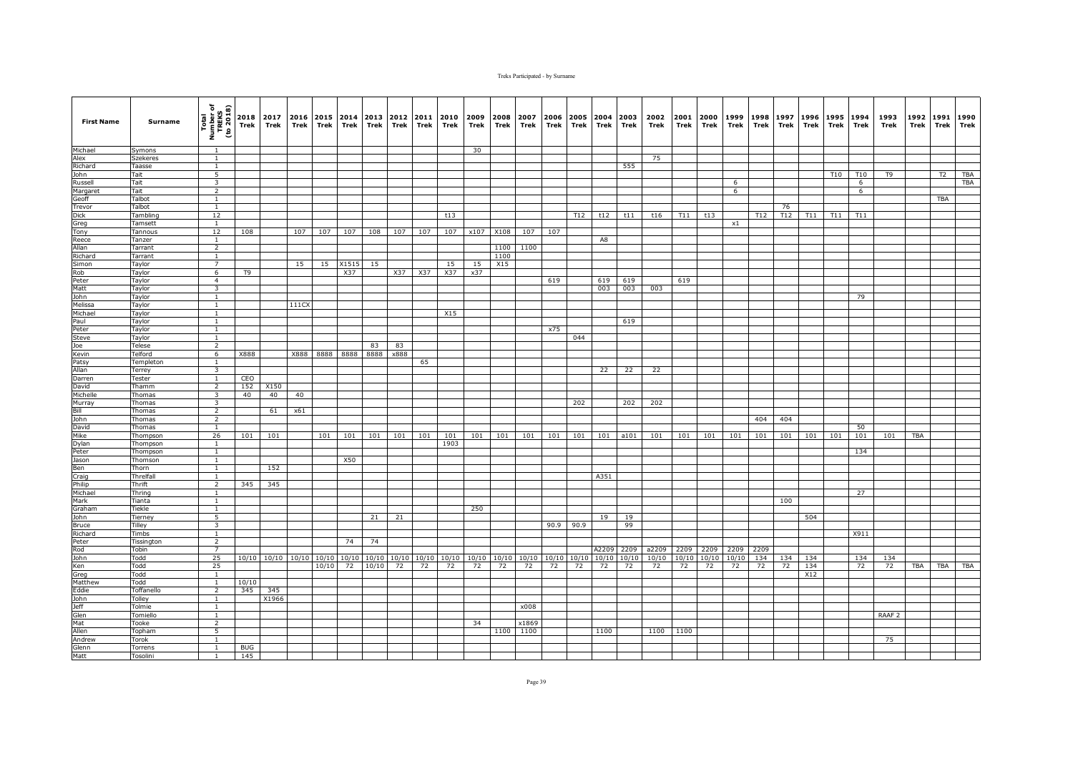| <b>First Name</b>   | Surname              | Total<br>Number of<br>TREKS<br>(to 2018)  | Trek           | 2018 2017<br>Trek       | 2016<br>Trek | Trek      | 2015 2014<br>Trek | 2013<br>Trek | 2012<br>Trek | 2011<br>Trek | 2010<br>Trek | 2009<br>Trek | 2008<br>Trek | 2007<br>Trek | 2006<br>Trek | 2005<br>Trek | 2004<br>Trek | 2003<br>Trek | 2002<br>Trek | 2001<br>Trek | 2000<br>Trek | 1999<br>Trek | 1998<br>Trek | 1997<br>Trek | 1996<br>Trek | 1995<br>Trek | 1994<br>Trek | 1993<br>Trek      | 1992<br>Trek | 1991<br>Trek | 1990<br>Trek |
|---------------------|----------------------|-------------------------------------------|----------------|-------------------------|--------------|-----------|-------------------|--------------|--------------|--------------|--------------|--------------|--------------|--------------|--------------|--------------|--------------|--------------|--------------|--------------|--------------|--------------|--------------|--------------|--------------|--------------|--------------|-------------------|--------------|--------------|--------------|
| Michael             | Symons               | $\overline{1}$                            |                |                         |              |           |                   |              |              |              |              | 30           |              |              |              |              |              |              |              |              |              |              |              |              |              |              |              |                   |              |              |              |
| Alex                | Szekeres             | $\mathbf{1}$                              |                |                         |              |           |                   |              |              |              |              |              |              |              |              |              |              |              | 75           |              |              |              |              |              |              |              |              |                   |              |              |              |
| Richard             | Taasse               | $\mathbf{1}$                              |                |                         |              |           |                   |              |              |              |              |              |              |              |              |              |              | 555          |              |              |              |              |              |              |              |              |              |                   |              |              |              |
| John                | Tait                 | 5                                         |                |                         |              |           |                   |              |              |              |              |              |              |              |              |              |              |              |              |              |              |              |              |              |              | T10          | T10          | T <sub>9</sub>    |              | T2           | <b>TBA</b>   |
| Russell<br>Margaret | Tait<br>Tait         | $\overline{\mathbf{3}}$<br>$\overline{2}$ |                |                         |              |           |                   |              |              |              |              |              |              |              |              |              |              |              |              |              |              | - 6<br>6     |              |              |              |              | 6<br>6       |                   |              |              | <b>TBA</b>   |
| Geoff               | Talbot               | <sup>1</sup>                              |                |                         |              |           |                   |              |              |              |              |              |              |              |              |              |              |              |              |              |              |              |              |              |              |              |              |                   |              | <b>TBA</b>   |              |
| Trevor              | Talbot               | 1                                         |                |                         |              |           |                   |              |              |              |              |              |              |              |              |              |              |              |              |              |              |              |              | 76           |              |              |              |                   |              |              |              |
| <b>Dick</b>         | Tambling             | 12                                        |                |                         |              |           |                   |              |              |              | t13          |              |              |              |              | T12          | t12          | t11          | t16          | T11          | t13          |              | T12          | T12          | T11          | T11          | T11          |                   |              |              |              |
| Greg                | Tamsett              | $\mathbf{1}$                              |                |                         |              |           |                   |              |              |              |              |              |              |              |              |              |              |              |              |              |              | $\times 1$   |              |              |              |              |              |                   |              |              |              |
| Tony                | Tannous              | 12                                        | 108            |                         | 107          | 107       | 107               | 108          | 107          | 107          | 107          | x107         | X108         | 107          | 107          |              |              |              |              |              |              |              |              |              |              |              |              |                   |              |              |              |
| Reece               | Tanzer               | $\overline{1}$                            |                |                         |              |           |                   |              |              |              |              |              |              |              |              |              | A8           |              |              |              |              |              |              |              |              |              |              |                   |              |              |              |
| Allan               | Tarrant              | $\overline{2}$                            |                |                         |              |           |                   |              |              |              |              |              | 1100         | 1100         |              |              |              |              |              |              |              |              |              |              |              |              |              |                   |              |              |              |
| Richard             | Tarrant              | $\overline{1}$                            |                |                         |              |           |                   |              |              |              |              |              | 1100         |              |              |              |              |              |              |              |              |              |              |              |              |              |              |                   |              |              |              |
| Simon<br>Rob        | Taylor<br>Taylor     | 7<br>6                                    | T <sub>9</sub> |                         | 15           | 15        | X1515<br>X37      | 15           | X37          | X37          | 15<br>X37    | 15<br>x37    | X15          |              |              |              |              |              |              |              |              |              |              |              |              |              |              |                   |              |              |              |
| Peter               | Taylor               | $\overline{4}$                            |                |                         |              |           |                   |              |              |              |              |              |              |              | 619          |              | 619          | 619          |              | 619          |              |              |              |              |              |              |              |                   |              |              |              |
| Matt                | Taylor               | $\overline{\mathbf{3}}$                   |                |                         |              |           |                   |              |              |              |              |              |              |              |              |              | 003          | 003          | 003          |              |              |              |              |              |              |              |              |                   |              |              |              |
| John                | Taylor               | <sup>1</sup>                              |                |                         |              |           |                   |              |              |              |              |              |              |              |              |              |              |              |              |              |              |              |              |              |              |              | 79           |                   |              |              |              |
| Melissa             | Taylor               | $\mathbf{1}$                              |                |                         | 111CX        |           |                   |              |              |              |              |              |              |              |              |              |              |              |              |              |              |              |              |              |              |              |              |                   |              |              |              |
| Michael             | Taylor               | $\mathbf{1}$                              |                |                         |              |           |                   |              |              |              | X15          |              |              |              |              |              |              |              |              |              |              |              |              |              |              |              |              |                   |              |              |              |
| Paul                | Taylor               | <sup>1</sup>                              |                |                         |              |           |                   |              |              |              |              |              |              |              |              |              |              | 619          |              |              |              |              |              |              |              |              |              |                   |              |              |              |
| Peter               | Taylor               | $\mathbf{1}$                              |                |                         |              |           |                   |              |              |              |              |              |              |              | x75          |              |              |              |              |              |              |              |              |              |              |              |              |                   |              |              |              |
| Steve               | Taylor               | $\overline{1}$                            |                |                         |              |           |                   |              |              |              |              |              |              |              |              | 044          |              |              |              |              |              |              |              |              |              |              |              |                   |              |              |              |
| Joe                 | Telese               | $\overline{2}$                            | X888           |                         |              | X888 8888 |                   | 83           | 83           |              |              |              |              |              |              |              |              |              |              |              |              |              |              |              |              |              |              |                   |              |              |              |
| Kevin<br>Patsy      | Telford<br>Templeton | 6<br><sup>1</sup>                         |                |                         |              |           | 8888              | 8888         | x888         | 65           |              |              |              |              |              |              |              |              |              |              |              |              |              |              |              |              |              |                   |              |              |              |
| Allan               | Terrey               | $\overline{\mathbf{3}}$                   |                |                         |              |           |                   |              |              |              |              |              |              |              |              |              | 22           | 22           | 22           |              |              |              |              |              |              |              |              |                   |              |              |              |
| Darren              | Tester               | $\mathbf{1}$                              | CEO            |                         |              |           |                   |              |              |              |              |              |              |              |              |              |              |              |              |              |              |              |              |              |              |              |              |                   |              |              |              |
| David               | Thamm                | $\overline{2}$                            | 152            | X150                    |              |           |                   |              |              |              |              |              |              |              |              |              |              |              |              |              |              |              |              |              |              |              |              |                   |              |              |              |
| Michelle            | Thomas               | $\overline{\mathbf{3}}$                   | 40             | 40                      | 40           |           |                   |              |              |              |              |              |              |              |              |              |              |              |              |              |              |              |              |              |              |              |              |                   |              |              |              |
| Murray              | Thomas               | $\overline{\mathbf{3}}$                   |                |                         |              |           |                   |              |              |              |              |              |              |              |              | 202          |              | 202          | 202          |              |              |              |              |              |              |              |              |                   |              |              |              |
| Bill                | Thomas               | $\overline{2}$                            |                | 61                      | x61          |           |                   |              |              |              |              |              |              |              |              |              |              |              |              |              |              |              |              |              |              |              |              |                   |              |              |              |
| John                | Thomas               | 2                                         |                |                         |              |           |                   |              |              |              |              |              |              |              |              |              |              |              |              |              |              |              | 404          | 404          |              |              |              |                   |              |              |              |
| David<br>Mike       | Thomas               | $\mathbf{1}$<br>26                        | 101            | 101                     |              | 101       | 101               | 101          | 101          | 101          | 101          | 101          | 101          | 101          | 101          | 101          | 101          | a101         | 101          | 101          | 101          | 101          | 101          | 101          | 101          | 101          | 50<br>101    | 101               | <b>TBA</b>   |              |              |
| Dylan               | Thompson<br>Thompson | $\mathbf{1}$                              |                |                         |              |           |                   |              |              |              | 1903         |              |              |              |              |              |              |              |              |              |              |              |              |              |              |              |              |                   |              |              |              |
| Peter               | Thompson             | $\mathbf{1}$                              |                |                         |              |           |                   |              |              |              |              |              |              |              |              |              |              |              |              |              |              |              |              |              |              |              | 134          |                   |              |              |              |
| Jason               | Thomson              | $\mathbf{1}$                              |                |                         |              |           | X50               |              |              |              |              |              |              |              |              |              |              |              |              |              |              |              |              |              |              |              |              |                   |              |              |              |
| Ben                 | Thorn                | $\mathbf{1}$                              |                | 152                     |              |           |                   |              |              |              |              |              |              |              |              |              |              |              |              |              |              |              |              |              |              |              |              |                   |              |              |              |
| Craig               | Threlfall            | $\mathbf{1}$                              |                |                         |              |           |                   |              |              |              |              |              |              |              |              |              | A351         |              |              |              |              |              |              |              |              |              |              |                   |              |              |              |
| Philip              | Thrift               | $\overline{2}$                            | 345            | 345                     |              |           |                   |              |              |              |              |              |              |              |              |              |              |              |              |              |              |              |              |              |              |              |              |                   |              |              |              |
| Michael             | Thring               | $\overline{1}$                            |                |                         |              |           |                   |              |              |              |              |              |              |              |              |              |              |              |              |              |              |              |              |              |              |              | 27           |                   |              |              |              |
| Mark                | Tianta               | $\mathbf{1}$                              |                |                         |              |           |                   |              |              |              |              |              |              |              |              |              |              |              |              |              |              |              |              | 100          |              |              |              |                   |              |              |              |
| Graham<br>John      | Tiekle<br>Tierney    | <sup>1</sup><br>5                         |                |                         |              |           |                   | 21           | 21           |              |              | 250          |              |              |              |              | 19           | 19           |              |              |              |              |              |              | 504          |              |              |                   |              |              |              |
| Bruce               | Tilley               | 3                                         |                |                         |              |           |                   |              |              |              |              |              |              |              |              | 90.9 90.9    |              | 99           |              |              |              |              |              |              |              |              |              |                   |              |              |              |
| Richard             | Timbs                | $\mathbf{1}$                              |                |                         |              |           |                   |              |              |              |              |              |              |              |              |              |              |              |              |              |              |              |              |              |              |              | X911         |                   |              |              |              |
| Peter               | Tissington           | $\overline{2}$                            |                |                         |              |           | 74                | 74           |              |              |              |              |              |              |              |              |              |              |              |              |              |              |              |              |              |              |              |                   |              |              |              |
| Rod                 | Tobin                | $\overline{7}$                            |                |                         |              |           |                   |              |              |              |              |              |              |              |              |              | A2209        | 2209         | a2209        | 2209         | 2209         | 2209         | 2209         |              |              |              |              |                   |              |              |              |
| <b>John</b>         | Todd                 | 25                                        |                | 10/10 10/10 10/10 10/10 |              |           |                   | 10/10 10/10  | 10/10        | 10/10        | 10/10        | 10/10        | 10/10        | 10/10        |              | 10/10 10/10  | 10/10        | 10/10        | 10/10        | 10/10        | 10/10        | 10/10        | 134          | 134          | 134          |              | 134          | 134               |              |              |              |
| Ken                 | Todd                 | 25                                        |                |                         |              | 10/10     | 72                | 10/10        | 72           | 72           | 72           | 72           | 72           | 72           | 72           | 72           | 72           | 72           | 72           | 72           | 72           | 72           | 72           | 72           | 134          |              | 72           | 72                | TBA          | TBA          | TBA          |
| Greg                | Todd                 | <sup>1</sup>                              |                |                         |              |           |                   |              |              |              |              |              |              |              |              |              |              |              |              |              |              |              |              |              | X12          |              |              |                   |              |              |              |
| Matthew             | Todd                 | <sup>1</sup>                              | 10/10          |                         |              |           |                   |              |              |              |              |              |              |              |              |              |              |              |              |              |              |              |              |              |              |              |              |                   |              |              |              |
| Eddie               | Toffanello           | $\overline{2}$                            | 345            | 345                     |              |           |                   |              |              |              |              |              |              |              |              |              |              |              |              |              |              |              |              |              |              |              |              |                   |              |              |              |
| John<br>Jeff        | Tolley<br>Tolmie     | <sup>1</sup><br>$\mathbf{1}$              |                | X1966                   |              |           |                   |              |              |              |              |              |              | x008         |              |              |              |              |              |              |              |              |              |              |              |              |              |                   |              |              |              |
| Glen                | Tomiello             | $\mathbf{1}$                              |                |                         |              |           |                   |              |              |              |              |              |              |              |              |              |              |              |              |              |              |              |              |              |              |              |              | RAAF <sub>2</sub> |              |              |              |
| Mat                 | Tooke                | $\overline{2}$                            |                |                         |              |           |                   |              |              |              |              | 34           |              | x1869        |              |              |              |              |              |              |              |              |              |              |              |              |              |                   |              |              |              |
| Allen               | Topham               | 5                                         |                |                         |              |           |                   |              |              |              |              |              | 1100         | 1100         |              |              | 1100         |              | 1100         | 1100         |              |              |              |              |              |              |              |                   |              |              |              |
| Andrew              | Torok                | $\overline{1}$                            |                |                         |              |           |                   |              |              |              |              |              |              |              |              |              |              |              |              |              |              |              |              |              |              |              |              | 75                |              |              |              |
| Glenn               | Torrens              | $\mathbf{1}$                              | <b>BUG</b>     |                         |              |           |                   |              |              |              |              |              |              |              |              |              |              |              |              |              |              |              |              |              |              |              |              |                   |              |              |              |
| Matt                | Tosolini             | 1                                         | 145            |                         |              |           |                   |              |              |              |              |              |              |              |              |              |              |              |              |              |              |              |              |              |              |              |              |                   |              |              |              |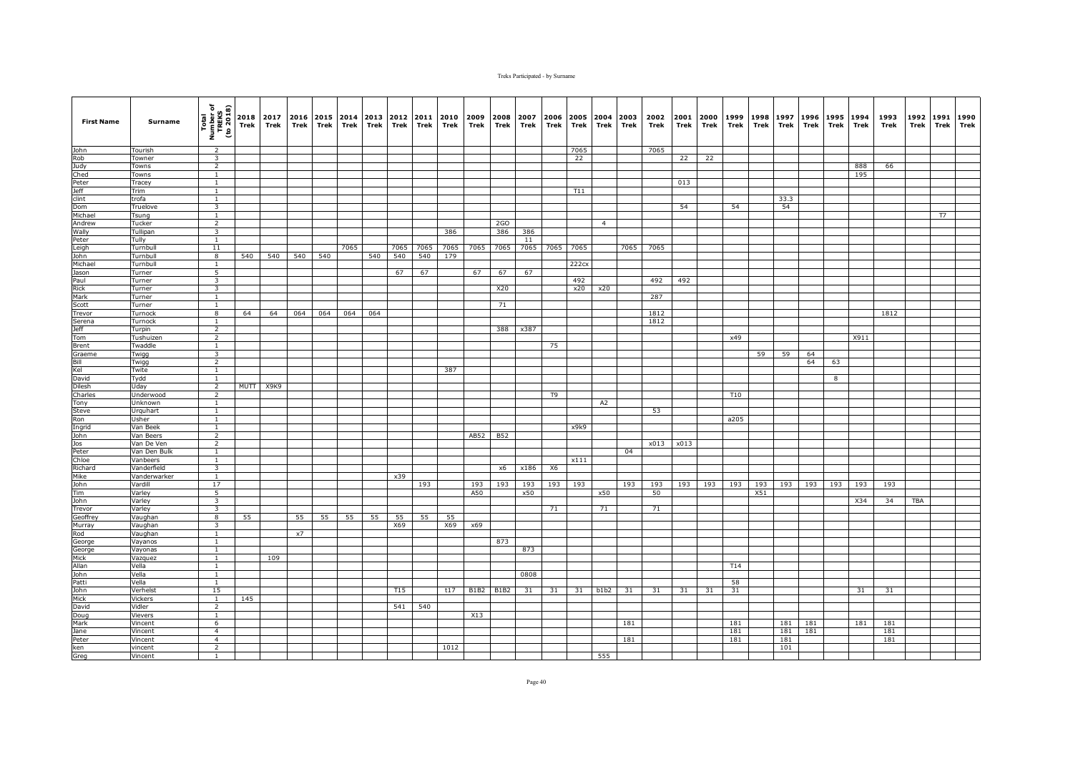| <b>First Name</b>    | Surname              | Total<br>Number of<br>TREKS<br>(to 2018) | 2018<br>Trek | 2017<br>Trek | 2016<br>Trek | 2015 2014<br>Trek | Trek | 2013<br>Trek | 2012<br>Trek    | 2011<br>Trek | 2010<br>Trek | 2009<br>Trek | 2008<br>Trek | 2007<br>Trek | 2006<br>Trek   | 2005<br>Trek | 2004<br>Trek   | 2003<br>Trek | 2002<br>Trek | 2001<br>Trek | 2000<br>Trek | 1999<br>Trek | 1998<br><b>Trek</b> | 1997<br>Trek | 1996<br>Trek | 1995<br>Trek | 1994<br>Trek | 1993<br>Trek | 1992<br>Trek | 1991<br>Trek | 1990<br>Trek |
|----------------------|----------------------|------------------------------------------|--------------|--------------|--------------|-------------------|------|--------------|-----------------|--------------|--------------|--------------|--------------|--------------|----------------|--------------|----------------|--------------|--------------|--------------|--------------|--------------|---------------------|--------------|--------------|--------------|--------------|--------------|--------------|--------------|--------------|
| John                 | Tourish              | $\overline{2}$                           |              |              |              |                   |      |              |                 |              |              |              |              |              |                | 7065         |                |              | 7065         |              |              |              |                     |              |              |              |              |              |              |              |              |
| Rob                  | Towner               | $\overline{\mathbf{3}}$                  |              |              |              |                   |      |              |                 |              |              |              |              |              |                | 22           |                |              |              | 22           | 22           |              |                     |              |              |              |              |              |              |              |              |
| Judy                 | Towns                | $\overline{2}$                           |              |              |              |                   |      |              |                 |              |              |              |              |              |                |              |                |              |              |              |              |              |                     |              |              |              | 888          | 66           |              |              |              |
| Ched                 | Towns                | $\mathbf{1}$                             |              |              |              |                   |      |              |                 |              |              |              |              |              |                |              |                |              |              |              |              |              |                     |              |              |              | 195          |              |              |              |              |
| Peter<br><b>Jeff</b> | Tracey<br>Trim       | <sup>1</sup><br>$\mathbf{1}$             |              |              |              |                   |      |              |                 |              |              |              |              |              |                | T11          |                |              |              | 013          |              |              |                     |              |              |              |              |              |              |              |              |
| clint                | trofa                | $\overline{1}$                           |              |              |              |                   |      |              |                 |              |              |              |              |              |                |              |                |              |              |              |              |              |                     | 33.3         |              |              |              |              |              |              |              |
| Dom                  | Truelove             | $\overline{\mathbf{3}}$                  |              |              |              |                   |      |              |                 |              |              |              |              |              |                |              |                |              |              | 54           |              | 54           |                     | 54           |              |              |              |              |              |              |              |
| Michael              | Tsung                | $\mathbf{1}$                             |              |              |              |                   |      |              |                 |              |              |              |              |              |                |              |                |              |              |              |              |              |                     |              |              |              |              |              |              | T7           |              |
| Andrew               | Tucker               | $\overline{2}$                           |              |              |              |                   |      |              |                 |              |              |              | 2GO          |              |                |              | $\overline{4}$ |              |              |              |              |              |                     |              |              |              |              |              |              |              |              |
| Wally                | Tullipan             | 3                                        |              |              |              |                   |      |              |                 |              | 386          |              | 386          | 386          |                |              |                |              |              |              |              |              |                     |              |              |              |              |              |              |              |              |
| Peter                | Tully                | <sup>1</sup>                             |              |              |              |                   |      |              |                 |              |              |              |              | 11           |                |              |                |              |              |              |              |              |                     |              |              |              |              |              |              |              |              |
| Leigh                | Turnbull             | 11                                       |              |              |              |                   | 7065 |              | 7065            | 7065         | 7065         | 7065         | 7065         | 7065         | 7065           | 7065         |                | 7065         | 7065         |              |              |              |                     |              |              |              |              |              |              |              |              |
| John<br>Michael      | Turnbull<br>Turnbull | $\overline{\mathbf{8}}$<br>$\mathbf{1}$  | 540          | 540          | 540          | 540               |      | 540          | 540             | 540          | 179          |              |              |              |                | 222cx        |                |              |              |              |              |              |                     |              |              |              |              |              |              |              |              |
| Jason                | Turner               | 5                                        |              |              |              |                   |      |              | 67              | 67           |              | 67           | 67           | 67           |                |              |                |              |              |              |              |              |                     |              |              |              |              |              |              |              |              |
| Paul                 | Turner               | $\overline{\mathbf{3}}$                  |              |              |              |                   |      |              |                 |              |              |              |              |              |                | 492          |                |              | 492          | 492          |              |              |                     |              |              |              |              |              |              |              |              |
| Rick                 | Turner               | $\overline{\mathbf{3}}$                  |              |              |              |                   |      |              |                 |              |              |              | X20          |              |                | x20          | x20            |              |              |              |              |              |                     |              |              |              |              |              |              |              |              |
| Mark                 | Turner               | $\mathbf{1}$                             |              |              |              |                   |      |              |                 |              |              |              |              |              |                |              |                |              | 287          |              |              |              |                     |              |              |              |              |              |              |              |              |
| Scott                | Turner               | $\overline{1}$                           |              |              |              |                   |      |              |                 |              |              |              | 71           |              |                |              |                |              |              |              |              |              |                     |              |              |              |              |              |              |              |              |
| Trevor               | Turnock              | 8                                        | 64           | 64           | 064          | 064               | 064  | 064          |                 |              |              |              |              |              |                |              |                |              | 1812         |              |              |              |                     |              |              |              |              | 1812         |              |              |              |
| Serena               | Turnock              | $\mathbf{1}$                             |              |              |              |                   |      |              |                 |              |              |              |              |              |                |              |                |              | 1812         |              |              |              |                     |              |              |              |              |              |              |              |              |
| <b>Jeff</b>          | Turpin               | 2                                        |              |              |              |                   |      |              |                 |              |              |              | 388          | x387         |                |              |                |              |              |              |              |              |                     |              |              |              |              |              |              |              |              |
| Tom                  | Tushuizen<br>Twaddle | $\overline{2}$<br><sup>1</sup>           |              |              |              |                   |      |              |                 |              |              |              |              |              |                |              |                |              |              |              |              | x49          |                     |              |              |              | X911         |              |              |              |              |
| Brent<br>Graeme      | Twigg                | $\overline{\mathbf{3}}$                  |              |              |              |                   |      |              |                 |              |              |              |              |              | 75             |              |                |              |              |              |              |              | 59                  | 59           | 64           |              |              |              |              |              |              |
| Bill                 | Twigg                | $\overline{2}$                           |              |              |              |                   |      |              |                 |              |              |              |              |              |                |              |                |              |              |              |              |              |                     |              | 64           | 63           |              |              |              |              |              |
| Kel                  | Twite                | $\mathbf{1}$                             |              |              |              |                   |      |              |                 |              | 387          |              |              |              |                |              |                |              |              |              |              |              |                     |              |              |              |              |              |              |              |              |
| David                | Tydd                 | $\mathbf{1}$                             |              |              |              |                   |      |              |                 |              |              |              |              |              |                |              |                |              |              |              |              |              |                     |              |              | 8            |              |              |              |              |              |
| Dilesh               | Uday                 | $\overline{2}$                           |              | MUTT X9K9    |              |                   |      |              |                 |              |              |              |              |              |                |              |                |              |              |              |              |              |                     |              |              |              |              |              |              |              |              |
| Charles              | Underwood            | 2                                        |              |              |              |                   |      |              |                 |              |              |              |              |              | T <sub>9</sub> |              |                |              |              |              |              | T10          |                     |              |              |              |              |              |              |              |              |
| Tony                 | Unknown              | $\overline{1}$                           |              |              |              |                   |      |              |                 |              |              |              |              |              |                |              | A2             |              |              |              |              |              |                     |              |              |              |              |              |              |              |              |
| Steve                | Urquhart             | <sup>1</sup>                             |              |              |              |                   |      |              |                 |              |              |              |              |              |                |              |                |              | 53           |              |              |              |                     |              |              |              |              |              |              |              |              |
| Ron<br>Ingrid        | Jsher<br>Van Beek    | $\mathbf{1}$<br>$\mathbf{1}$             |              |              |              |                   |      |              |                 |              |              |              |              |              |                | x9k9         |                |              |              |              |              | a205         |                     |              |              |              |              |              |              |              |              |
| John                 | Van Beers            | $\overline{2}$                           |              |              |              |                   |      |              |                 |              |              | AB52         | <b>B52</b>   |              |                |              |                |              |              |              |              |              |                     |              |              |              |              |              |              |              |              |
| Jos                  | Van De Ven           | $\overline{2}$                           |              |              |              |                   |      |              |                 |              |              |              |              |              |                |              |                |              | x013         | x013         |              |              |                     |              |              |              |              |              |              |              |              |
| Peter                | Van Den Bulk         | $\mathbf{1}$                             |              |              |              |                   |      |              |                 |              |              |              |              |              |                |              |                | 04           |              |              |              |              |                     |              |              |              |              |              |              |              |              |
| Chloe                | Vanbeers             | $\mathbf{1}$                             |              |              |              |                   |      |              |                 |              |              |              |              |              |                | x111         |                |              |              |              |              |              |                     |              |              |              |              |              |              |              |              |
| Richard              | Vanderfield          | 3                                        |              |              |              |                   |      |              |                 |              |              |              | x6           | x186         | X6             |              |                |              |              |              |              |              |                     |              |              |              |              |              |              |              |              |
| Mike                 | Vanderwarker         | $\mathbf{1}$                             |              |              |              |                   |      |              | x39             |              |              |              |              |              |                |              |                |              |              |              |              |              |                     |              |              |              |              |              |              |              |              |
| John                 | Vardill              | 17                                       |              |              |              |                   |      |              |                 | 193          |              | 193          | 193          | 193          | 193            | 193          |                | 193          | 193          | 193          | 193          | 193          | 193                 | 193          | 193          | 193          | 193          | 193          |              |              |              |
| Tim<br>John          | Varley<br>Varley     | 5<br>$\overline{3}$                      |              |              |              |                   |      |              |                 |              |              | A50          |              | x50          |                |              | x50            |              | 50           |              |              |              | X51                 |              |              |              | X34          | 34           | <b>TBA</b>   |              |              |
| Trevor               | Varley               | $\overline{\mathbf{3}}$                  |              |              |              |                   |      |              |                 |              |              |              |              |              | 71             |              | 71             |              | 71           |              |              |              |                     |              |              |              |              |              |              |              |              |
| Geoffrey             | Vaughan              | 8                                        | 55           |              | 55           | 55                | 55   | 55           | 55              | 55           | 55           |              |              |              |                |              |                |              |              |              |              |              |                     |              |              |              |              |              |              |              |              |
| Murray               | Vaughan              | $\overline{3}$                           |              |              |              |                   |      |              | X69             |              | X69          | x69          |              |              |                |              |                |              |              |              |              |              |                     |              |              |              |              |              |              |              |              |
| Rod                  | Vaughan              | $\mathbf{1}$                             |              |              | x7           |                   |      |              |                 |              |              |              |              |              |                |              |                |              |              |              |              |              |                     |              |              |              |              |              |              |              |              |
| George               | Vayanos              | $\overline{1}$                           |              |              |              |                   |      |              |                 |              |              |              | 873          |              |                |              |                |              |              |              |              |              |                     |              |              |              |              |              |              |              |              |
| George               | Vayonas              | $\overline{1}$                           |              |              |              |                   |      |              |                 |              |              |              |              | 873          |                |              |                |              |              |              |              |              |                     |              |              |              |              |              |              |              |              |
| Mick                 | Vazquez              | $\mathbf{1}$                             |              | 109          |              |                   |      |              |                 |              |              |              |              |              |                |              |                |              |              |              |              |              |                     |              |              |              |              |              |              |              |              |
| Allan                | Vella                | $\mathbf{1}$                             |              |              |              |                   |      |              |                 |              |              |              |              |              |                |              |                |              |              |              |              | T14          |                     |              |              |              |              |              |              |              |              |
| John                 | Vella                | $\mathbf{1}$                             |              |              |              |                   |      |              |                 |              |              |              |              | 0808         |                |              |                |              |              |              |              |              |                     |              |              |              |              |              |              |              |              |
| Patti<br>John        | Vella<br>Verhelst    | $\mathbf{1}$<br>15                       |              |              |              |                   |      |              | T <sub>15</sub> |              | t17          | <b>B1B2</b>  | <b>B1B2</b>  | 31           | 31             | 31           | b1b2           | 31           | 31           | 31           | 31           | 58<br>31     |                     |              |              |              | 31           | 31           |              |              |              |
| Mick                 | Vickers              | $\overline{1}$                           | 145          |              |              |                   |      |              |                 |              |              |              |              |              |                |              |                |              |              |              |              |              |                     |              |              |              |              |              |              |              |              |
| David                | Vidler               | $\overline{2}$                           |              |              |              |                   |      |              | 541             | 540          |              |              |              |              |                |              |                |              |              |              |              |              |                     |              |              |              |              |              |              |              |              |
| Doug                 | Vievers              | $\mathbf{1}$                             |              |              |              |                   |      |              |                 |              |              | X13          |              |              |                |              |                |              |              |              |              |              |                     |              |              |              |              |              |              |              |              |
| Mark                 | Vincent              | 6                                        |              |              |              |                   |      |              |                 |              |              |              |              |              |                |              |                | 181          |              |              |              | 181          |                     | 181          | 181          |              | 181          | 181          |              |              |              |
| Jane                 | Vincent              | $\overline{4}$                           |              |              |              |                   |      |              |                 |              |              |              |              |              |                |              |                |              |              |              |              | 181          |                     | 181          | 181          |              |              | 181          |              |              |              |
| Peter                | Vincent              | $\overline{4}$                           |              |              |              |                   |      |              |                 |              |              |              |              |              |                |              |                | 181          |              |              |              | 181          |                     | 181          |              |              |              | 181          |              |              |              |
| ken                  | vincent              | $\overline{2}$                           |              |              |              |                   |      |              |                 |              | 1012         |              |              |              |                |              |                |              |              |              |              |              |                     | 101          |              |              |              |              |              |              |              |
| Greg                 | Vincent              | $\mathbf{1}$                             |              |              |              |                   |      |              |                 |              |              |              |              |              |                |              | 555            |              |              |              |              |              |                     |              |              |              |              |              |              |              |              |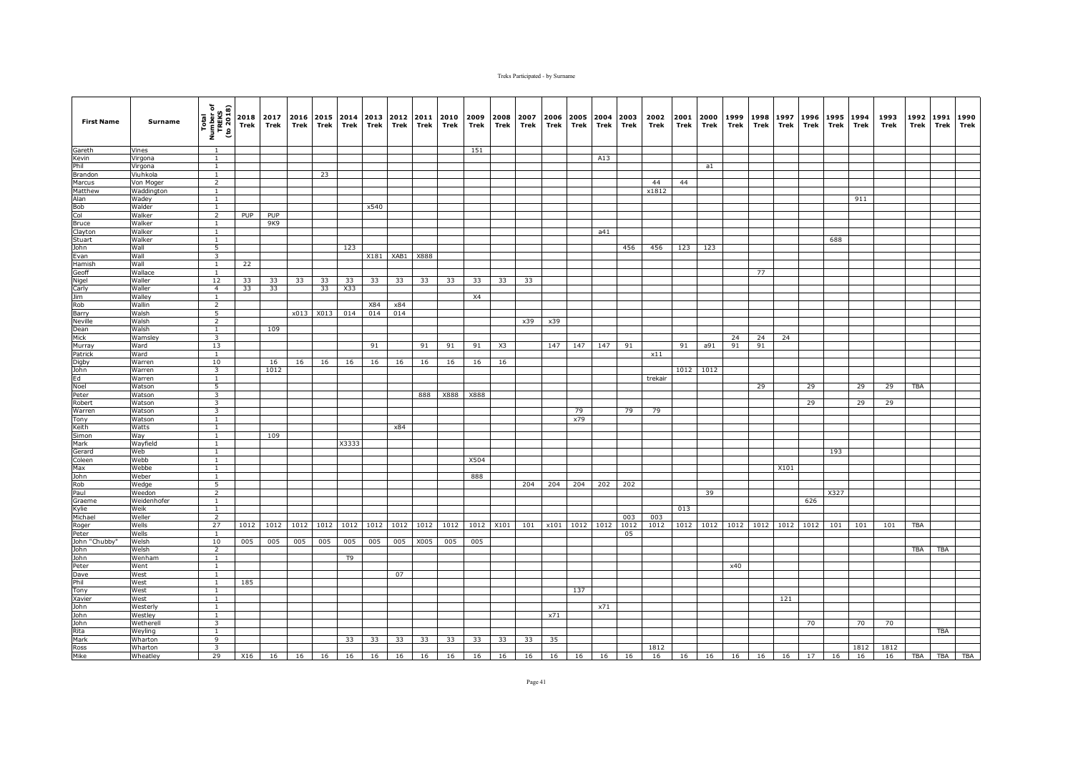| <b>First Name</b> | Surname          | Total<br>Number of<br>TREKS<br>(to 2018) | 2018<br>Trek | 2017<br>Trek             | 2016<br>Trek | 2015<br>Trek | Trek           | 2014 2013<br>Trek | 2012 2011<br>Trek | Trek | 2010<br>Trek | 2009<br>Trek | 2008<br>Trek | 2007<br>Trek      | 2006<br>Trek | 2005<br>Trek   | 2004<br>Trek | 2003<br>Trek | 2002<br>Trek | 2001<br>Trek | 2000<br>Trek         | 1999<br>Trek | 1998<br>Trek | 1997<br>Trek | 1996<br>Trek | 1995<br>Trek | 1994<br>Trek | 1993<br>Trek | 1992<br>Trek | 1991<br>Trek | 1990<br>Trek |
|-------------------|------------------|------------------------------------------|--------------|--------------------------|--------------|--------------|----------------|-------------------|-------------------|------|--------------|--------------|--------------|-------------------|--------------|----------------|--------------|--------------|--------------|--------------|----------------------|--------------|--------------|--------------|--------------|--------------|--------------|--------------|--------------|--------------|--------------|
| Gareth            | Vines            | $\overline{1}$                           |              |                          |              |              |                |                   |                   |      |              | 151          |              |                   |              |                |              |              |              |              |                      |              |              |              |              |              |              |              |              |              |              |
| Kevin             | Virgona          | $\overline{1}$                           |              |                          |              |              |                |                   |                   |      |              |              |              |                   |              |                | A13          |              |              |              |                      |              |              |              |              |              |              |              |              |              |              |
| Phil              | Virgona          | $\mathbf{1}$                             |              |                          |              |              |                |                   |                   |      |              |              |              |                   |              |                |              |              |              |              | a1                   |              |              |              |              |              |              |              |              |              |              |
| Brandon           | Viuhkola         | <sup>1</sup>                             |              |                          |              | 23           |                |                   |                   |      |              |              |              |                   |              |                |              |              |              |              |                      |              |              |              |              |              |              |              |              |              |              |
| Marcus            | Von Moger        | $\overline{2}$                           |              |                          |              |              |                |                   |                   |      |              |              |              |                   |              |                |              |              | 44           | 44           |                      |              |              |              |              |              |              |              |              |              |              |
| Matthew           | Waddington       | $\mathbf{1}$                             |              |                          |              |              |                |                   |                   |      |              |              |              |                   |              |                |              |              | x1812        |              |                      |              |              |              |              |              |              |              |              |              |              |
| Alan              | Wadey            | $\mathbf{1}$                             |              |                          |              |              |                |                   |                   |      |              |              |              |                   |              |                |              |              |              |              |                      |              |              |              |              |              | 911          |              |              |              |              |
| Bob               | Walder           | $\overline{1}$                           |              |                          |              |              |                | x540              |                   |      |              |              |              |                   |              |                |              |              |              |              |                      |              |              |              |              |              |              |              |              |              |              |
| Col               | Walker           | $\overline{2}$                           | PUP          | PUP                      |              |              |                |                   |                   |      |              |              |              |                   |              |                |              |              |              |              |                      |              |              |              |              |              |              |              |              |              |              |
| <b>Bruce</b>      | Walker           | $\overline{1}$                           |              | 9K9                      |              |              |                |                   |                   |      |              |              |              |                   |              |                |              |              |              |              |                      |              |              |              |              |              |              |              |              |              |              |
| Clayton           | Walker           | $\mathbf{1}$                             |              |                          |              |              |                |                   |                   |      |              |              |              |                   |              |                | a41          |              |              |              |                      |              |              |              |              |              |              |              |              |              |              |
| Stuart<br>John    | Walker<br>Wall   | $\mathbf{1}$<br>$\overline{5}$           |              |                          |              |              | 123            |                   |                   |      |              |              |              |                   |              |                |              | 456          | 456          | 123          | 123                  |              |              |              |              | 688          |              |              |              |              |              |
| Evan              | Wall             | $\overline{\mathbf{3}}$                  |              |                          |              |              |                |                   | X181 XAB1 X888    |      |              |              |              |                   |              |                |              |              |              |              |                      |              |              |              |              |              |              |              |              |              |              |
| Hamish            | Wall             | $\mathbf{1}$                             | 22           |                          |              |              |                |                   |                   |      |              |              |              |                   |              |                |              |              |              |              |                      |              |              |              |              |              |              |              |              |              |              |
| Geoff             | Wallace          | 1                                        |              |                          |              |              |                |                   |                   |      |              |              |              |                   |              |                |              |              |              |              |                      |              | 77           |              |              |              |              |              |              |              |              |
| Nigel             | Waller           | 12                                       | 33           | 33                       | 33           | 33           | 33             | 33                | 33                | 33   | 33           | 33           | 33           | 33                |              |                |              |              |              |              |                      |              |              |              |              |              |              |              |              |              |              |
| Carly             | Waller           | $\overline{4}$                           | 33           | 33                       |              | 33           | X33            |                   |                   |      |              |              |              |                   |              |                |              |              |              |              |                      |              |              |              |              |              |              |              |              |              |              |
| <b>Jim</b>        | Walley           | <sup>1</sup>                             |              |                          |              |              |                |                   |                   |      |              | <b>X4</b>    |              |                   |              |                |              |              |              |              |                      |              |              |              |              |              |              |              |              |              |              |
| Rob               | Wallin           | $\overline{2}$                           |              |                          |              |              |                | X84               | x84               |      |              |              |              |                   |              |                |              |              |              |              |                      |              |              |              |              |              |              |              |              |              |              |
| Barry             | Walsh            | 5                                        |              |                          |              | x013 X013    | 014            | 014               | 014               |      |              |              |              |                   |              |                |              |              |              |              |                      |              |              |              |              |              |              |              |              |              |              |
| <b>Neville</b>    | Walsh            | 2                                        |              |                          |              |              |                |                   |                   |      |              |              |              | x39               | x39          |                |              |              |              |              |                      |              |              |              |              |              |              |              |              |              |              |
| Dean              | Walsh            | 1                                        |              | 109                      |              |              |                |                   |                   |      |              |              |              |                   |              |                |              |              |              |              |                      |              |              |              |              |              |              |              |              |              |              |
| Mick              | <b>Wamsley</b>   | $\overline{3}$                           |              |                          |              |              |                |                   |                   |      |              |              |              |                   |              |                |              |              |              |              |                      | 24           | 24           | 24           |              |              |              |              |              |              |              |
| Murray            | Ward             | 13                                       |              |                          |              |              |                | 91                |                   | 91   | 91           | 91           | X3           |                   | 147          | 147            | 147          | 91           |              | 91           | a91                  | 91           | 91           |              |              |              |              |              |              |              |              |
| Patrick           | Ward             | $\mathbf{1}$                             |              |                          |              |              |                |                   |                   |      |              |              |              |                   |              |                |              |              | x11          |              |                      |              |              |              |              |              |              |              |              |              |              |
| Digby             | Warren           | 10                                       |              | 16                       | 16           | 16           | 16             | 16                | 16                | 16   | 16           | 16           | 16           |                   |              |                |              |              |              |              |                      |              |              |              |              |              |              |              |              |              |              |
| John              | Warren           | $\overline{\mathbf{3}}$                  |              | 1012                     |              |              |                |                   |                   |      |              |              |              |                   |              |                |              |              |              |              | 1012 1012            |              |              |              |              |              |              |              |              |              |              |
| Ed                | Warren           | $\mathbf{1}$                             |              |                          |              |              |                |                   |                   |      |              |              |              |                   |              |                |              |              | trekair      |              |                      |              |              |              |              |              |              |              |              |              |              |
| Noel              | Watson           | 5                                        |              |                          |              |              |                |                   |                   |      |              |              |              |                   |              |                |              |              |              |              |                      |              | 29           |              | 29           |              | 29           | 29           | <b>TBA</b>   |              |              |
| Peter             | Watson           | $\overline{\mathbf{3}}$                  |              |                          |              |              |                |                   |                   | 888  | X888         | X888         |              |                   |              |                |              |              |              |              |                      |              |              |              |              |              |              |              |              |              |              |
| Robert            | Watson           | $\overline{\mathbf{3}}$                  |              |                          |              |              |                |                   |                   |      |              |              |              |                   |              |                |              |              |              |              |                      |              |              |              | 29           |              | 29           | 29           |              |              |              |
| Warren<br>Tony    | Watson<br>Watson | $\overline{\mathbf{3}}$<br>1             |              |                          |              |              |                |                   |                   |      |              |              |              |                   |              | 79<br>x79      |              | 79           | 79           |              |                      |              |              |              |              |              |              |              |              |              |              |
| Keith             | Watts            | $\overline{1}$                           |              |                          |              |              |                |                   | x84               |      |              |              |              |                   |              |                |              |              |              |              |                      |              |              |              |              |              |              |              |              |              |              |
| <b>Simon</b>      | Way              | $\mathbf{1}$                             |              | 109                      |              |              |                |                   |                   |      |              |              |              |                   |              |                |              |              |              |              |                      |              |              |              |              |              |              |              |              |              |              |
| Mark              | Wayfield         | $\mathbf{1}$                             |              |                          |              |              | X3333          |                   |                   |      |              |              |              |                   |              |                |              |              |              |              |                      |              |              |              |              |              |              |              |              |              |              |
| Gerard            | Web              | $\overline{1}$                           |              |                          |              |              |                |                   |                   |      |              |              |              |                   |              |                |              |              |              |              |                      |              |              |              |              | 193          |              |              |              |              |              |
| Coleen            | Webb             | $\mathbf{1}$                             |              |                          |              |              |                |                   |                   |      |              | X504         |              |                   |              |                |              |              |              |              |                      |              |              |              |              |              |              |              |              |              |              |
| Max               | Webbe            | $\mathbf{1}$                             |              |                          |              |              |                |                   |                   |      |              |              |              |                   |              |                |              |              |              |              |                      |              |              | X101         |              |              |              |              |              |              |              |
| John              | Weber            | $\mathbf{1}$                             |              |                          |              |              |                |                   |                   |      |              | 888          |              |                   |              |                |              |              |              |              |                      |              |              |              |              |              |              |              |              |              |              |
| Rob               | Wedge            | 5                                        |              |                          |              |              |                |                   |                   |      |              |              |              | 204               | 204          | 204            | 202          | 202          |              |              |                      |              |              |              |              |              |              |              |              |              |              |
| Paul              | Weedon           | $\overline{2}$                           |              |                          |              |              |                |                   |                   |      |              |              |              |                   |              |                |              |              |              |              | 39                   |              |              |              |              | X327         |              |              |              |              |              |
| Graeme            | Weidenhofer      | <sup>1</sup>                             |              |                          |              |              |                |                   |                   |      |              |              |              |                   |              |                |              |              |              |              |                      |              |              |              | 626          |              |              |              |              |              |              |
| Kvlie             | Weik             | <sup>1</sup>                             |              |                          |              |              |                |                   |                   |      |              |              |              |                   |              |                |              |              |              | 013          |                      |              |              |              |              |              |              |              |              |              |              |
| Michael           | Weller           | $\overline{2}$                           |              |                          |              |              |                |                   |                   |      |              |              |              |                   |              |                |              | 003          | 003          |              |                      |              |              |              |              |              |              |              |              |              |              |
| Roger             | Wells            | 27                                       | 1012         | 1012                     | 1012         | 1012         | 1012           | 1012              | 1012              | 1012 | 1012         | 1012         | X101         | 101               |              | x101 1012 1012 |              | 1012         | 1012         | 1012         | 1012                 | 1012         | 1012         | 1012         | 1012         | 101          | 101          | 101          | TBA          |              |              |
| Peter             | Wells            | $\overline{1}$                           |              |                          |              |              |                |                   |                   |      |              |              |              |                   |              |                |              | 05           |              |              |                      |              |              |              |              |              |              |              |              |              |              |
| John "Chubby"     | Welsh            | 10                                       | 005          | 005                      | 005          | 005          | 005            | 005               | 005               | X005 | 005          | 005          |              |                   |              |                |              |              |              |              |                      |              |              |              |              |              |              |              |              |              |              |
| John              | Welsh            | $\overline{2}$                           |              |                          |              |              |                |                   |                   |      |              |              |              |                   |              |                |              |              |              |              |                      |              |              |              |              |              |              |              | <b>TBA</b>   | <b>TBA</b>   |              |
| John              | Wenham           | $\mathbf{1}$                             |              |                          |              |              | T <sub>9</sub> |                   |                   |      |              |              |              |                   |              |                |              |              |              |              |                      |              |              |              |              |              |              |              |              |              |              |
| Peter             | Went             | $\mathbf{1}$                             |              |                          |              |              |                |                   |                   |      |              |              |              |                   |              |                |              |              |              |              |                      | x40          |              |              |              |              |              |              |              |              |              |
| Dave              | West             | $\mathbf{1}$                             |              |                          |              |              |                |                   | 07                |      |              |              |              |                   |              |                |              |              |              |              |                      |              |              |              |              |              |              |              |              |              |              |
| Phil              | West             | <sup>1</sup>                             | 185          |                          |              |              |                |                   |                   |      |              |              |              |                   |              |                |              |              |              |              |                      |              |              |              |              |              |              |              |              |              |              |
| Tony<br>Xavier    | West             | <sup>1</sup>                             |              |                          |              |              |                |                   |                   |      |              |              |              |                   |              | 137            |              |              |              |              |                      |              |              |              |              |              |              |              |              |              |              |
| John              | West<br>Westerly | <sup>1</sup><br>$\mathbf{1}$             |              |                          |              |              |                |                   |                   |      |              |              |              |                   |              |                | x71          |              |              |              |                      |              |              | 121          |              |              |              |              |              |              |              |
| John              | Westley          | $\overline{1}$                           |              |                          |              |              |                |                   |                   |      |              |              |              |                   | x71          |                |              |              |              |              |                      |              |              |              |              |              |              |              |              |              |              |
| John              | Wetherell        | 3                                        |              |                          |              |              |                |                   |                   |      |              |              |              |                   |              |                |              |              |              |              |                      |              |              |              | 70           |              | 70           | 70           |              |              |              |
| Rita              | Weyling          | 1                                        |              |                          |              |              |                |                   |                   |      |              |              |              |                   |              |                |              |              |              |              |                      |              |              |              |              |              |              |              |              | TBA          |              |
| Mark              | Wharton          | 9                                        |              |                          |              |              | 33             | 33                | 33                | 33   | 33           | 33           | 33           | 33                | 35           |                |              |              |              |              |                      |              |              |              |              |              |              |              |              |              |              |
| Ross              | Wharton          | $\overline{\mathbf{3}}$                  |              |                          |              |              |                |                   |                   |      |              |              |              |                   |              |                |              |              | 1812         |              |                      |              |              |              |              |              | 1812         | 1812         |              |              |              |
| Mike              | Wheatley         | 29                                       |              | X16 16 16 16 16 16 16 16 |              |              |                |                   |                   |      | 16           | 16           |              | 16 16 16 16 16 16 |              |                |              |              | 16           |              | 16 16 16 16 16 17 16 |              |              |              |              |              | 16           | 16           | TBA          |              | TBA TBA      |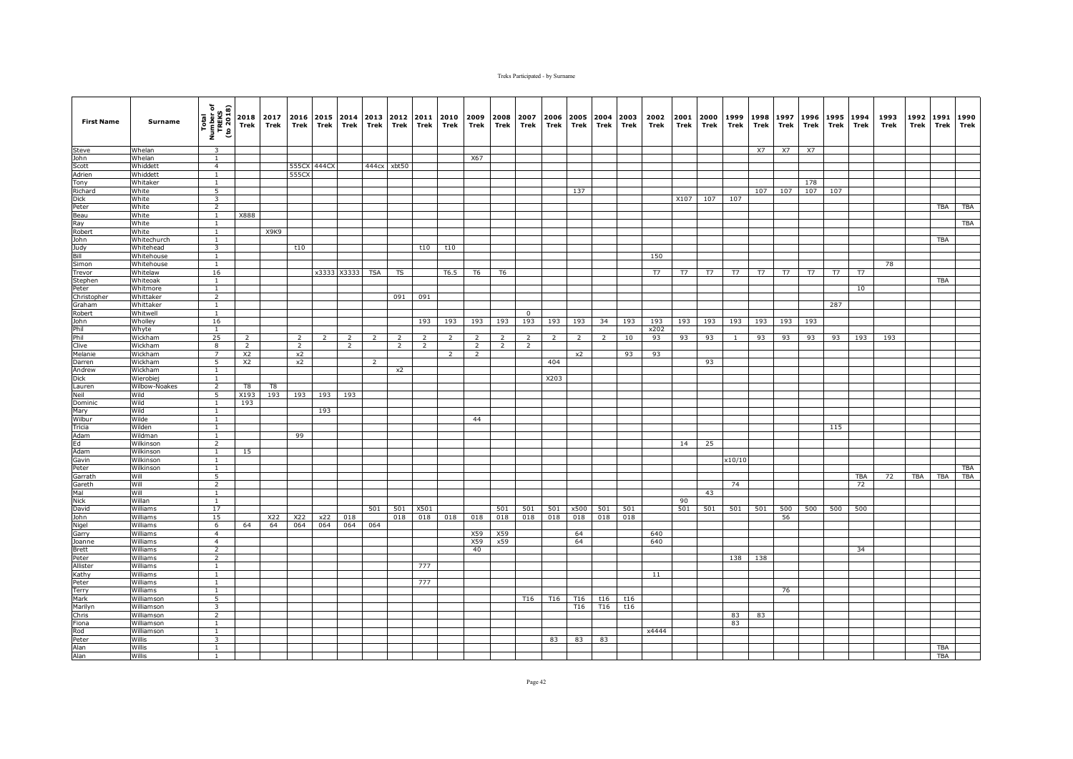| <b>First Name</b> | Surname            | Total<br>Number of<br>TREKS<br>(to 2018)  | 2018<br>Trek   | 2017<br>Trek | 2016 2015 2014<br>Trek | Trek        | Trek           | 2013<br>Trek   | 2012<br>Trek   | 2011<br>Trek   | 2010<br>Trek   | 2009<br>Trek   | 2008<br>Trek   | 2007<br>Trek | 2006<br>Trek  | Trek            | 2005 2004 2003<br>Trek | Trek | 2002<br>Trek | 2001<br>Trek | 2000<br>Trek | 1999<br>Trek | 1998<br>Trek | 1997<br>Trek | 1996<br>Trek | 1995<br>Trek | 1994<br><b>Trek</b> | 1993<br>Trek | 1992<br>Trek | 1991<br>Trek | 1990<br>Trek |
|-------------------|--------------------|-------------------------------------------|----------------|--------------|------------------------|-------------|----------------|----------------|----------------|----------------|----------------|----------------|----------------|--------------|---------------|-----------------|------------------------|------|--------------|--------------|--------------|--------------|--------------|--------------|--------------|--------------|---------------------|--------------|--------------|--------------|--------------|
| Steve             | Whelan             | $\overline{\mathbf{3}}$                   |                |              |                        |             |                |                |                |                |                |                |                |              |               |                 |                        |      |              |              |              |              | <b>X7</b>    | X7           | X7           |              |                     |              |              |              |              |
| John              | Whelan             | $\overline{1}$                            |                |              |                        |             |                |                |                |                |                | X67            |                |              |               |                 |                        |      |              |              |              |              |              |              |              |              |                     |              |              |              |              |
| Scott             | Whiddett           | $\overline{4}$                            |                |              |                        | 555CX 444CX |                | 444cx          | xbt50          |                |                |                |                |              |               |                 |                        |      |              |              |              |              |              |              |              |              |                     |              |              |              |              |
| Adrien            | Whiddett           | $\mathbf{1}$                              |                |              | 555CX                  |             |                |                |                |                |                |                |                |              |               |                 |                        |      |              |              |              |              |              |              |              |              |                     |              |              |              |              |
| Tony              | Whitaker           | 1                                         |                |              |                        |             |                |                |                |                |                |                |                |              |               |                 |                        |      |              |              |              |              |              |              | 178          |              |                     |              |              |              |              |
| Richard           | White              | 5                                         |                |              |                        |             |                |                |                |                |                |                |                |              |               | 137             |                        |      |              |              |              |              | 107          | 107          | 107          | 107          |                     |              |              |              |              |
| <b>Dick</b>       | White              | $\overline{\mathbf{3}}$<br>$\overline{2}$ |                |              |                        |             |                |                |                |                |                |                |                |              |               |                 |                        |      |              | X107         | 107          | 107          |              |              |              |              |                     |              |              |              |              |
| Peter             | White<br>White     | <sup>1</sup>                              | X888           |              |                        |             |                |                |                |                |                |                |                |              |               |                 |                        |      |              |              |              |              |              |              |              |              |                     |              |              | <b>TBA</b>   | TBA          |
| Beau<br>Ray       | White              | $\mathbf{1}$                              |                |              |                        |             |                |                |                |                |                |                |                |              |               |                 |                        |      |              |              |              |              |              |              |              |              |                     |              |              |              | TBA          |
| Robert            | White              | $\mathbf{1}$                              |                | X9K9         |                        |             |                |                |                |                |                |                |                |              |               |                 |                        |      |              |              |              |              |              |              |              |              |                     |              |              |              |              |
| John              | Whitechurch        | $\mathbf{1}$                              |                |              |                        |             |                |                |                |                |                |                |                |              |               |                 |                        |      |              |              |              |              |              |              |              |              |                     |              |              | TBA          |              |
| Judy              | Whitehead          | $\overline{3}$                            |                |              | t10                    |             |                |                |                | t10            | t10            |                |                |              |               |                 |                        |      |              |              |              |              |              |              |              |              |                     |              |              |              |              |
| Bill              | Whitehouse         | $\overline{1}$                            |                |              |                        |             |                |                |                |                |                |                |                |              |               |                 |                        |      | 150          |              |              |              |              |              |              |              |                     |              |              |              |              |
| Simon             | Whitehouse         | $\mathbf{1}$                              |                |              |                        |             |                |                |                |                |                |                |                |              |               |                 |                        |      |              |              |              |              |              |              |              |              |                     | 78           |              |              |              |
| Trevor            | Whitelaw           | 16                                        |                |              |                        |             | x3333 X3333    | <b>TSA</b>     | TS             |                | T6.5           | T6             | T6             |              |               |                 |                        |      | T7           | T7           | T7           | T7           | T7           | T7           | T7           | T7           | T7                  |              |              |              |              |
| Stephen           | Whiteoak           | $\mathbf{1}$                              |                |              |                        |             |                |                |                |                |                |                |                |              |               |                 |                        |      |              |              |              |              |              |              |              |              |                     |              |              | <b>TBA</b>   |              |
| Peter             | Whitmore           | $\mathbf{1}$                              |                |              |                        |             |                |                |                |                |                |                |                |              |               |                 |                        |      |              |              |              |              |              |              |              |              | 10                  |              |              |              |              |
| Christopher       | Whittaker          | $\overline{2}$                            |                |              |                        |             |                |                | 091            | 091            |                |                |                |              |               |                 |                        |      |              |              |              |              |              |              |              |              |                     |              |              |              |              |
| Graham            | Whittaker          | $\overline{1}$                            |                |              |                        |             |                |                |                |                |                |                |                |              |               |                 |                        |      |              |              |              |              |              |              |              | 287          |                     |              |              |              |              |
| Robert            | Whitwell           | $\mathbf{1}$                              |                |              |                        |             |                |                |                |                |                |                |                | $\mathbf 0$  |               |                 |                        |      |              |              |              |              |              |              |              |              |                     |              |              |              |              |
| John              | Wholley            | 16                                        |                |              |                        |             |                |                |                | 193            | 193            | 193            | 193            | 193          | 193           | 193             | 34                     | 193  | 193          | 193          | 193          | 193          | 193          | 193          | 193          |              |                     |              |              |              |              |
| Phil              | Whyte              | $\overline{1}$                            |                |              |                        |             |                |                |                |                |                |                |                |              |               |                 |                        |      | x202         |              |              |              |              |              |              |              |                     |              |              |              |              |
| Phil              | Wickham            | 25                                        |                |              |                        |             |                |                |                |                |                | $\mathcal{P}$  | $\overline{z}$ | 2            | $\mathcal{P}$ |                 |                        | 10   | 93           | 93           | 93           |              | 93           | 93           | 93           | 93           | 193                 | 193          |              |              |              |
| Clive             | Wickham            | 8<br>$\overline{7}$                       | $\overline{2}$ |              | $\overline{2}$         |             | $\overline{2}$ |                | $\overline{2}$ | $\overline{2}$ |                | $\overline{2}$ | 2              | 2            |               |                 |                        |      |              |              |              |              |              |              |              |              |                     |              |              |              |              |
| Melanie           | Wickham            |                                           | X <sub>2</sub> |              | x2<br>$x^2$            |             |                |                |                |                | $\overline{2}$ | $\overline{2}$ |                |              |               | x2              |                        | 93   | 93           |              |              |              |              |              |              |              |                     |              |              |              |              |
| Darren<br>Andrew  | Wickham<br>Wickham | 5<br>$\mathbf{1}$                         | X <sub>2</sub> |              |                        |             |                | $\overline{2}$ | x2             |                |                |                |                |              | 404           |                 |                        |      |              |              | 93           |              |              |              |              |              |                     |              |              |              |              |
| <b>Dick</b>       | Wierobiej          | $\mathbf{1}$                              |                |              |                        |             |                |                |                |                |                |                |                |              | X203          |                 |                        |      |              |              |              |              |              |              |              |              |                     |              |              |              |              |
| Lauren            | Wilbow-Noakes      | $\overline{2}$                            | T8             | T8           |                        |             |                |                |                |                |                |                |                |              |               |                 |                        |      |              |              |              |              |              |              |              |              |                     |              |              |              |              |
| Neil              | Wild               | $\overline{5}$                            | X193           | 193          | 193                    | 193         | 193            |                |                |                |                |                |                |              |               |                 |                        |      |              |              |              |              |              |              |              |              |                     |              |              |              |              |
| Dominic           | Wild               | $\mathbf{1}$                              | 193            |              |                        |             |                |                |                |                |                |                |                |              |               |                 |                        |      |              |              |              |              |              |              |              |              |                     |              |              |              |              |
| Mary              | Wild               | $\mathbf{1}$                              |                |              |                        | 193         |                |                |                |                |                |                |                |              |               |                 |                        |      |              |              |              |              |              |              |              |              |                     |              |              |              |              |
| Wilbur            | Wilde              | <sup>1</sup>                              |                |              |                        |             |                |                |                |                |                | 44             |                |              |               |                 |                        |      |              |              |              |              |              |              |              |              |                     |              |              |              |              |
| Tricia            | Wilden             | $\mathbf{1}$                              |                |              |                        |             |                |                |                |                |                |                |                |              |               |                 |                        |      |              |              |              |              |              |              |              | 115          |                     |              |              |              |              |
| Adam              | Wildman            | $\mathbf{1}$                              |                |              | 99                     |             |                |                |                |                |                |                |                |              |               |                 |                        |      |              |              |              |              |              |              |              |              |                     |              |              |              |              |
| Ed                | Wilkinson          | $\overline{2}$                            |                |              |                        |             |                |                |                |                |                |                |                |              |               |                 |                        |      |              | 14           | 25           |              |              |              |              |              |                     |              |              |              |              |
| Adam              | Wilkinson          | $\mathbf{1}$                              | 15             |              |                        |             |                |                |                |                |                |                |                |              |               |                 |                        |      |              |              |              |              |              |              |              |              |                     |              |              |              |              |
| Gavin             | Wilkinson          | $\mathbf{1}$                              |                |              |                        |             |                |                |                |                |                |                |                |              |               |                 |                        |      |              |              |              | x10/10       |              |              |              |              |                     |              |              |              |              |
| Peter             | Wilkinson          | $\mathbf{1}$                              |                |              |                        |             |                |                |                |                |                |                |                |              |               |                 |                        |      |              |              |              |              |              |              |              |              |                     |              |              |              | <b>TBA</b>   |
| Garrath           | Will               | 5                                         |                |              |                        |             |                |                |                |                |                |                |                |              |               |                 |                        |      |              |              |              |              |              |              |              |              | TBA                 | 72           | TBA          | TBA          | <b>TBA</b>   |
| Gareth            | Will<br>Will       | 2                                         |                |              |                        |             |                |                |                |                |                |                |                |              |               |                 |                        |      |              |              |              | 74           |              |              |              |              | 72                  |              |              |              |              |
| Mal<br>Nick       | Willan             | <sup>1</sup><br>$\overline{1}$            |                |              |                        |             |                |                |                |                |                |                |                |              |               |                 |                        |      |              | 90           | 43           |              |              |              |              |              |                     |              |              |              |              |
| David             | Williams           | 17                                        |                |              |                        |             |                | 501            | 501            | X501           |                |                | 501            | 501          | 501           | x500            | 501                    | 501  |              | 501          | 501          | 501          | 501          | 500          | 500          | 500          | 500                 |              |              |              |              |
| John              | Williams           | 15                                        |                | X22          | X22                    | x22         | 018            |                | 018            | 018            | 018            | 018            | 018            | 018          | 018           | 018             | 018                    | 018  |              |              |              |              |              | 56           |              |              |                     |              |              |              |              |
| Nigel             | Williams           | 6                                         | 64             | 64           | 064                    | 064         | 064            | 064            |                |                |                |                |                |              |               |                 |                        |      |              |              |              |              |              |              |              |              |                     |              |              |              |              |
| Garry             | Williams           | $\overline{4}$                            |                |              |                        |             |                |                |                |                |                | X59            | X59            |              |               | 64              |                        |      | 640          |              |              |              |              |              |              |              |                     |              |              |              |              |
| <b>Joanne</b>     | Williams           | $\overline{4}$                            |                |              |                        |             |                |                |                |                |                | X59            | x59            |              |               | 64              |                        |      | 640          |              |              |              |              |              |              |              |                     |              |              |              |              |
| <b>Brett</b>      | Williams           | $\overline{2}$                            |                |              |                        |             |                |                |                |                |                | 40             |                |              |               |                 |                        |      |              |              |              |              |              |              |              |              | 34                  |              |              |              |              |
| Peter             | Williams           | 2                                         |                |              |                        |             |                |                |                |                |                |                |                |              |               |                 |                        |      |              |              |              | 138          | 138          |              |              |              |                     |              |              |              |              |
| Allister          | Williams           | $\mathbf{1}$                              |                |              |                        |             |                |                |                | 777            |                |                |                |              |               |                 |                        |      |              |              |              |              |              |              |              |              |                     |              |              |              |              |
| Kathy             | Williams           | 1                                         |                |              |                        |             |                |                |                |                |                |                |                |              |               |                 |                        |      | 11           |              |              |              |              |              |              |              |                     |              |              |              |              |
| Peter             | Williams           | $\overline{1}$                            |                |              |                        |             |                |                |                | 777            |                |                |                |              |               |                 |                        |      |              |              |              |              |              |              |              |              |                     |              |              |              |              |
| Terry             | Williams           | $\overline{1}$                            |                |              |                        |             |                |                |                |                |                |                |                |              |               |                 |                        |      |              |              |              |              |              | 76           |              |              |                     |              |              |              |              |
| Mark              | Williamson         | 5                                         |                |              |                        |             |                |                |                |                |                |                |                | T16          | T16           | T <sub>16</sub> | t16                    | t16  |              |              |              |              |              |              |              |              |                     |              |              |              |              |
| Marilyn           | Williamson         | 3                                         |                |              |                        |             |                |                |                |                |                |                |                |              |               | T16             | T <sub>16</sub>        | t16  |              |              |              |              |              |              |              |              |                     |              |              |              |              |
| Chris             | Williamson         | $\overline{2}$                            |                |              |                        |             |                |                |                |                |                |                |                |              |               |                 |                        |      |              |              |              | 83           | 83           |              |              |              |                     |              |              |              |              |
| Fiona             | Williamson         | $\mathbf{1}$                              |                |              |                        |             |                |                |                |                |                |                |                |              |               |                 |                        |      |              |              |              | 83           |              |              |              |              |                     |              |              |              |              |
| Rod               | Williamson         | $\mathbf{1}$                              |                |              |                        |             |                |                |                |                |                |                |                |              |               |                 |                        |      | x4444        |              |              |              |              |              |              |              |                     |              |              |              |              |
| Peter             | Willis             | 3<br><sup>1</sup>                         |                |              |                        |             |                |                |                |                |                |                |                |              | 83            | 83              | 83                     |      |              |              |              |              |              |              |              |              |                     |              |              | TBA          |              |
| Alan<br>Alan      | Willis<br>Willis   |                                           |                |              |                        |             |                |                |                |                |                |                |                |              |               |                 |                        |      |              |              |              |              |              |              |              |              |                     |              |              | TBA          |              |
|                   |                    | 1                                         |                |              |                        |             |                |                |                |                |                |                |                |              |               |                 |                        |      |              |              |              |              |              |              |              |              |                     |              |              |              |              |